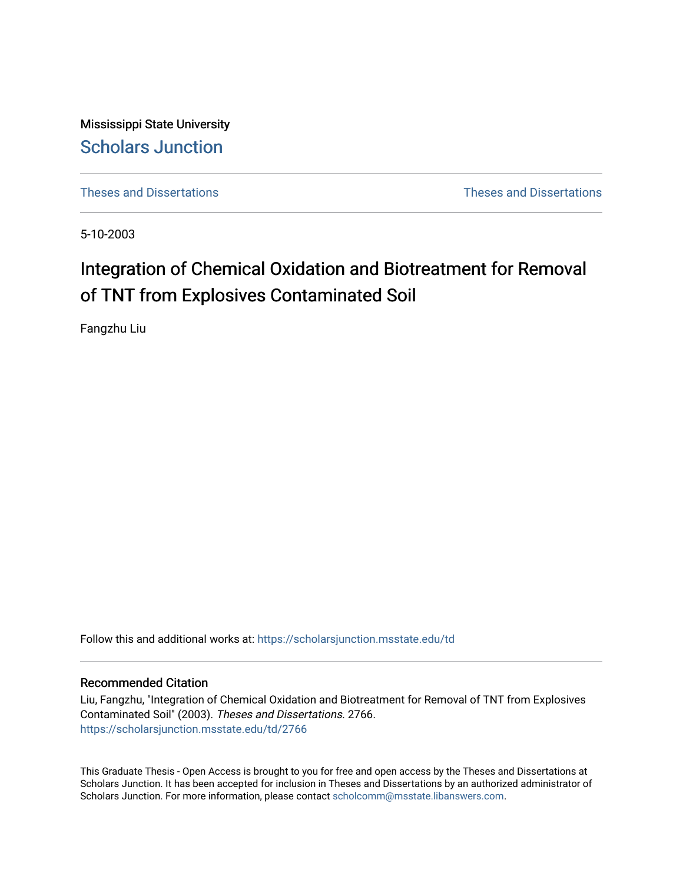Mississippi State University [Scholars Junction](https://scholarsjunction.msstate.edu/) 

[Theses and Dissertations](https://scholarsjunction.msstate.edu/td) [Theses and Dissertations](https://scholarsjunction.msstate.edu/theses-dissertations) 

5-10-2003

# Integration of Chemical Oxidation and Biotreatment for Removal of TNT from Explosives Contaminated Soil

Fangzhu Liu

Follow this and additional works at: [https://scholarsjunction.msstate.edu/td](https://scholarsjunction.msstate.edu/td?utm_source=scholarsjunction.msstate.edu%2Ftd%2F2766&utm_medium=PDF&utm_campaign=PDFCoverPages) 

#### Recommended Citation

Liu, Fangzhu, "Integration of Chemical Oxidation and Biotreatment for Removal of TNT from Explosives Contaminated Soil" (2003). Theses and Dissertations. 2766. [https://scholarsjunction.msstate.edu/td/2766](https://scholarsjunction.msstate.edu/td/2766?utm_source=scholarsjunction.msstate.edu%2Ftd%2F2766&utm_medium=PDF&utm_campaign=PDFCoverPages) 

This Graduate Thesis - Open Access is brought to you for free and open access by the Theses and Dissertations at Scholars Junction. It has been accepted for inclusion in Theses and Dissertations by an authorized administrator of Scholars Junction. For more information, please contact [scholcomm@msstate.libanswers.com.](mailto:scholcomm@msstate.libanswers.com)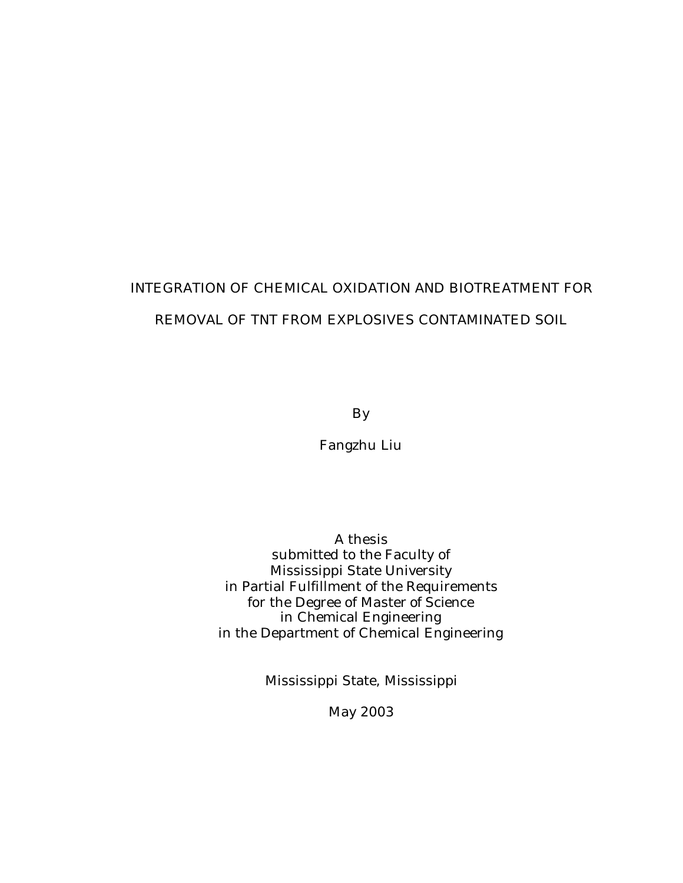# INTEGRATION OF CHEMICAL OXIDATION AND BIOTREATMENT FOR REMOVAL OF TNT FROM EXPLOSIVES CONTAMINATED SOIL

By

Fangzhu Liu

A thesis submitted to the Faculty of Mississippi State University in Partial Fulfillment of the Requirements for the Degree of Master of Science in Chemical Engineering in the Department of Chemical Engineering

Mississippi State, Mississippi

May 2003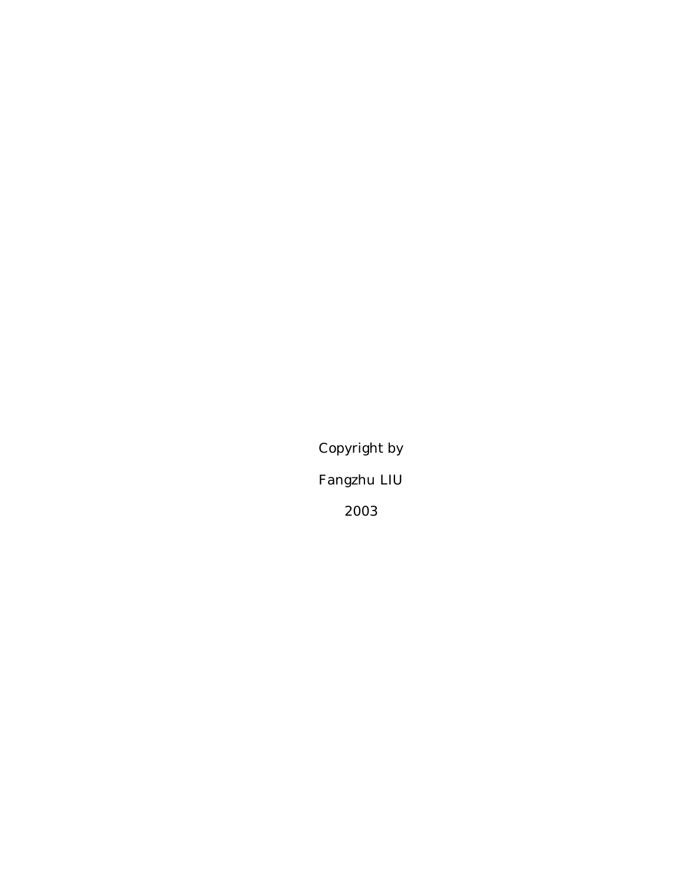Copyright by Fangzhu LIU 2003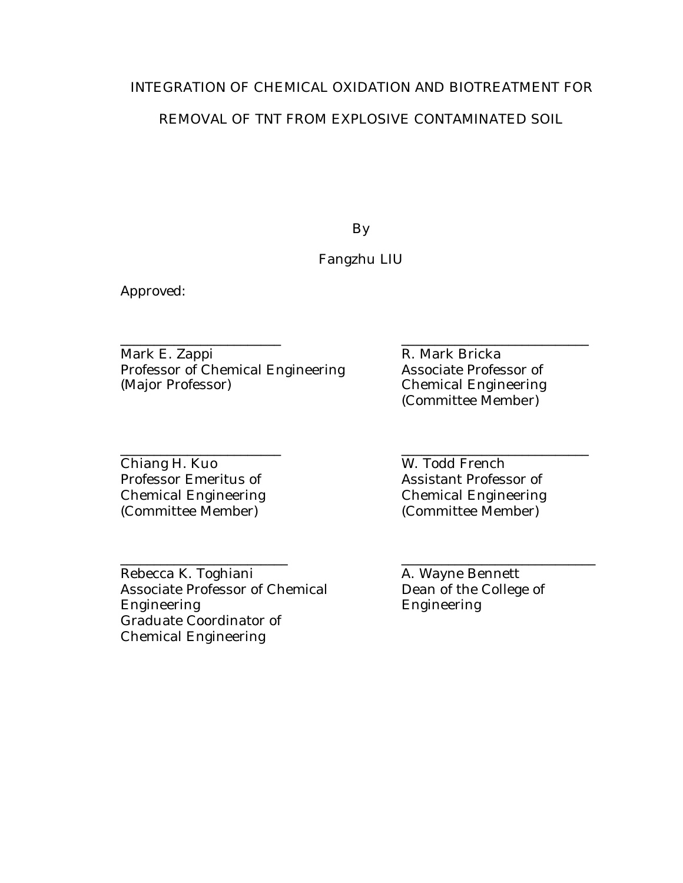## INTEGRATION OF CHEMICAL OXIDATION AND BIOTREATMENT FOR

## REMOVAL OF TNT FROM EXPLOSIVE CONTAMINATED SOIL

By

## Fangzhu LIU

\_\_\_\_\_\_\_\_\_\_\_\_\_\_\_\_\_\_\_\_\_\_\_\_\_ \_\_\_\_\_\_\_\_\_\_\_\_\_\_\_\_\_\_\_\_\_\_\_\_\_\_\_\_\_

Approved:

\_\_\_\_\_\_\_\_\_\_\_\_\_\_\_\_\_\_\_\_\_\_\_\_ \_\_\_\_\_\_\_\_\_\_\_\_\_\_\_\_\_\_\_\_\_\_\_\_\_\_\_\_ Mark E. Zappi R. Mark Bricka Professor of Chemical Engineering Associate Professor of (Major Professor) Chemical Engineering

\_\_\_\_\_\_\_\_\_\_\_\_\_\_\_\_\_\_\_\_\_\_\_\_ \_\_\_\_\_\_\_\_\_\_\_\_\_\_\_\_\_\_\_\_\_\_\_\_\_\_\_\_ Chiang H. Kuo W. Todd French Professor Emeritus of **Assistant Professor of** Chemical Engineering Chemical Engineering (Committee Member) (Committee Member)

Rebecca K. Toghiani A. Wayne Bennett Associate Professor of Chemical Engineering Engineering Graduate Coordinator of Chemical Engineering

Chemical Engineering (Committee Member)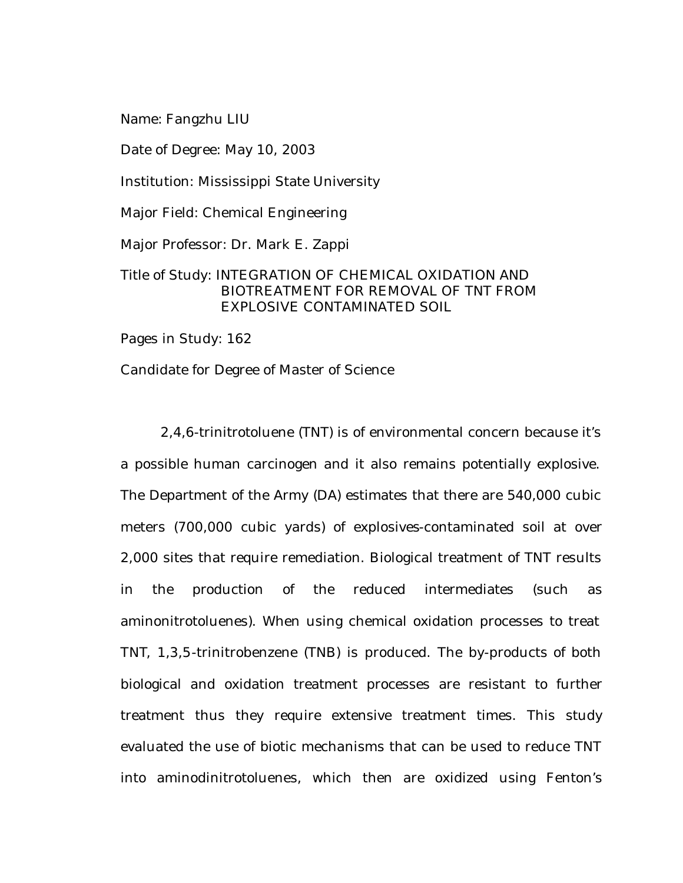Name: Fangzhu LIU

Date of Degree: May 10, 2003

Institution: Mississippi State University

Major Field: Chemical Engineering

Major Professor: Dr. Mark E. Zappi

## Title of Study: INTEGRATION OF CHEMICAL OXIDATION AND BIOTREATMENT FOR REMOVAL OF TNT FROM EXPLOSIVE CONTAMINATED SOIL

Pages in Study: 162

Candidate for Degree of Master of Science

2,4,6-trinitrotoluene (TNT) is of environmental concern because it's a possible human carcinogen and it also remains potentially explosive. The Department of the Army (DA) estimates that there are 540,000 cubic meters (700,000 cubic yards) of explosives-contaminated soil at over 2,000 sites that require remediation. Biological treatment of TNT results in the production of the reduced intermediates (such as aminonitrotoluenes). When using chemical oxidation processes to treat TNT, 1,3,5-trinitrobenzene (TNB) is produced. The by-products of both biological and oxidation treatment processes are resistant to further treatment thus they require extensive treatment times. This study evaluated the use of biotic mechanisms that can be used to reduce TNT into aminodinitrotoluenes, which then are oxidized using Fenton's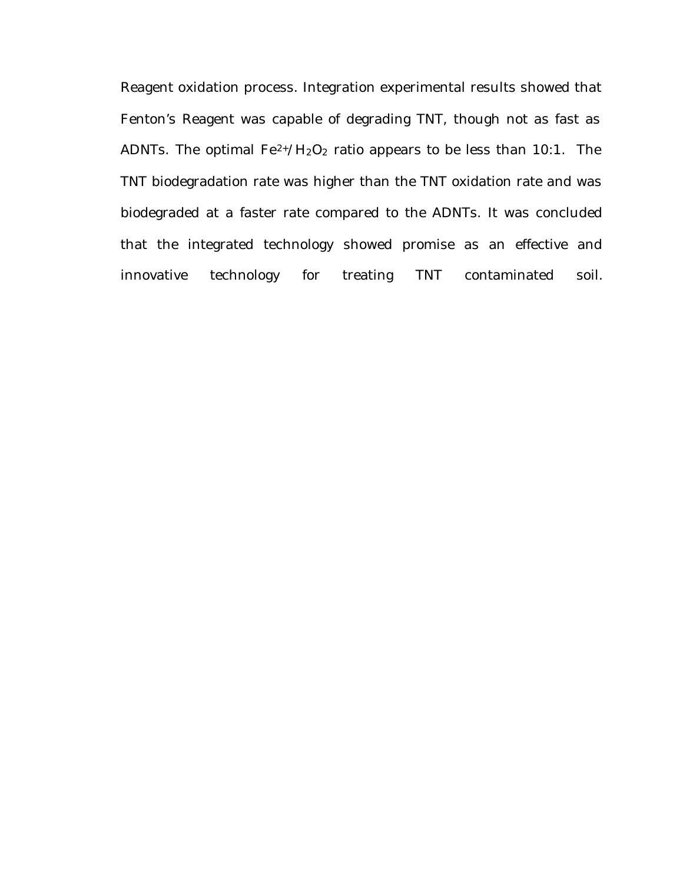Reagent oxidation process. Integration experimental results showed that Fenton's Reagent was capable of degrading TNT, though not as fast as ADNTs. The optimal  $Fe^{2+}/H_2O_2$  ratio appears to be less than 10:1. The TNT biodegradation rate was higher than the TNT oxidation rate and was biodegraded at a faster rate compared to the ADNTs. It was concluded that the integrated technology showed promise as an effective and innovative technology for treating TNT contaminated soil.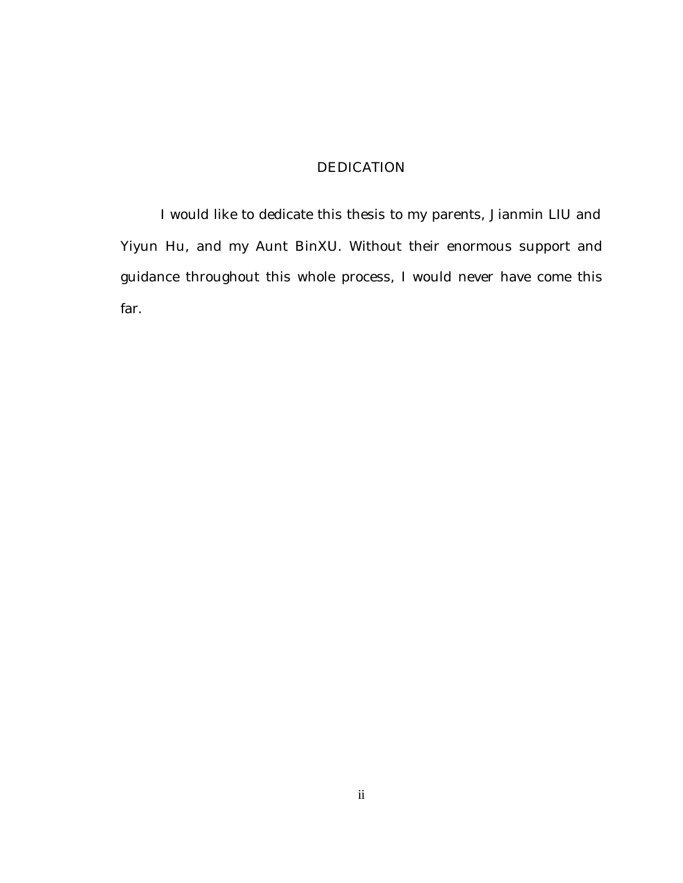# DEDICATION

I would like to dedicate this thesis to my parents, Jianmin LIU and Yiyun Hu, and my Aunt BinXU. Without their enormous support and guidance throughout this whole process, I would never have come this far.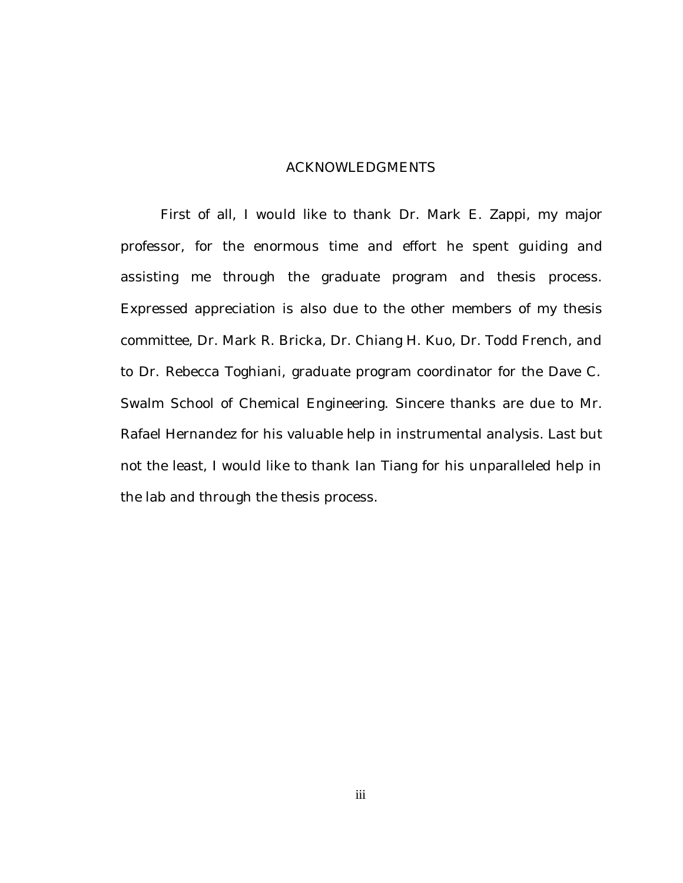#### ACKNOWLEDGMENTS

First of all, I would like to thank Dr. Mark E. Zappi, my major professor, for the enormous time and effort he spent guiding and assisting me through the graduate program and thesis process. Expressed appreciation is also due to the other members of my thesis committee, Dr. Mark R. Bricka, Dr. Chiang H. Kuo, Dr. Todd French, and to Dr. Rebecca Toghiani, graduate program coordinator for the Dave C. Swalm School of Chemical Engineering. Sincere thanks are due to Mr. Rafael Hernandez for his valuable help in instrumental analysis. Last but not the least, I would like to thank Ian Tiang for his unparalleled help in the lab and through the thesis process.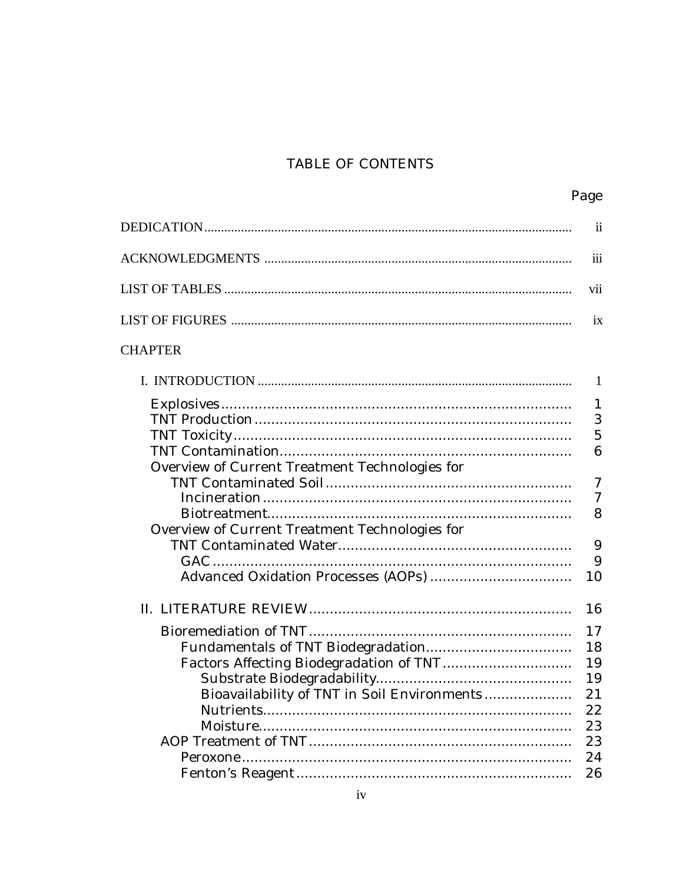# TABLE OF CONTENTS

|                                                | Page             |
|------------------------------------------------|------------------|
|                                                | <i>ii</i>        |
|                                                | 111              |
|                                                | <b>V11</b>       |
|                                                | 1X               |
| <b>CHAPTER</b>                                 |                  |
|                                                | 1                |
| Overview of Current Treatment Technologies for | 1<br>3<br>5<br>6 |
| Overview of Current Treatment Technologies for | 7<br>7<br>8      |
|                                                | 9<br>9<br>10     |
|                                                | 16               |
|                                                | 17               |
|                                                | 18<br>19         |
| Bioavailability of TNT in Soil Environments    | 19<br>21<br>22   |
|                                                | 23<br>23         |
|                                                | 24<br>26         |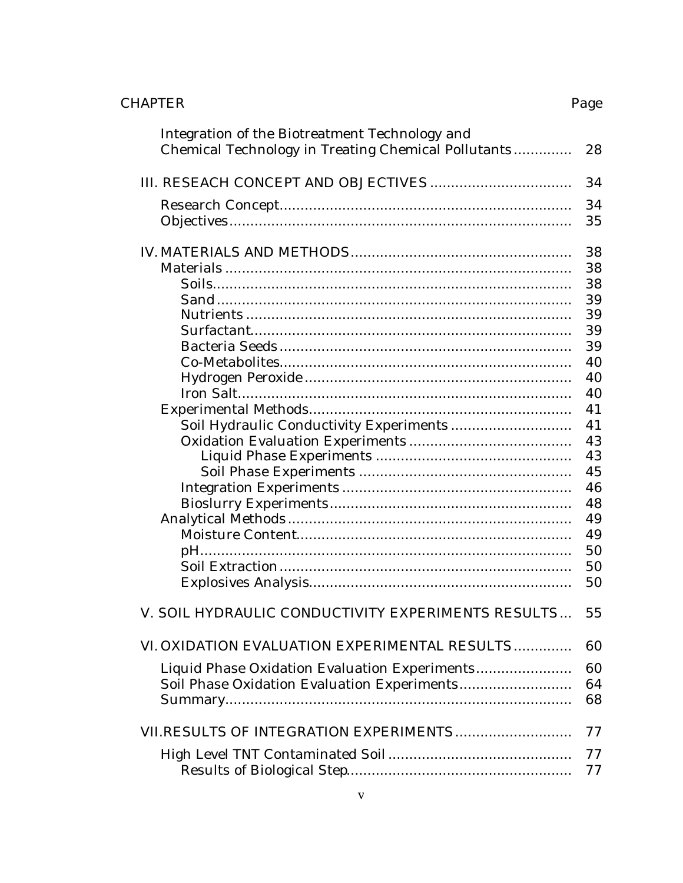# **CHAPTER**

| Integration of the Biotreatment Technology and<br>Chemical Technology in Treating Chemical Pollutants | 28       |
|-------------------------------------------------------------------------------------------------------|----------|
|                                                                                                       | 34       |
|                                                                                                       | 34<br>35 |
|                                                                                                       | 38       |
|                                                                                                       | 38       |
|                                                                                                       | 38       |
|                                                                                                       | 39       |
|                                                                                                       | 39       |
|                                                                                                       | 39       |
|                                                                                                       | 39       |
|                                                                                                       | 40       |
|                                                                                                       | 40       |
|                                                                                                       | 40       |
|                                                                                                       | 41<br>41 |
|                                                                                                       | 43       |
|                                                                                                       | 43       |
|                                                                                                       | 45       |
|                                                                                                       | 46       |
|                                                                                                       | 48       |
|                                                                                                       | 49       |
|                                                                                                       | 49       |
|                                                                                                       | 50       |
|                                                                                                       | 50       |
|                                                                                                       | 50       |
|                                                                                                       |          |
| V. SOIL HYDRAULIC CONDUCTIVITY EXPERIMENTS RESULTS                                                    | 55       |
| VI. OXIDATION EVALUATION EXPERIMENTAL RESULTS                                                         | 60       |
| Liquid Phase Oxidation Evaluation Experiments                                                         | 60       |
| Soil Phase Oxidation Evaluation Experiments                                                           | 64       |
|                                                                                                       | 68       |
| VII.RESULTS OF INTEGRATION EXPERIMENTS                                                                | 77       |
|                                                                                                       | 77       |
|                                                                                                       | 77       |
|                                                                                                       |          |

Page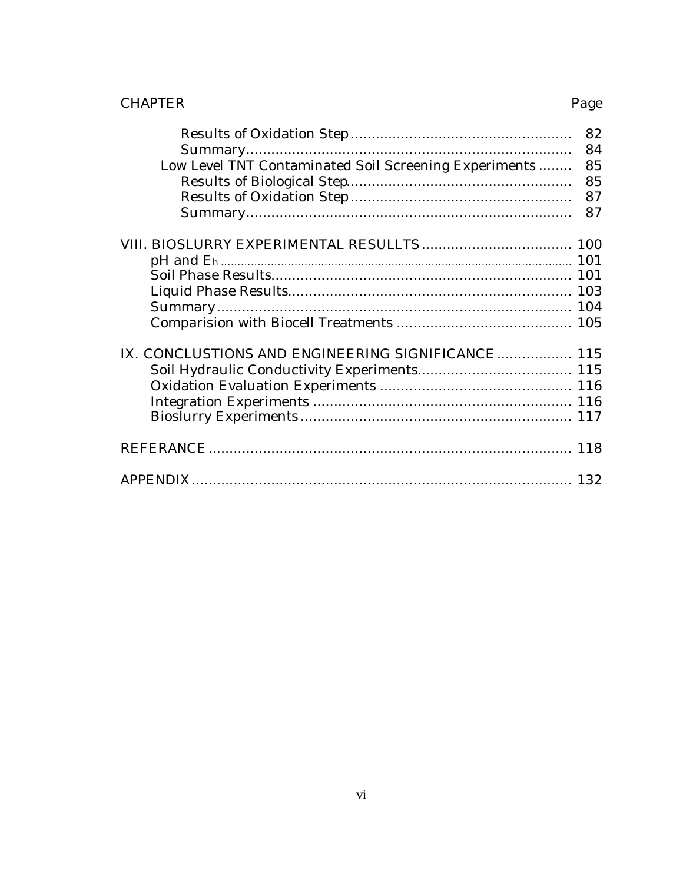# **CHAPTER**

|                                                       | 82 |
|-------------------------------------------------------|----|
|                                                       | 84 |
| Low Level TNT Contaminated Soil Screening Experiments | 85 |
|                                                       | 85 |
|                                                       | 87 |
|                                                       | 87 |
|                                                       |    |
|                                                       |    |
|                                                       |    |
|                                                       |    |
|                                                       |    |
|                                                       |    |
| IX. CONCLUSTIONS AND ENGINEERING SIGNIFICANCE 115     |    |
|                                                       |    |
|                                                       |    |
|                                                       |    |
|                                                       |    |
|                                                       |    |
|                                                       |    |

Page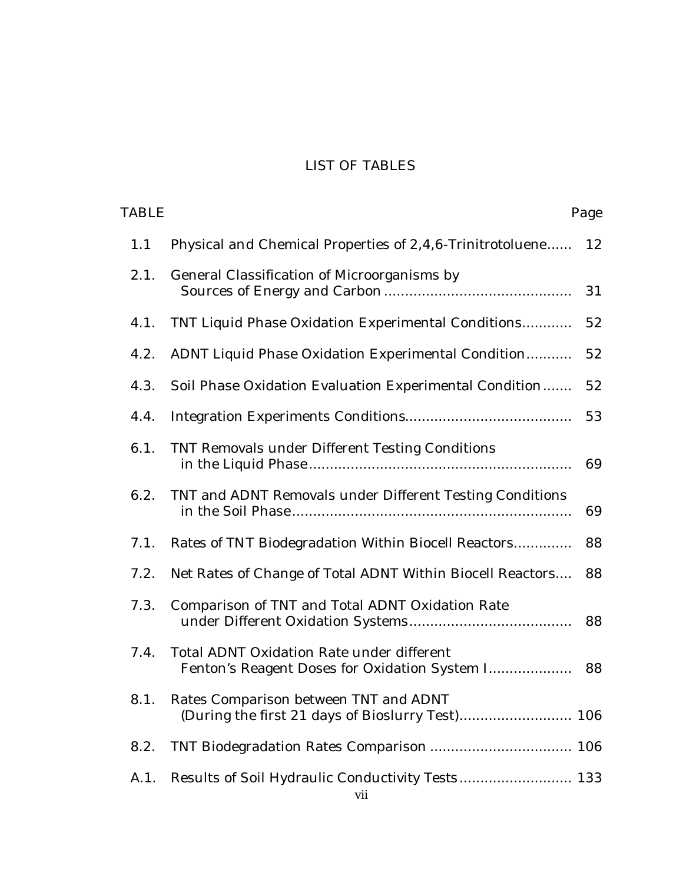# LIST OF TABLES

| Page |                                                                                            | TABLE |
|------|--------------------------------------------------------------------------------------------|-------|
| 12   | Physical and Chemical Properties of 2,4,6-Trinitrotoluene                                  | 1.1   |
| 31   | General Classification of Microorganisms by                                                | 2.1.  |
| 52   | TNT Liquid Phase Oxidation Experimental Conditions                                         | 4.1.  |
| 52   | ADNT Liquid Phase Oxidation Experimental Condition                                         | 4.2.  |
| 52   | Soil Phase Oxidation Evaluation Experimental Condition                                     | 4.3.  |
| 53   |                                                                                            | 4.4.  |
| 69   | TNT Removals under Different Testing Conditions                                            | 6.1.  |
| 69   | TNT and ADNT Removals under Different Testing Conditions                                   | 6.2.  |
| 88   | Rates of TNT Biodegradation Within Biocell Reactors                                        | 7.1.  |
| 88   | Net Rates of Change of Total ADNT Within Biocell Reactors                                  | 7.2.  |
| 88   | Comparison of TNT and Total ADNT Oxidation Rate                                            | 7.3.  |
| 88   | Total ADNT Oxidation Rate under different<br>Fenton's Reagent Doses for Oxidation System I | 7.4.  |
|      | Rates Comparison between TNT and ADNT                                                      | 8.1.  |
|      |                                                                                            | 8.2.  |
|      | Results of Soil Hydraulic Conductivity Tests 133                                           | A.1.  |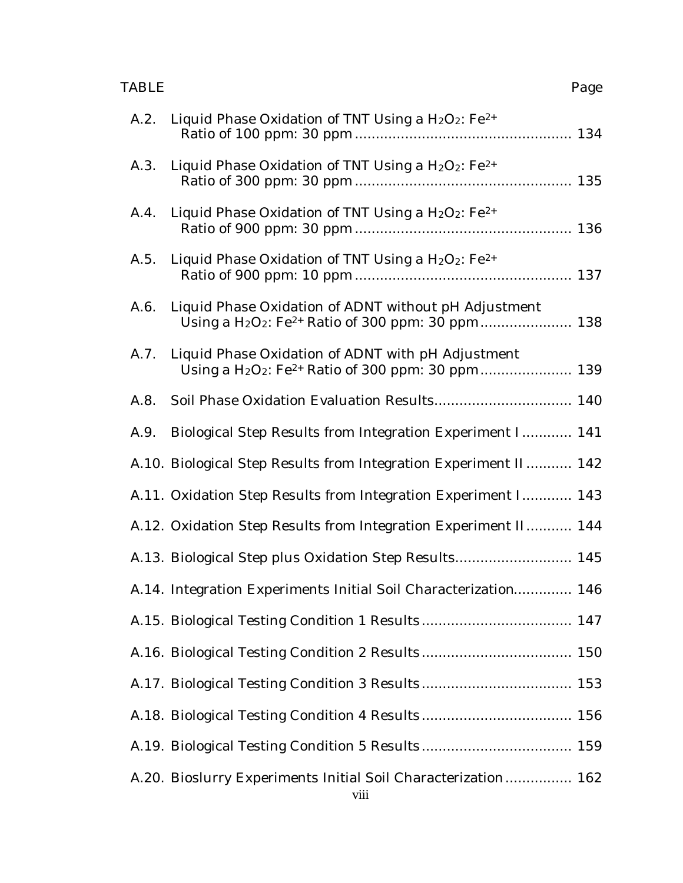#### TABLE Page

|      | A.2. Liquid Phase Oxidation of TNT Using a H <sub>2</sub> O <sub>2</sub> : Fe <sup>2+</sup> |  |
|------|---------------------------------------------------------------------------------------------|--|
|      | A.3. Liquid Phase Oxidation of TNT Using a H <sub>2</sub> O <sub>2</sub> : Fe <sup>2+</sup> |  |
| A.4. | Liquid Phase Oxidation of TNT Using a $H_2O_2$ : Fe <sup>2+</sup>                           |  |
|      | A.5. Liquid Phase Oxidation of TNT Using a H <sub>2</sub> O <sub>2</sub> : Fe <sup>2+</sup> |  |
| A.6. | Liquid Phase Oxidation of ADNT without pH Adjustment                                        |  |
|      | A.7. Liquid Phase Oxidation of ADNT with pH Adjustment                                      |  |
| A.8. |                                                                                             |  |
| A.9. | Biological Step Results from Integration Experiment I 141                                   |  |
|      | A.10. Biological Step Results from Integration Experiment II 142                            |  |
|      | A.11. Oxidation Step Results from Integration Experiment I 143                              |  |
|      | A.12. Oxidation Step Results from Integration Experiment II 144                             |  |
|      | A.13. Biological Step plus Oxidation Step Results 145                                       |  |
|      | A.14. Integration Experiments Initial Soil Characterization 146                             |  |
|      |                                                                                             |  |
|      |                                                                                             |  |
|      |                                                                                             |  |
|      |                                                                                             |  |
|      |                                                                                             |  |
|      | A.20. Bioslurry Experiments Initial Soil Characterization 162<br>$\frac{1}{1111}$           |  |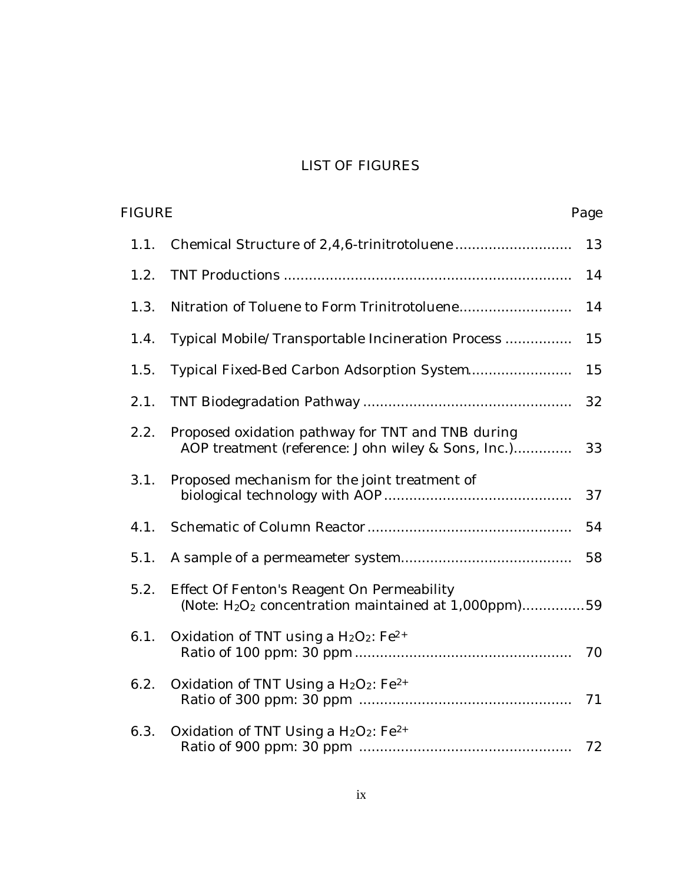# LIST OF FIGURES

| <b>FIGURE</b> |                                                                                                                            | Page |
|---------------|----------------------------------------------------------------------------------------------------------------------------|------|
| 1.1.          |                                                                                                                            | 13   |
| 1.2.          |                                                                                                                            | 14   |
| 1.3.          |                                                                                                                            | 14   |
| 1.4.          | Typical Mobile/Transportable Incineration Process                                                                          | 15   |
| 1.5.          | Typical Fixed-Bed Carbon Adsorption System                                                                                 | 15   |
| 2.1.          |                                                                                                                            | 32   |
| 2.2.          | Proposed oxidation pathway for TNT and TNB during<br>AOP treatment (reference: John wiley & Sons, Inc.)                    | 33   |
| 3.1.          | Proposed mechanism for the joint treatment of                                                                              | 37   |
| 4.1.          |                                                                                                                            | 54   |
| 5.1.          |                                                                                                                            | 58   |
| 5.2.          | Effect Of Fenton's Reagent On Permeability<br>(Note: H <sub>2</sub> O <sub>2</sub> concentration maintained at 1,000ppm)59 |      |
| 6.1.          | Oxidation of TNT using a $H_2O_2$ : Fe <sup>2+</sup>                                                                       | 70   |
| 6.2.          | Oxidation of TNT Using a $H_2O_2$ : Fe <sup>2+</sup>                                                                       | 71   |
| 6.3.          | Oxidation of TNT Using a $H_2O_2$ : Fe <sup>2+</sup>                                                                       | 72   |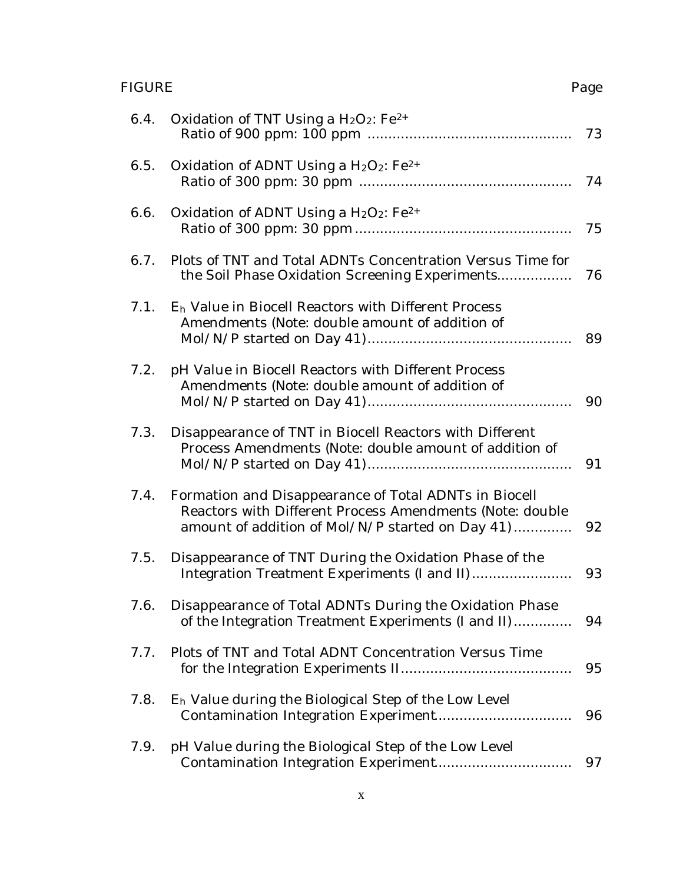# FIGURE Page

| 6.4. | Oxidation of TNT Using a $H_2O_2$ : Fe <sup>2+</sup>                                                                                                                  | 73 |
|------|-----------------------------------------------------------------------------------------------------------------------------------------------------------------------|----|
| 6.5. | Oxidation of ADNT Using a $H_2O_2$ : Fe <sup>2+</sup>                                                                                                                 | 74 |
| 6.6. | Oxidation of ADNT Using a $H_2O_2$ : Fe <sup>2+</sup>                                                                                                                 | 75 |
| 6.7. | Plots of TNT and Total ADNTs Concentration Versus Time for<br>the Soil Phase Oxidation Screening Experiments                                                          | 76 |
| 7.1. | E <sub>h</sub> Value in Biocell Reactors with Different Process<br>Amendments (Note: double amount of addition of                                                     | 89 |
| 7.2. | pH Value in Biocell Reactors with Different Process<br>Amendments (Note: double amount of addition of                                                                 | 90 |
| 7.3. | Disappearance of TNT in Biocell Reactors with Different<br>Process Amendments (Note: double amount of addition of                                                     | 91 |
| 7.4. | Formation and Disappearance of Total ADNTs in Biocell<br>Reactors with Different Process Amendments (Note: double<br>amount of addition of Mol/N/P started on Day 41) | 92 |
| 7.5. | Disappearance of TNT During the Oxidation Phase of the                                                                                                                | 93 |
| 7.6. | Disappearance of Total ADNTs During the Oxidation Phase<br>of the Integration Treatment Experiments (I and II)                                                        | 94 |
| 7.7. | Plots of TNT and Total ADNT Concentration Versus Time                                                                                                                 | 95 |
| 7.8. | E <sub>h</sub> Value during the Biological Step of the Low Level                                                                                                      | 96 |
| 7.9. | pH Value during the Biological Step of the Low Level                                                                                                                  | 97 |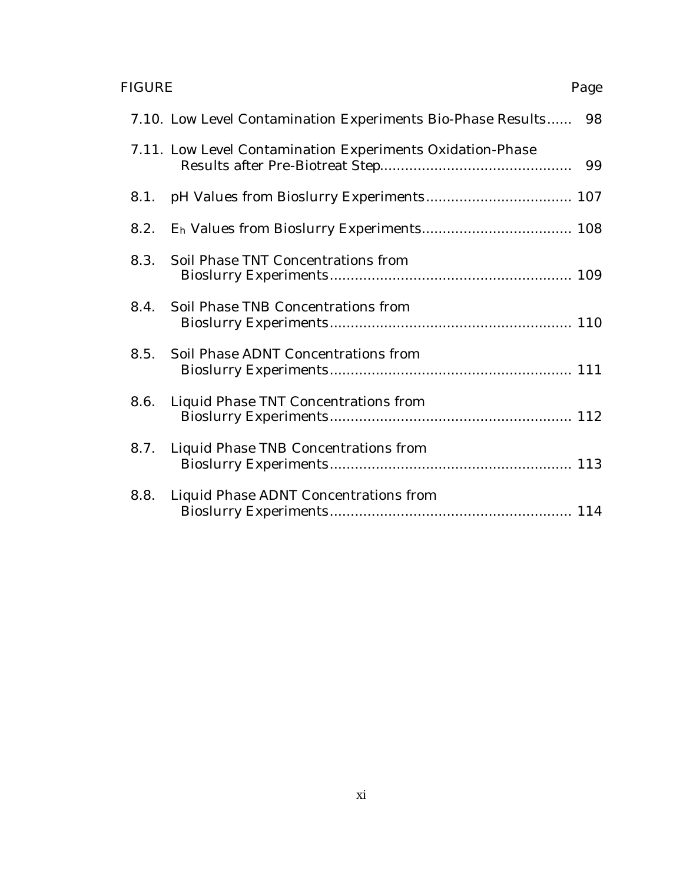# FIGURE Page

|      | 7.10. Low Level Contamination Experiments Bio-Phase Results 98 |  |
|------|----------------------------------------------------------------|--|
|      | 7.11. Low Level Contamination Experiments Oxidation-Phase      |  |
|      |                                                                |  |
| 8.2. |                                                                |  |
|      | 8.3. Soil Phase TNT Concentrations from                        |  |
|      | 8.4. Soil Phase TNB Concentrations from                        |  |
|      | 8.5. Soil Phase ADNT Concentrations from                       |  |
| 8.6. | Liquid Phase TNT Concentrations from                           |  |
|      | 8.7. Liquid Phase TNB Concentrations from                      |  |
|      | 8.8. Liquid Phase ADNT Concentrations from                     |  |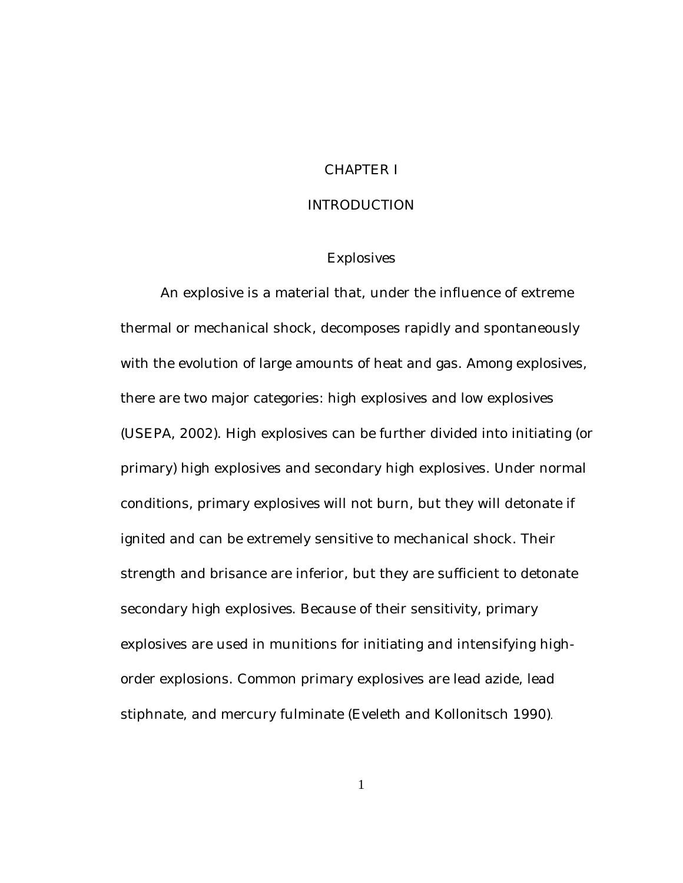### CHAPTER I

#### INTRODUCTION

#### **Explosives**

An explosive is a material that, under the influence of extreme thermal or mechanical shock, decomposes rapidly and spontaneously with the evolution of large amounts of heat and gas. Among explosives, there are two major categories: high explosives and low explosives (USEPA, 2002). High explosives can be further divided into initiating (or primary) high explosives and secondary high explosives. Under normal conditions, primary explosives will not burn, but they will detonate if ignited and can be extremely sensitive to mechanical shock. Their strength and brisance are inferior, but they are sufficient to detonate secondary high explosives. Because of their sensitivity, primary explosives are used in munitions for initiating and intensifying highorder explosions. Common primary explosives are lead azide, lead stiphnate, and mercury fulminate (Eveleth and Kollonitsch 1990).

1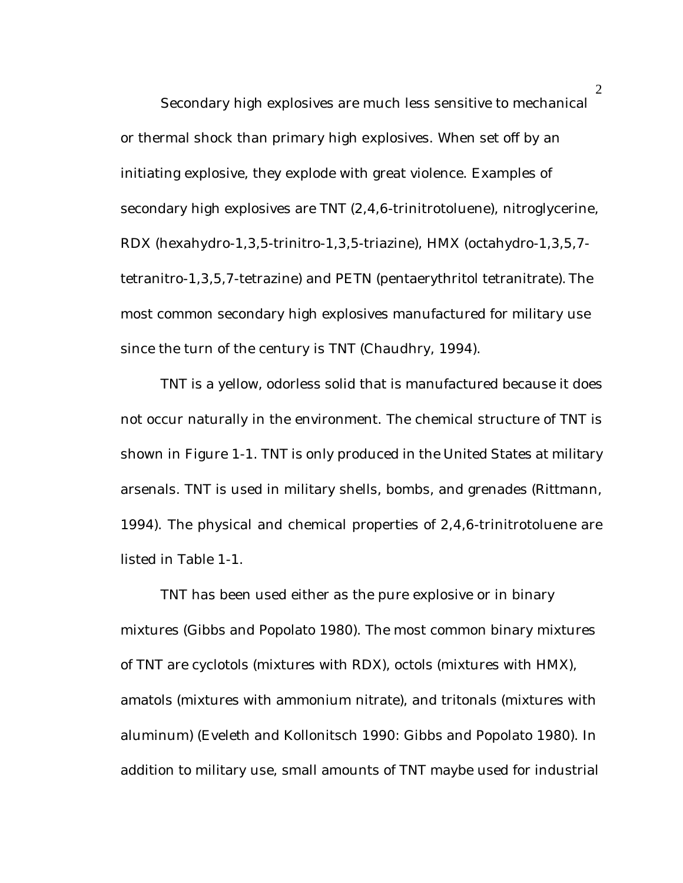Secondary high explosives are much less sensitive to mechanical or thermal shock than primary high explosives. When set off by an initiating explosive, they explode with great violence. Examples of secondary high explosives are TNT (2,4,6-trinitrotoluene), nitroglycerine, RDX (hexahydro-1,3,5-trinitro-1,3,5-triazine), HMX (octahydro-1,3,5,7 tetranitro-1,3,5,7-tetrazine) and PETN (pentaerythritol tetranitrate). The most common secondary high explosives manufactured for military use since the turn of the century is TNT (Chaudhry, 1994).

TNT is a yellow, odorless solid that is manufactured because it does not occur naturally in the environment. The chemical structure of TNT is shown in Figure 1-1. TNT is only produced in the United States at military arsenals. TNT is used in military shells, bombs, and grenades (Rittmann, 1994). The physical and chemical properties of 2,4,6-trinitrotoluene are listed in Table 1-1.

TNT has been used either as the pure explosive or in binary mixtures (Gibbs and Popolato 1980). The most common binary mixtures of TNT are cyclotols (mixtures with RDX), octols (mixtures with HMX), amatols (mixtures with ammonium nitrate), and tritonals (mixtures with aluminum) (Eveleth and Kollonitsch 1990: Gibbs and Popolato 1980). In addition to military use, small amounts of TNT maybe used for industrial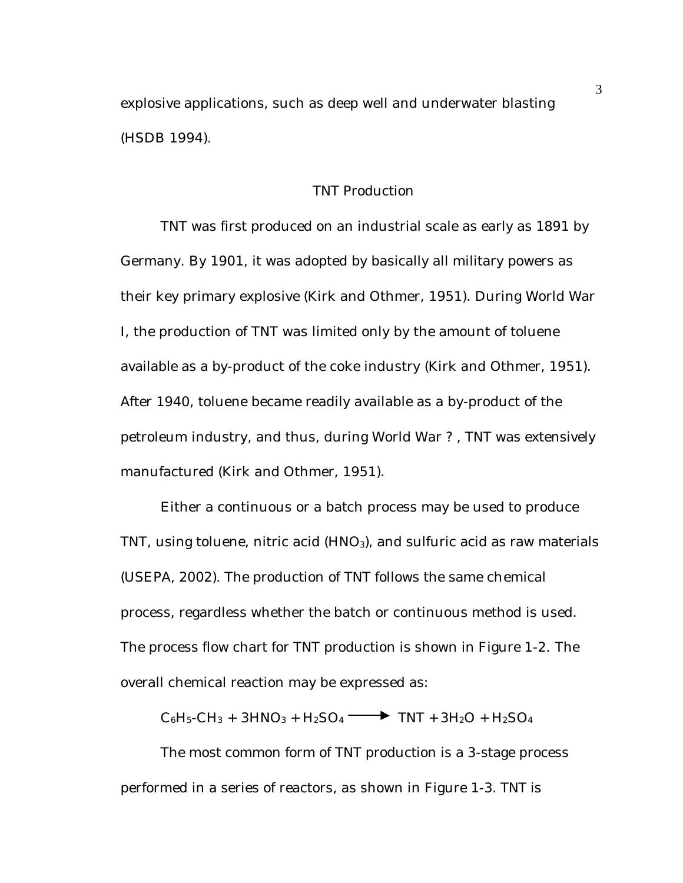explosive applications, such as deep well and underwater blasting (HSDB 1994).

## TNT Production

TNT was first produced on an industrial scale as early as 1891 by Germany. By 1901, it was adopted by basically all military powers as their key primary explosive (Kirk and Othmer, 1951). During World War I, the production of TNT was limited only by the amount of toluene available as a by-product of the coke industry (Kirk and Othmer, 1951). After 1940, toluene became readily available as a by-product of the petroleum industry, and thus, during World War ? , TNT was extensively manufactured (Kirk and Othmer, 1951).

Either a continuous or a batch process may be used to produce TNT, using toluene, nitric acid (HNO<sub>3</sub>), and sulfuric acid as raw materials (USEPA, 2002). The production of TNT follows the same chemical process, regardless whether the batch or continuous method is used. The process flow chart for TNT production is shown in Figure 1-2. The overall chemical reaction may be expressed as:

 $C_6H_5-CH_3 + 3HNO_3 + H_2SO_4 \longrightarrow TNT + 3H_2O + H_2SO_4$ 

The most common form of TNT production is a 3-stage process performed in a series of reactors, as shown in Figure 1-3. TNT is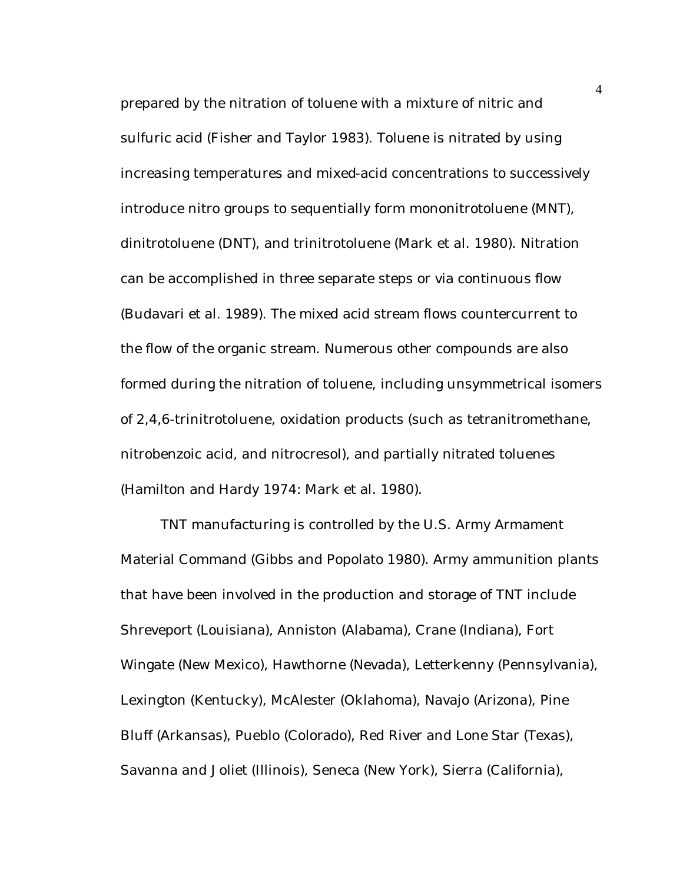prepared by the nitration of toluene with a mixture of nitric and sulfuric acid (Fisher and Taylor 1983). Toluene is nitrated by using increasing temperatures and mixed-acid concentrations to successively introduce nitro groups to sequentially form mononitrotoluene (MNT), dinitrotoluene (DNT), and trinitrotoluene (Mark et al. 1980). Nitration can be accomplished in three separate steps or via continuous flow (Budavari et al. 1989). The mixed acid stream flows countercurrent to the flow of the organic stream. Numerous other compounds are also formed during the nitration of toluene, including unsymmetrical isomers of 2,4,6-trinitrotoluene, oxidation products (such as tetranitromethane, nitrobenzoic acid, and nitrocresol), and partially nitrated toluenes (Hamilton and Hardy 1974: Mark et al. 1980).

TNT manufacturing is controlled by the U.S. Army Armament Material Command (Gibbs and Popolato 1980). Army ammunition plants that have been involved in the production and storage of TNT include Shreveport (Louisiana), Anniston (Alabama), Crane (Indiana), Fort Wingate (New Mexico), Hawthorne (Nevada), Letterkenny (Pennsylvania), Lexington (Kentucky), McAlester (Oklahoma), Navajo (Arizona), Pine Bluff (Arkansas), Pueblo (Colorado), Red River and Lone Star (Texas), Savanna and Joliet (Illinois), Seneca (New York), Sierra (California),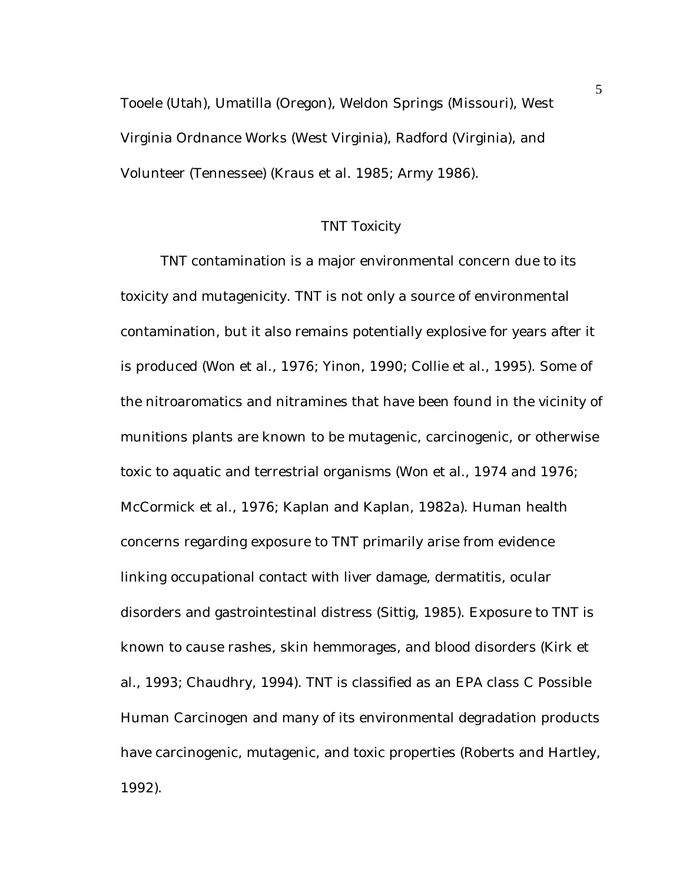Tooele (Utah), Umatilla (Oregon), Weldon Springs (Missouri), West Virginia Ordnance Works (West Virginia), Radford (Virginia), and Volunteer (Tennessee) (Kraus et al. 1985; Army 1986).

#### TNT Toxicity

TNT contamination is a major environmental concern due to its toxicity and mutagenicity. TNT is not only a source of environmental contamination, but it also remains potentially explosive for years after it is produced (Won et al., 1976; Yinon, 1990; Collie et al., 1995). Some of the nitroaromatics and nitramines that have been found in the vicinity of munitions plants are known to be mutagenic, carcinogenic, or otherwise toxic to aquatic and terrestrial organisms (Won et al., 1974 and 1976; McCormick et al., 1976; Kaplan and Kaplan, 1982a). Human health concerns regarding exposure to TNT primarily arise from evidence linking occupational contact with liver damage, dermatitis, ocular disorders and gastrointestinal distress (Sittig, 1985). Exposure to TNT is known to cause rashes, skin hemmorages, and blood disorders (Kirk et al., 1993; Chaudhry, 1994). TNT is classified as an EPA class C Possible Human Carcinogen and many of its environmental degradation products have carcinogenic, mutagenic, and toxic properties (Roberts and Hartley, 1992).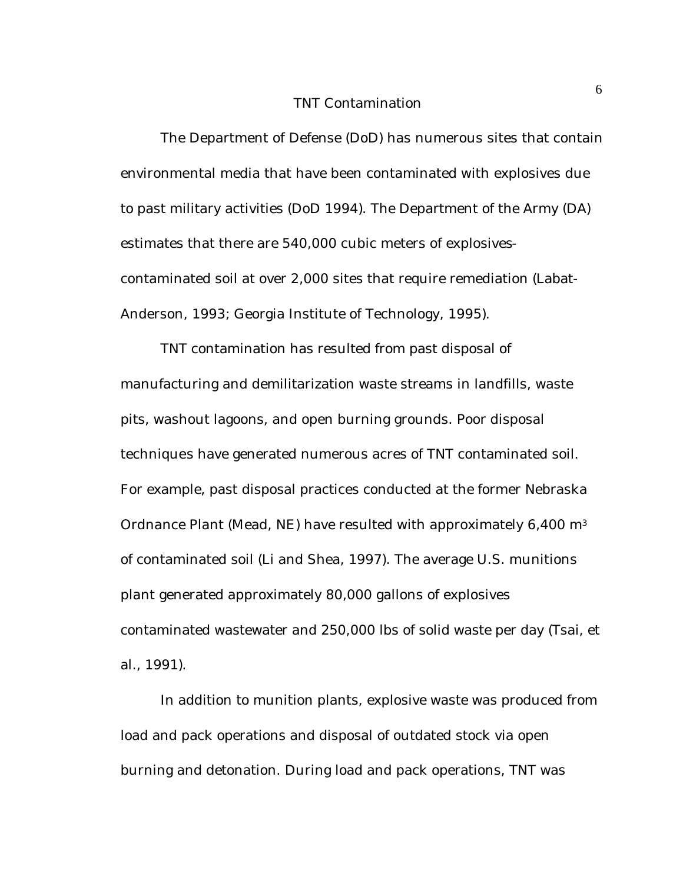#### TNT Contamination

The Department of Defense (DoD) has numerous sites that contain environmental media that have been contaminated with explosives due to past military activities (DoD 1994). The Department of the Army (DA) estimates that there are 540,000 cubic meters of explosivescontaminated soil at over 2,000 sites that require remediation (Labat-Anderson, 1993; Georgia Institute of Technology, 1995).

TNT contamination has resulted from past disposal of manufacturing and demilitarization waste streams in landfills, waste pits, washout lagoons, and open burning grounds. Poor disposal techniques have generated numerous acres of TNT contaminated soil. For example, past disposal practices conducted at the former Nebraska Ordnance Plant (Mead, NE) have resulted with approximately 6,400 m<sup>3</sup> of contaminated soil (Li and Shea, 1997). The average U.S. munitions plant generated approximately 80,000 gallons of explosives contaminated wastewater and 250,000 lbs of solid waste per day (Tsai, et al., 1991).

In addition to munition plants, explosive waste was produced from load and pack operations and disposal of outdated stock via open burning and detonation. During load and pack operations, TNT was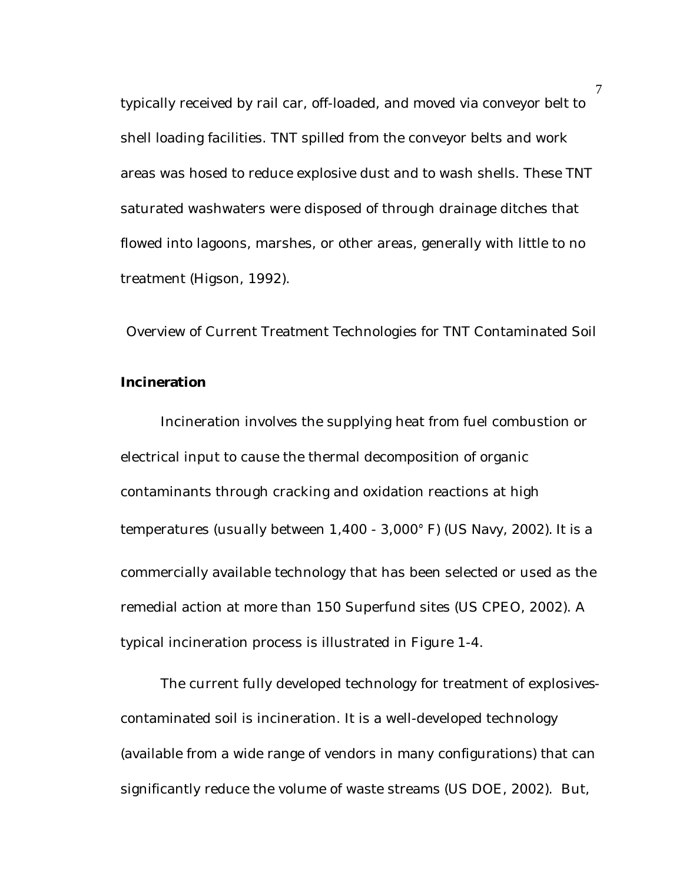typically received by rail car, off-loaded, and moved via conveyor belt to shell loading facilities. TNT spilled from the conveyor belts and work areas was hosed to reduce explosive dust and to wash shells. These TNT saturated washwaters were disposed of through drainage ditches that flowed into lagoons, marshes, or other areas, generally with little to no treatment (Higson, 1992).

Overview of Current Treatment Technologies for TNT Contaminated Soil

### **Incineration**

Incineration involves the supplying heat from fuel combustion or electrical input to cause the thermal decomposition of organic contaminants through cracking and oxidation reactions at high temperatures (usually between 1,400 - 3,000° F) (US Navy, 2002). It is a commercially available technology that has been selected or used as the remedial action at more than 150 Superfund sites (US CPEO, 2002). A typical incineration process is illustrated in Figure 1-4.

The current fully developed technology for treatment of explosivescontaminated soil is incineration. It is a well-developed technology (available from a wide range of vendors in many configurations) that can significantly reduce the volume of waste streams (US DOE, 2002). But,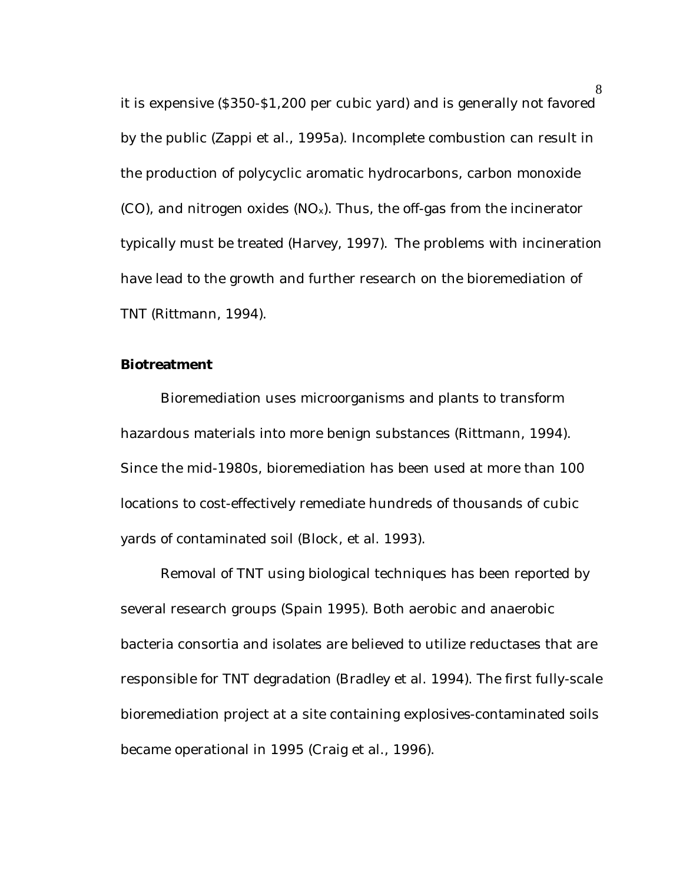it is expensive (\$350-\$1,200 per cubic yard) and is generally not favored by the public (Zappi et al., 1995a). Incomplete combustion can result in the production of polycyclic aromatic hydrocarbons, carbon monoxide (CO), and nitrogen oxides  $(NO_x)$ . Thus, the off-gas from the incinerator typically must be treated (Harvey, 1997). The problems with incineration have lead to the growth and further research on the bioremediation of TNT (Rittmann, 1994).

#### **Biotreatment**

Bioremediation uses microorganisms and plants to transform hazardous materials into more benign substances (Rittmann, 1994). Since the mid-1980s, bioremediation has been used at more than 100 locations to cost-effectively remediate hundreds of thousands of cubic yards of contaminated soil (Block, et al. 1993).

Removal of TNT using biological techniques has been reported by several research groups (Spain 1995). Both aerobic and anaerobic bacteria consortia and isolates are believed to utilize reductases that are responsible for TNT degradation (Bradley et al. 1994). The first fully-scale bioremediation project at a site containing explosives-contaminated soils became operational in 1995 (Craig et al., 1996).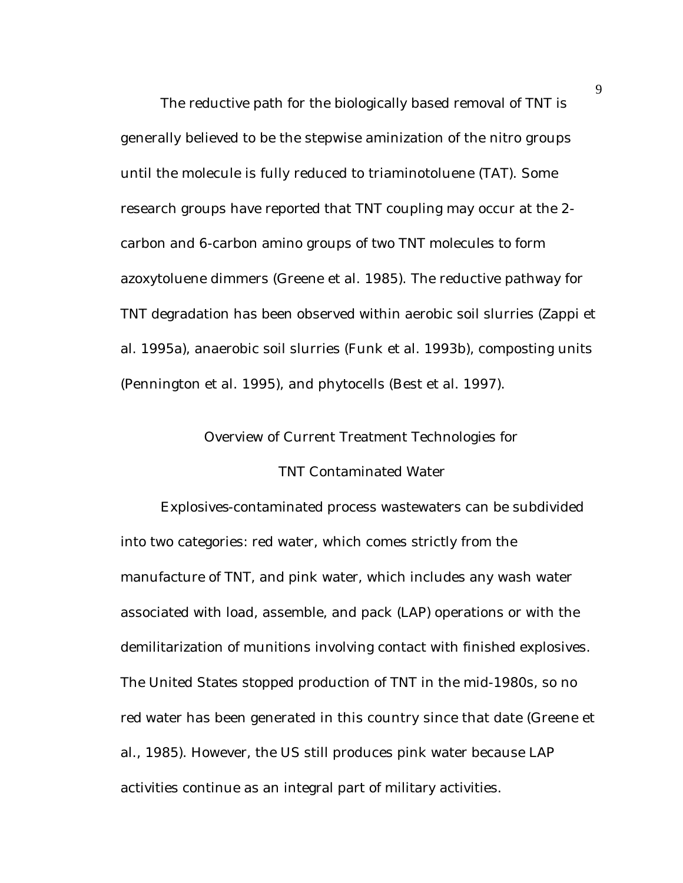The reductive path for the biologically based removal of TNT is generally believed to be the stepwise aminization of the nitro groups until the molecule is fully reduced to triaminotoluene (TAT). Some research groups have reported that TNT coupling may occur at the 2 carbon and 6-carbon amino groups of two TNT molecules to form azoxytoluene dimmers (Greene et al. 1985). The reductive pathway for TNT degradation has been observed within aerobic soil slurries (Zappi et al. 1995a), anaerobic soil slurries (Funk et al. 1993b), composting units (Pennington et al. 1995), and phytocells (Best et al. 1997).

#### Overview of Current Treatment Technologies for

#### TNT Contaminated Water

Explosives-contaminated process wastewaters can be subdivided into two categories: red water, which comes strictly from the manufacture of TNT, and pink water, which includes any wash water associated with load, assemble, and pack (LAP) operations or with the demilitarization of munitions involving contact with finished explosives. The United States stopped production of TNT in the mid-1980s, so no red water has been generated in this country since that date (Greene et al., 1985). However, the US still produces pink water because LAP activities continue as an integral part of military activities.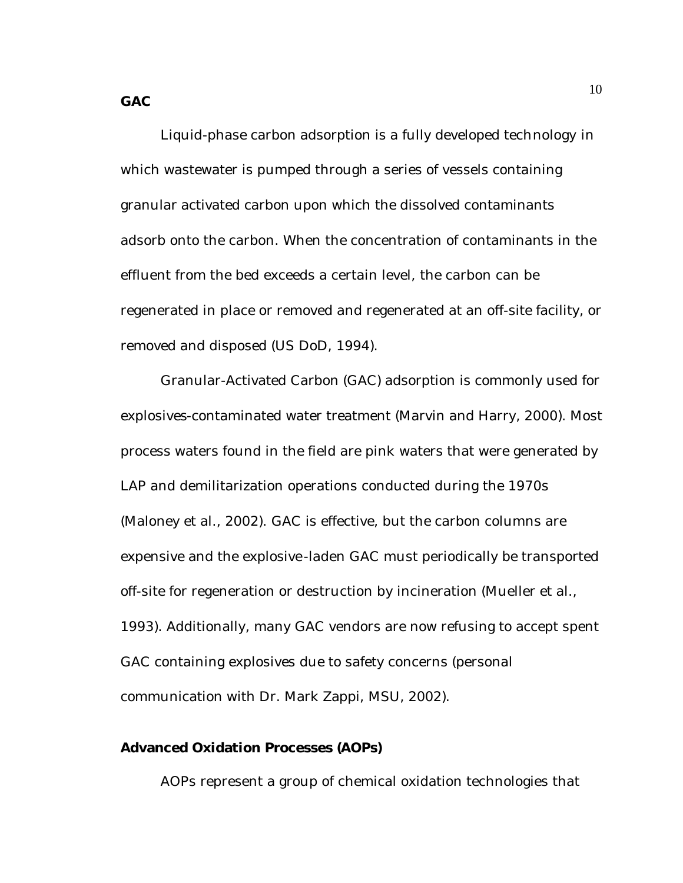Liquid-phase carbon adsorption is a fully developed technology in which wastewater is pumped through a series of vessels containing granular activated carbon upon which the dissolved contaminants adsorb onto the carbon. When the concentration of contaminants in the effluent from the bed exceeds a certain level, the carbon can be regenerated in place or removed and regenerated at an off-site facility, or removed and disposed (US DoD, 1994).

Granular-Activated Carbon (GAC) adsorption is commonly used for explosives-contaminated water treatment (Marvin and Harry, 2000). Most process waters found in the field are pink waters that were generated by LAP and demilitarization operations conducted during the 1970s (Maloney et al., 2002). GAC is effective, but the carbon columns are expensive and the explosive-laden GAC must periodically be transported off-site for regeneration or destruction by incineration (Mueller et al., 1993). Additionally, many GAC vendors are now refusing to accept spent GAC containing explosives due to safety concerns (personal communication with Dr. Mark Zappi, MSU, 2002).

#### **Advanced Oxidation Processes (AOPs)**

AOPs represent a group of chemical oxidation technologies that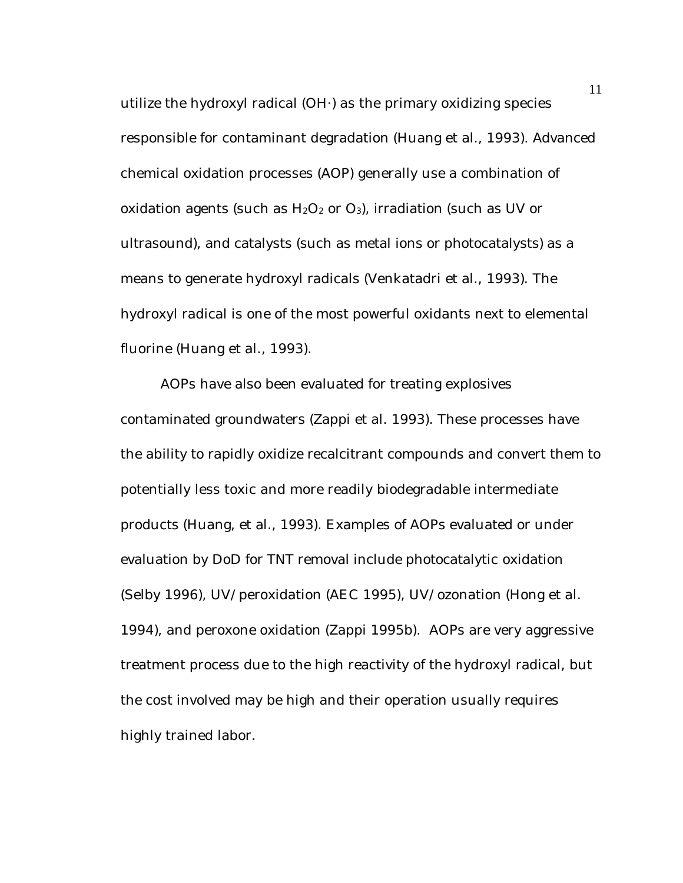utilize the hydroxyl radical (OH·) as the primary oxidizing species responsible for contaminant degradation (Huang et al., 1993). Advanced chemical oxidation processes (AOP) generally use a combination of oxidation agents (such as  $H_2O_2$  or  $O_3$ ), irradiation (such as UV or ultrasound), and catalysts (such as metal ions or photocatalysts) as a means to generate hydroxyl radicals (Venkatadri et al., 1993). The hydroxyl radical is one of the most powerful oxidants next to elemental fluorine (Huang et al., 1993).

AOPs have also been evaluated for treating explosives contaminated groundwaters (Zappi et al. 1993). These processes have the ability to rapidly oxidize recalcitrant compounds and convert them to potentially less toxic and more readily biodegradable intermediate products (Huang, et al., 1993). Examples of AOPs evaluated or under evaluation by DoD for TNT removal include photocatalytic oxidation (Selby 1996), UV/peroxidation (AEC 1995), UV/ozonation (Hong et al. 1994), and peroxone oxidation (Zappi 1995b). AOPs are very aggressive treatment process due to the high reactivity of the hydroxyl radical, but the cost involved may be high and their operation usually requires highly trained labor.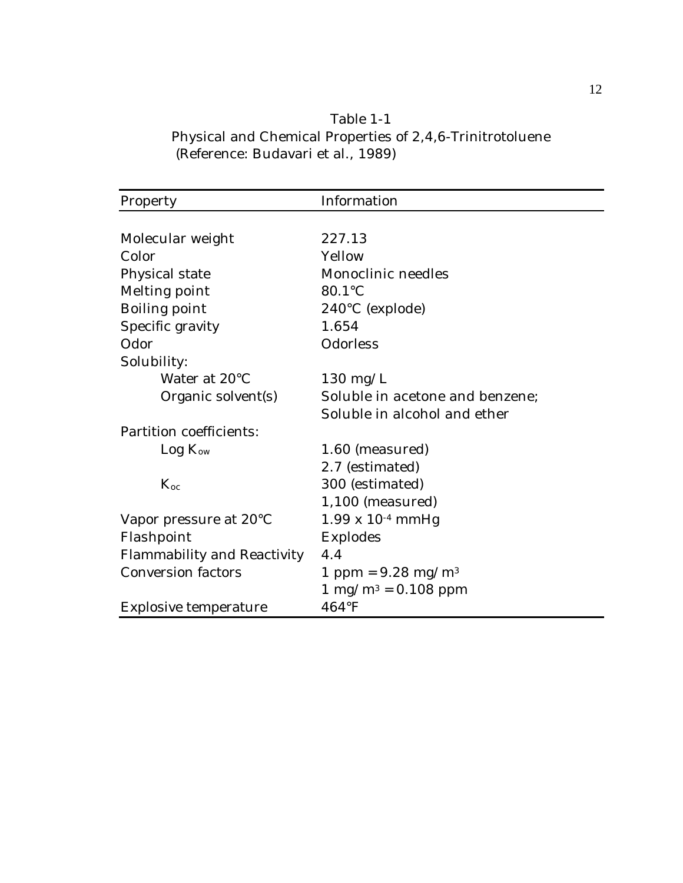| Table 1-1                                                 |
|-----------------------------------------------------------|
| Physical and Chemical Properties of 2,4,6-Trinitrotoluene |
| (Reference: Budavari et al., 1989)                        |

| Property                    | Information                            |
|-----------------------------|----------------------------------------|
|                             |                                        |
| Molecular weight            | 227.13                                 |
| Color                       | Yellow                                 |
| Physical state              | Monoclinic needles                     |
| Melting point               | 80.1°C                                 |
| Boiling point               | $240^{\circ}$ C (explode)              |
| Specific gravity            | 1.654                                  |
| Odor                        | Odorless                               |
| Solubility:                 |                                        |
| Water at 20°C               | $130 \text{ mg/L}$                     |
| Organic solvent(s)          | Soluble in acetone and benzene;        |
|                             | Soluble in alcohol and ether           |
| Partition coefficients:     |                                        |
| Log K <sub>ow</sub>         | 1.60 (measured)                        |
|                             | 2.7 (estimated)                        |
| $K_{oc}$                    | 300 (estimated)                        |
|                             | $1,100$ (measured)                     |
| Vapor pressure at 20°C      | $1.99 \times 10^{-4}$ mmHg             |
| Flashpoint                  | Explodes                               |
| Flammability and Reactivity | 4.4                                    |
| <b>Conversion factors</b>   | 1 ppm = $9.28$ mg/m <sup>3</sup>       |
|                             | $1 \text{ mg/m}^3 = 0.108 \text{ ppm}$ |
| Explosive temperature       | $464^{\circ}F$                         |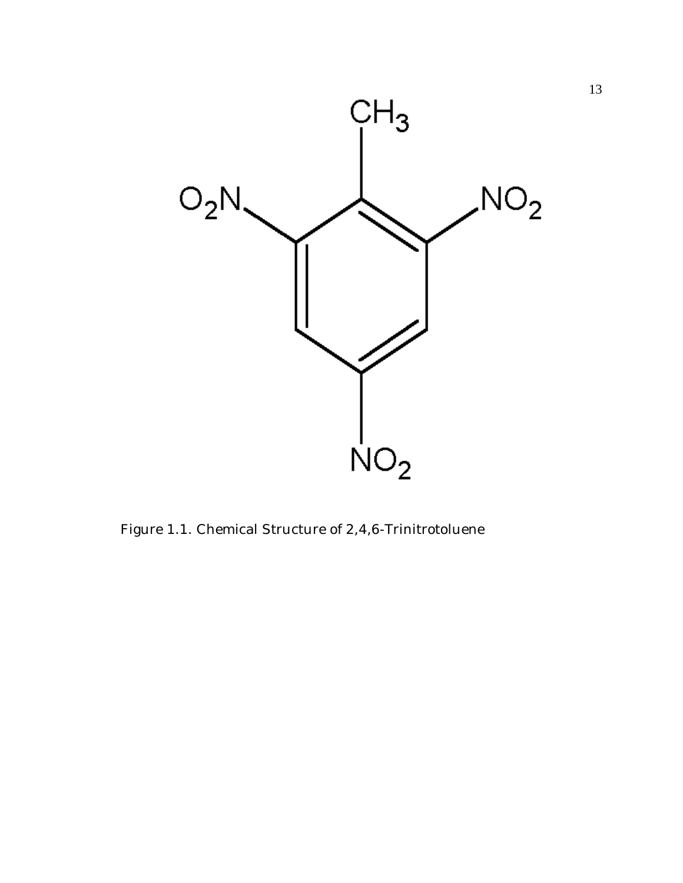

Figure 1.1. Chemical Structure of 2,4,6-Trinitrotoluene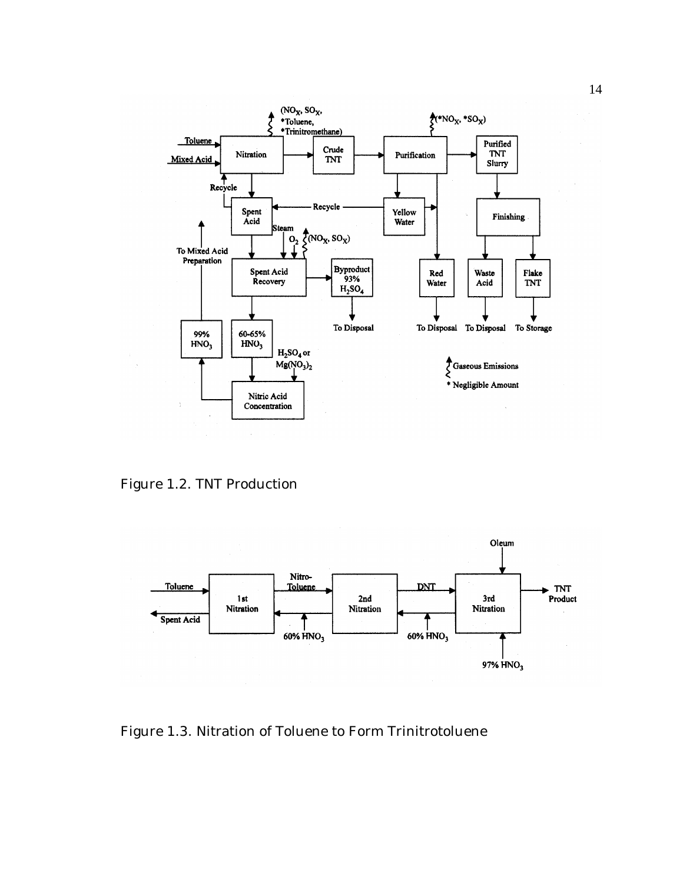

Figure 1.2. TNT Production



Figure 1.3. Nitration of Toluene to Form Trinitrotoluene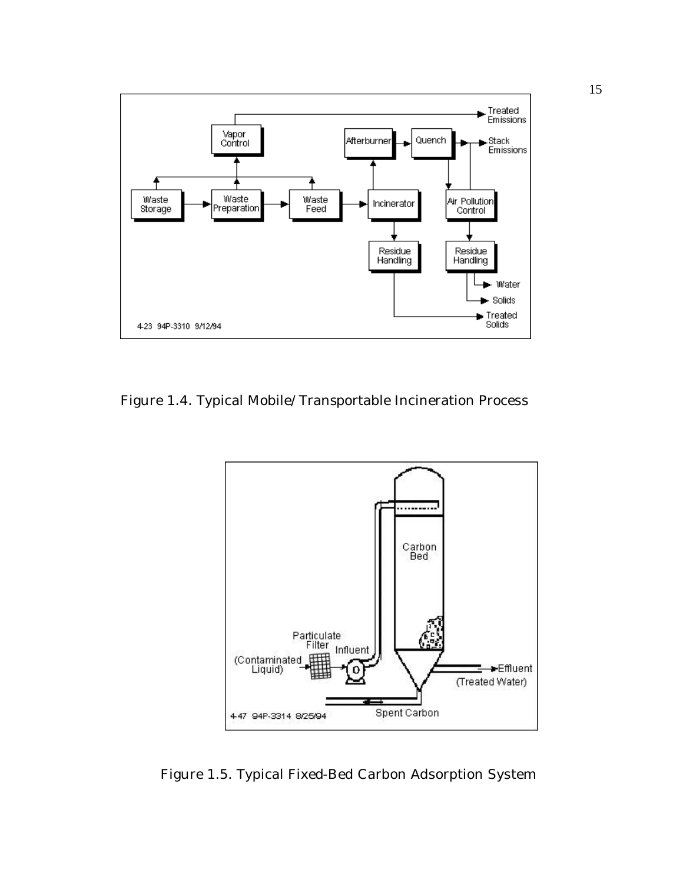

Figure 1.4. Typical Mobile/Transportable Incineration Process



Figure 1.5. Typical Fixed-Bed Carbon Adsorption System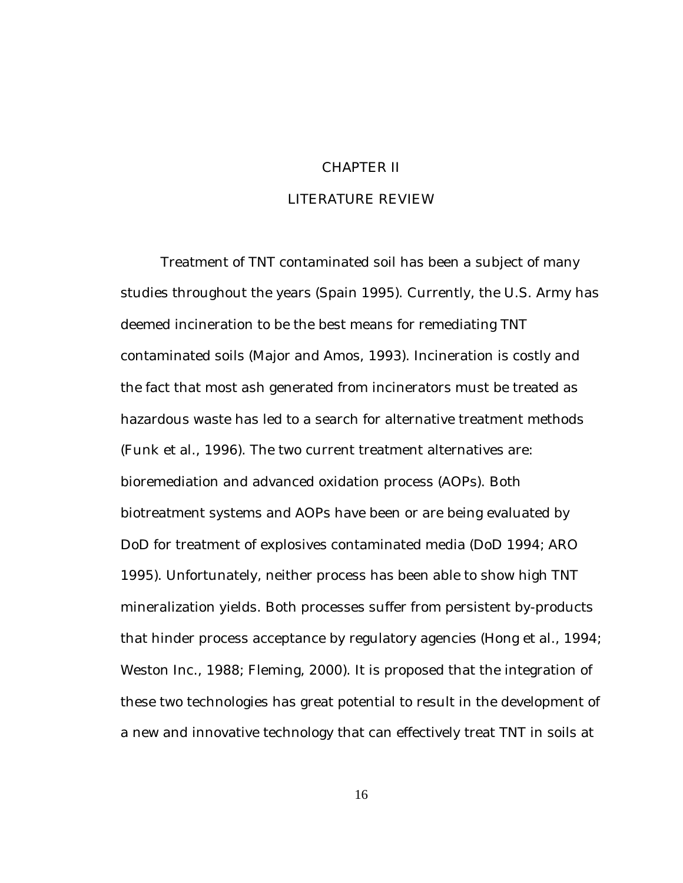#### CHAPTER II

#### LITERATURE REVIEW

Treatment of TNT contaminated soil has been a subject of many studies throughout the years (Spain 1995). Currently, the U.S. Army has deemed incineration to be the best means for remediating TNT contaminated soils (Major and Amos, 1993). Incineration is costly and the fact that most ash generated from incinerators must be treated as hazardous waste has led to a search for alternative treatment methods (Funk et al., 1996). The two current treatment alternatives are: bioremediation and advanced oxidation process (AOPs). Both biotreatment systems and AOPs have been or are being evaluated by DoD for treatment of explosives contaminated media (DoD 1994; ARO 1995). Unfortunately, neither process has been able to show high TNT mineralization yields. Both processes suffer from persistent by-products that hinder process acceptance by regulatory agencies (Hong et al., 1994; Weston Inc., 1988; Fleming, 2000). It is proposed that the integration of these two technologies has great potential to result in the development of a new and innovative technology that can effectively treat TNT in soils at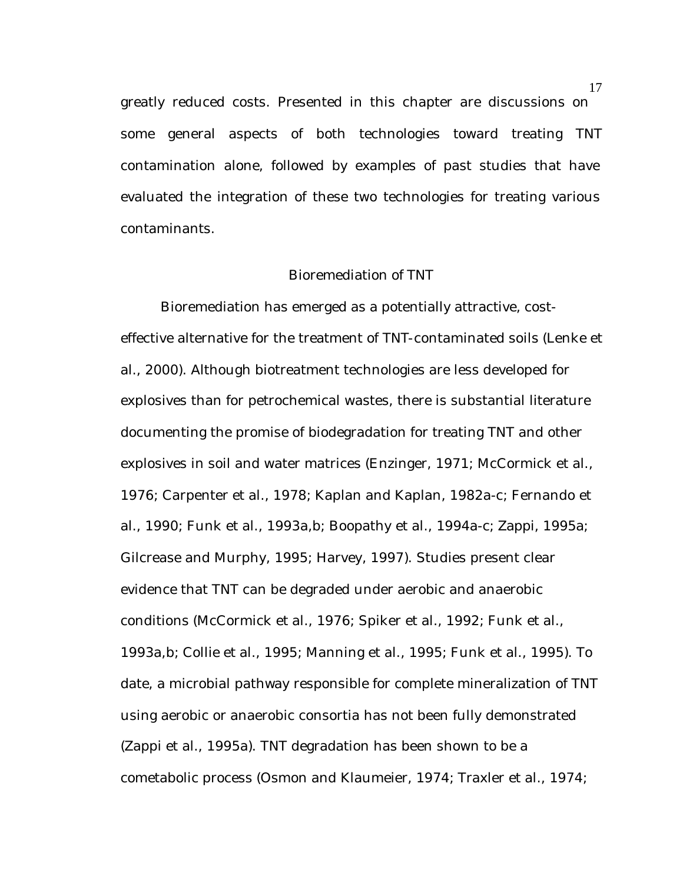greatly reduced costs. Presented in this chapter are discussions on some general aspects of both technologies toward treating TNT contamination alone, followed by examples of past studies that have evaluated the integration of these two technologies for treating various contaminants.

#### Bioremediation of TNT

Bioremediation has emerged as a potentially attractive, costeffective alternative for the treatment of TNT-contaminated soils (Lenke et al., 2000). Although biotreatment technologies are less developed for explosives than for petrochemical wastes, there is substantial literature documenting the promise of biodegradation for treating TNT and other explosives in soil and water matrices (Enzinger, 1971; McCormick et al., 1976; Carpenter et al., 1978; Kaplan and Kaplan, 1982a-c; Fernando et al., 1990; Funk et al., 1993a,b; Boopathy et al., 1994a-c; Zappi, 1995a; Gilcrease and Murphy, 1995; Harvey, 1997). Studies present clear evidence that TNT can be degraded under aerobic and anaerobic conditions (McCormick et al., 1976; Spiker et al., 1992; Funk et al., 1993a,b; Collie et al., 1995; Manning et al., 1995; Funk et al., 1995). To date, a microbial pathway responsible for complete mineralization of TNT using aerobic or anaerobic consortia has not been fully demonstrated (Zappi et al., 1995a). TNT degradation has been shown to be a cometabolic process (Osmon and Klaumeier, 1974; Traxler et al., 1974;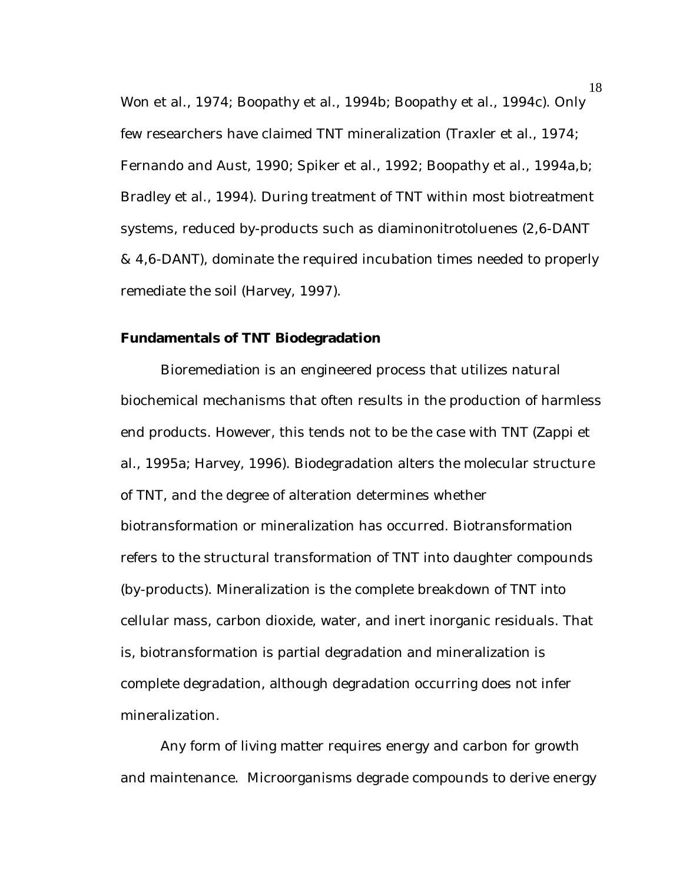Won et al., 1974; Boopathy et al., 1994b; Boopathy et al., 1994c). Only few researchers have claimed TNT mineralization (Traxler et al., 1974; Fernando and Aust, 1990; Spiker et al., 1992; Boopathy et al., 1994a,b; Bradley et al., 1994). During treatment of TNT within most biotreatment systems, reduced by-products such as diaminonitrotoluenes (2,6-DANT & 4,6-DANT), dominate the required incubation times needed to properly remediate the soil (Harvey, 1997).

#### **Fundamentals of TNT Biodegradation**

Bioremediation is an engineered process that utilizes natural biochemical mechanisms that often results in the production of harmless end products. However, this tends not to be the case with TNT (Zappi et al., 1995a; Harvey, 1996). Biodegradation alters the molecular structure of TNT, and the degree of alteration determines whether biotransformation or mineralization has occurred. Biotransformation refers to the structural transformation of TNT into daughter compounds (by-products). Mineralization is the complete breakdown of TNT into cellular mass, carbon dioxide, water, and inert inorganic residuals. That is, biotransformation is partial degradation and mineralization is complete degradation, although degradation occurring does not infer mineralization.

Any form of living matter requires energy and carbon for growth and maintenance. Microorganisms degrade compounds to derive energy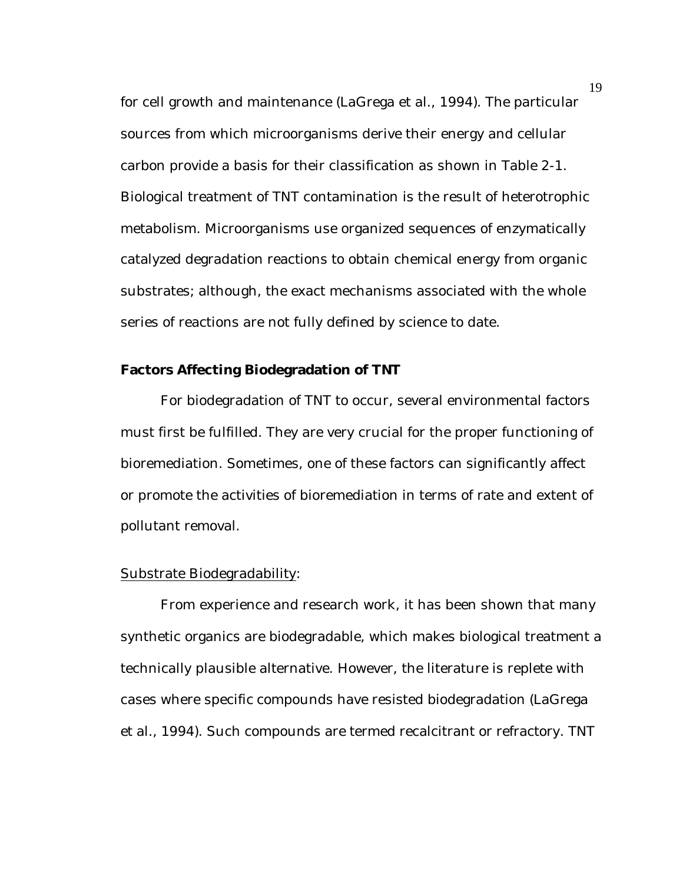for cell growth and maintenance (LaGrega et al., 1994). The particular sources from which microorganisms derive their energy and cellular carbon provide a basis for their classification as shown in Table 2-1. Biological treatment of TNT contamination is the result of heterotrophic metabolism. Microorganisms use organized sequences of enzymatically catalyzed degradation reactions to obtain chemical energy from organic substrates; although, the exact mechanisms associated with the whole series of reactions are not fully defined by science to date.

## **Factors Affecting Biodegradation of TNT**

For biodegradation of TNT to occur, several environmental factors must first be fulfilled. They are very crucial for the proper functioning of bioremediation. Sometimes, one of these factors can significantly affect or promote the activities of bioremediation in terms of rate and extent of pollutant removal.

#### Substrate Biodegradability:

From experience and research work, it has been shown that many synthetic organics are biodegradable, which makes biological treatment a technically plausible alternative. However, the literature is replete with cases where specific compounds have resisted biodegradation (LaGrega et al., 1994). Such compounds are termed recalcitrant or refractory. TNT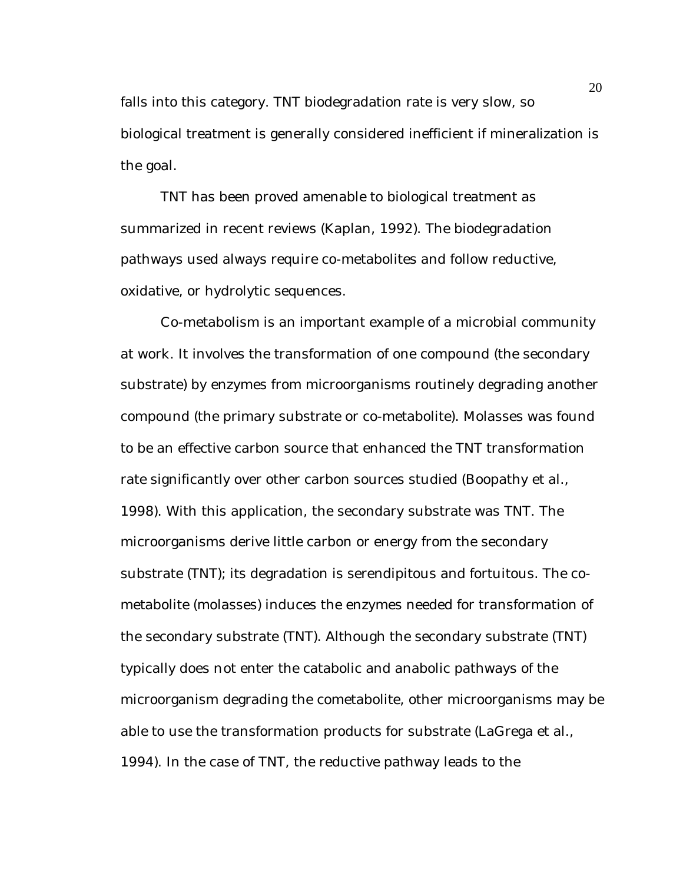falls into this category. TNT biodegradation rate is very slow, so biological treatment is generally considered inefficient if mineralization is the goal.

TNT has been proved amenable to biological treatment as summarized in recent reviews (Kaplan, 1992). The biodegradation pathways used always require co-metabolites and follow reductive, oxidative, or hydrolytic sequences.

Co-metabolism is an important example of a microbial community at work. It involves the transformation of one compound (the secondary substrate) by enzymes from microorganisms routinely degrading another compound (the primary substrate or co-metabolite). Molasses was found to be an effective carbon source that enhanced the TNT transformation rate significantly over other carbon sources studied (Boopathy et al., 1998). With this application, the secondary substrate was TNT. The microorganisms derive little carbon or energy from the secondary substrate (TNT); its degradation is serendipitous and fortuitous. The cometabolite (molasses) induces the enzymes needed for transformation of the secondary substrate (TNT). Although the secondary substrate (TNT) typically does not enter the catabolic and anabolic pathways of the microorganism degrading the cometabolite, other microorganisms may be able to use the transformation products for substrate (LaGrega et al., 1994). In the case of TNT, the reductive pathway leads to the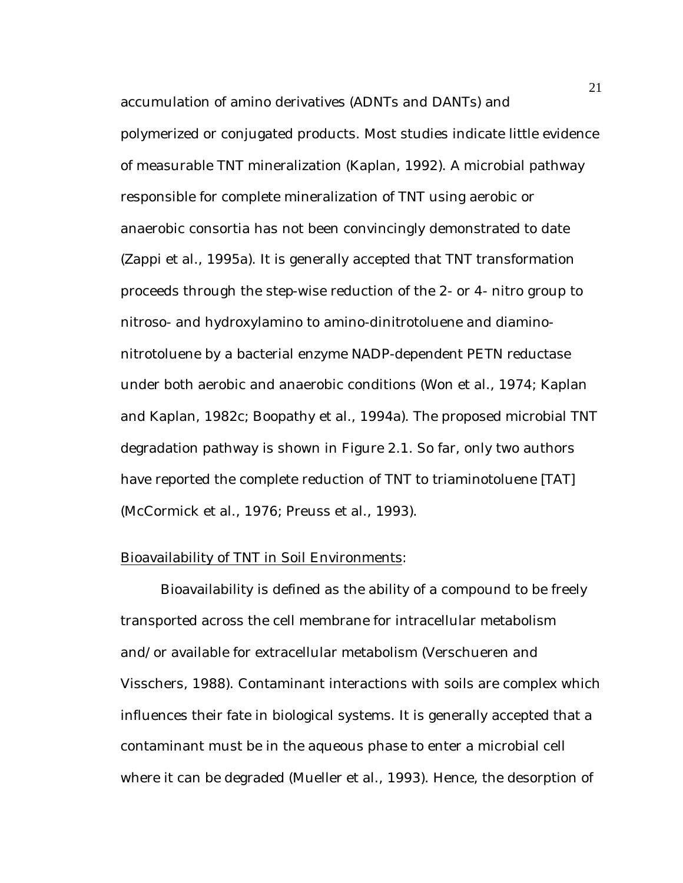accumulation of amino derivatives (ADNTs and DANTs) and polymerized or conjugated products. Most studies indicate little evidence of measurable TNT mineralization (Kaplan, 1992). A microbial pathway responsible for complete mineralization of TNT using aerobic or anaerobic consortia has not been convincingly demonstrated to date (Zappi et al., 1995a). It is generally accepted that TNT transformation proceeds through the step-wise reduction of the 2- or 4- nitro group to nitroso- and hydroxylamino to amino-dinitrotoluene and diaminonitrotoluene by a bacterial enzyme NADP-dependent PETN reductase under both aerobic and anaerobic conditions (Won et al., 1974; Kaplan and Kaplan, 1982c; Boopathy et al., 1994a). The proposed microbial TNT degradation pathway is shown in Figure 2.1. So far, only two authors have reported the complete reduction of TNT to triaminotoluene [TAT] (McCormick et al., 1976; Preuss et al., 1993).

#### Bioavailability of TNT in Soil Environments:

Bioavailability is defined as the ability of a compound to be freely transported across the cell membrane for intracellular metabolism and/or available for extracellular metabolism (Verschueren and Visschers, 1988). Contaminant interactions with soils are complex which influences their fate in biological systems. It is generally accepted that a contaminant must be in the aqueous phase to enter a microbial cell where it can be degraded (Mueller et al., 1993). Hence, the desorption of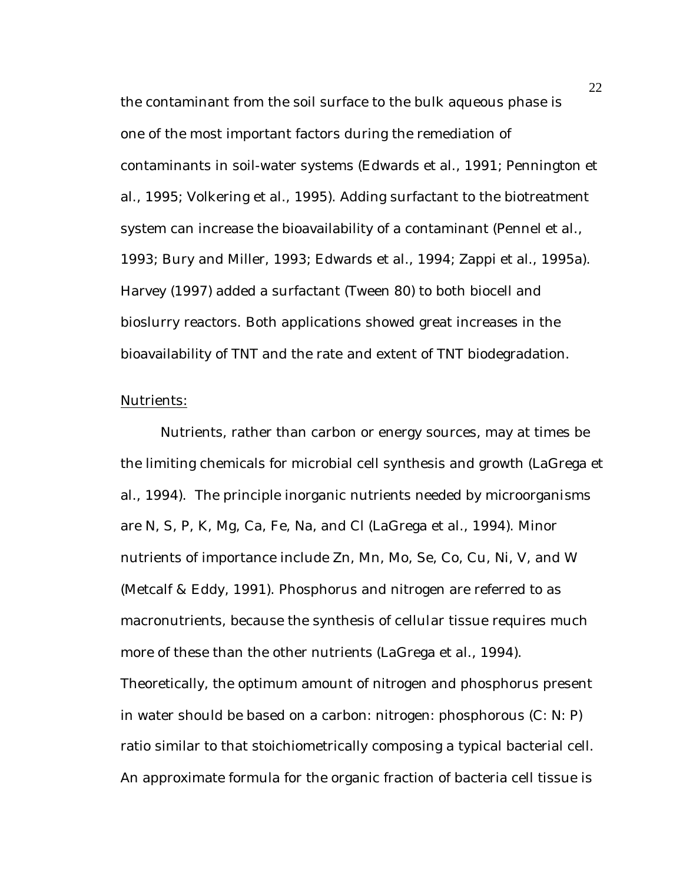the contaminant from the soil surface to the bulk aqueous phase is one of the most important factors during the remediation of contaminants in soil-water systems (Edwards et al., 1991; Pennington et al., 1995; Volkering et al., 1995). Adding surfactant to the biotreatment system can increase the bioavailability of a contaminant (Pennel et al., 1993; Bury and Miller, 1993; Edwards et al., 1994; Zappi et al., 1995a). Harvey (1997) added a surfactant (Tween 80) to both biocell and bioslurry reactors. Both applications showed great increases in the bioavailability of TNT and the rate and extent of TNT biodegradation.

## Nutrients:

Nutrients, rather than carbon or energy sources, may at times be the limiting chemicals for microbial cell synthesis and growth (LaGrega et al., 1994). The principle inorganic nutrients needed by microorganisms are N, S, P, K, Mg, Ca, Fe, Na, and Cl (LaGrega et al., 1994). Minor nutrients of importance include Zn, Mn, Mo, Se, Co, Cu, Ni, V, and W (Metcalf & Eddy, 1991). Phosphorus and nitrogen are referred to as macronutrients, because the synthesis of cellular tissue requires much more of these than the other nutrients (LaGrega et al., 1994). Theoretically, the optimum amount of nitrogen and phosphorus present in water should be based on a carbon: nitrogen: phosphorous (C: N: P) ratio similar to that stoichiometrically composing a typical bacterial cell. An approximate formula for the organic fraction of bacteria cell tissue is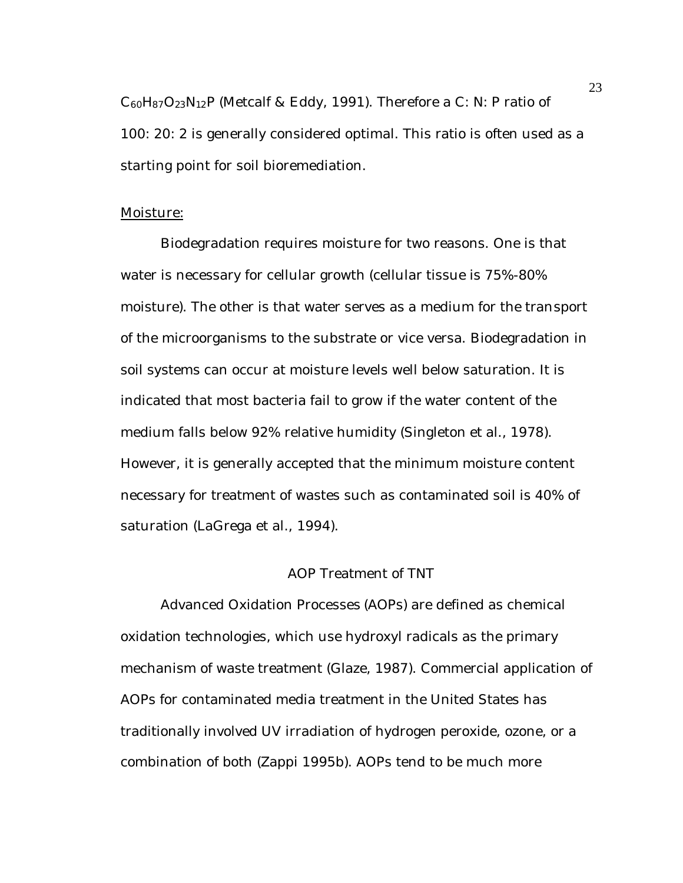$C_{60}H_{87}O_{23}N_{12}P$  (Metcalf & Eddy, 1991). Therefore a C: N: P ratio of 100: 20: 2 is generally considered optimal. This ratio is often used as a starting point for soil bioremediation.

## Moisture:

Biodegradation requires moisture for two reasons. One is that water is necessary for cellular growth (cellular tissue is 75%-80% moisture). The other is that water serves as a medium for the transport of the microorganisms to the substrate or vice versa. Biodegradation in soil systems can occur at moisture levels well below saturation. It is indicated that most bacteria fail to grow if the water content of the medium falls below 92% relative humidity (Singleton et al., 1978). However, it is generally accepted that the minimum moisture content necessary for treatment of wastes such as contaminated soil is 40% of saturation (LaGrega et al., 1994).

## AOP Treatment of TNT

Advanced Oxidation Processes (AOPs) are defined as chemical oxidation technologies, which use hydroxyl radicals as the primary mechanism of waste treatment (Glaze, 1987). Commercial application of AOPs for contaminated media treatment in the United States has traditionally involved UV irradiation of hydrogen peroxide, ozone, or a combination of both (Zappi 1995b). AOPs tend to be much more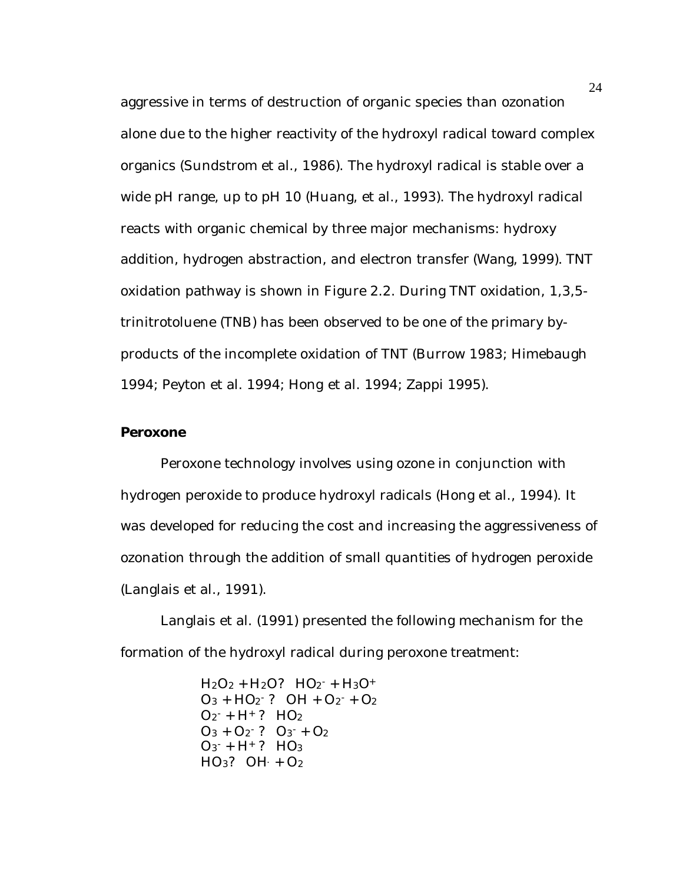aggressive in terms of destruction of organic species than ozonation alone due to the higher reactivity of the hydroxyl radical toward complex organics (Sundstrom et al., 1986). The hydroxyl radical is stable over a wide pH range, up to pH 10 (Huang, et al., 1993). The hydroxyl radical reacts with organic chemical by three major mechanisms: hydroxy addition, hydrogen abstraction, and electron transfer (Wang, 1999). TNT oxidation pathway is shown in Figure 2.2. During TNT oxidation, 1,3,5 trinitrotoluene (TNB) has been observed to be one of the primary byproducts of the incomplete oxidation of TNT (Burrow 1983; Himebaugh 1994; Peyton et al. 1994; Hong et al. 1994; Zappi 1995).

#### **Peroxone**

Peroxone technology involves using ozone in conjunction with hydrogen peroxide to produce hydroxyl radicals (Hong et al., 1994). It was developed for reducing the cost and increasing the aggressiveness of ozonation through the addition of small quantities of hydrogen peroxide (Langlais et al., 1991).

Langlais et al. (1991) presented the following mechanism for the formation of the hydroxyl radical during peroxone treatment:

> $H_2O_2 + H_2O$ ?  $HO_2$ <sup>-</sup> +  $H_3O$ +  $O_3$  + HO<sub>2</sub><sup>-</sup>? OH + O<sub>2</sub><sup>-</sup> + O<sub>2</sub>  $O_2$  + H +? HO<sub>2</sub>  $O_3 + O_2$ <sup>-</sup>?  $O_3$ <sup>-</sup> +  $O_2$  $O_3$  + H<sup>+</sup>? HO<sub>3</sub>  $HO_3$ ?  $OH + O_2$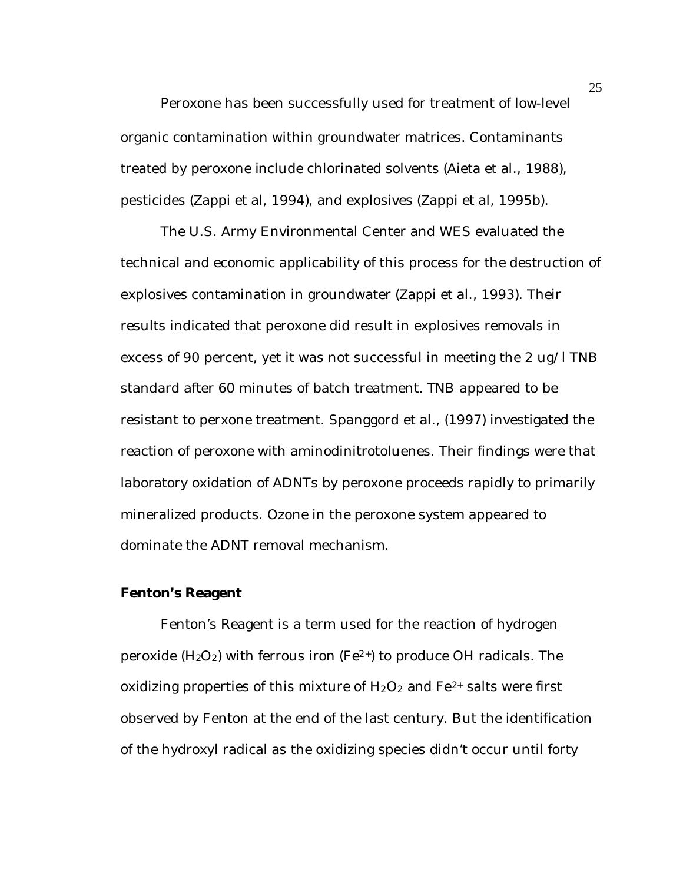Peroxone has been successfully used for treatment of low-level organic contamination within groundwater matrices. Contaminants treated by peroxone include chlorinated solvents (Aieta et al., 1988), pesticides (Zappi et al, 1994), and explosives (Zappi et al, 1995b).

The U.S. Army Environmental Center and WES evaluated the technical and economic applicability of this process for the destruction of explosives contamination in groundwater (Zappi et al., 1993). Their results indicated that peroxone did result in explosives removals in excess of 90 percent, yet it was not successful in meeting the 2 ug/l TNB standard after 60 minutes of batch treatment. TNB appeared to be resistant to perxone treatment. Spanggord et al., (1997) investigated the reaction of peroxone with aminodinitrotoluenes. Their findings were that laboratory oxidation of ADNTs by peroxone proceeds rapidly to primarily mineralized products. Ozone in the peroxone system appeared to dominate the ADNT removal mechanism.

## **Fenton's Reagent**

Fenton's Reagent is a term used for the reaction of hydrogen peroxide  $(H_2O_2)$  with ferrous iron (Fe<sup>2+</sup>) to produce OH radicals. The oxidizing properties of this mixture of  $H_2O_2$  and  $Fe^{2+}$  salts were first observed by Fenton at the end of the last century. But the identification of the hydroxyl radical as the oxidizing species didn't occur until forty

25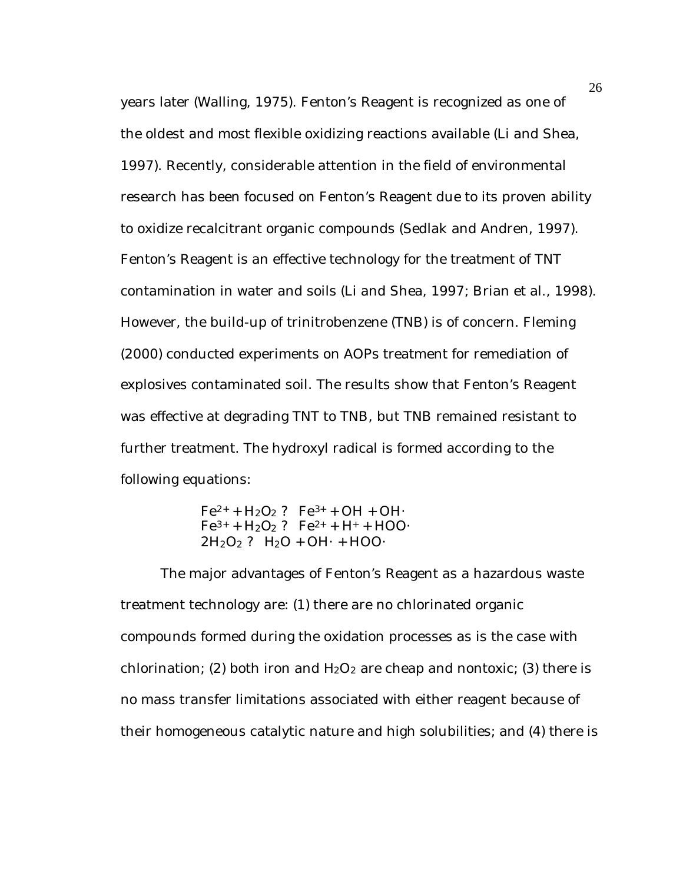years later (Walling, 1975). Fenton's Reagent is recognized as one of the oldest and most flexible oxidizing reactions available (Li and Shea, 1997). Recently, considerable attention in the field of environmental research has been focused on Fenton's Reagent due to its proven ability to oxidize recalcitrant organic compounds (Sedlak and Andren, 1997). Fenton's Reagent is an effective technology for the treatment of TNT contamination in water and soils (Li and Shea, 1997; Brian et al., 1998). However, the build-up of trinitrobenzene (TNB) is of concern. Fleming (2000) conducted experiments on AOPs treatment for remediation of explosives contaminated soil. The results show that Fenton's Reagent was effective at degrading TNT to TNB, but TNB remained resistant to further treatment. The hydroxyl radical is formed according to the following equations:

> $Fe^{2+} + H_2O_2$  ?  $Fe^{3+} + OH + OH$  $Fe^{3+} + H_2O_2$  ?  $Fe^{2+} + H^+ + HOO$  $2H_2O_2$  ?  $H_2O + OH \cdot + HOO \cdot$

The major advantages of Fenton's Reagent as a hazardous waste treatment technology are: (1) there are no chlorinated organic compounds formed during the oxidation processes as is the case with chlorination; (2) both iron and  $H_2O_2$  are cheap and nontoxic; (3) there is no mass transfer limitations associated with either reagent because of their homogeneous catalytic nature and high solubilities; and (4) there is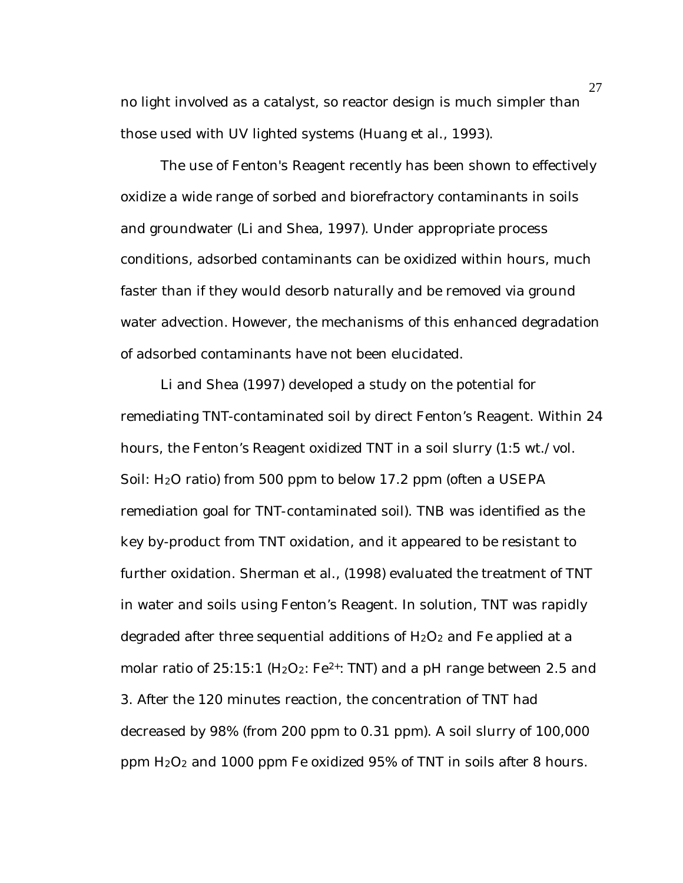no light involved as a catalyst, so reactor design is much simpler than those used with UV lighted systems (Huang et al., 1993).

The use of Fenton's Reagent recently has been shown to effectively oxidize a wide range of sorbed and biorefractory contaminants in soils and groundwater (Li and Shea, 1997). Under appropriate process conditions, adsorbed contaminants can be oxidized within hours, much faster than if they would desorb naturally and be removed via ground water advection. However, the mechanisms of this enhanced degradation of adsorbed contaminants have not been elucidated.

Li and Shea (1997) developed a study on the potential for remediating TNT-contaminated soil by direct Fenton's Reagent. Within 24 hours, the Fenton's Reagent oxidized TNT in a soil slurry (1:5 wt./vol. Soil: H<sub>2</sub>O ratio) from 500 ppm to below 17.2 ppm (often a USEPA remediation goal for TNT-contaminated soil). TNB was identified as the key by-product from TNT oxidation, and it appeared to be resistant to further oxidation. Sherman et al., (1998) evaluated the treatment of TNT in water and soils using Fenton's Reagent. In solution, TNT was rapidly degraded after three sequential additions of  $H_2O_2$  and Fe applied at a molar ratio of  $25:15:1$  (H<sub>2</sub>O<sub>2</sub>: Fe<sup>2+</sup>: TNT) and a pH range between 2.5 and 3. After the 120 minutes reaction, the concentration of TNT had decreased by 98% (from 200 ppm to 0.31 ppm). A soil slurry of 100,000 ppm  $H_2O_2$  and 1000 ppm Fe oxidized 95% of TNT in soils after 8 hours.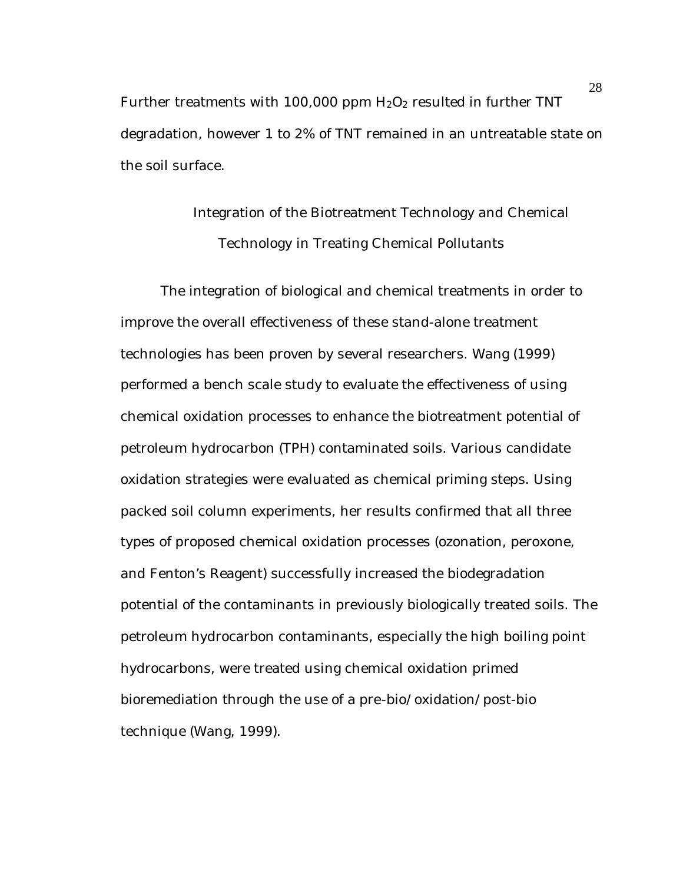Further treatments with 100,000 ppm  $H_2O_2$  resulted in further TNT degradation, however 1 to 2% of TNT remained in an untreatable state on the soil surface.

# Integration of the Biotreatment Technology and Chemical Technology in Treating Chemical Pollutants

The integration of biological and chemical treatments in order to improve the overall effectiveness of these stand-alone treatment technologies has been proven by several researchers. Wang (1999) performed a bench scale study to evaluate the effectiveness of using chemical oxidation processes to enhance the biotreatment potential of petroleum hydrocarbon (TPH) contaminated soils. Various candidate oxidation strategies were evaluated as chemical priming steps. Using packed soil column experiments, her results confirmed that all three types of proposed chemical oxidation processes (ozonation, peroxone, and Fenton's Reagent) successfully increased the biodegradation potential of the contaminants in previously biologically treated soils. The petroleum hydrocarbon contaminants, especially the high boiling point hydrocarbons, were treated using chemical oxidation primed bioremediation through the use of a pre-bio/oxidation/post-bio technique (Wang, 1999).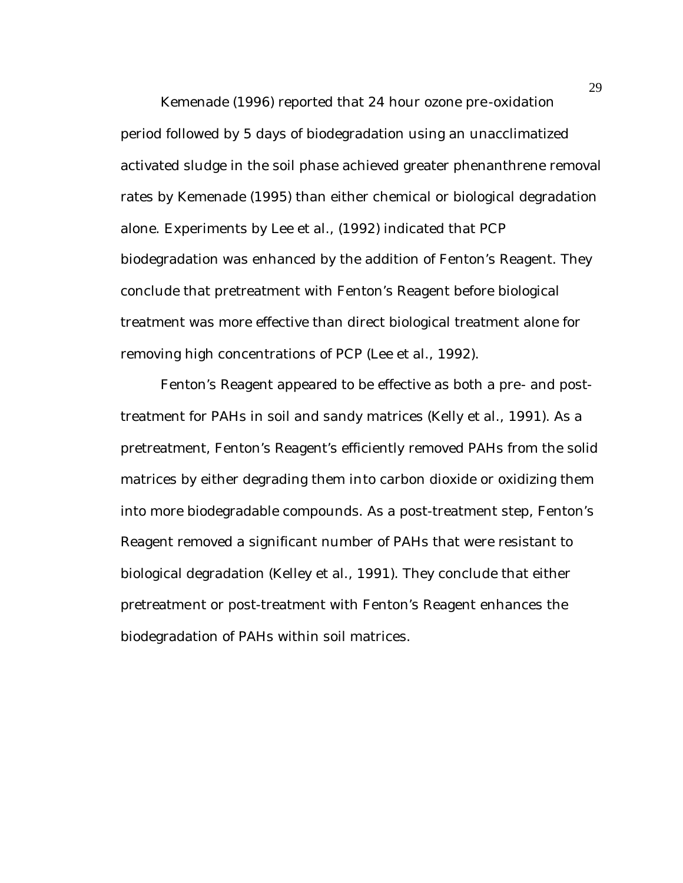Kemenade (1996) reported that 24 hour ozone pre-oxidation period followed by 5 days of biodegradation using an unacclimatized activated sludge in the soil phase achieved greater phenanthrene removal rates by Kemenade (1995) than either chemical or biological degradation alone. Experiments by Lee et al., (1992) indicated that PCP biodegradation was enhanced by the addition of Fenton's Reagent. They conclude that pretreatment with Fenton's Reagent before biological treatment was more effective than direct biological treatment alone for removing high concentrations of PCP (Lee et al., 1992).

Fenton's Reagent appeared to be effective as both a pre- and posttreatment for PAHs in soil and sandy matrices (Kelly et al., 1991). As a pretreatment, Fenton's Reagent's efficiently removed PAHs from the solid matrices by either degrading them into carbon dioxide or oxidizing them into more biodegradable compounds. As a post-treatment step, Fenton's Reagent removed a significant number of PAHs that were resistant to biological degradation (Kelley et al., 1991). They conclude that either pretreatment or post-treatment with Fenton's Reagent enhances the biodegradation of PAHs within soil matrices.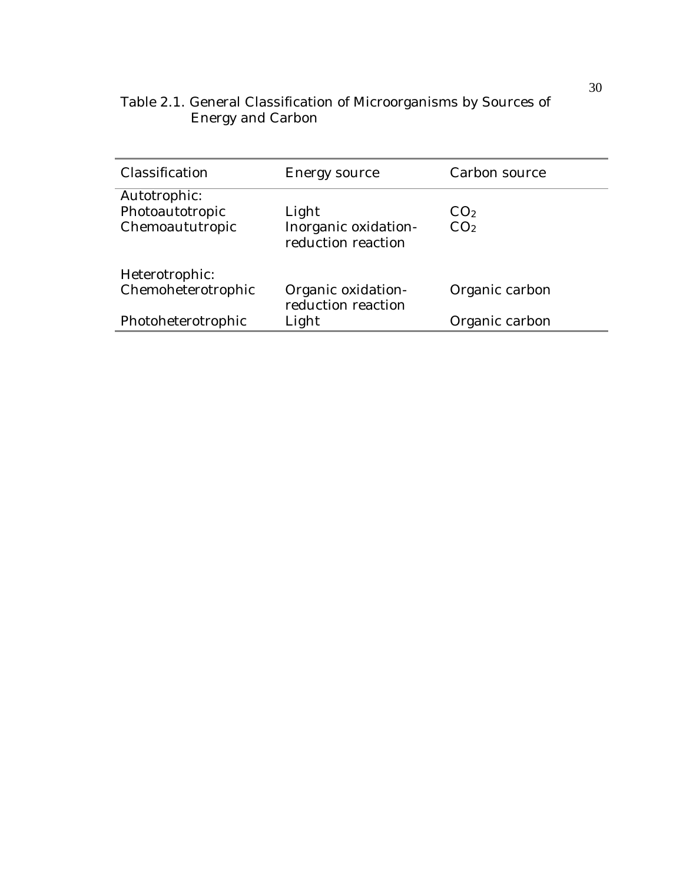| Table 2.1. General Classification of Microorganisms by Sources of |  |
|-------------------------------------------------------------------|--|
| <b>Energy and Carbon</b>                                          |  |

| Classification     | Energy source                              | Carbon source   |
|--------------------|--------------------------------------------|-----------------|
| Autotrophic:       |                                            |                 |
| Photoautotropic    | Light                                      | CO <sub>2</sub> |
| Chemoaututropic    | Inorganic oxidation-<br>reduction reaction | CO <sub>2</sub> |
| Heterotrophic:     |                                            |                 |
| Chemoheterotrophic | Organic oxidation-<br>reduction reaction   | Organic carbon  |
| Photoheterotrophic | Light                                      | Organic carbon  |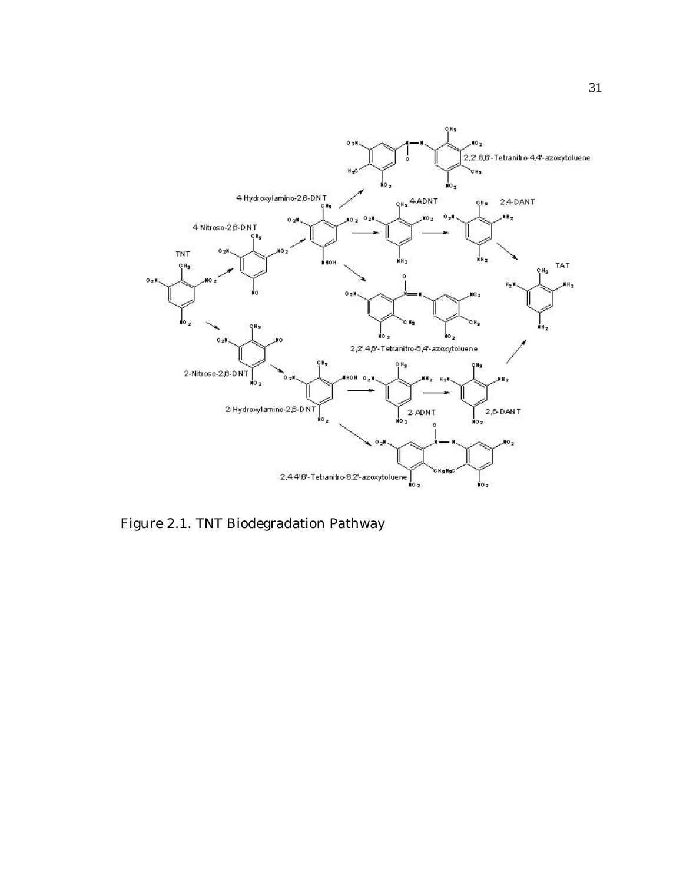

Figure 2.1. TNT Biodegradation Pathway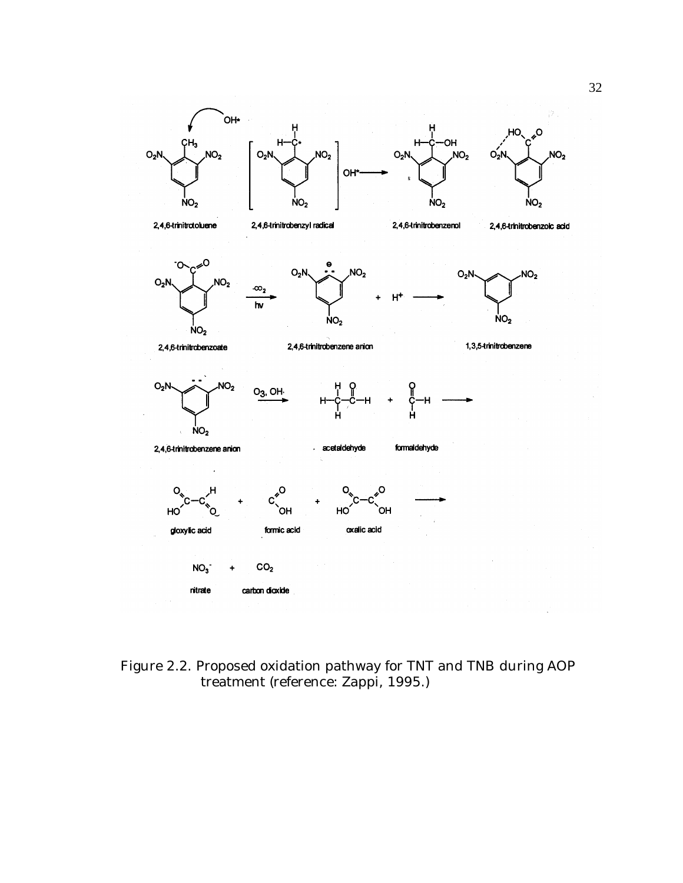

Figure 2.2. Proposed oxidation pathway for TNT and TNB during AOP treatment (reference: Zappi, 1995.)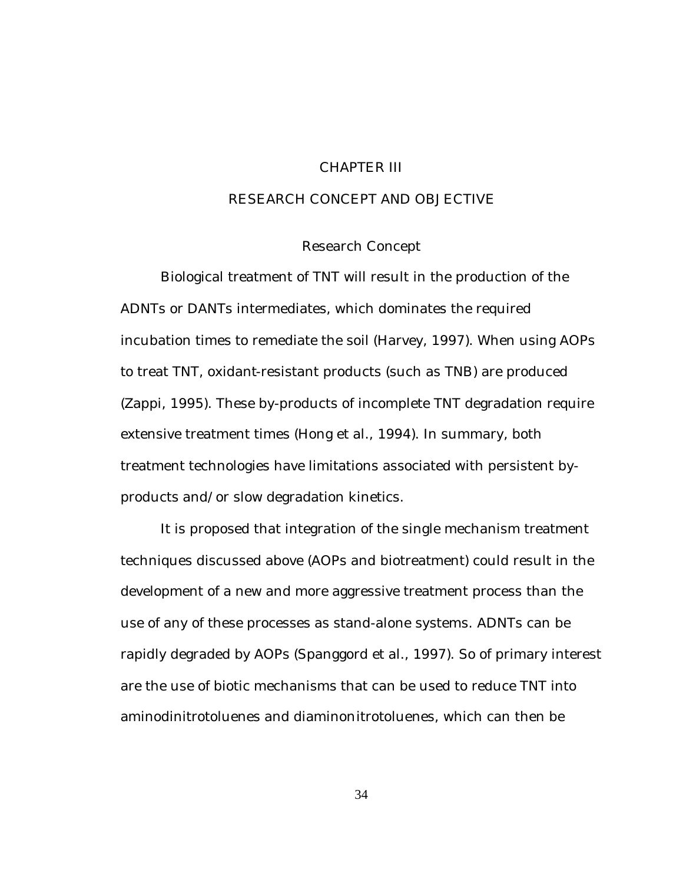## CHAPTER III

# RESEARCH CONCEPT AND OBJECTIVE

# Research Concept

Biological treatment of TNT will result in the production of the ADNTs or DANTs intermediates, which dominates the required incubation times to remediate the soil (Harvey, 1997). When using AOPs to treat TNT, oxidant-resistant products (such as TNB) are produced (Zappi, 1995). These by-products of incomplete TNT degradation require extensive treatment times (Hong et al., 1994). In summary, both treatment technologies have limitations associated with persistent byproducts and/or slow degradation kinetics.

It is proposed that integration of the single mechanism treatment techniques discussed above (AOPs and biotreatment) could result in the development of a new and more aggressive treatment process than the use of any of these processes as stand-alone systems. ADNTs can be rapidly degraded by AOPs (Spanggord et al., 1997). So of primary interest are the use of biotic mechanisms that can be used to reduce TNT into aminodinitrotoluenes and diaminonitrotoluenes, which can then be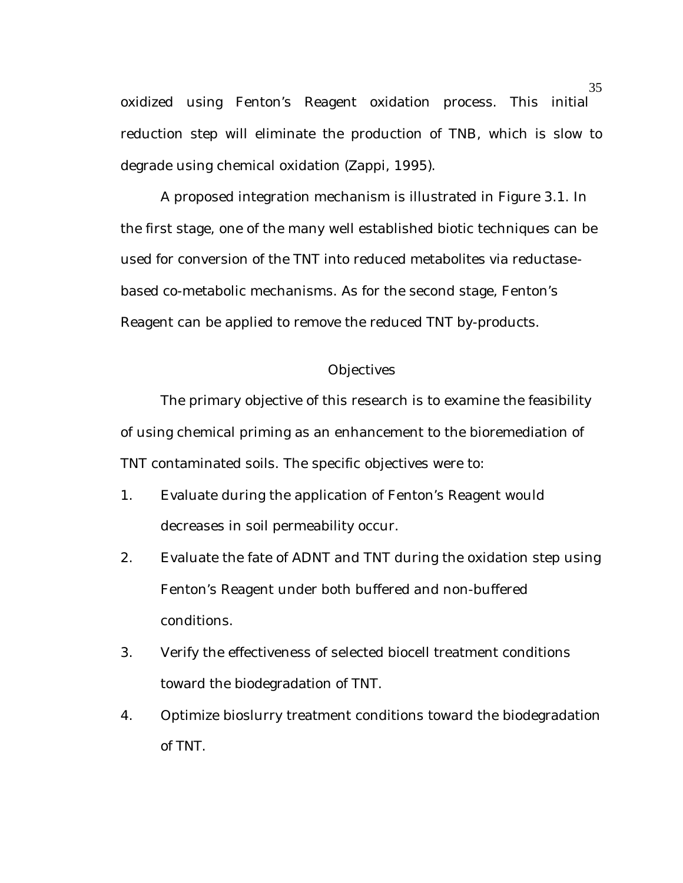oxidized using Fenton's Reagent oxidation process. This initial reduction step will eliminate the production of TNB, which is slow to degrade using chemical oxidation (Zappi, 1995).

A proposed integration mechanism is illustrated in Figure 3.1. In the first stage, one of the many well established biotic techniques can be used for conversion of the TNT into reduced metabolites via reductasebased co-metabolic mechanisms. As for the second stage, Fenton's Reagent can be applied to remove the reduced TNT by-products.

## **Objectives**

The primary objective of this research is to examine the feasibility of using chemical priming as an enhancement to the bioremediation of TNT contaminated soils. The specific objectives were to:

- 1. Evaluate during the application of Fenton's Reagent would decreases in soil permeability occur.
- 2. Evaluate the fate of ADNT and TNT during the oxidation step using Fenton's Reagent under both buffered and non-buffered conditions.
- 3. Verify the effectiveness of selected biocell treatment conditions toward the biodegradation of TNT.
- 4. Optimize bioslurry treatment conditions toward the biodegradation of TNT.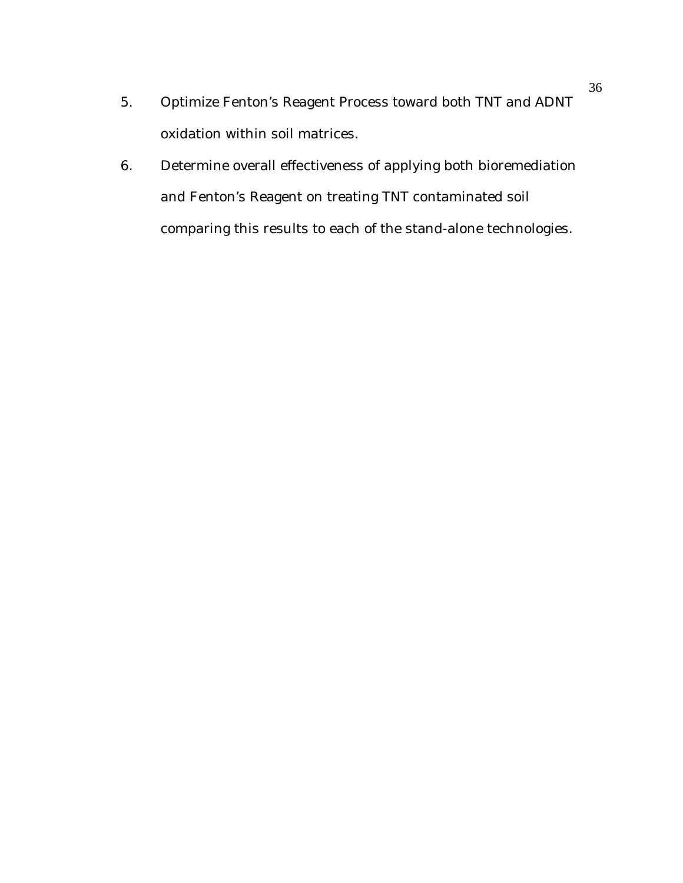- 5. Optimize Fenton's Reagent Process toward both TNT and ADNT oxidation within soil matrices.
- 6. Determine overall effectiveness of applying both bioremediation and Fenton's Reagent on treating TNT contaminated soil comparing this results to each of the stand-alone technologies.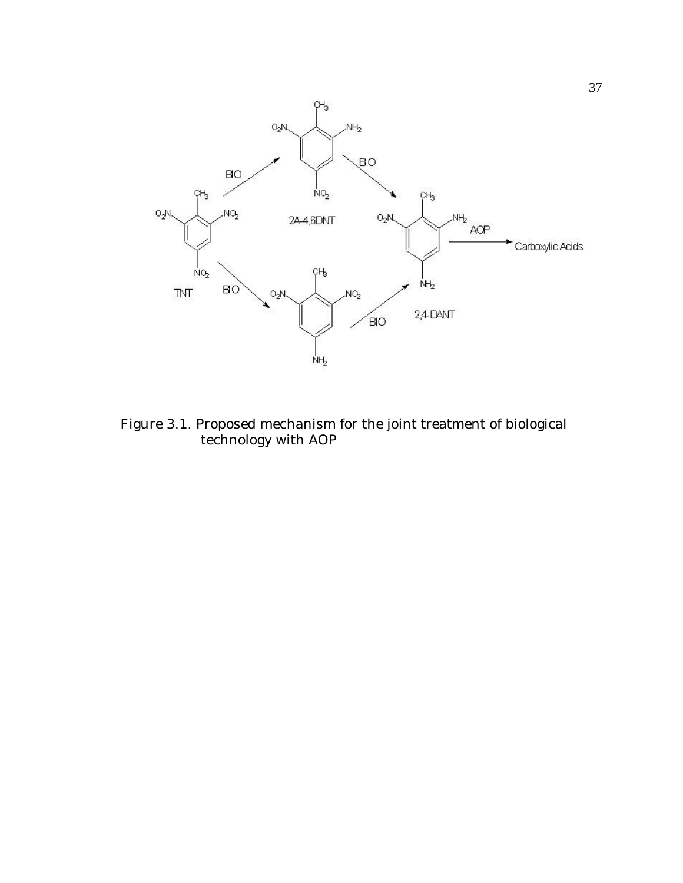

Figure 3.1. Proposed mechanism for the joint treatment of biological technology with AOP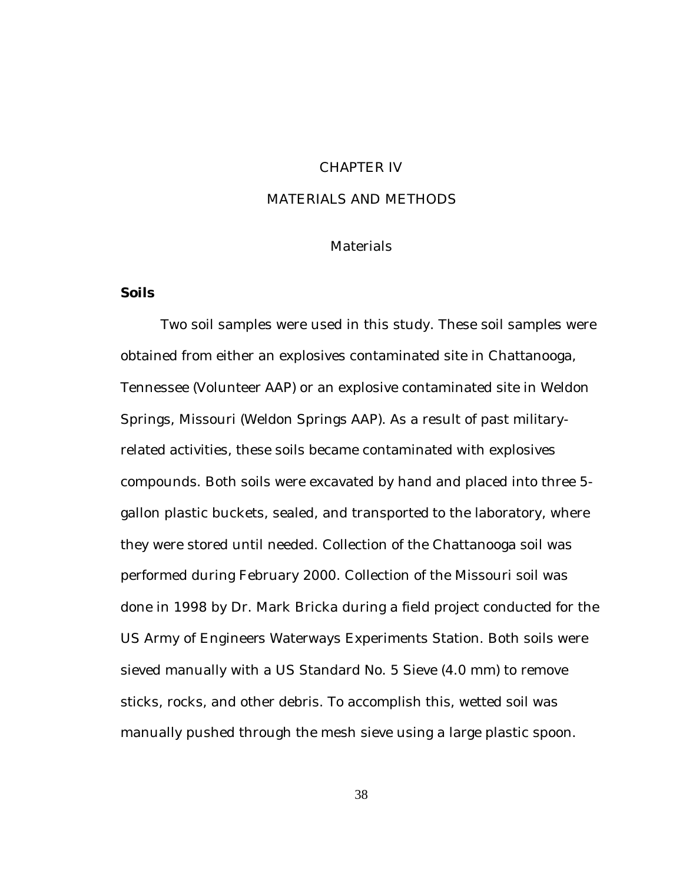# CHAPTER IV

# MATERIALS AND METHODS

# Materials

## **Soils**

Two soil samples were used in this study. These soil samples were obtained from either an explosives contaminated site in Chattanooga, Tennessee (Volunteer AAP) or an explosive contaminated site in Weldon Springs, Missouri (Weldon Springs AAP). As a result of past militaryrelated activities, these soils became contaminated with explosives compounds. Both soils were excavated by hand and placed into three 5 gallon plastic buckets, sealed, and transported to the laboratory, where they were stored until needed. Collection of the Chattanooga soil was performed during February 2000. Collection of the Missouri soil was done in 1998 by Dr. Mark Bricka during a field project conducted for the US Army of Engineers Waterways Experiments Station. Both soils were sieved manually with a US Standard No. 5 Sieve (4.0 mm) to remove sticks, rocks, and other debris. To accomplish this, wetted soil was manually pushed through the mesh sieve using a large plastic spoon.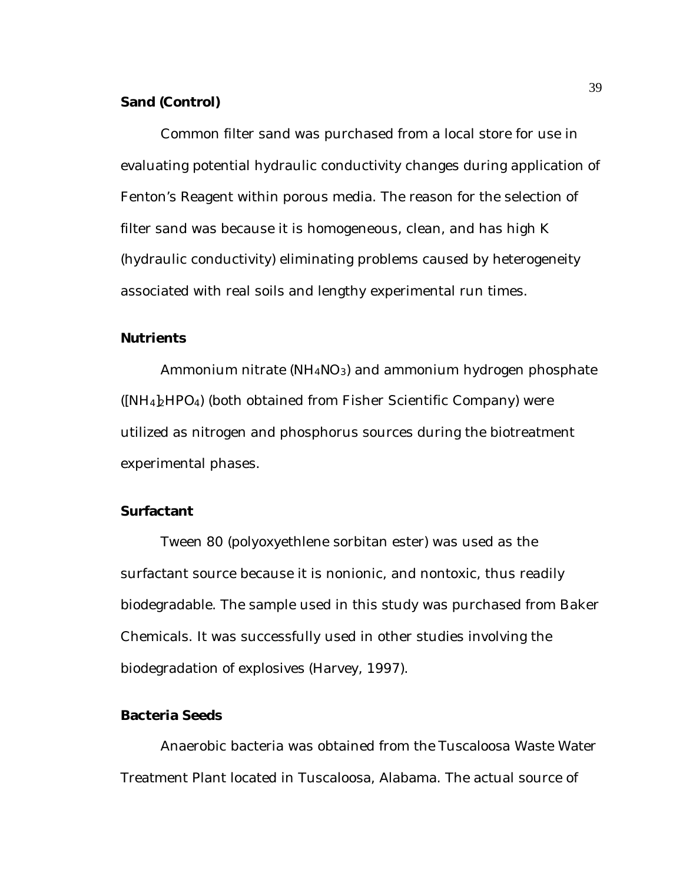# **Sand (Control)**

Common filter sand was purchased from a local store for use in evaluating potential hydraulic conductivity changes during application of Fenton's Reagent within porous media. The reason for the selection of filter sand was because it is homogeneous, clean, and has high K (hydraulic conductivity) eliminating problems caused by heterogeneity associated with real soils and lengthy experimental run times.

## **Nutrients**

Ammonium nitrate  $(NH_4NO_3)$  and ammonium hydrogen phosphate  $(NH_4)_2HPO_4$ ) (both obtained from Fisher Scientific Company) were utilized as nitrogen and phosphorus sources during the biotreatment experimental phases.

# **Surfactant**

Tween 80 (polyoxyethlene sorbitan ester) was used as the surfactant source because it is nonionic, and nontoxic, thus readily biodegradable. The sample used in this study was purchased from Baker Chemicals. It was successfully used in other studies involving the biodegradation of explosives (Harvey, 1997).

# **Bacteria Seeds**

Anaerobic bacteria was obtained from the Tuscaloosa Waste Water Treatment Plant located in Tuscaloosa, Alabama. The actual source of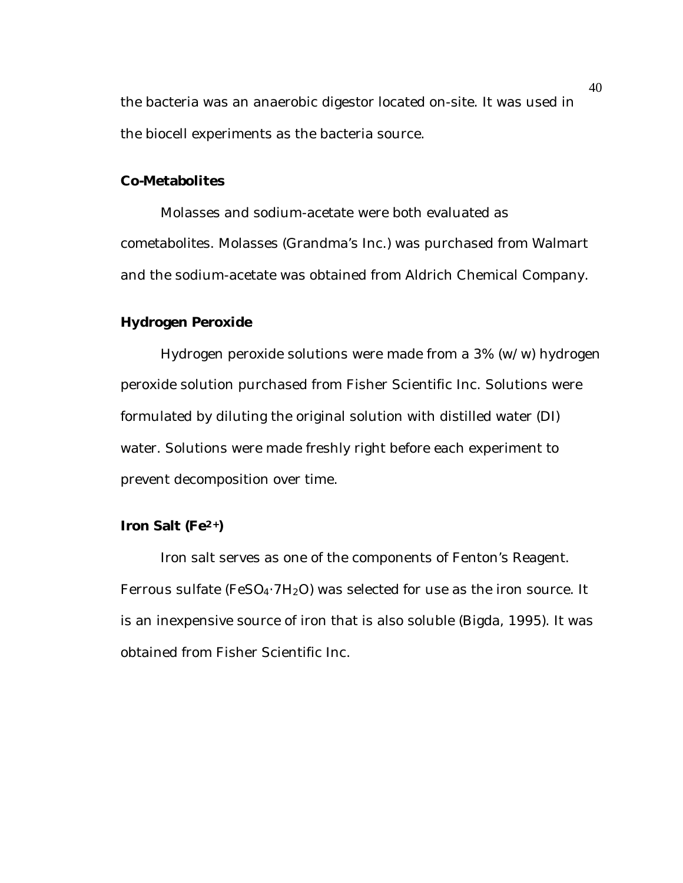the bacteria was an anaerobic digestor located on-site. It was used in the biocell experiments as the bacteria source.

# **Co-Metabolites**

Molasses and sodium-acetate were both evaluated as cometabolites. Molasses (Grandma's Inc.) was purchased from Walmart and the sodium-acetate was obtained from Aldrich Chemical Company.

## **Hydrogen Peroxide**

Hydrogen peroxide solutions were made from a 3% (w/w) hydrogen peroxide solution purchased from Fisher Scientific Inc. Solutions were formulated by diluting the original solution with distilled water (DI) water. Solutions were made freshly right before each experiment to prevent decomposition over time.

## **Iron Salt (Fe2+)**

Iron salt serves as one of the components of Fenton's Reagent. Ferrous sulfate (FeSO<sub>4</sub> $\cdot$ 7H<sub>2</sub>O) was selected for use as the iron source. It is an inexpensive source of iron that is also soluble (Bigda, 1995). It was obtained from Fisher Scientific Inc.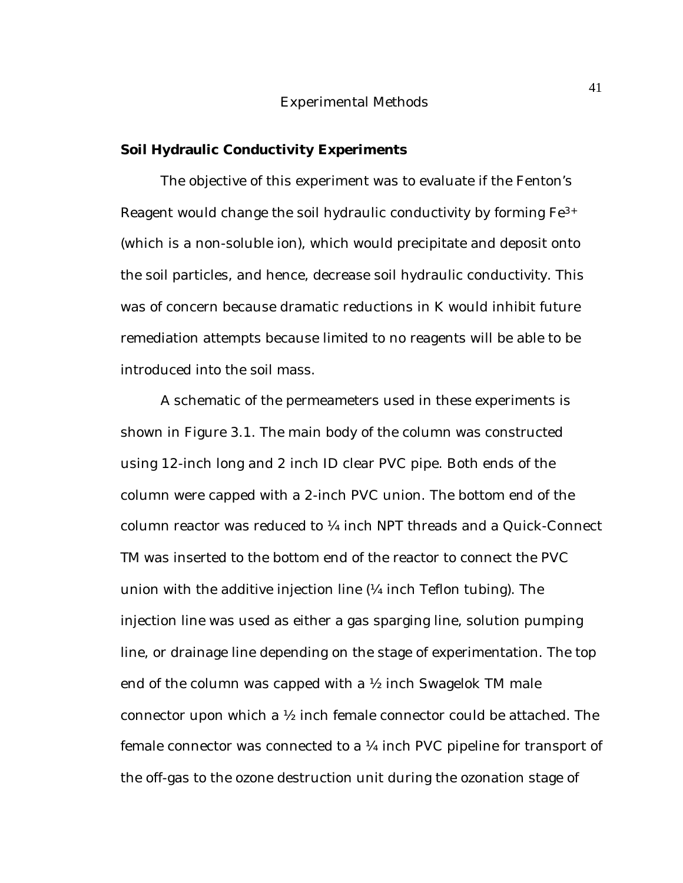#### Experimental Methods

### **Soil Hydraulic Conductivity Experiments**

The objective of this experiment was to evaluate if the Fenton's Reagent would change the soil hydraulic conductivity by forming Fe3+ (which is a non-soluble ion), which would precipitate and deposit onto the soil particles, and hence, decrease soil hydraulic conductivity. This was of concern because dramatic reductions in K would inhibit future remediation attempts because limited to no reagents will be able to be introduced into the soil mass.

A schematic of the permeameters used in these experiments is shown in Figure 3.1. The main body of the column was constructed using 12-inch long and 2 inch ID clear PVC pipe. Both ends of the column were capped with a 2-inch PVC union. The bottom end of the column reactor was reduced to ¼ inch NPT threads and a Quick-Connect TM was inserted to the bottom end of the reactor to connect the PVC union with the additive injection line (¼ inch Teflon tubing). The injection line was used as either a gas sparging line, solution pumping line, or drainage line depending on the stage of experimentation. The top end of the column was capped with a  $\frac{1}{2}$  inch Swagelok TM male connector upon which a ½ inch female connector could be attached. The female connector was connected to a  $\frac{1}{4}$  inch PVC pipeline for transport of the off-gas to the ozone destruction unit during the ozonation stage of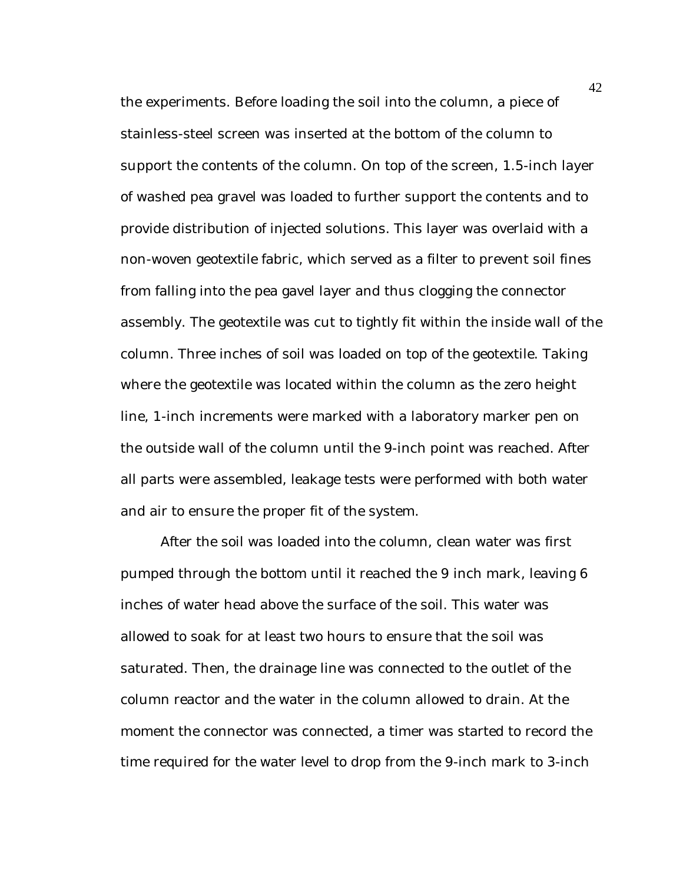the experiments. Before loading the soil into the column, a piece of stainless-steel screen was inserted at the bottom of the column to support the contents of the column. On top of the screen, 1.5-inch layer of washed pea gravel was loaded to further support the contents and to provide distribution of injected solutions. This layer was overlaid with a non-woven geotextile fabric, which served as a filter to prevent soil fines from falling into the pea gavel layer and thus clogging the connector assembly. The geotextile was cut to tightly fit within the inside wall of the column. Three inches of soil was loaded on top of the geotextile. Taking where the geotextile was located within the column as the zero height line, 1-inch increments were marked with a laboratory marker pen on the outside wall of the column until the 9-inch point was reached. After all parts were assembled, leakage tests were performed with both water and air to ensure the proper fit of the system.

After the soil was loaded into the column, clean water was first pumped through the bottom until it reached the 9 inch mark, leaving 6 inches of water head above the surface of the soil. This water was allowed to soak for at least two hours to ensure that the soil was saturated. Then, the drainage line was connected to the outlet of the column reactor and the water in the column allowed to drain. At the moment the connector was connected, a timer was started to record the time required for the water level to drop from the 9-inch mark to 3-inch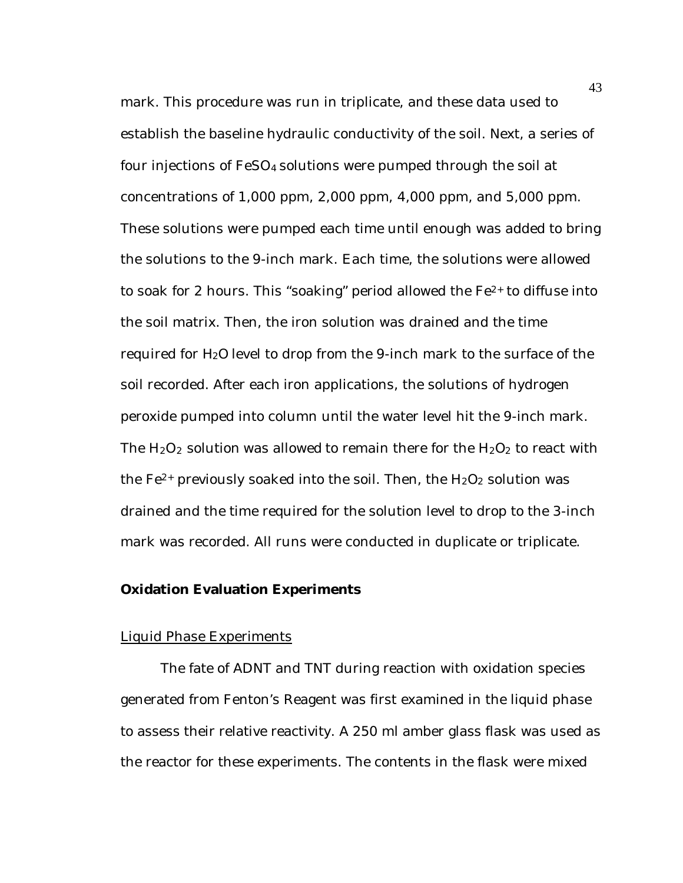mark. This procedure was run in triplicate, and these data used to establish the baseline hydraulic conductivity of the soil. Next, a series of four injections of FeSO4 solutions were pumped through the soil at concentrations of 1,000 ppm, 2,000 ppm, 4,000 ppm, and 5,000 ppm. These solutions were pumped each time until enough was added to bring the solutions to the 9-inch mark. Each time, the solutions were allowed to soak for 2 hours. This "soaking" period allowed the  $Fe<sup>2+</sup>$  to diffuse into the soil matrix. Then, the iron solution was drained and the time required for H2O level to drop from the 9-inch mark to the surface of the soil recorded. After each iron applications, the solutions of hydrogen peroxide pumped into column until the water level hit the 9-inch mark. The  $H_2O_2$  solution was allowed to remain there for the  $H_2O_2$  to react with the  $Fe^{2+}$  previously soaked into the soil. Then, the  $H_2O_2$  solution was drained and the time required for the solution level to drop to the 3-inch mark was recorded. All runs were conducted in duplicate or triplicate.

## **Oxidation Evaluation Experiments**

#### Liquid Phase Experiments

The fate of ADNT and TNT during reaction with oxidation species generated from Fenton's Reagent was first examined in the liquid phase to assess their relative reactivity. A 250 ml amber glass flask was used as the reactor for these experiments. The contents in the flask were mixed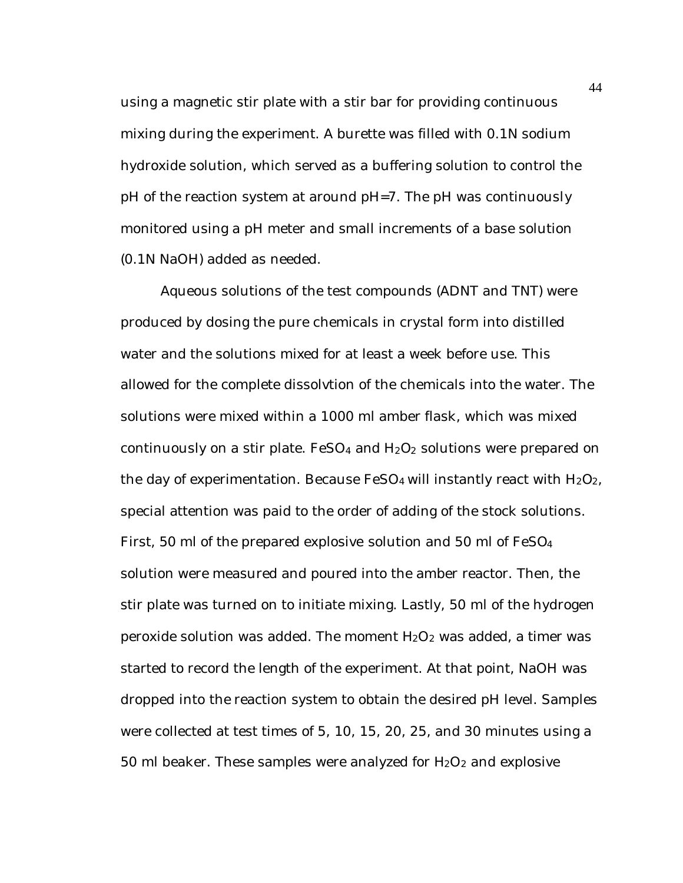using a magnetic stir plate with a stir bar for providing continuous mixing during the experiment. A burette was filled with 0.1N sodium hydroxide solution, which served as a buffering solution to control the pH of the reaction system at around pH=7. The pH was continuously monitored using a pH meter and small increments of a base solution (0.1N NaOH) added as needed.

Aqueous solutions of the test compounds (ADNT and TNT) were produced by dosing the pure chemicals in crystal form into distilled water and the solutions mixed for at least a week before use. This allowed for the complete dissolvtion of the chemicals into the water. The solutions were mixed within a 1000 ml amber flask, which was mixed continuously on a stir plate.  $FeSO<sub>4</sub>$  and  $H<sub>2</sub>O<sub>2</sub>$  solutions were prepared on the day of experimentation. Because  $FeSO<sub>4</sub>$  will instantly react with  $H<sub>2</sub>O<sub>2</sub>$ , special attention was paid to the order of adding of the stock solutions. First, 50 ml of the prepared explosive solution and 50 ml of FeSO<sup>4</sup> solution were measured and poured into the amber reactor. Then, the stir plate was turned on to initiate mixing. Lastly, 50 ml of the hydrogen peroxide solution was added. The moment  $H_2O_2$  was added, a timer was started to record the length of the experiment. At that point, NaOH was dropped into the reaction system to obtain the desired pH level. Samples were collected at test times of 5, 10, 15, 20, 25, and 30 minutes using a 50 ml beaker. These samples were analyzed for  $H_2O_2$  and explosive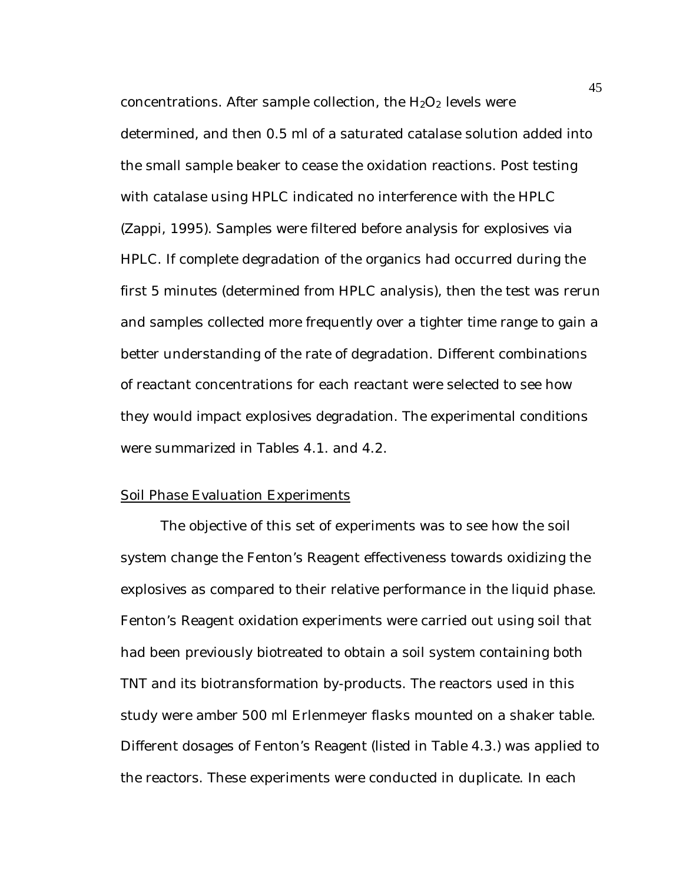concentrations. After sample collection, the  $H_2O_2$  levels were determined, and then 0.5 ml of a saturated catalase solution added into the small sample beaker to cease the oxidation reactions. Post testing with catalase using HPLC indicated no interference with the HPLC (Zappi, 1995). Samples were filtered before analysis for explosives via HPLC. If complete degradation of the organics had occurred during the first 5 minutes (determined from HPLC analysis), then the test was rerun and samples collected more frequently over a tighter time range to gain a better understanding of the rate of degradation. Different combinations of reactant concentrations for each reactant were selected to see how they would impact explosives degradation. The experimental conditions were summarized in Tables 4.1. and 4.2.

#### Soil Phase Evaluation Experiments

The objective of this set of experiments was to see how the soil system change the Fenton's Reagent effectiveness towards oxidizing the explosives as compared to their relative performance in the liquid phase. Fenton's Reagent oxidation experiments were carried out using soil that had been previously biotreated to obtain a soil system containing both TNT and its biotransformation by-products. The reactors used in this study were amber 500 ml Erlenmeyer flasks mounted on a shaker table. Different dosages of Fenton's Reagent (listed in Table 4.3.) was applied to the reactors. These experiments were conducted in duplicate. In each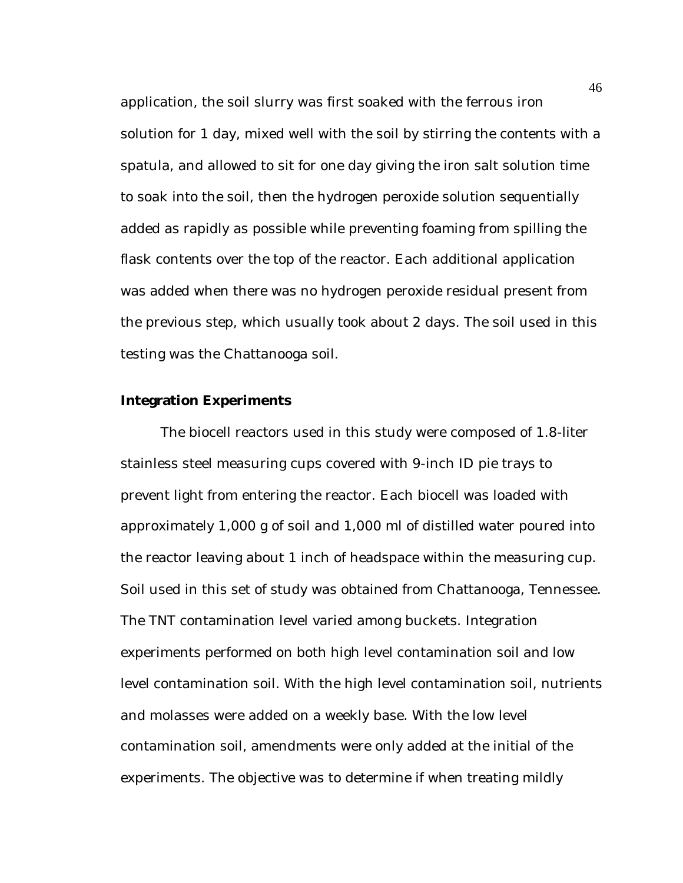application, the soil slurry was first soaked with the ferrous iron solution for 1 day, mixed well with the soil by stirring the contents with a spatula, and allowed to sit for one day giving the iron salt solution time to soak into the soil, then the hydrogen peroxide solution sequentially added as rapidly as possible while preventing foaming from spilling the flask contents over the top of the reactor. Each additional application was added when there was no hydrogen peroxide residual present from the previous step, which usually took about 2 days. The soil used in this testing was the Chattanooga soil.

## **Integration Experiments**

The biocell reactors used in this study were composed of 1.8-liter stainless steel measuring cups covered with 9-inch ID pie trays to prevent light from entering the reactor. Each biocell was loaded with approximately 1,000 g of soil and 1,000 ml of distilled water poured into the reactor leaving about 1 inch of headspace within the measuring cup. Soil used in this set of study was obtained from Chattanooga, Tennessee. The TNT contamination level varied among buckets. Integration experiments performed on both high level contamination soil and low level contamination soil. With the high level contamination soil, nutrients and molasses were added on a weekly base. With the low level contamination soil, amendments were only added at the initial of the experiments. The objective was to determine if when treating mildly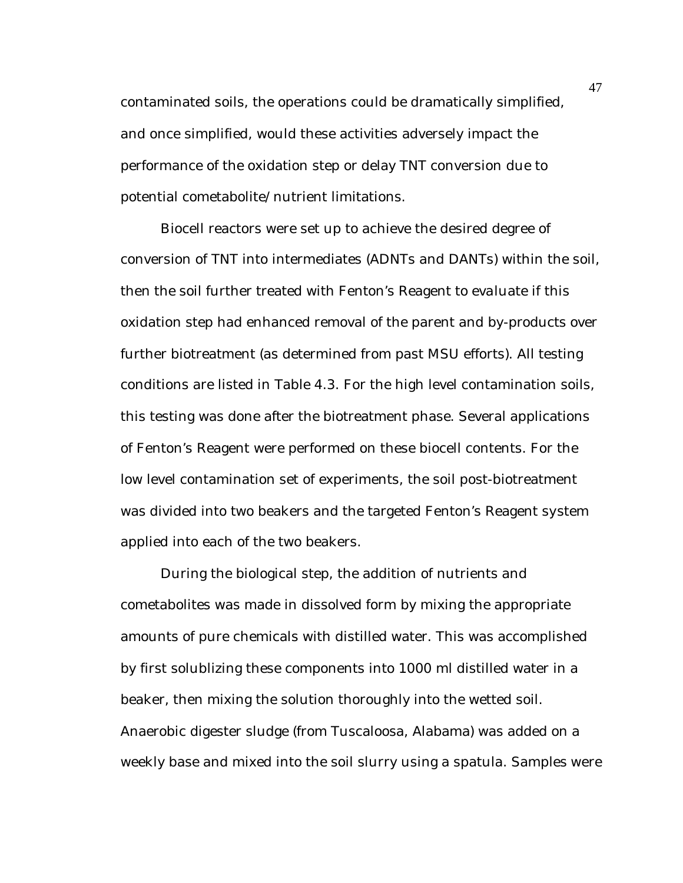contaminated soils, the operations could be dramatically simplified, and once simplified, would these activities adversely impact the performance of the oxidation step or delay TNT conversion due to potential cometabolite/nutrient limitations.

Biocell reactors were set up to achieve the desired degree of conversion of TNT into intermediates (ADNTs and DANTs) within the soil, then the soil further treated with Fenton's Reagent to evaluate if this oxidation step had enhanced removal of the parent and by-products over further biotreatment (as determined from past MSU efforts). All testing conditions are listed in Table 4.3. For the high level contamination soils, this testing was done after the biotreatment phase. Several applications of Fenton's Reagent were performed on these biocell contents. For the low level contamination set of experiments, the soil post-biotreatment was divided into two beakers and the targeted Fenton's Reagent system applied into each of the two beakers.

During the biological step, the addition of nutrients and cometabolites was made in dissolved form by mixing the appropriate amounts of pure chemicals with distilled water. This was accomplished by first solublizing these components into 1000 ml distilled water in a beaker, then mixing the solution thoroughly into the wetted soil. Anaerobic digester sludge (from Tuscaloosa, Alabama) was added on a weekly base and mixed into the soil slurry using a spatula. Samples were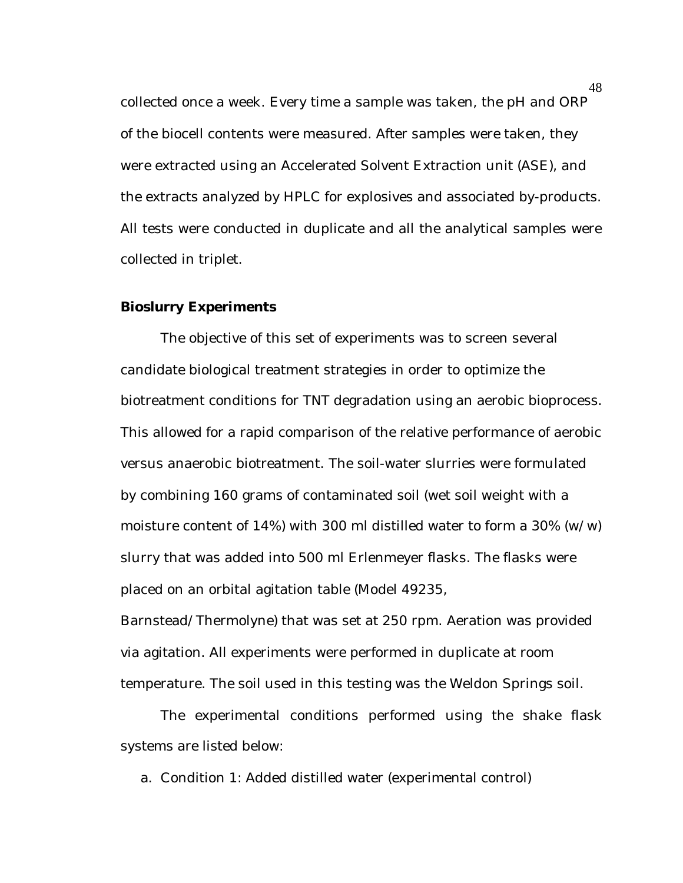collected once a week. Every time a sample was taken, the pH and ORP of the biocell contents were measured. After samples were taken, they were extracted using an Accelerated Solvent Extraction unit (ASE), and the extracts analyzed by HPLC for explosives and associated by-products. All tests were conducted in duplicate and all the analytical samples were collected in triplet.

## **Bioslurry Experiments**

The objective of this set of experiments was to screen several candidate biological treatment strategies in order to optimize the biotreatment conditions for TNT degradation using an aerobic bioprocess. This allowed for a rapid comparison of the relative performance of aerobic versus anaerobic biotreatment. The soil-water slurries were formulated by combining 160 grams of contaminated soil (wet soil weight with a moisture content of 14%) with 300 ml distilled water to form a  $30\%$  (w/w) slurry that was added into 500 ml Erlenmeyer flasks. The flasks were placed on an orbital agitation table (Model 49235,

Barnstead/Thermolyne) that was set at 250 rpm. Aeration was provided via agitation. All experiments were performed in duplicate at room temperature. The soil used in this testing was the Weldon Springs soil.

The experimental conditions performed using the shake flask systems are listed below:

a. Condition 1: Added distilled water (experimental control)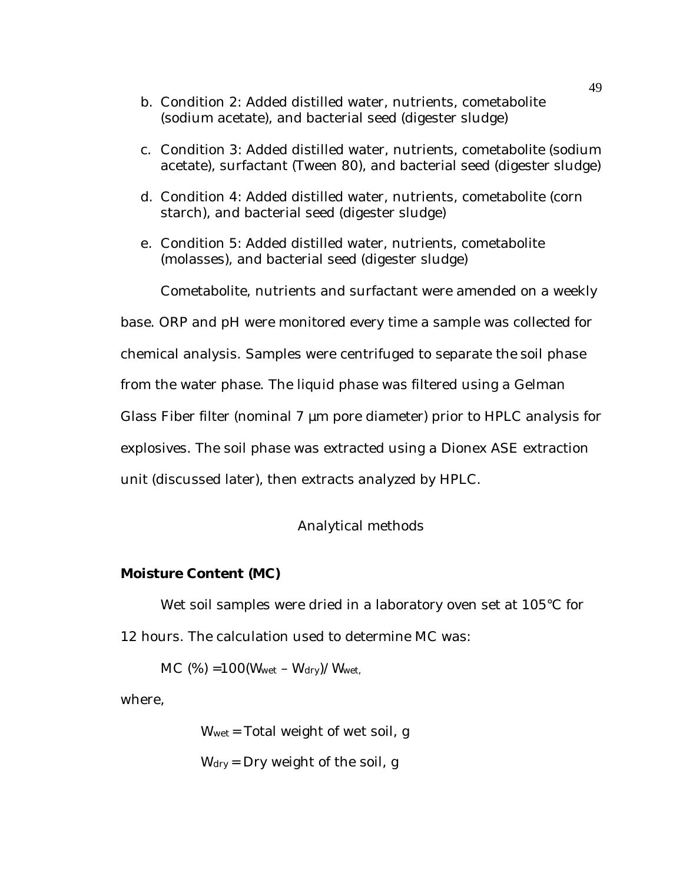- b. Condition 2: Added distilled water, nutrients, cometabolite (sodium acetate), and bacterial seed (digester sludge)
- c. Condition 3: Added distilled water, nutrients, cometabolite (sodium acetate), surfactant (Tween 80), and bacterial seed (digester sludge)
- d. Condition 4: Added distilled water, nutrients, cometabolite (corn starch), and bacterial seed (digester sludge)
- e. Condition 5: Added distilled water, nutrients, cometabolite (molasses), and bacterial seed (digester sludge)

Cometabolite, nutrients and surfactant were amended on a weekly

base. ORP and pH were monitored every time a sample was collected for

chemical analysis. Samples were centrifuged to separate the soil phase

from the water phase. The liquid phase was filtered using a Gelman

Glass Fiber filter (nominal 7 µm pore diameter) prior to HPLC analysis for

explosives. The soil phase was extracted using a Dionex ASE extraction

unit (discussed later), then extracts analyzed by HPLC.

## Analytical methods

# **Moisture Content (MC)**

Wet soil samples were dried in a laboratory oven set at 105°C for 12 hours. The calculation used to determine MC was:

 $MC$  (%) =100( $W_{wet} - W_{drv}$ )/ $W_{wet}$ .

where,

Wwet = Total weight of wet soil, g

 $W<sub>dry</sub> = Dry weight of the soil, g$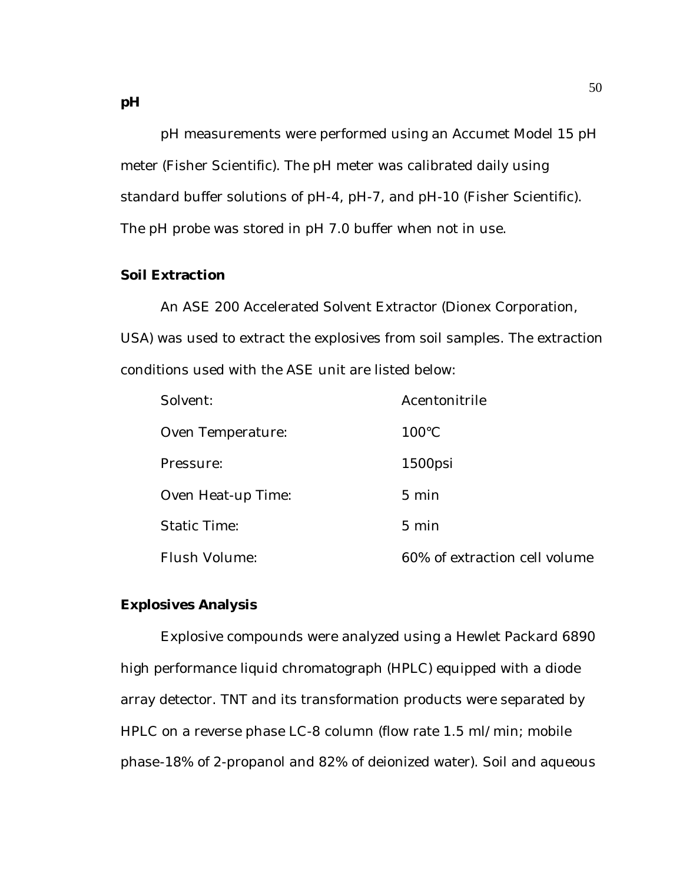pH measurements were performed using an Accumet Model 15 pH meter (Fisher Scientific). The pH meter was calibrated daily using standard buffer solutions of pH-4, pH-7, and pH-10 (Fisher Scientific). The pH probe was stored in pH 7.0 buffer when not in use.

# **Soil Extraction**

An ASE 200 Accelerated Solvent Extractor (Dionex Corporation, USA) was used to extract the explosives from soil samples. The extraction conditions used with the ASE unit are listed below:

| Solvent:            | Acentonitrile                 |
|---------------------|-------------------------------|
| Oven Temperature:   | $100^{\circ}$ C               |
| Pressure:           | $1500$ psi                    |
| Oven Heat-up Time:  | $5 \text{ min}$               |
| <b>Static Time:</b> | $5 \text{ min}$               |
| Flush Volume:       | 60% of extraction cell volume |

## **Explosives Analysis**

Explosive compounds were analyzed using a Hewlet Packard 6890 high performance liquid chromatograph (HPLC) equipped with a diode array detector. TNT and its transformation products were separated by HPLC on a reverse phase LC-8 column (flow rate 1.5 ml/min; mobile phase-18% of 2-propanol and 82% of deionized water). Soil and aqueous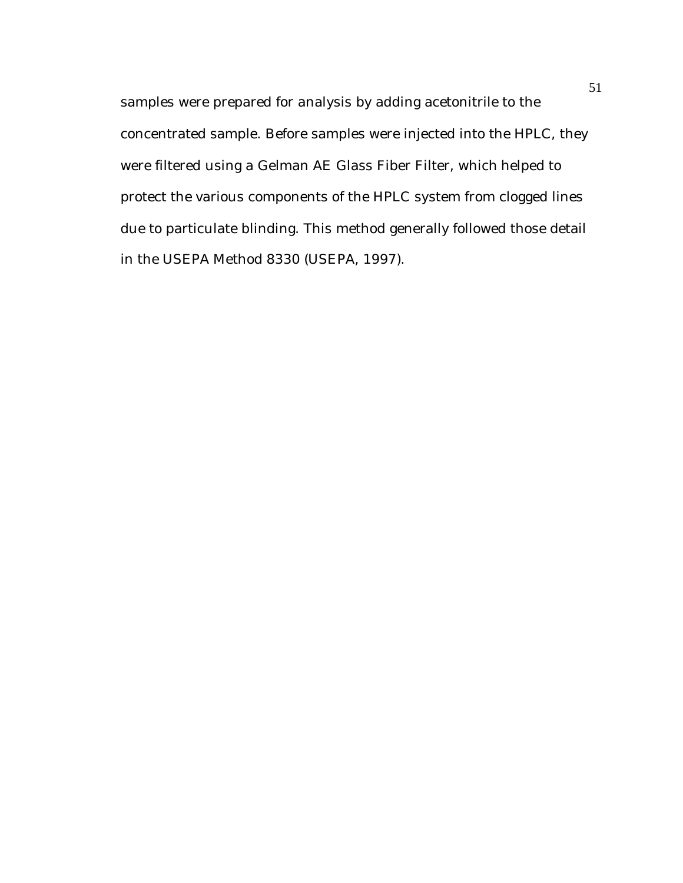samples were prepared for analysis by adding acetonitrile to the concentrated sample. Before samples were injected into the HPLC, they were filtered using a Gelman AE Glass Fiber Filter, which helped to protect the various components of the HPLC system from clogged lines due to particulate blinding. This method generally followed those detail in the USEPA Method 8330 (USEPA, 1997).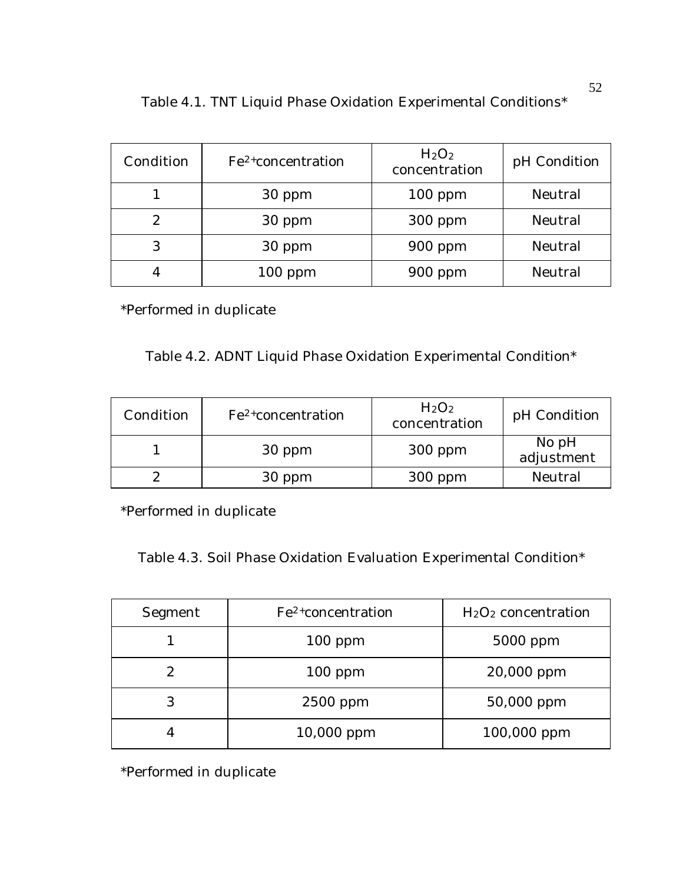| Condition | $Fe2+ concentration$ | H <sub>2</sub> O <sub>2</sub><br>concentration | pH Condition |
|-----------|----------------------|------------------------------------------------|--------------|
|           | 30 ppm               | $100$ ppm                                      | Neutral      |
| 2         | 30 ppm               | $300$ ppm                                      | Neutral      |
| 3         | 30 ppm               | $900$ ppm                                      | Neutral      |
|           | $100$ ppm            | $900$ ppm                                      | Neutral      |

Table 4.1. TNT Liquid Phase Oxidation Experimental Conditions\*

\*Performed in duplicate

Table 4.2. ADNT Liquid Phase Oxidation Experimental Condition\*

| Condition | $Fe2+ concentration$ | H <sub>2</sub> O <sub>2</sub><br>concentration | pH Condition          |
|-----------|----------------------|------------------------------------------------|-----------------------|
|           | 30 ppm               | $300$ ppm                                      | No $pH$<br>adjustment |
|           | 30 ppm               | $300$ ppm                                      | Neutral               |

\*Performed in duplicate

Table 4.3. Soil Phase Oxidation Evaluation Experimental Condition\*

| Segment | Fe <sup>2+</sup> concentration | $H2O2$ concentration |
|---------|--------------------------------|----------------------|
|         | $100$ ppm                      | 5000 ppm             |
| 2       | $100$ ppm                      | 20,000 ppm           |
| 3       | 2500 ppm                       | 50,000 ppm           |
|         | 10,000 ppm                     | 100,000 ppm          |

\*Performed in duplicate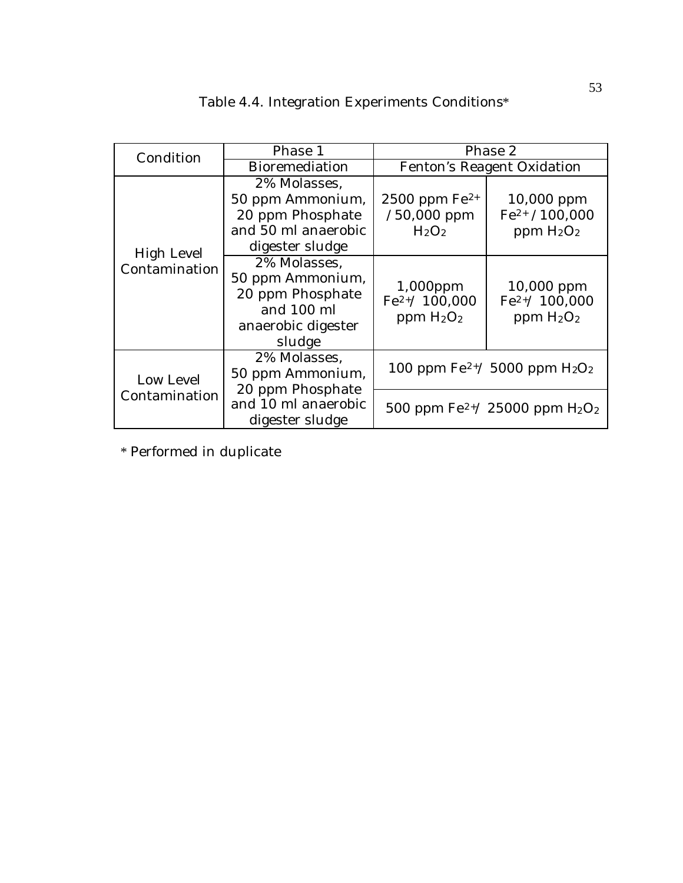|  | Table 4.4. Integration Experiments Conditions* |  |
|--|------------------------------------------------|--|
|  |                                                |  |

| Condition                   | Phase 1                                                                                            | Phase 2                                                              |                                                  |
|-----------------------------|----------------------------------------------------------------------------------------------------|----------------------------------------------------------------------|--------------------------------------------------|
|                             | <b>Bioremediation</b>                                                                              | Fenton's Reagent Oxidation                                           |                                                  |
| High Level<br>Contamination | 2% Molasses.<br>50 ppm Ammonium,<br>20 ppm Phosphate<br>and 50 ml anaerobic<br>digester sludge     | 2500 ppm $Fe^{2+}$<br>$/50,000$ ppm<br>H <sub>2</sub> O <sub>2</sub> | $10,000$ ppm<br>$Fe2+ / 100,000$<br>ppm $H_2O_2$ |
|                             | 2% Molasses.<br>50 ppm Ammonium,<br>20 ppm Phosphate<br>and 100 ml<br>anaerobic digester<br>sludge | 1,000ppm<br>$Fe2+/100,000$<br>ppm $H2O2$                             | $10,000$ ppm<br>$Fe2+/ 100,000$<br>ppm $H_2O_2$  |
| Low Level<br>Contamination  | 2% Molasses,<br>50 ppm Ammonium,                                                                   | 100 ppm $\rm Fe^{2+}$ / 5000 ppm $\rm H_2O_2$                        |                                                  |
|                             | 20 ppm Phosphate<br>and 10 ml anaerobic<br>digester sludge                                         |                                                                      | 500 ppm $\rm Fe^{2+}/ 25000$ ppm $\rm H_2O_2$    |

\* Performed in duplicate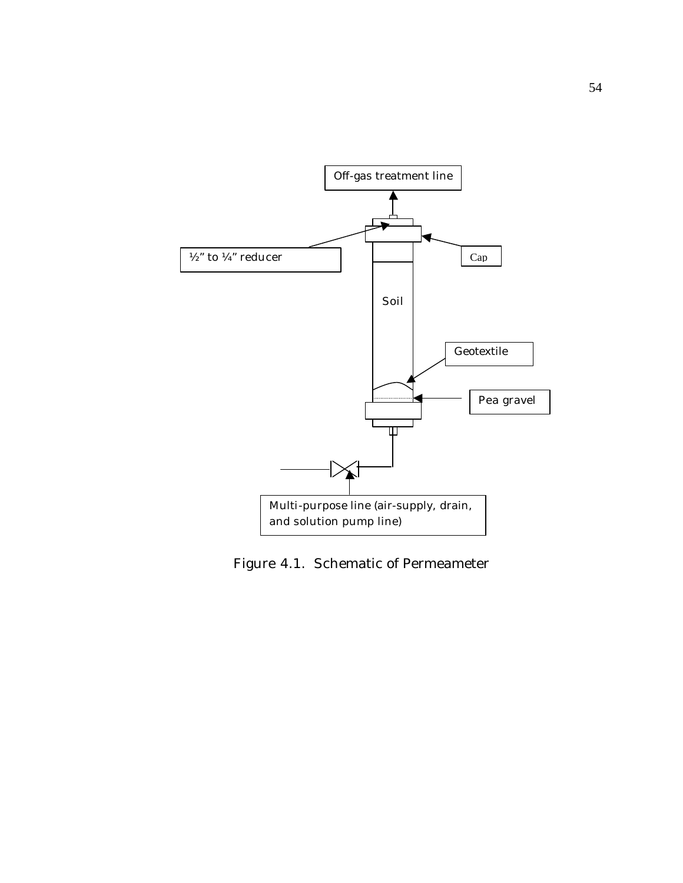

Figure 4.1. Schematic of Permeameter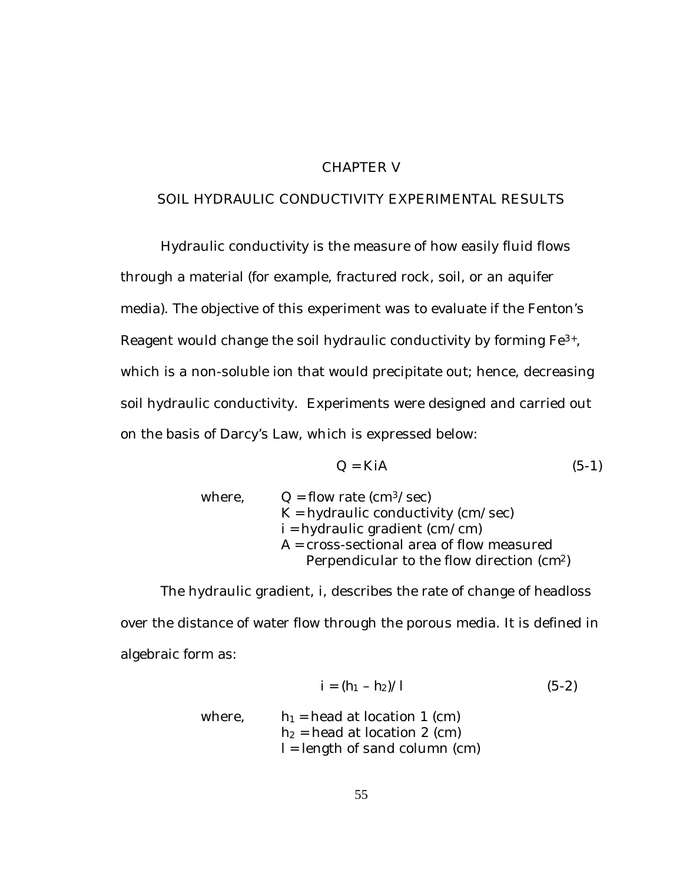# CHAPTER V

# SOIL HYDRAULIC CONDUCTIVITY EXPERIMENTAL RESULTS

Hydraulic conductivity is the measure of how easily fluid flows through a material (for example, fractured rock, soil, or an aquifer media). The objective of this experiment was to evaluate if the Fenton's Reagent would change the soil hydraulic conductivity by forming Fe3+, which is a non-soluble ion that would precipitate out; hence, decreasing soil hydraulic conductivity. Experiments were designed and carried out on the basis of Darcy's Law, which is expressed below:

$$
Q = K iA \tag{5-1}
$$

| where, | $Q =$ flow rate (cm <sup>3</sup> /sec)                 |
|--------|--------------------------------------------------------|
|        | $K =$ hydraulic conductivity (cm/sec)                  |
|        | $i =$ hydraulic gradient (cm/cm)                       |
|        | $A = cross-sectional area of flow measured$            |
|        | Perpendicular to the flow direction (cm <sup>2</sup> ) |

The hydraulic gradient, *i*, describes the rate of change of headloss over the distance of water flow through the porous media. It is defined in algebraic form as:

$$
i = (h_1 - h_2) / l \tag{5-2}
$$

where, 
$$
h_l
$$
 = head at location 1 (cm)  
\n $h_2$  = head at location 2 (cm)  
\n $l$  = length of sand column (cm)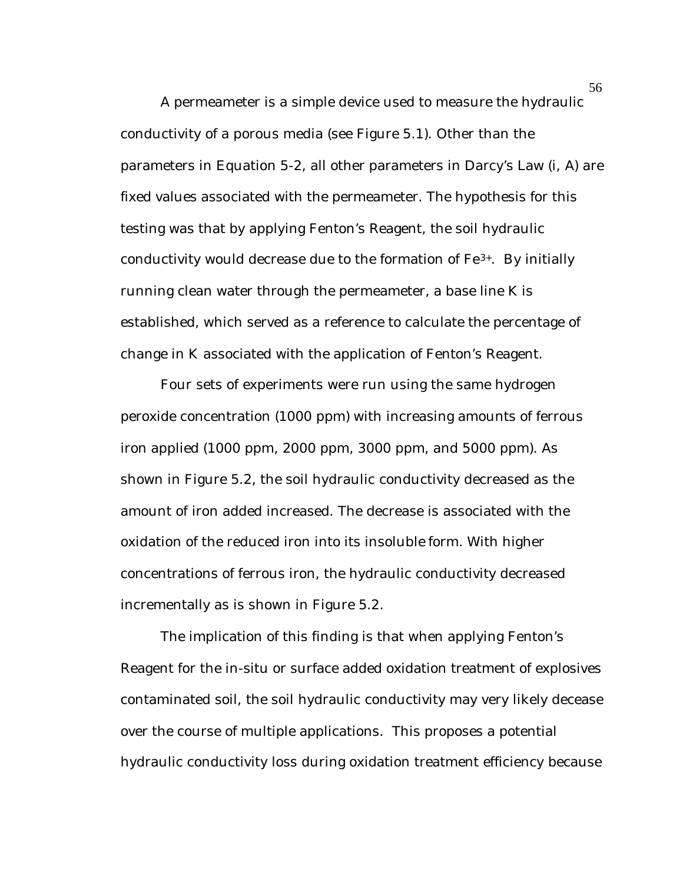A permeameter is a simple device used to measure the hydraulic conductivity of a porous media (see Figure 5.1). Other than the parameters in Equation 5-2, all other parameters in Darcy's Law (*i*, A) are fixed values associated with the permeameter. The hypothesis for this testing was that by applying Fenton's Reagent, the soil hydraulic conductivity would decrease due to the formation of  $Fe<sup>3+</sup>$ . By initially running clean water through the permeameter, a base line K is established, which served as a reference to calculate the percentage of change in K associated with the application of Fenton's Reagent.

Four sets of experiments were run using the same hydrogen peroxide concentration (1000 ppm) with increasing amounts of ferrous iron applied (1000 ppm, 2000 ppm, 3000 ppm, and 5000 ppm). As shown in Figure 5.2, the soil hydraulic conductivity decreased as the amount of iron added increased. The decrease is associated with the oxidation of the reduced iron into its insoluble form. With higher concentrations of ferrous iron, the hydraulic conductivity decreased incrementally as is shown in Figure 5.2.

The implication of this finding is that when applying Fenton's Reagent for the in-situ or surface added oxidation treatment of explosives contaminated soil, the soil hydraulic conductivity may very likely decease over the course of multiple applications. This proposes a potential hydraulic conductivity loss during oxidation treatment efficiency because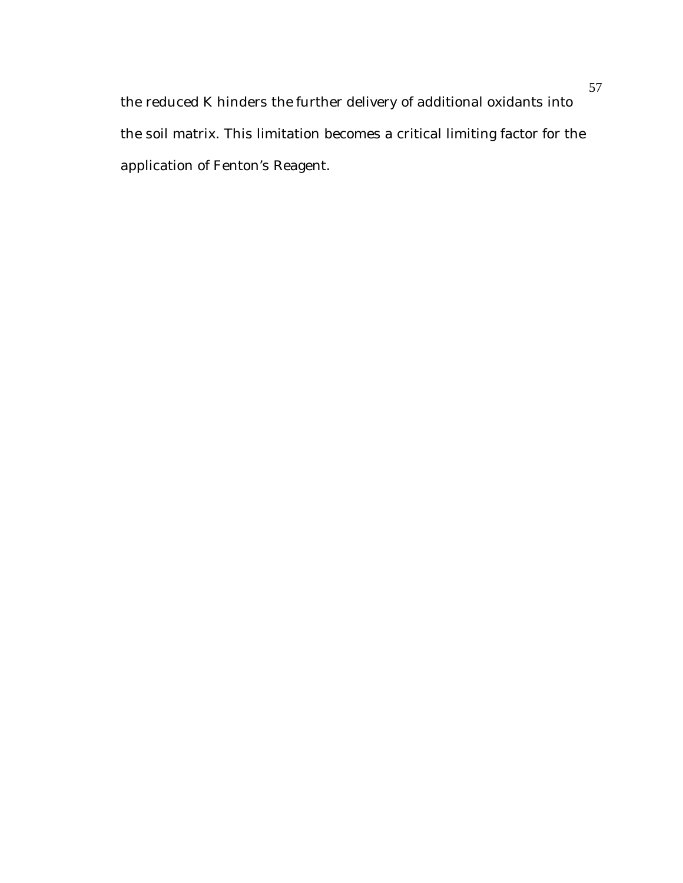the reduced K hinders the further delivery of additional oxidants into the soil matrix. This limitation becomes a critical limiting factor for the application of Fenton's Reagent.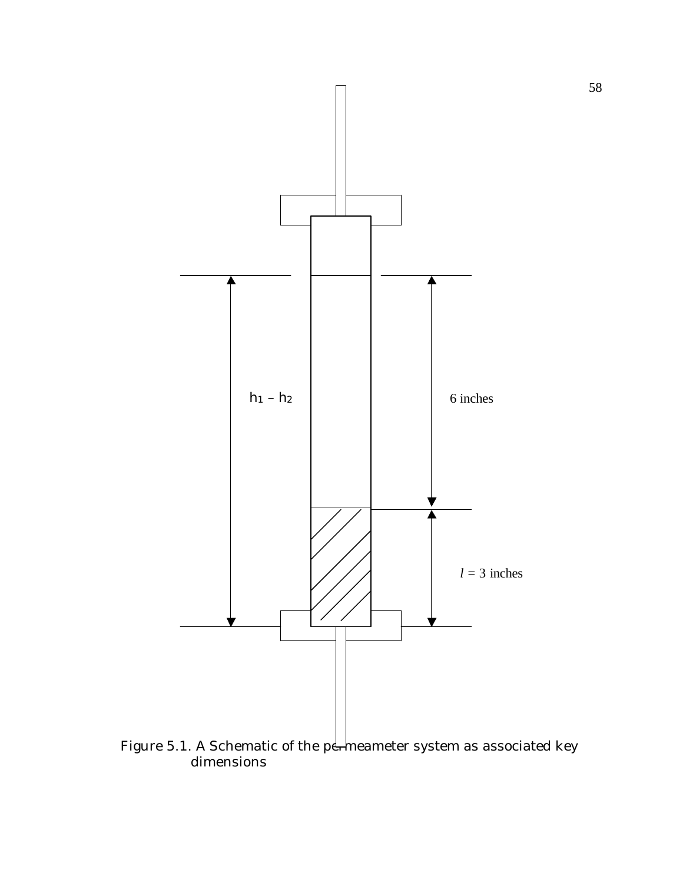

Figure 5.1. A Schematic of the p $\epsilon$  meameter system as associated key dimensions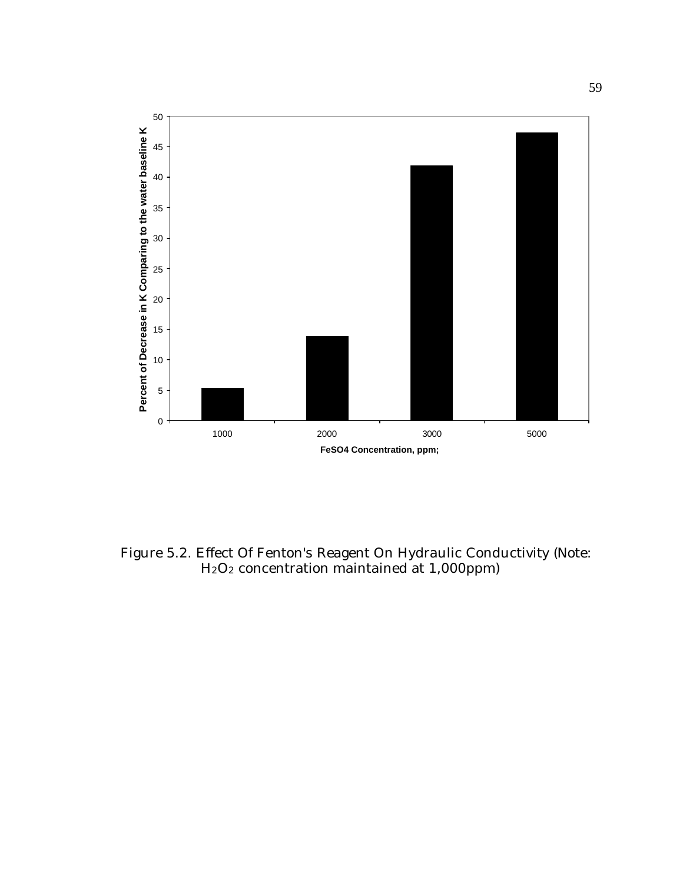

Figure 5.2. Effect Of Fenton's Reagent On Hydraulic Conductivity (Note: H2O2 concentration maintained at 1,000ppm)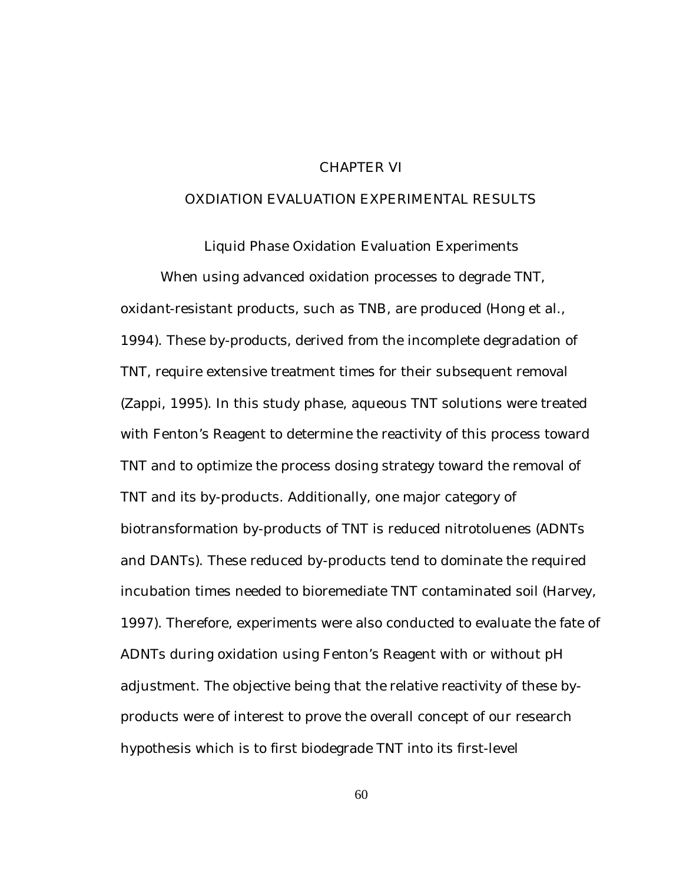### CHAPTER VI

### OXDIATION EVALUATION EXPERIMENTAL RESULTS

Liquid Phase Oxidation Evaluation Experiments When using advanced oxidation processes to degrade TNT, oxidant-resistant products, such as TNB, are produced (Hong et al., 1994). These by-products, derived from the incomplete degradation of TNT, require extensive treatment times for their subsequent removal (Zappi, 1995). In this study phase, aqueous TNT solutions were treated with Fenton's Reagent to determine the reactivity of this process toward TNT and to optimize the process dosing strategy toward the removal of TNT and its by-products. Additionally, one major category of biotransformation by-products of TNT is reduced nitrotoluenes (ADNTs and DANTs). These reduced by-products tend to dominate the required incubation times needed to bioremediate TNT contaminated soil (Harvey, 1997). Therefore, experiments were also conducted to evaluate the fate of ADNTs during oxidation using Fenton's Reagent with or without pH adjustment. The objective being that the relative reactivity of these byproducts were of interest to prove the overall concept of our research hypothesis which is to first biodegrade TNT into its first-level

60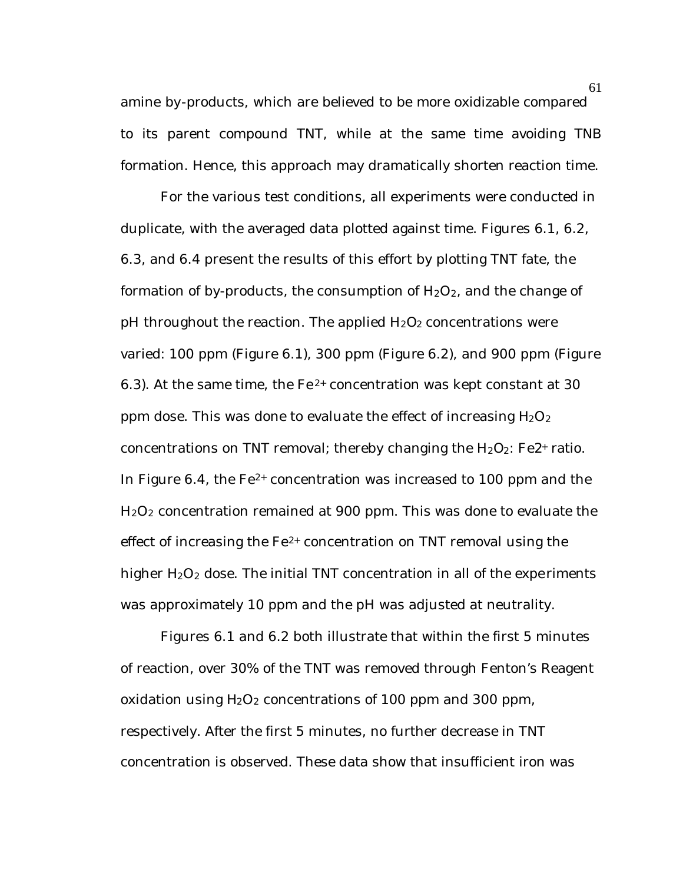amine by-products, which are believed to be more oxidizable compared to its parent compound TNT, while at the same time avoiding TNB formation. Hence, this approach may dramatically shorten reaction time.

For the various test conditions, all experiments were conducted in duplicate, with the averaged data plotted against time. Figures 6.1, 6.2, 6.3, and 6.4 present the results of this effort by plotting TNT fate, the formation of by-products, the consumption of  $H_2O_2$ , and the change of pH throughout the reaction. The applied  $H_2O_2$  concentrations were varied: 100 ppm (Figure 6.1), 300 ppm (Figure 6.2), and 900 ppm (Figure 6.3). At the same time, the  $Fe^{2+}$  concentration was kept constant at 30 ppm dose. This was done to evaluate the effect of increasing  $H_2O_2$ concentrations on TNT removal; thereby changing the  $H_2O_2$ : Fe $2$ + ratio. In Figure 6.4, the  $Fe^{2+}$  concentration was increased to 100 ppm and the H2O2 concentration remained at 900 ppm. This was done to evaluate the effect of increasing the  $Fe<sup>2+</sup>$  concentration on TNT removal using the higher  $H_2O_2$  dose. The initial TNT concentration in all of the experiments was approximately 10 ppm and the pH was adjusted at neutrality.

Figures 6.1 and 6.2 both illustrate that within the first 5 minutes of reaction, over 30% of the TNT was removed through Fenton's Reagent oxidation using  $H_2O_2$  concentrations of 100 ppm and 300 ppm, respectively. After the first 5 minutes, no further decrease in TNT concentration is observed. These data show that insufficient iron was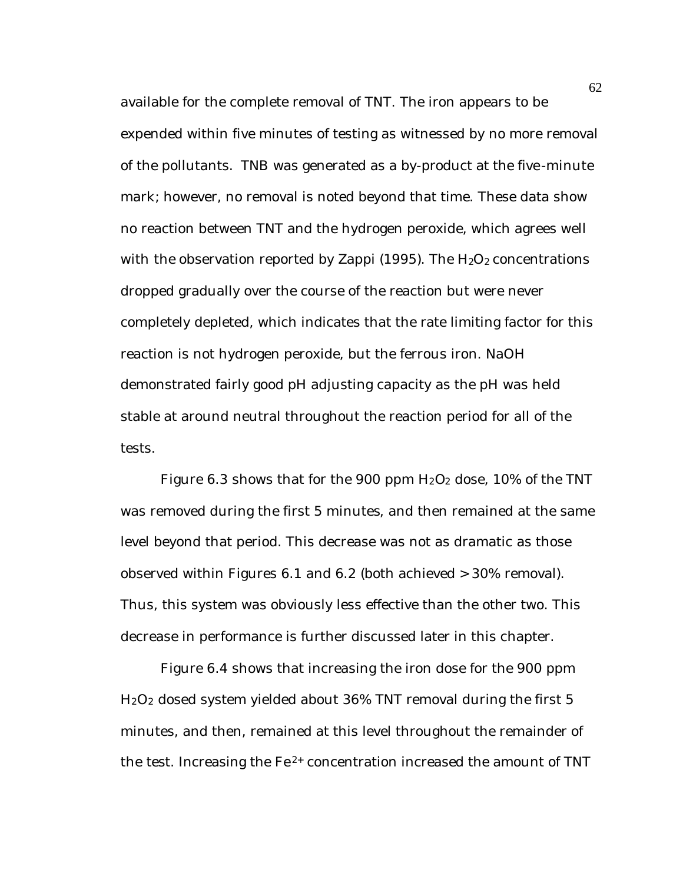available for the complete removal of TNT. The iron appears to be expended within five minutes of testing as witnessed by no more removal of the pollutants. TNB was generated as a by-product at the five-minute mark; however, no removal is noted beyond that time. These data show no reaction between TNT and the hydrogen peroxide, which agrees well with the observation reported by Zappi (1995). The  $H_2O_2$  concentrations dropped gradually over the course of the reaction but were never completely depleted, which indicates that the rate limiting factor for this reaction is not hydrogen peroxide, but the ferrous iron. NaOH demonstrated fairly good pH adjusting capacity as the pH was held stable at around neutral throughout the reaction period for all of the tests.

Figure 6.3 shows that for the 900 ppm  $H_2O_2$  dose, 10% of the TNT was removed during the first 5 minutes, and then remained at the same level beyond that period. This decrease was not as dramatic as those observed within Figures 6.1 and 6.2 (both achieved > 30% removal). Thus, this system was obviously less effective than the other two. This decrease in performance is further discussed later in this chapter.

Figure 6.4 shows that increasing the iron dose for the 900 ppm H2O2 dosed system yielded about 36% TNT removal during the first 5 minutes, and then, remained at this level throughout the remainder of the test. Increasing the  $Fe<sup>2+</sup>$  concentration increased the amount of TNT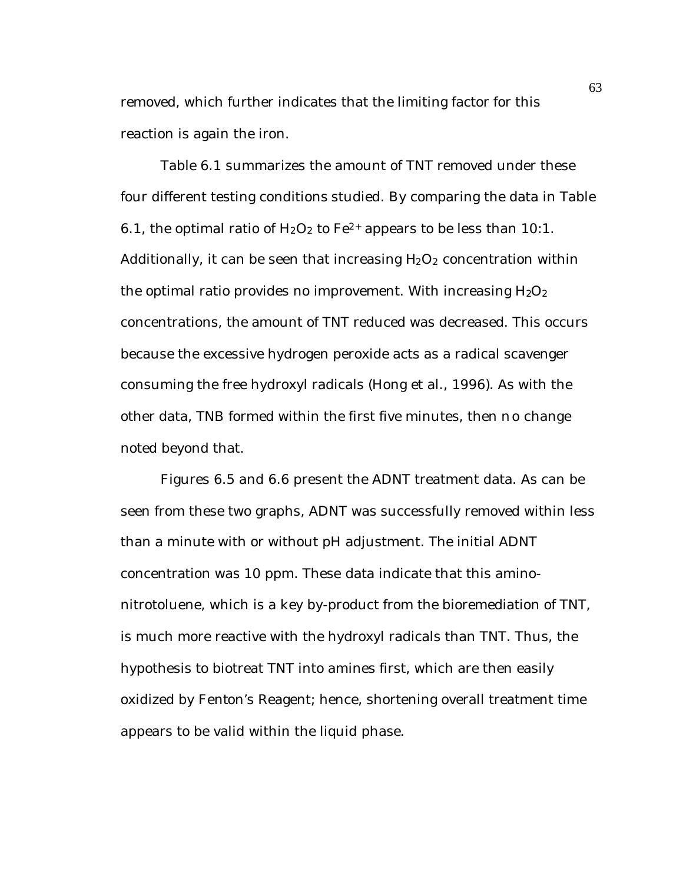removed, which further indicates that the limiting factor for this reaction is again the iron.

Table 6.1 summarizes the amount of TNT removed under these four different testing conditions studied. By comparing the data in Table 6.1, the optimal ratio of  $H_2O_2$  to  $Fe^{2+}$  appears to be less than 10:1. Additionally, it can be seen that increasing  $H_2O_2$  concentration within the optimal ratio provides no improvement. With increasing  $H_2O_2$ concentrations, the amount of TNT reduced was decreased. This occurs because the excessive hydrogen peroxide acts as a radical scavenger consuming the free hydroxyl radicals (Hong et al., 1996). As with the other data, TNB formed within the first five minutes, then no change noted beyond that.

Figures 6.5 and 6.6 present the ADNT treatment data. As can be seen from these two graphs, ADNT was successfully removed within less than a minute with or without pH adjustment. The initial ADNT concentration was 10 ppm. These data indicate that this aminonitrotoluene, which is a key by-product from the bioremediation of TNT, is much more reactive with the hydroxyl radicals than TNT. Thus, the hypothesis to biotreat TNT into amines first, which are then easily oxidized by Fenton's Reagent; hence, shortening overall treatment time appears to be valid within the liquid phase.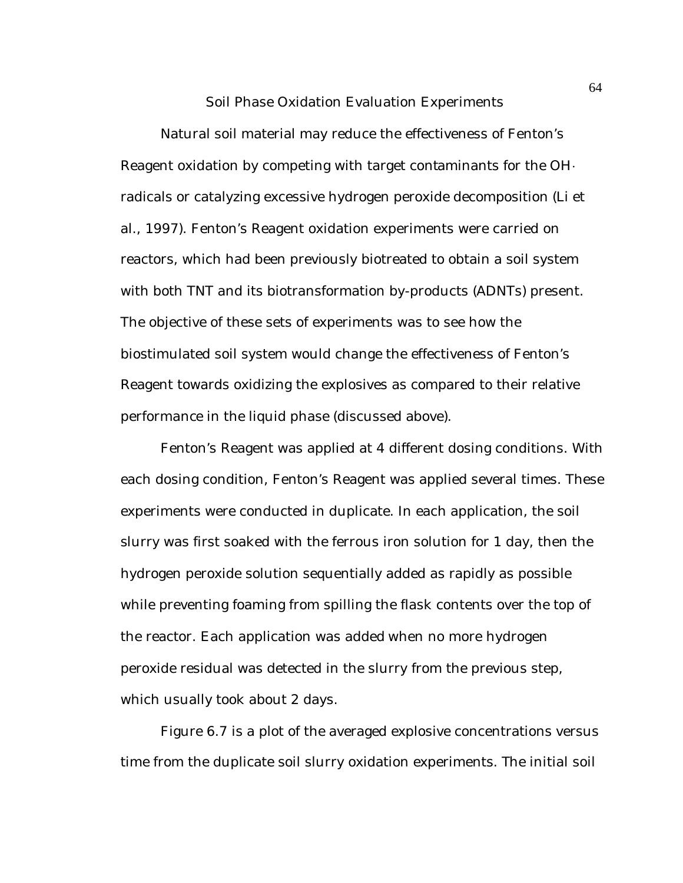#### Soil Phase Oxidation Evaluation Experiments

Natural soil material may reduce the effectiveness of Fenton's Reagent oxidation by competing with target contaminants for the  $OH<sup>+</sup>$ radicals or catalyzing excessive hydrogen peroxide decomposition (Li et al., 1997). Fenton's Reagent oxidation experiments were carried on reactors, which had been previously biotreated to obtain a soil system with both TNT and its biotransformation by-products (ADNTs) present. The objective of these sets of experiments was to see how the biostimulated soil system would change the effectiveness of Fenton's Reagent towards oxidizing the explosives as compared to their relative performance in the liquid phase (discussed above).

Fenton's Reagent was applied at 4 different dosing conditions. With each dosing condition, Fenton's Reagent was applied several times. These experiments were conducted in duplicate. In each application, the soil slurry was first soaked with the ferrous iron solution for 1 day, then the hydrogen peroxide solution sequentially added as rapidly as possible while preventing foaming from spilling the flask contents over the top of the reactor. Each application was added when no more hydrogen peroxide residual was detected in the slurry from the previous step, which usually took about 2 days.

Figure 6.7 is a plot of the averaged explosive concentrations versus time from the duplicate soil slurry oxidation experiments. The initial soil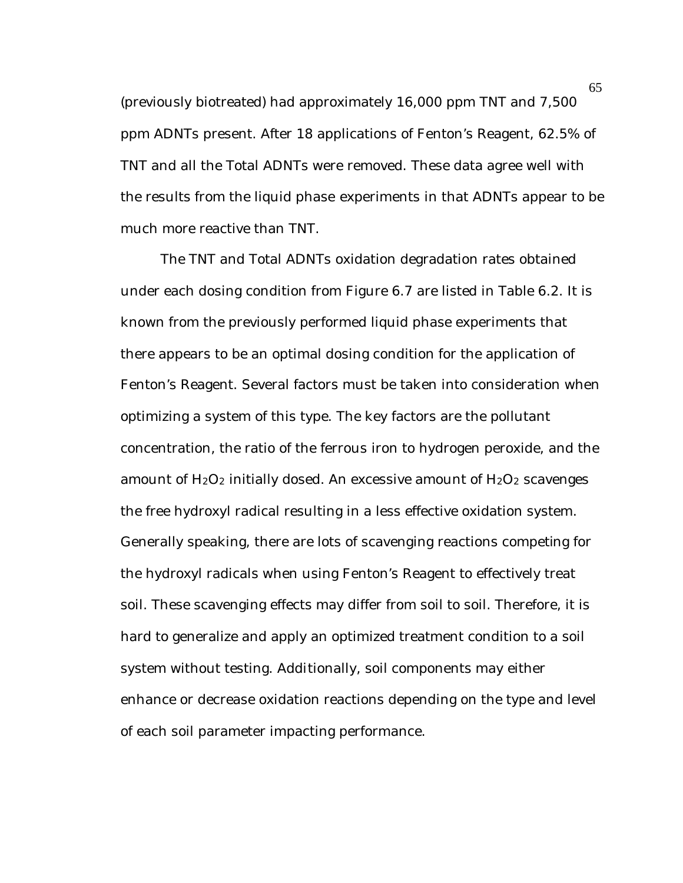(previously biotreated) had approximately 16,000 ppm TNT and 7,500 ppm ADNTs present. After 18 applications of Fenton's Reagent, 62.5% of TNT and all the Total ADNTs were removed. These data agree well with the results from the liquid phase experiments in that ADNTs appear to be much more reactive than TNT.

The TNT and Total ADNTs oxidation degradation rates obtained under each dosing condition from Figure 6.7 are listed in Table 6.2. It is known from the previously performed liquid phase experiments that there appears to be an optimal dosing condition for the application of Fenton's Reagent. Several factors must be taken into consideration when optimizing a system of this type. The key factors are the pollutant concentration, the ratio of the ferrous iron to hydrogen peroxide, and the amount of  $H_2O_2$  initially dosed. An excessive amount of  $H_2O_2$  scavenges the free hydroxyl radical resulting in a less effective oxidation system. Generally speaking, there are lots of scavenging reactions competing for the hydroxyl radicals when using Fenton's Reagent to effectively treat soil. These scavenging effects may differ from soil to soil. Therefore, it is hard to generalize and apply an optimized treatment condition to a soil system without testing. Additionally, soil components may either enhance or decrease oxidation reactions depending on the type and level of each soil parameter impacting performance.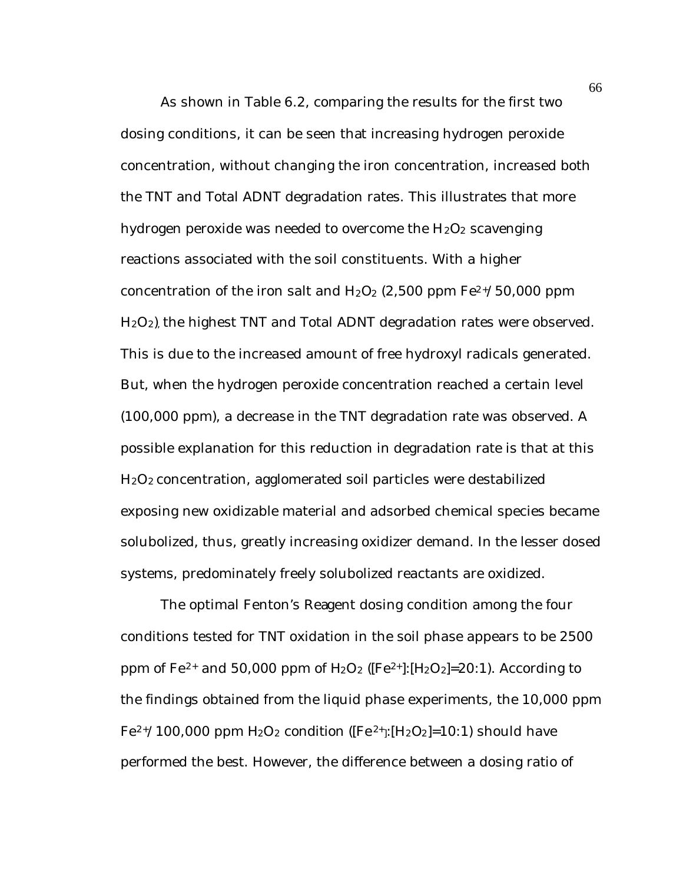As shown in Table 6.2, comparing the results for the first two dosing conditions, it can be seen that increasing hydrogen peroxide concentration, without changing the iron concentration, increased both the TNT and Total ADNT degradation rates. This illustrates that more hydrogen peroxide was needed to overcome the  $H_2O_2$  scavenging reactions associated with the soil constituents. With a higher concentration of the iron salt and  $H_2O_2$  (2,500 ppm  $Fe^{2+}/50,000$  ppm H2O2), the highest TNT and Total ADNT degradation rates were observed. This is due to the increased amount of free hydroxyl radicals generated. But, when the hydrogen peroxide concentration reached a certain level (100,000 ppm), a decrease in the TNT degradation rate was observed. A possible explanation for this reduction in degradation rate is that at this H2O2 concentration, agglomerated soil particles were destabilized exposing new oxidizable material and adsorbed chemical species became solubolized, thus, greatly increasing oxidizer demand. In the lesser dosed systems, predominately freely solubolized reactants are oxidized.

The optimal Fenton's Reagent dosing condition among the four conditions tested for TNT oxidation in the soil phase appears to be 2500 ppm of Fe<sup>2+</sup> and 50,000 ppm of  $H_2O_2$  ([Fe<sup>2+</sup>]:[H<sub>2</sub>O<sub>2</sub>]=20:1). According to the findings obtained from the liquid phase experiments, the 10,000 ppm  $Fe^{2+}/100,000$  ppm  $H_2O_2$  condition ( $[Fe^{2+}][H_2O_2]=10:1$ ) should have performed the best. However, the difference between a dosing ratio of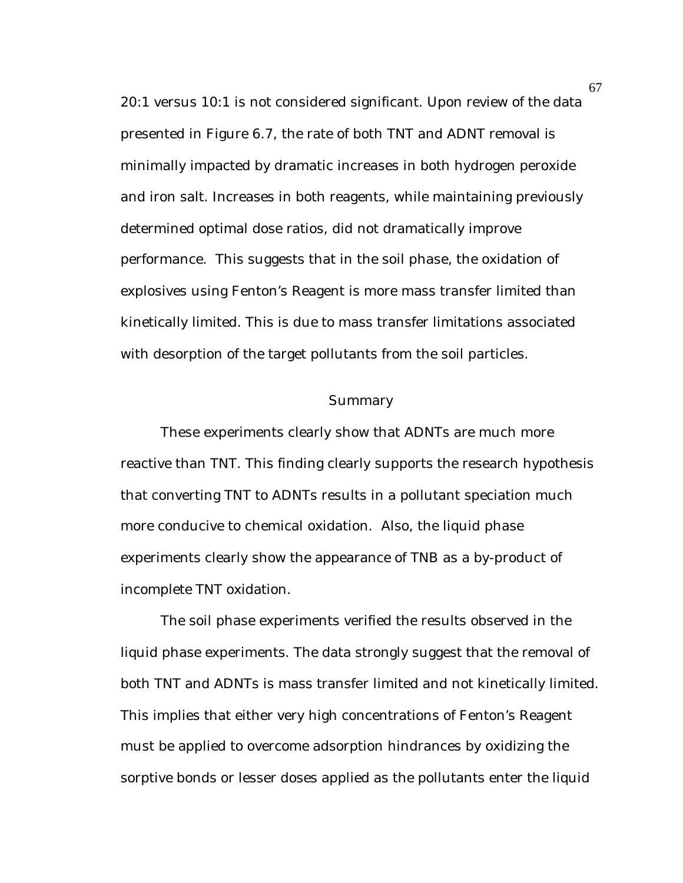20:1 versus 10:1 is not considered significant. Upon review of the data presented in Figure 6.7, the rate of both TNT and ADNT removal is minimally impacted by dramatic increases in both hydrogen peroxide and iron salt. Increases in both reagents, while maintaining previously determined optimal dose ratios, did not dramatically improve performance. This suggests that in the soil phase, the oxidation of explosives using Fenton's Reagent is more mass transfer limited than kinetically limited. This is due to mass transfer limitations associated with desorption of the target pollutants from the soil particles.

#### Summary

These experiments clearly show that ADNTs are much more reactive than TNT. This finding clearly supports the research hypothesis that converting TNT to ADNTs results in a pollutant speciation much more conducive to chemical oxidation. Also, the liquid phase experiments clearly show the appearance of TNB as a by-product of incomplete TNT oxidation.

The soil phase experiments verified the results observed in the liquid phase experiments. The data strongly suggest that the removal of both TNT and ADNTs is mass transfer limited and not kinetically limited. This implies that either very high concentrations of Fenton's Reagent must be applied to overcome adsorption hindrances by oxidizing the sorptive bonds or lesser doses applied as the pollutants enter the liquid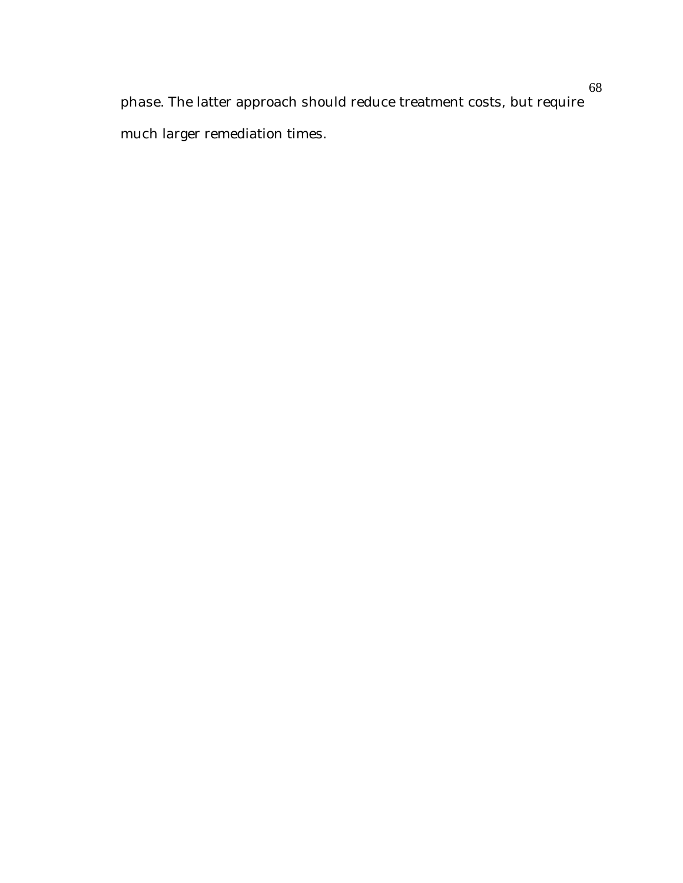phase. The latter approach should reduce treatment costs, but require much larger remediation times.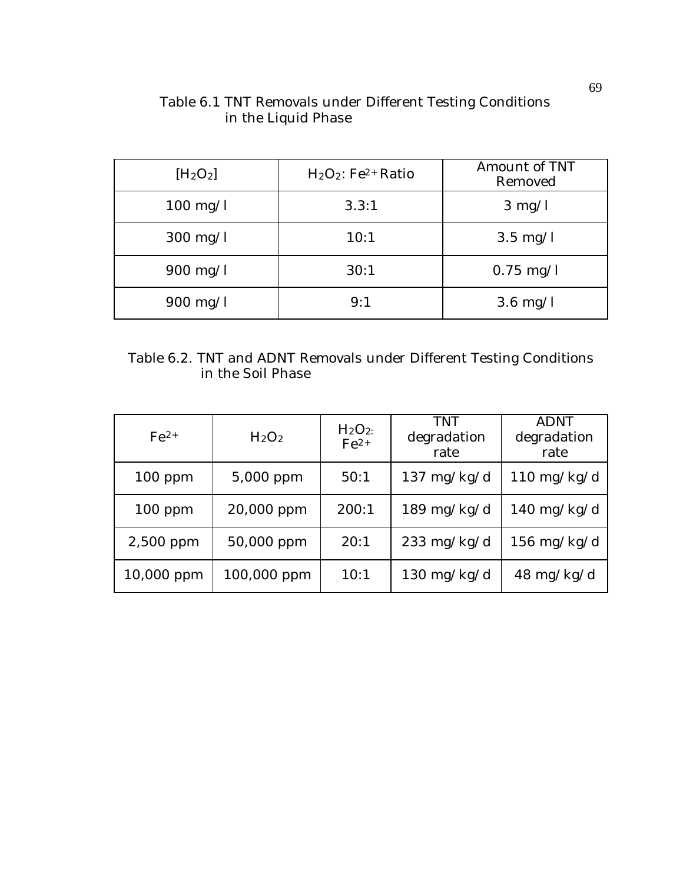| $[H_2O_2]$         | $H_2O_2$ : Fe <sup>2+</sup> Ratio | Amount of TNT<br>Removed |
|--------------------|-----------------------------------|--------------------------|
| $100 \text{ mg/l}$ | 3.3:1                             | $3 \text{ mg/l}$         |
| $300 \text{ mg/l}$ | 10:1                              | $3.5 \text{ mg/l}$       |
| $900 \text{ mg/l}$ | 30:1                              | $0.75 \text{ mg/l}$      |
| $900 \text{ mg/l}$ | 9:1                               | $3.6 \text{ mg/l}$       |

# Table 6.1 TNT Removals under Different Testing Conditions in the Liquid Phase

|                   | Table 6.2. TNT and ADNT Removals under Different Testing Conditions |  |  |
|-------------------|---------------------------------------------------------------------|--|--|
| in the Soil Phase |                                                                     |  |  |

| $Fe^{2+}$  | H <sub>2</sub> O <sub>2</sub> | H <sub>2</sub> O <sub>2</sub><br>$Fe2+$ | TNT<br>degradation<br>rate | <b>ADNT</b><br>degradation<br>rate |
|------------|-------------------------------|-----------------------------------------|----------------------------|------------------------------------|
| $100$ ppm  | 5,000 ppm                     | 50:1                                    | $137 \text{ mg/kg/d}$      | $110 \text{ mg/kg/d}$              |
| $100$ ppm  | 20,000 ppm                    | 200:1                                   | $189 \text{ mg/kg/d}$      | $140 \text{ mg/kg/d}$              |
| 2,500 ppm  | 50,000 ppm                    | 20:1                                    | $233 \text{ mg/kg/d}$      | $156 \text{ mg/kg/d}$              |
| 10,000 ppm | 100,000 ppm                   | 10:1                                    | $130 \text{ mg/kg/d}$      | $48 \text{ mg/kg/d}$               |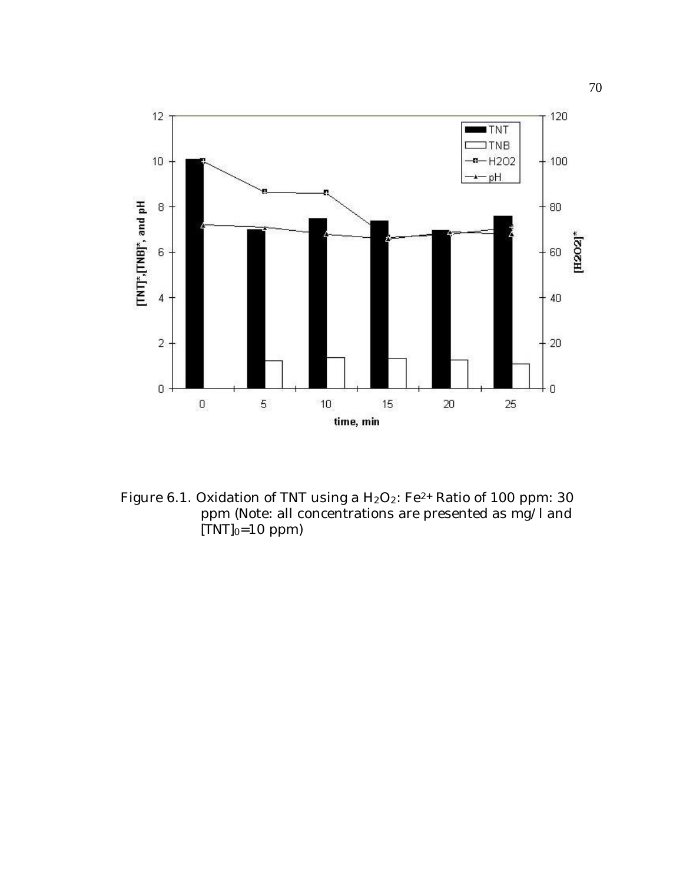

Figure 6.1. Oxidation of TNT using a  $H_2O_2$ : Fe<sup>2+</sup> Ratio of 100 ppm: 30 ppm (Note: all concentrations are presented as mg/l and  $[TNT]_0=10$  ppm)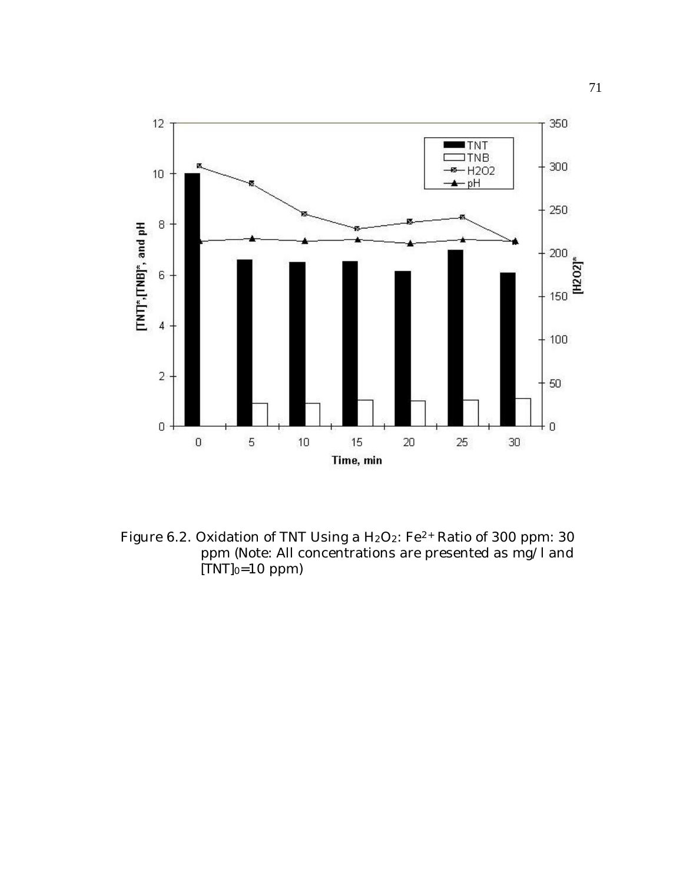

Figure 6.2. Oxidation of TNT Using a H<sub>2</sub>O<sub>2</sub>: Fe<sup>2+</sup> Ratio of 300 ppm: 30 ppm (Note: All concentrations are presented as mg/l and  $[TNT]_0=10$  ppm)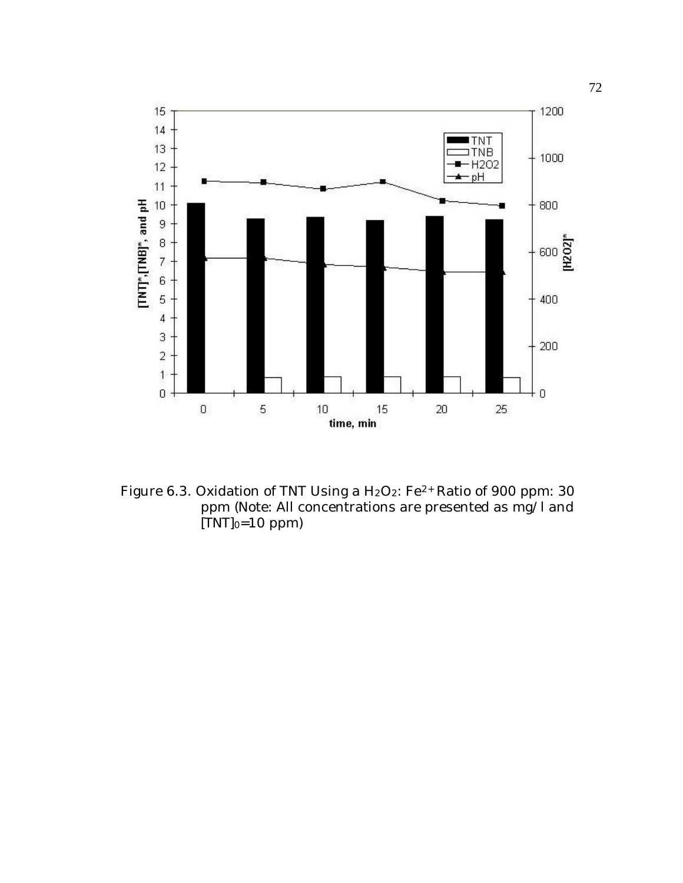

Figure 6.3. Oxidation of TNT Using a H<sub>2</sub>O<sub>2</sub>: Fe<sup>2+</sup> Ratio of 900 ppm: 30 ppm (Note: All concentrations are presented as mg/l and  $[TNT]_0=10$  ppm)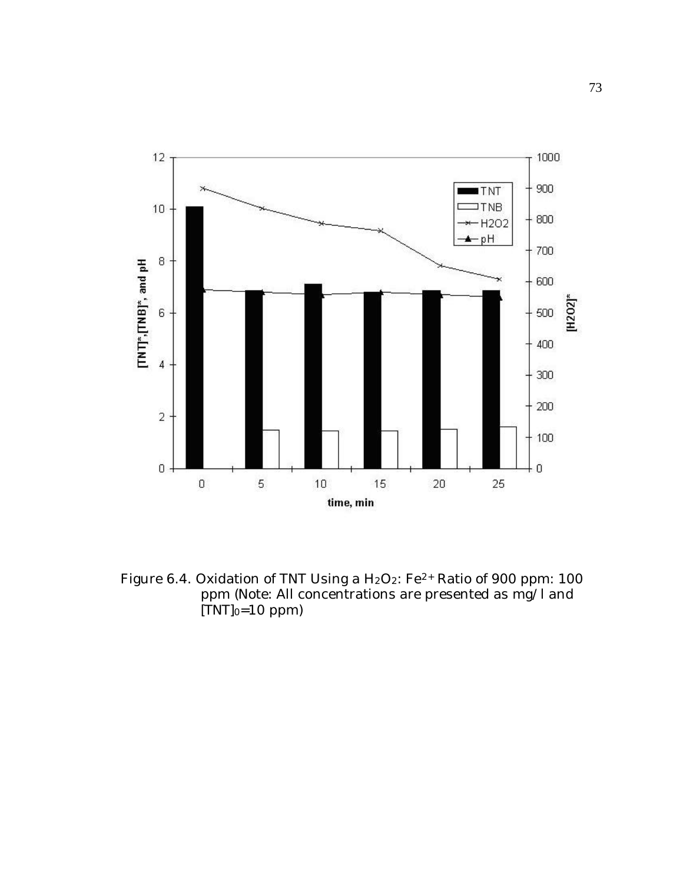

Figure 6.4. Oxidation of TNT Using a  $H_2O_2$ : Fe<sup>2+</sup> Ratio of 900 ppm: 100 ppm (Note: All concentrations are presented as mg/l and  $[TNT]_0=10$  ppm)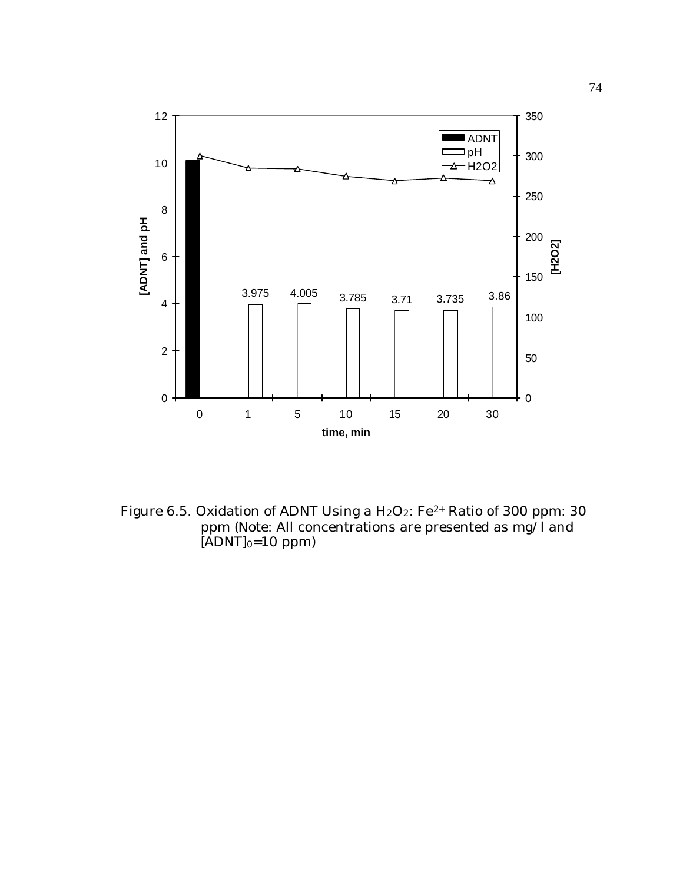

Figure 6.5. Oxidation of ADNT Using a H<sub>2</sub>O<sub>2</sub>: Fe<sup>2+</sup> Ratio of 300 ppm: 30 ppm (Note: All concentrations are presented as mg/l and  $[ADNT]_0=10$  ppm)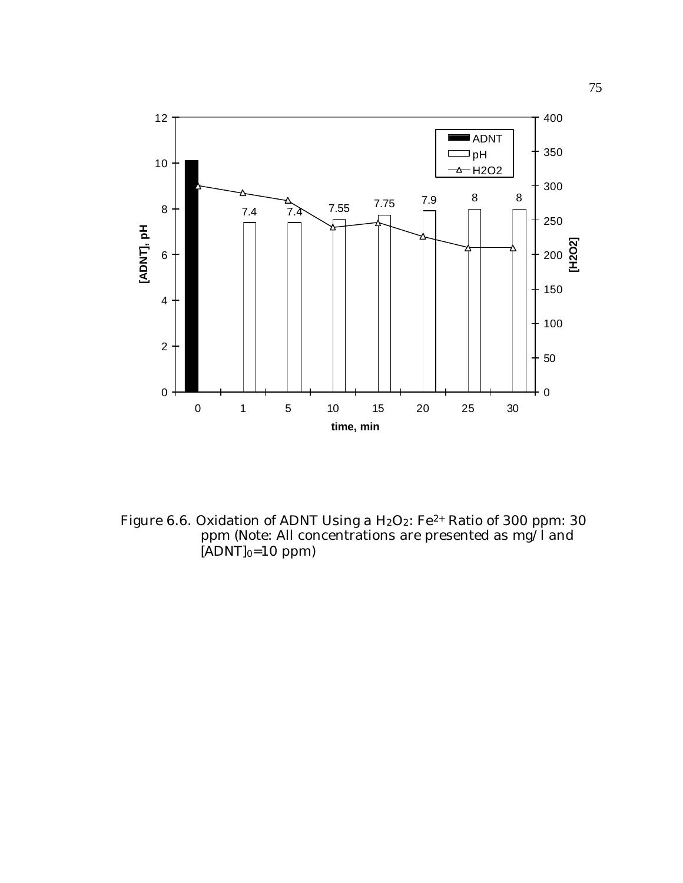

Figure 6.6. Oxidation of ADNT Using a  $H_2O_2$ : Fe<sup>2+</sup> Ratio of 300 ppm: 30 ppm (Note: All concentrations are presented as mg/l and  $[ADNT]_0=10$  ppm)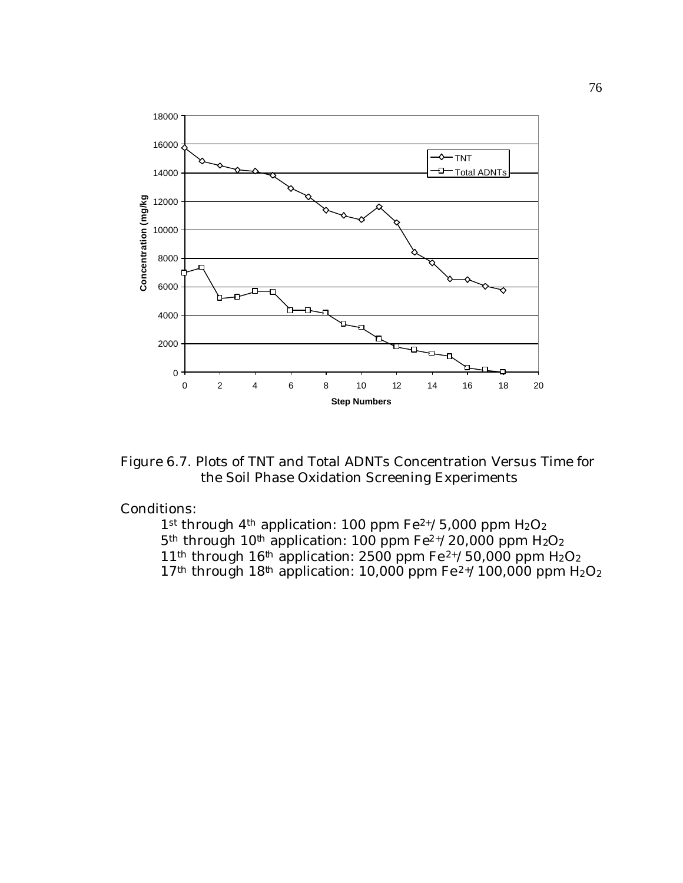

Figure 6.7. Plots of TNT and Total ADNTs Concentration Versus Time for the Soil Phase Oxidation Screening Experiments

#### Conditions:

1st through 4<sup>th</sup> application: 100 ppm  $Fe^{2+/5}$ ,000 ppm  $H_2O_2$  $5<sup>th</sup>$  through 10<sup>th</sup> application: 100 ppm Fe<sup>2+</sup>/20,000 ppm H<sub>2</sub>O<sub>2</sub> 11<sup>th</sup> through 16<sup>th</sup> application: 2500 ppm Fe<sup>2+</sup>/50,000 ppm H<sub>2</sub>O<sub>2</sub> 17<sup>th</sup> through 18<sup>th</sup> application: 10,000 ppm Fe<sup>2+</sup>/100,000 ppm H<sub>2</sub>O<sub>2</sub>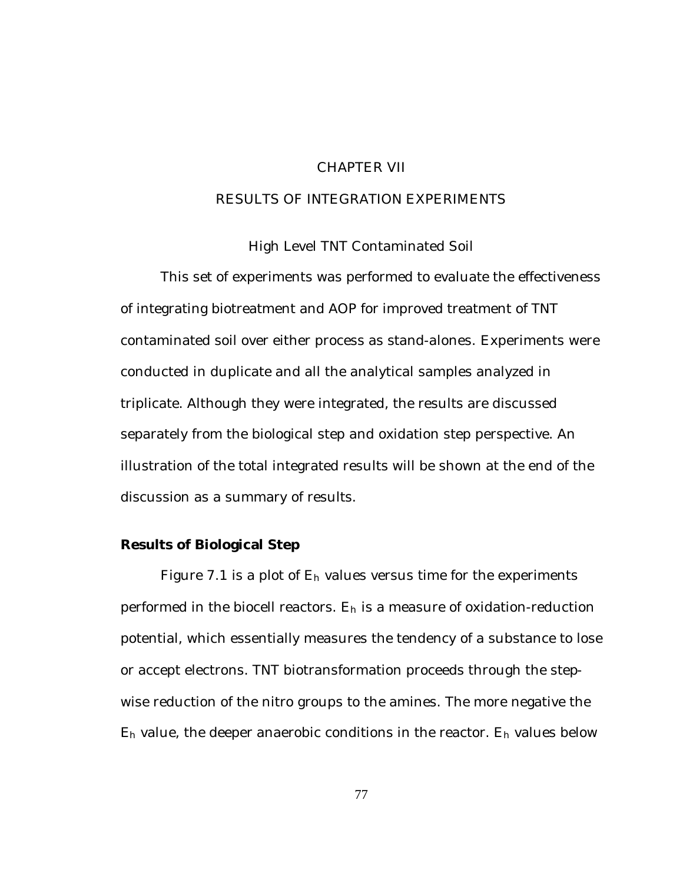### CHAPTER VII

### RESULTS OF INTEGRATION EXPERIMENTS

High Level TNT Contaminated Soil

This set of experiments was performed to evaluate the effectiveness of integrating biotreatment and AOP for improved treatment of TNT contaminated soil over either process as stand-alones. Experiments were conducted in duplicate and all the analytical samples analyzed in triplicate. Although they were integrated, the results are discussed separately from the biological step and oxidation step perspective. An illustration of the total integrated results will be shown at the end of the discussion as a summary of results.

#### **Results of Biological Step**

Figure 7.1 is a plot of  $E_h$  values versus time for the experiments performed in the biocell reactors.  $E_h$  is a measure of oxidation-reduction potential, which essentially measures the tendency of a substance to lose or accept electrons. TNT biotransformation proceeds through the stepwise reduction of the nitro groups to the amines. The more negative the Eh value, the deeper anaerobic conditions in the reactor. Eh values below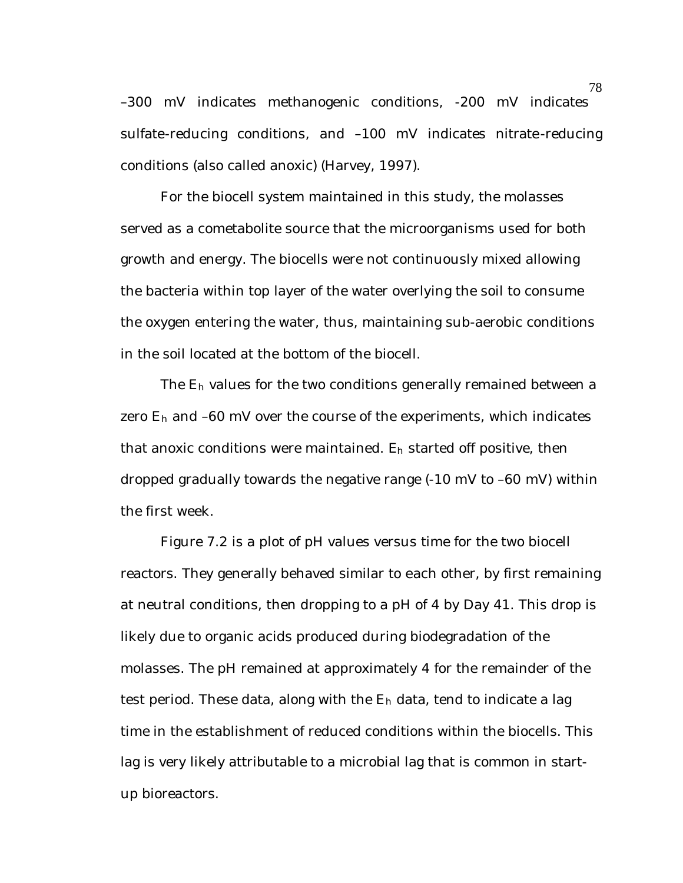–300 mV indicates methanogenic conditions, -200 mV indicates sulfate-reducing conditions, and –100 mV indicates nitrate-reducing conditions (also called anoxic) (Harvey, 1997).

For the biocell system maintained in this study, the molasses served as a cometabolite source that the microorganisms used for both growth and energy. The biocells were not continuously mixed allowing the bacteria within top layer of the water overlying the soil to consume the oxygen entering the water, thus, maintaining sub-aerobic conditions in the soil located at the bottom of the biocell.

The Eh values for the two conditions generally remained between a zero  $E_h$  and  $-60$  mV over the course of the experiments, which indicates that anoxic conditions were maintained. Eh started off positive, then dropped gradually towards the negative range (-10 mV to –60 mV) within the first week.

Figure 7.2 is a plot of pH values versus time for the two biocell reactors. They generally behaved similar to each other, by first remaining at neutral conditions, then dropping to a pH of 4 by Day 41. This drop is likely due to organic acids produced during biodegradation of the molasses. The pH remained at approximately 4 for the remainder of the test period. These data, along with the  $E_h$  data, tend to indicate a lag time in the establishment of reduced conditions within the biocells. This lag is very likely attributable to a microbial lag that is common in startup bioreactors.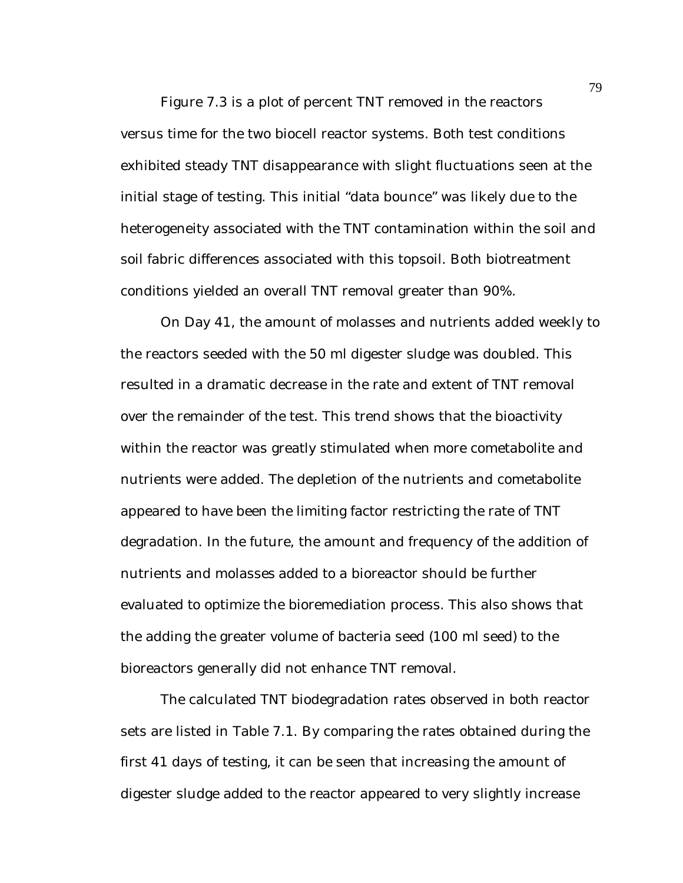Figure 7.3 is a plot of percent TNT removed in the reactors versus time for the two biocell reactor systems. Both test conditions exhibited steady TNT disappearance with slight fluctuations seen at the initial stage of testing. This initial "data bounce" was likely due to the heterogeneity associated with the TNT contamination within the soil and soil fabric differences associated with this topsoil. Both biotreatment conditions yielded an overall TNT removal greater than 90%.

On Day 41, the amount of molasses and nutrients added weekly to the reactors seeded with the 50 ml digester sludge was doubled. This resulted in a dramatic decrease in the rate and extent of TNT removal over the remainder of the test. This trend shows that the bioactivity within the reactor was greatly stimulated when more cometabolite and nutrients were added. The depletion of the nutrients and cometabolite appeared to have been the limiting factor restricting the rate of TNT degradation. In the future, the amount and frequency of the addition of nutrients and molasses added to a bioreactor should be further evaluated to optimize the bioremediation process. This also shows that the adding the greater volume of bacteria seed (100 ml seed) to the bioreactors generally did not enhance TNT removal.

The calculated TNT biodegradation rates observed in both reactor sets are listed in Table 7.1. By comparing the rates obtained during the first 41 days of testing, it can be seen that increasing the amount of digester sludge added to the reactor appeared to very slightly increase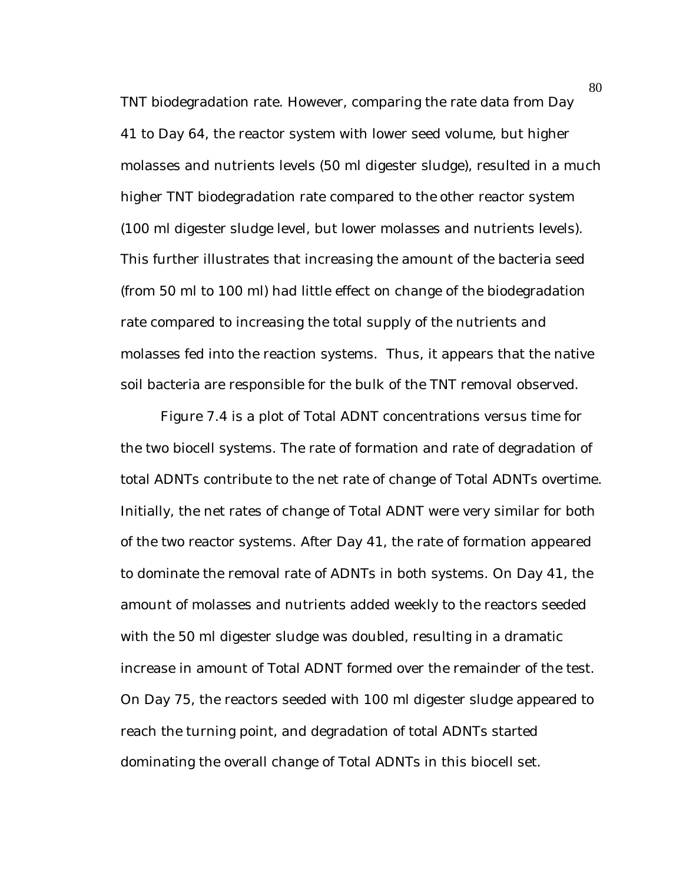TNT biodegradation rate. However, comparing the rate data from Day 41 to Day 64, the reactor system with lower seed volume, but higher molasses and nutrients levels (50 ml digester sludge), resulted in a much higher TNT biodegradation rate compared to the other reactor system (100 ml digester sludge level, but lower molasses and nutrients levels). This further illustrates that increasing the amount of the bacteria seed (from 50 ml to 100 ml) had little effect on change of the biodegradation rate compared to increasing the total supply of the nutrients and molasses fed into the reaction systems. Thus, it appears that the native soil bacteria are responsible for the bulk of the TNT removal observed.

Figure 7.4 is a plot of Total ADNT concentrations versus time for the two biocell systems. The rate of formation and rate of degradation of total ADNTs contribute to the net rate of change of Total ADNTs overtime. Initially, the net rates of change of Total ADNT were very similar for both of the two reactor systems. After Day 41, the rate of formation appeared to dominate the removal rate of ADNTs in both systems. On Day 41, the amount of molasses and nutrients added weekly to the reactors seeded with the 50 ml digester sludge was doubled, resulting in a dramatic increase in amount of Total ADNT formed over the remainder of the test. On Day 75, the reactors seeded with 100 ml digester sludge appeared to reach the turning point, and degradation of total ADNTs started dominating the overall change of Total ADNTs in this biocell set.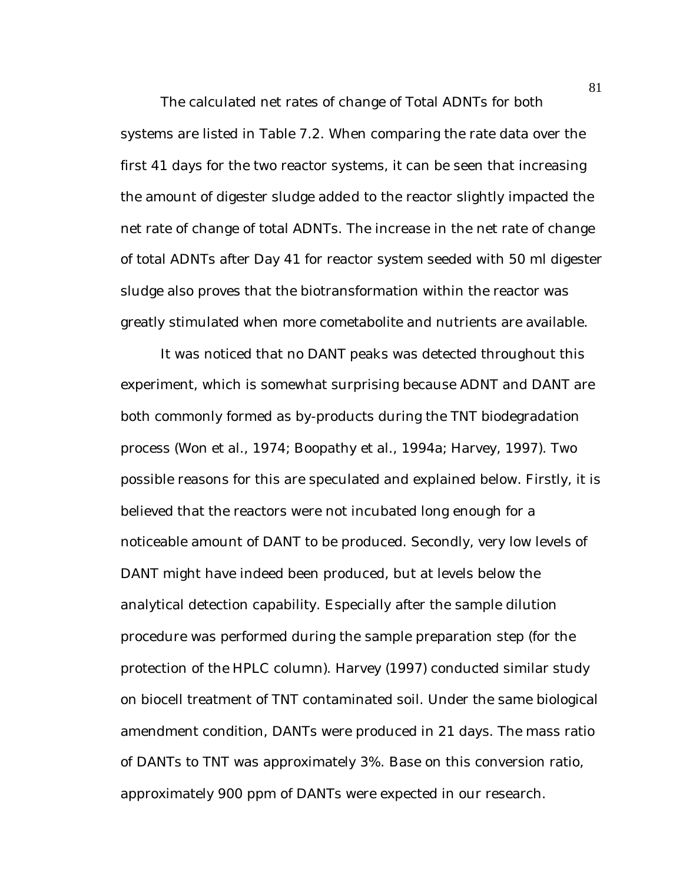The calculated net rates of change of Total ADNTs for both systems are listed in Table 7.2. When comparing the rate data over the first 41 days for the two reactor systems, it can be seen that increasing the amount of digester sludge added to the reactor slightly impacted the net rate of change of total ADNTs. The increase in the net rate of change of total ADNTs after Day 41 for reactor system seeded with 50 ml digester sludge also proves that the biotransformation within the reactor was greatly stimulated when more cometabolite and nutrients are available.

It was noticed that no DANT peaks was detected throughout this experiment, which is somewhat surprising because ADNT and DANT are both commonly formed as by-products during the TNT biodegradation process (Won et al., 1974; Boopathy et al., 1994a; Harvey, 1997). Two possible reasons for this are speculated and explained below. Firstly, it is believed that the reactors were not incubated long enough for a noticeable amount of DANT to be produced. Secondly, very low levels of DANT might have indeed been produced, but at levels below the analytical detection capability. Especially after the sample dilution procedure was performed during the sample preparation step (for the protection of the HPLC column). Harvey (1997) conducted similar study on biocell treatment of TNT contaminated soil. Under the same biological amendment condition, DANTs were produced in 21 days. The mass ratio of DANTs to TNT was approximately 3%. Base on this conversion ratio, approximately 900 ppm of DANTs were expected in our research.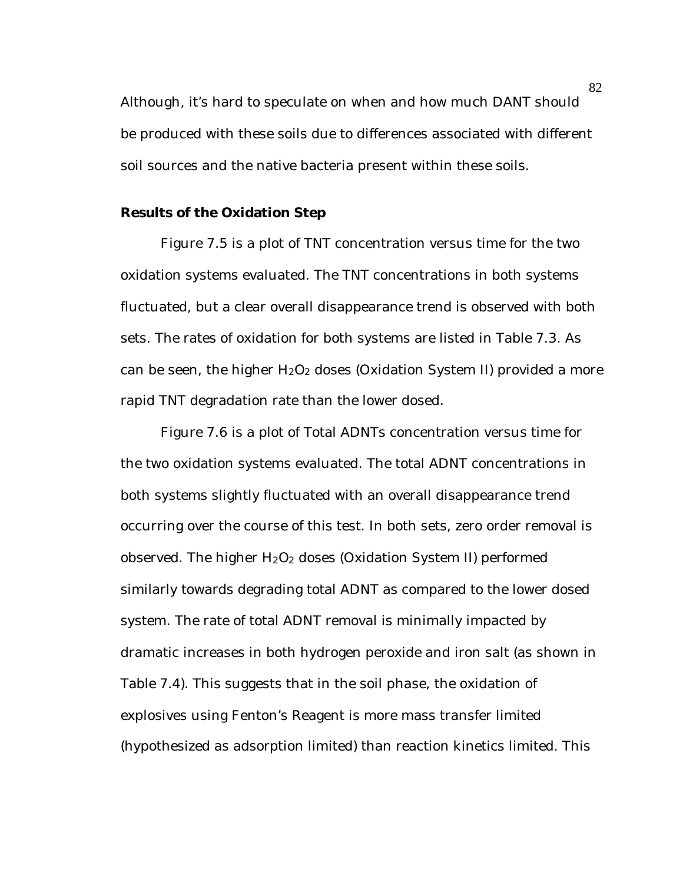Although, it's hard to speculate on when and how much DANT should be produced with these soils due to differences associated with different soil sources and the native bacteria present within these soils.

### **Results of the Oxidation Step**

Figure 7.5 is a plot of TNT concentration versus time for the two oxidation systems evaluated. The TNT concentrations in both systems fluctuated, but a clear overall disappearance trend is observed with both sets. The rates of oxidation for both systems are listed in Table 7.3. As can be seen, the higher  $H_2O_2$  doses (Oxidation System II) provided a more rapid TNT degradation rate than the lower dosed.

Figure 7.6 is a plot of Total ADNTs concentration versus time for the two oxidation systems evaluated. The total ADNT concentrations in both systems slightly fluctuated with an overall disappearance trend occurring over the course of this test. In both sets, zero order removal is observed. The higher  $H_2O_2$  doses (Oxidation System II) performed similarly towards degrading total ADNT as compared to the lower dosed system. The rate of total ADNT removal is minimally impacted by dramatic increases in both hydrogen peroxide and iron salt (as shown in Table 7.4). This suggests that in the soil phase, the oxidation of explosives using Fenton's Reagent is more mass transfer limited (hypothesized as adsorption limited) than reaction kinetics limited. This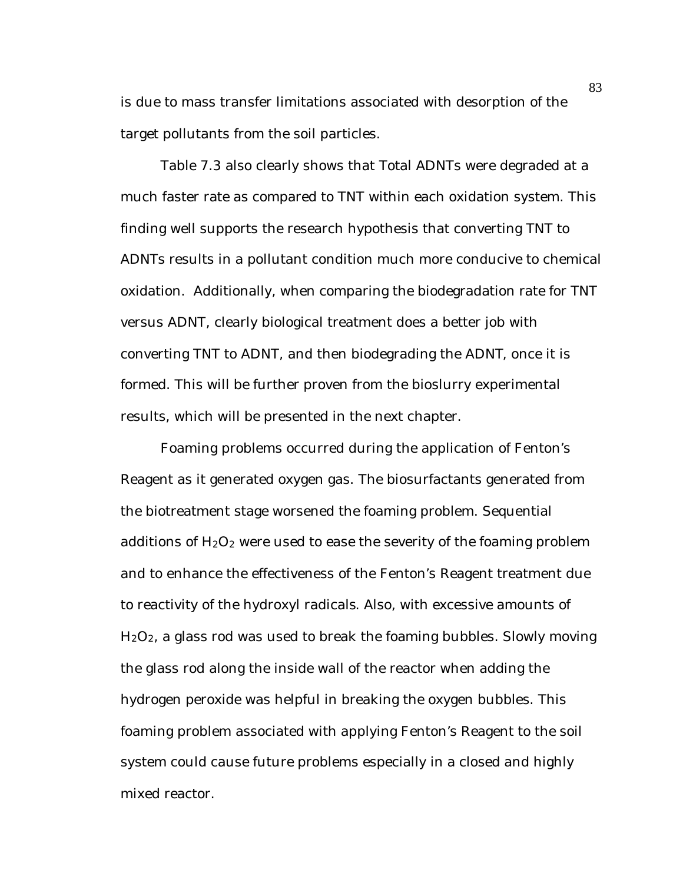is due to mass transfer limitations associated with desorption of the target pollutants from the soil particles.

Table 7.3 also clearly shows that Total ADNTs were degraded at a much faster rate as compared to TNT within each oxidation system. This finding well supports the research hypothesis that converting TNT to ADNTs results in a pollutant condition much more conducive to chemical oxidation. Additionally, when comparing the biodegradation rate for TNT versus ADNT, clearly biological treatment does a better job with converting TNT to ADNT, and then biodegrading the ADNT, once it is formed. This will be further proven from the bioslurry experimental results, which will be presented in the next chapter.

Foaming problems occurred during the application of Fenton's Reagent as it generated oxygen gas. The biosurfactants generated from the biotreatment stage worsened the foaming problem. Sequential additions of  $H_2O_2$  were used to ease the severity of the foaming problem and to enhance the effectiveness of the Fenton's Reagent treatment due to reactivity of the hydroxyl radicals. Also, with excessive amounts of H2O2, a glass rod was used to break the foaming bubbles. Slowly moving the glass rod along the inside wall of the reactor when adding the hydrogen peroxide was helpful in breaking the oxygen bubbles. This foaming problem associated with applying Fenton's Reagent to the soil system could cause future problems especially in a closed and highly mixed reactor.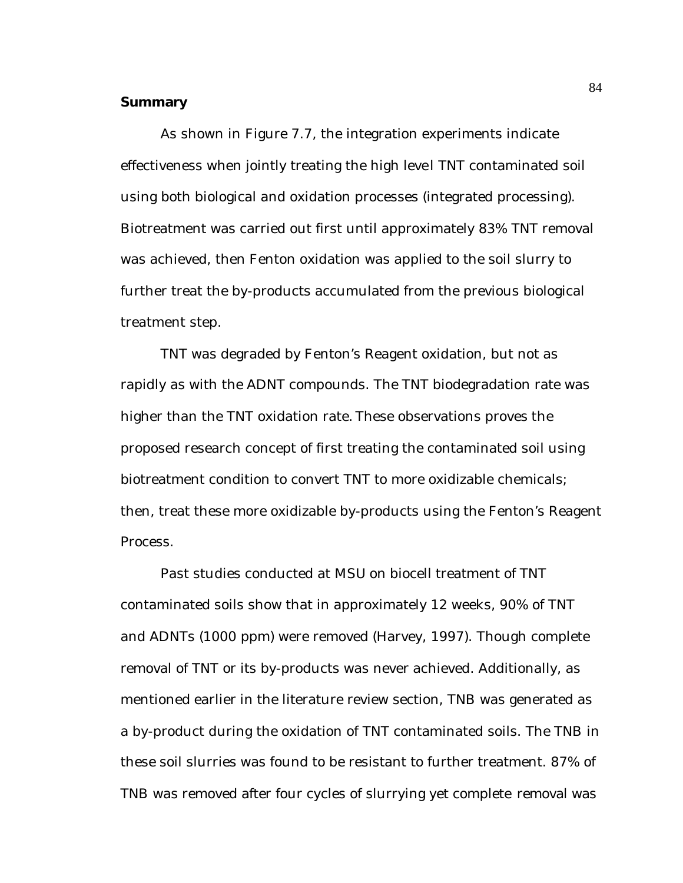#### **Summary**

As shown in Figure 7.7, the integration experiments indicate effectiveness when jointly treating the high level TNT contaminated soil using both biological and oxidation processes (integrated processing). Biotreatment was carried out first until approximately 83% TNT removal was achieved, then Fenton oxidation was applied to the soil slurry to further treat the by-products accumulated from the previous biological treatment step.

TNT was degraded by Fenton's Reagent oxidation, but not as rapidly as with the ADNT compounds. The TNT biodegradation rate was higher than the TNT oxidation rate. These observations proves the proposed research concept of first treating the contaminated soil using biotreatment condition to convert TNT to more oxidizable chemicals; then, treat these more oxidizable by-products using the Fenton's Reagent Process.

Past studies conducted at MSU on biocell treatment of TNT contaminated soils show that in approximately 12 weeks, 90% of TNT and ADNTs (1000 ppm) were removed (Harvey, 1997). Though complete removal of TNT or its by-products was never achieved. Additionally, as mentioned earlier in the literature review section, TNB was generated as a by-product during the oxidation of TNT contaminated soils. The TNB in these soil slurries was found to be resistant to further treatment. 87% of TNB was removed after four cycles of slurrying yet complete removal was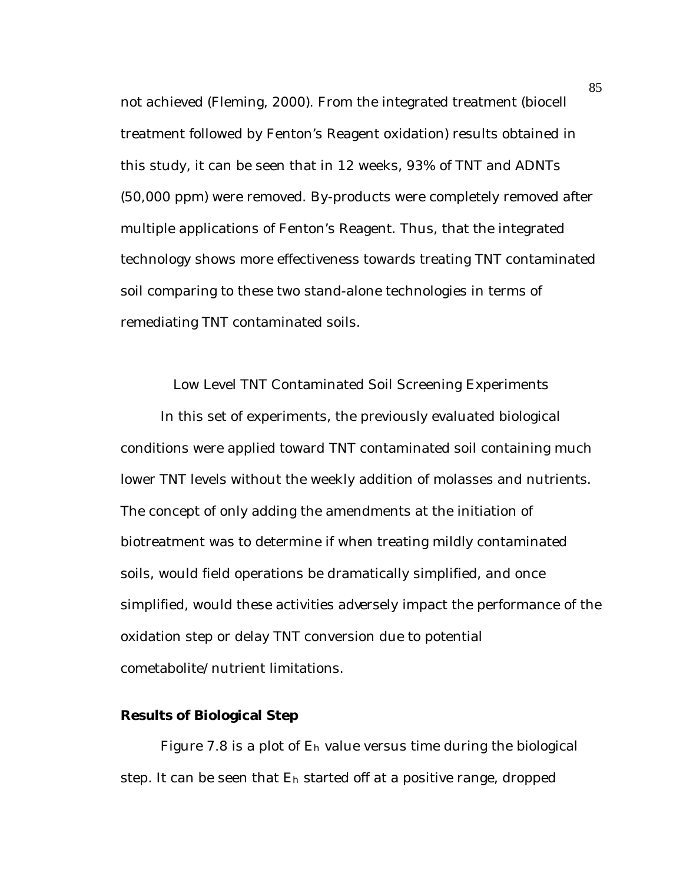not achieved (Fleming, 2000). From the integrated treatment (biocell treatment followed by Fenton's Reagent oxidation) results obtained in this study, it can be seen that in 12 weeks, 93% of TNT and ADNTs (50,000 ppm) were removed. By-products were completely removed after multiple applications of Fenton's Reagent. Thus, that the integrated technology shows more effectiveness towards treating TNT contaminated soil comparing to these two stand-alone technologies in terms of remediating TNT contaminated soils.

Low Level TNT Contaminated Soil Screening Experiments

In this set of experiments, the previously evaluated biological conditions were applied toward TNT contaminated soil containing much lower TNT levels without the weekly addition of molasses and nutrients. The concept of only adding the amendments at the initiation of biotreatment was to determine if when treating mildly contaminated soils, would field operations be dramatically simplified, and once simplified, would these activities adversely impact the performance of the oxidation step or delay TNT conversion due to potential cometabolite/nutrient limitations.

### **Results of Biological Step**

Figure 7.8 is a plot of Eh value versus time during the biological step. It can be seen that  $E_h$  started off at a positive range, dropped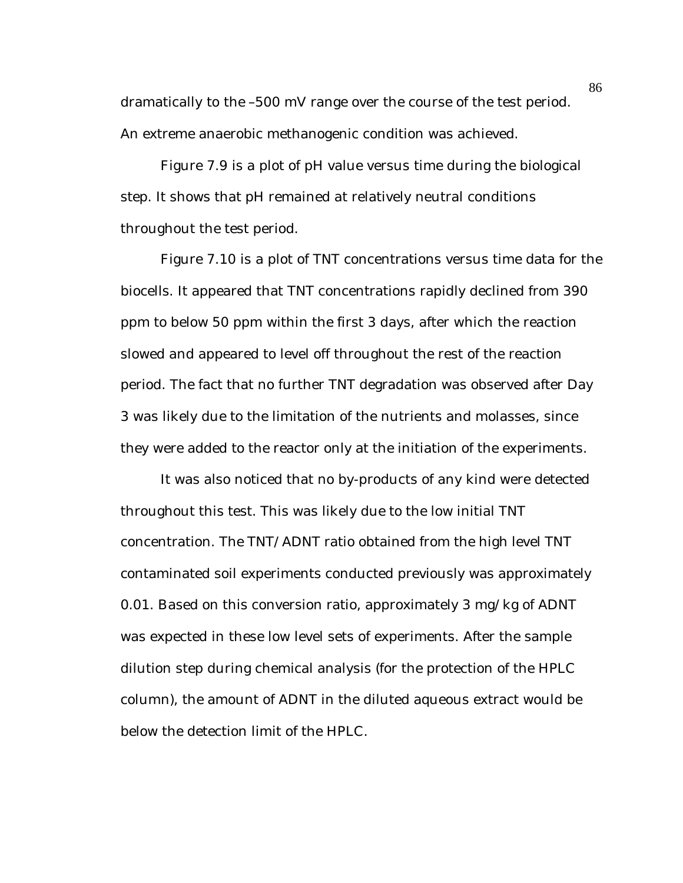dramatically to the –500 mV range over the course of the test period. An extreme anaerobic methanogenic condition was achieved.

Figure 7.9 is a plot of pH value versus time during the biological step. It shows that pH remained at relatively neutral conditions throughout the test period.

Figure 7.10 is a plot of TNT concentrations versus time data for the biocells. It appeared that TNT concentrations rapidly declined from 390 ppm to below 50 ppm within the first 3 days, after which the reaction slowed and appeared to level off throughout the rest of the reaction period. The fact that no further TNT degradation was observed after Day 3 was likely due to the limitation of the nutrients and molasses, since they were added to the reactor only at the initiation of the experiments.

It was also noticed that no by-products of any kind were detected throughout this test. This was likely due to the low initial TNT concentration. The TNT/ADNT ratio obtained from the high level TNT contaminated soil experiments conducted previously was approximately 0.01. Based on this conversion ratio, approximately 3 mg/kg of ADNT was expected in these low level sets of experiments. After the sample dilution step during chemical analysis (for the protection of the HPLC column), the amount of ADNT in the diluted aqueous extract would be below the detection limit of the HPLC.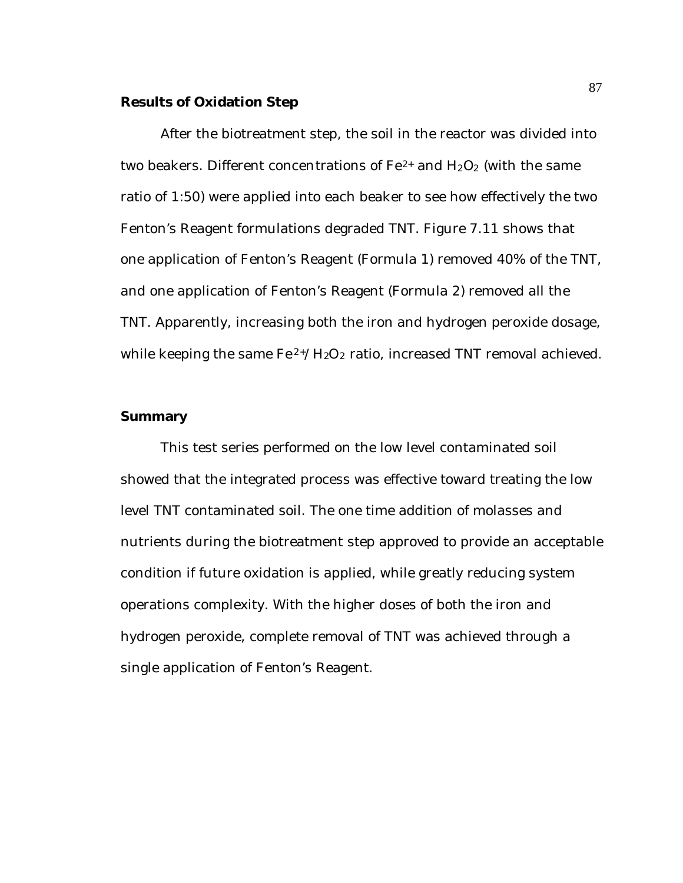### **Results of Oxidation Step**

After the biotreatment step, the soil in the reactor was divided into two beakers. Different concentrations of  $Fe^{2+}$  and  $H_2O_2$  (with the same ratio of 1:50) were applied into each beaker to see how effectively the two Fenton's Reagent formulations degraded TNT. Figure 7.11 shows that one application of Fenton's Reagent (Formula 1) removed 40% of the TNT, and one application of Fenton's Reagent (Formula 2) removed all the TNT. Apparently, increasing both the iron and hydrogen peroxide dosage, while keeping the same  $Fe^{2+}/H_2O_2$  ratio, increased TNT removal achieved.

### **Summary**

This test series performed on the low level contaminated soil showed that the integrated process was effective toward treating the low level TNT contaminated soil. The one time addition of molasses and nutrients during the biotreatment step approved to provide an acceptable condition if future oxidation is applied, while greatly reducing system operations complexity. With the higher doses of both the iron and hydrogen peroxide, complete removal of TNT was achieved through a single application of Fenton's Reagent.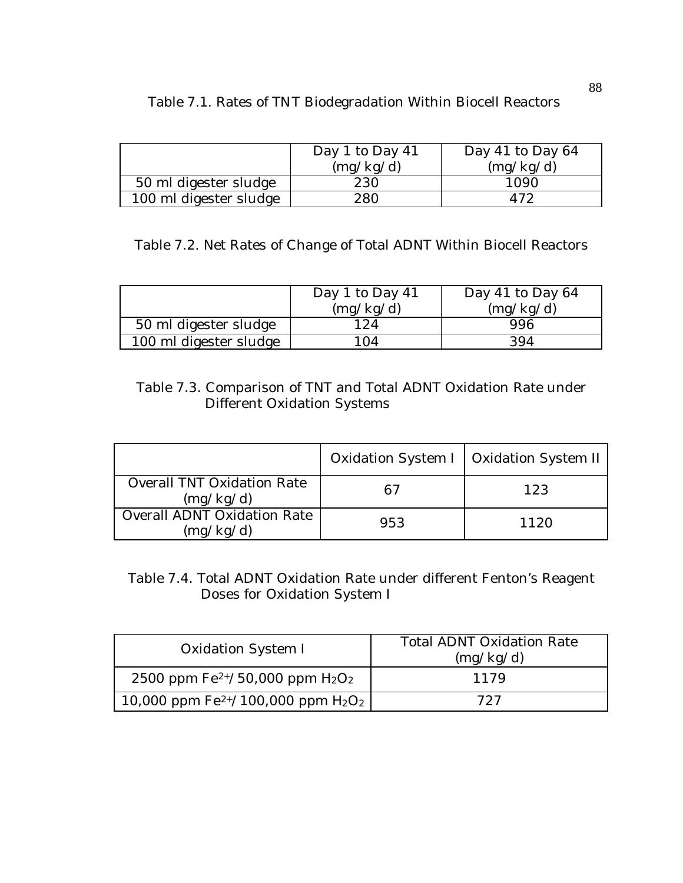|                        | Day 1 to Day $41$ | Day 41 to Day $64$ |
|------------------------|-------------------|--------------------|
|                        | (mg/kg/d)         | (mg/kg/d)          |
| 50 ml digester sludge  | 230               | 1090               |
| 100 ml digester sludge | 280               |                    |

# Table 7.1. Rates of TNT Biodegradation Within Biocell Reactors

Table 7.2. Net Rates of Change of Total ADNT Within Biocell Reactors

|                        | Day 1 to Day $41$ | Day 41 to Day $64$ |
|------------------------|-------------------|--------------------|
|                        | (mg/kg/d)         | (mg/kg/d)          |
| 50 ml digester sludge  | ' 24              | 996                |
| 100 ml digester sludge | ' 04              | 394                |

# Table 7.3. Comparison of TNT and Total ADNT Oxidation Rate under Different Oxidation Systems

|                                                 |     | Oxidation System I   Oxidation System II |
|-------------------------------------------------|-----|------------------------------------------|
| <b>Overall TNT Oxidation Rate</b><br>(mg/kg/d)  | 67  | 123                                      |
| <b>Overall ADNT Oxidation Rate</b><br>(mg/kg/d) | 953 | 1120                                     |

## Table 7.4. Total ADNT Oxidation Rate under different Fenton's Reagent Doses for Oxidation System I

| Oxidation System I                        | <b>Total ADNT Oxidation Rate</b><br>(mg/kg/d) |  |
|-------------------------------------------|-----------------------------------------------|--|
| 2500 ppm $Fe^{2+}/50,000$ ppm $H_2O_2$    | 1179                                          |  |
| 10,000 ppm $Fe^{2+}/100,000$ ppm $H_2O_2$ | 727                                           |  |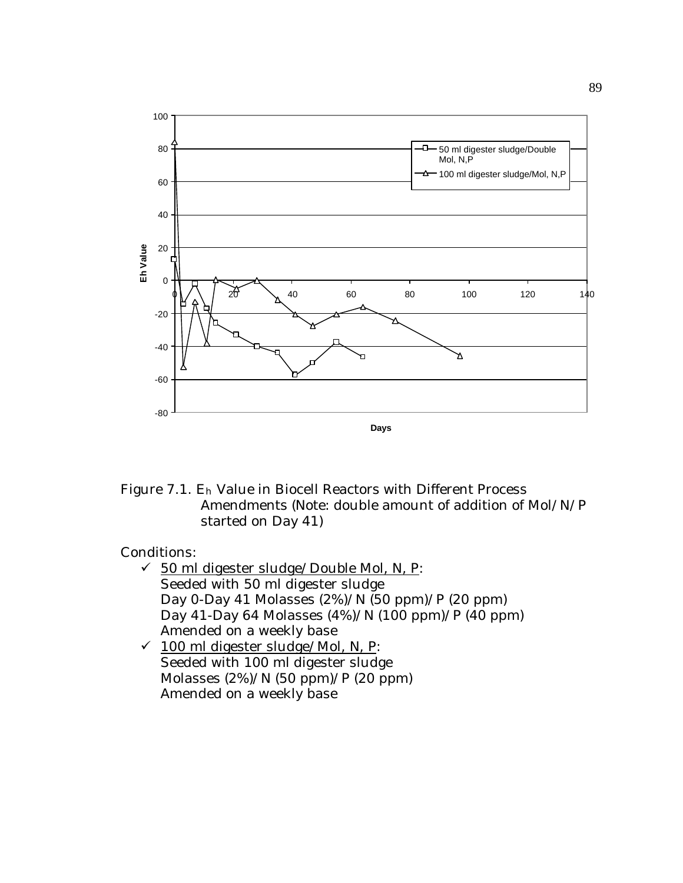

Figure 7.1. Eh Value in Biocell Reactors with Different Process Amendments (Note: double amount of addition of Mol/N/P started on Day 41)

- $\checkmark$  50 ml digester sludge/Double Mol, N, P: Seeded with 50 ml digester sludge Day 0-Day 41 Molasses (2%)/N (50 ppm)/P (20 ppm) Day 41-Day 64 Molasses (4%)/N (100 ppm)/P (40 ppm) Amended on a weekly base
- $\checkmark$  100 ml digester sludge/Mol, N, P: Seeded with 100 ml digester sludge Molasses (2%)/N (50 ppm)/P (20 ppm) Amended on a weekly base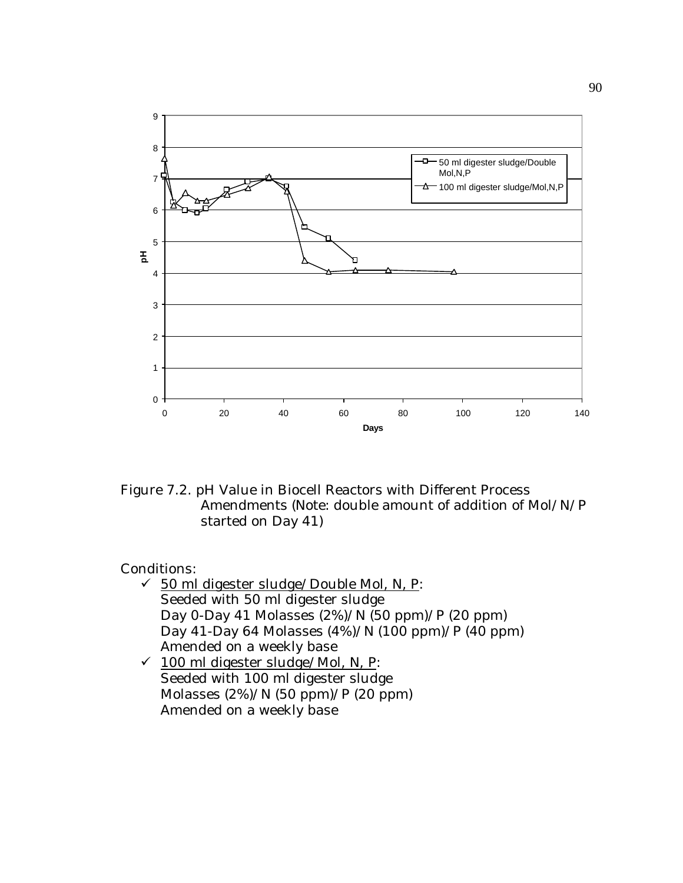

Figure 7.2. pH Value in Biocell Reactors with Different Process Amendments (Note: double amount of addition of Mol/N/P started on Day 41)

- $\checkmark$  50 ml digester sludge/Double Mol, N, P: Seeded with 50 ml digester sludge Day 0-Day 41 Molasses (2%)/N (50 ppm)/P (20 ppm) Day 41-Day 64 Molasses (4%)/N (100 ppm)/P (40 ppm) Amended on a weekly base
- $\checkmark$  100 ml digester sludge/Mol, N, P: Seeded with 100 ml digester sludge Molasses (2%)/N (50 ppm)/P (20 ppm) Amended on a weekly base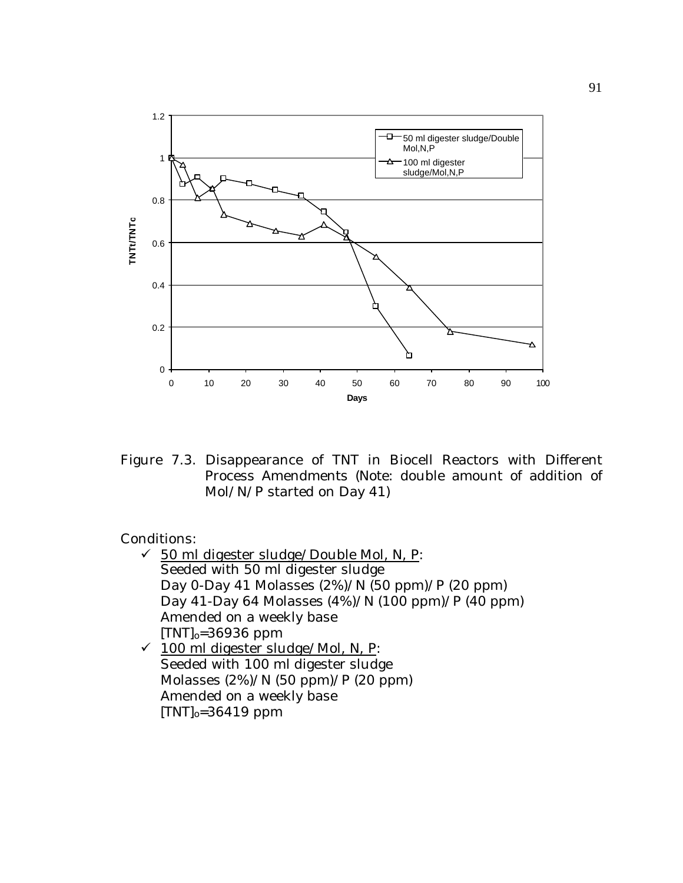

Figure 7.3. Disappearance of TNT in Biocell Reactors with Different Process Amendments (Note: double amount of addition of Mol/N/P started on Day 41)

- $\checkmark$  50 ml digester sludge/Double Mol, N, P: Seeded with 50 ml digester sludge Day 0-Day 41 Molasses (2%)/N (50 ppm)/P (20 ppm) Day 41-Day 64 Molasses (4%)/N (100 ppm)/P (40 ppm) Amended on a weekly base  $[TNT]_0 = 36936$  ppm  $\checkmark$  100 ml digester sludge/Mol, N, P:
- Seeded with 100 ml digester sludge Molasses (2%)/N (50 ppm)/P (20 ppm) Amended on a weekly base  $[TNT]_0 = 36419$  ppm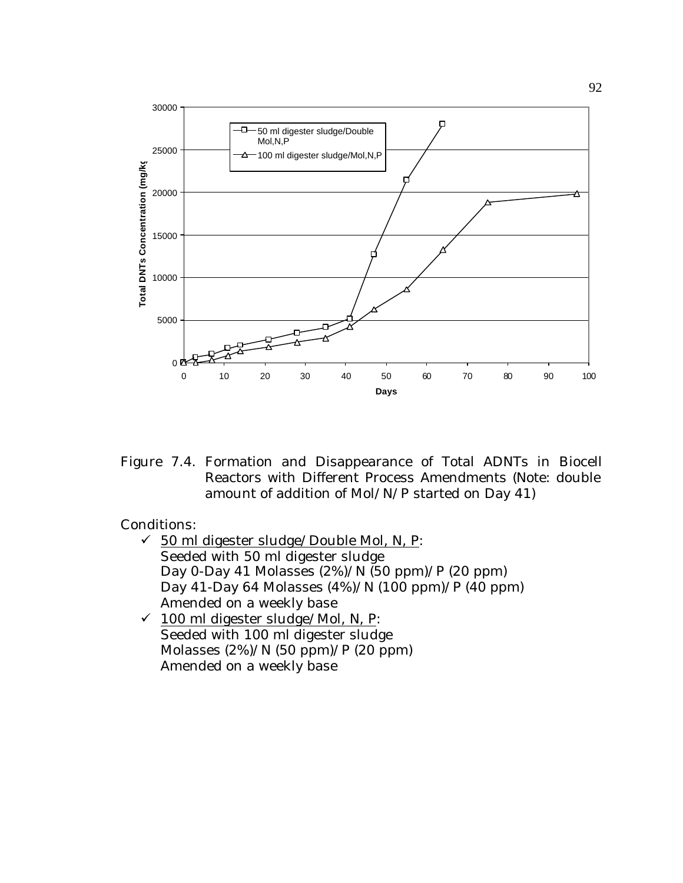

Figure 7.4. Formation and Disappearance of Total ADNTs in Biocell Reactors with Different Process Amendments (Note: double amount of addition of Mol/N/P started on Day 41)

- $\checkmark$  50 ml digester sludge/Double Mol, N, P: Seeded with 50 ml digester sludge Day 0-Day 41 Molasses  $(2%)/N(50 ppm)/P(20 ppm)$ Day 41-Day 64 Molasses (4%)/N (100 ppm)/P (40 ppm) Amended on a weekly base
- $\checkmark$  100 ml digester sludge/Mol, N, P: Seeded with 100 ml digester sludge Molasses (2%)/N (50 ppm)/P (20 ppm) Amended on a weekly base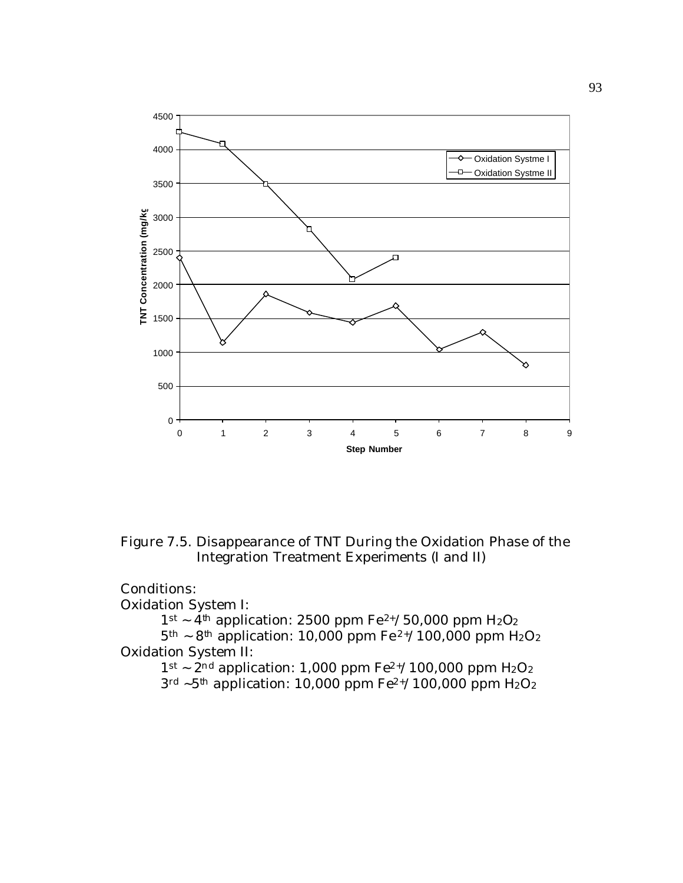

Figure 7.5. Disappearance of TNT During the Oxidation Phase of the Integration Treatment Experiments (I and II)

## Conditions:

Oxidation System I:

 $1$ <sup>st</sup> ~  $4$ <sup>th</sup> application: 2500 ppm Fe<sup>2+</sup>/50,000 ppm H<sub>2</sub>O<sub>2</sub>  $5<sup>th</sup> \sim 8<sup>th</sup>$  application: 10,000 ppm Fe<sup>2+</sup>/100,000 ppm H<sub>2</sub>O<sub>2</sub> Oxidation System II:

 $1$ <sup>st</sup>  $\sim$  2<sup>nd</sup> application: 1,000 ppm Fe<sup>2+</sup>/100,000 ppm H<sub>2</sub>O<sub>2</sub>  $3^{\text{rd}}$  ~5<sup>th</sup> application: 10,000 ppm Fe<sup>2+</sup>/100,000 ppm H<sub>2</sub>O<sub>2</sub>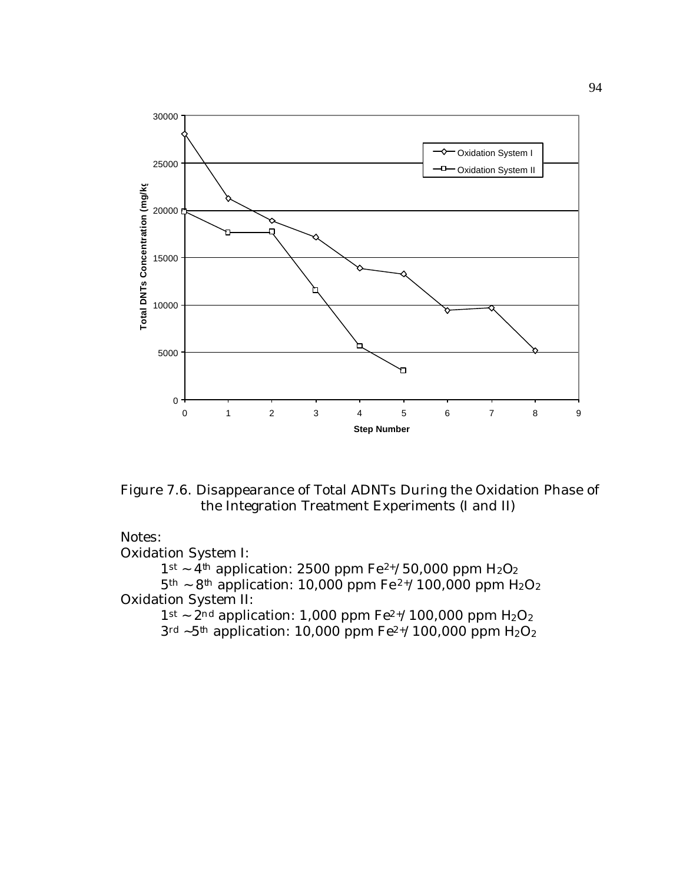

Figure 7.6. Disappearance of Total ADNTs During the Oxidation Phase of the Integration Treatment Experiments (I and II)

## Notes:

Oxidation System I:

 $1$ <sup>st</sup> ~  $4$ <sup>th</sup> application: 2500 ppm Fe<sup>2+</sup>/50,000 ppm H<sub>2</sub>O<sub>2</sub>

 $5<sup>th</sup> \sim 8<sup>th</sup>$  application: 10,000 ppm Fe<sup>2+</sup>/100,000 ppm H<sub>2</sub>O<sub>2</sub> Oxidation System II:

 $1$ <sup>st</sup>  $\sim$  2<sup>nd</sup> application: 1,000 ppm Fe<sup>2+</sup>/100,000 ppm H<sub>2</sub>O<sub>2</sub>  $3^{\text{rd}}$  ~5<sup>th</sup> application: 10,000 ppm Fe<sup>2+</sup>/100,000 ppm H<sub>2</sub>O<sub>2</sub>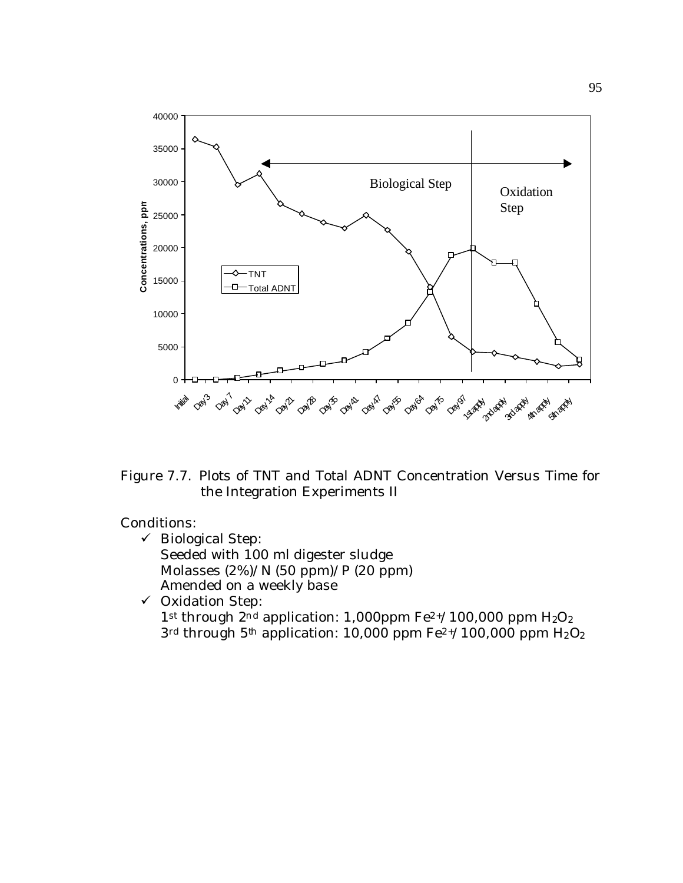

Figure 7.7. Plots of TNT and Total ADNT Concentration Versus Time for the Integration Experiments II

 $\checkmark$  Biological Step: Seeded with 100 ml digester sludge Molasses (2%)/N (50 ppm)/P (20 ppm) Amended on a weekly base  $\checkmark$  Oxidation Step: 1<sup>st</sup> through  $2^{nd}$  application: 1,000ppm Fe<sup>2+</sup>/100,000 ppm H<sub>2</sub>O<sub>2</sub>  $3<sup>rd</sup>$  through 5<sup>th</sup> application: 10,000 ppm Fe<sup>2+</sup>/100,000 ppm H<sub>2</sub>O<sub>2</sub>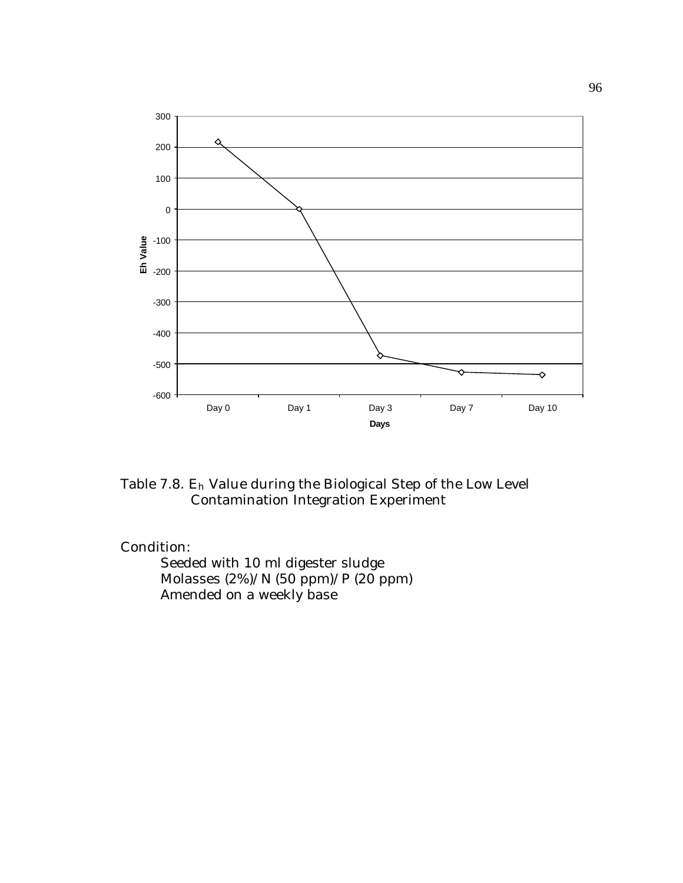

Table 7.8. Eh Value during the Biological Step of the Low Level Contamination Integration Experiment

Seeded with 10 ml digester sludge Molasses  $(2%)/N$  (50 ppm)/P (20 ppm) Amended on a weekly base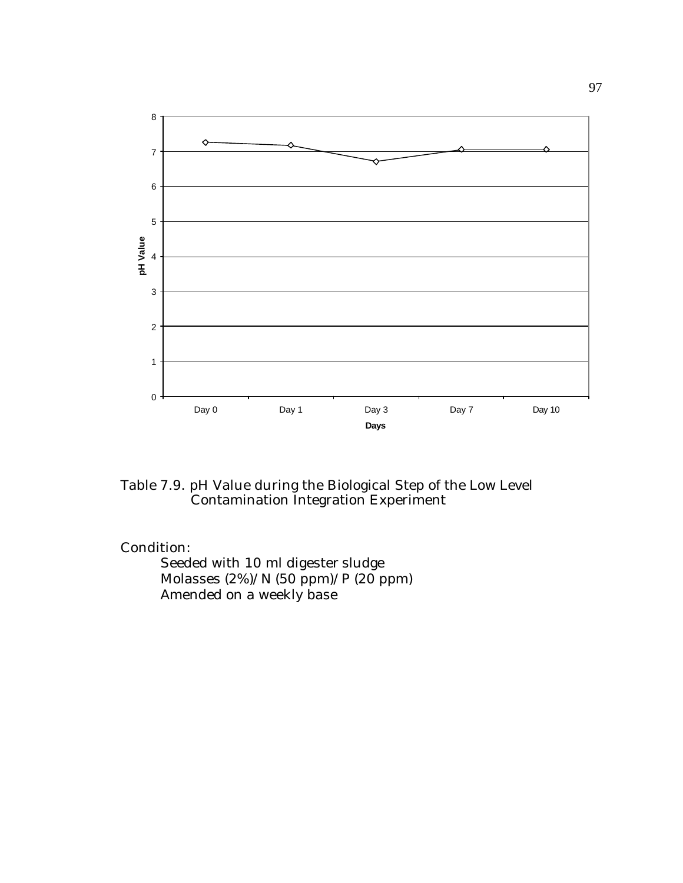

Table 7.9. pH Value during the Biological Step of the Low Level Contamination Integration Experiment

Seeded with 10 ml digester sludge Molasses (2%)/N (50 ppm)/P (20 ppm) Amended on a weekly base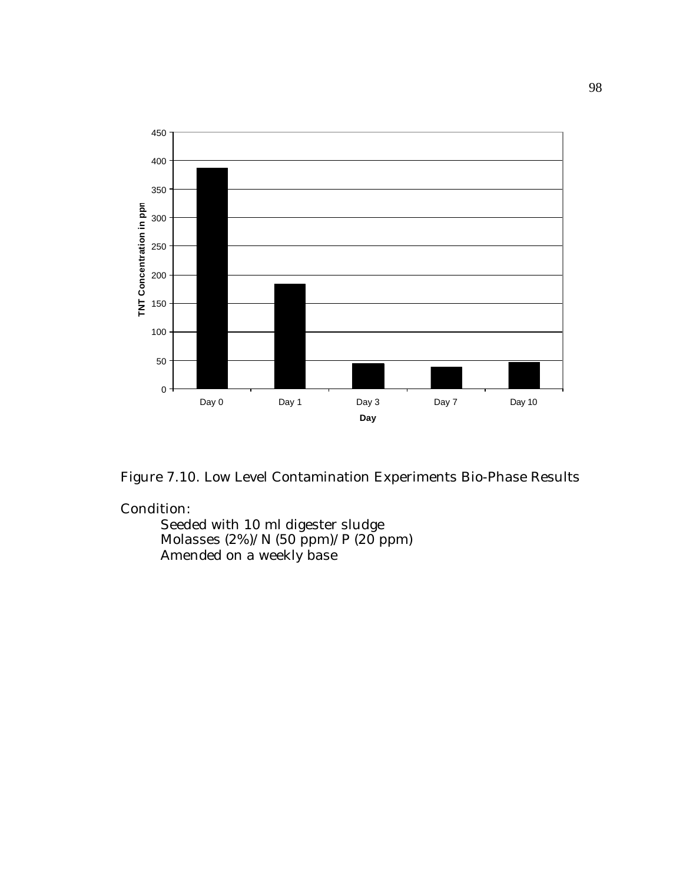

Figure 7.10. Low Level Contamination Experiments Bio-Phase Results

Seeded with 10 ml digester sludge Molasses (2%)/N (50 ppm)/P (20 ppm) Amended on a weekly base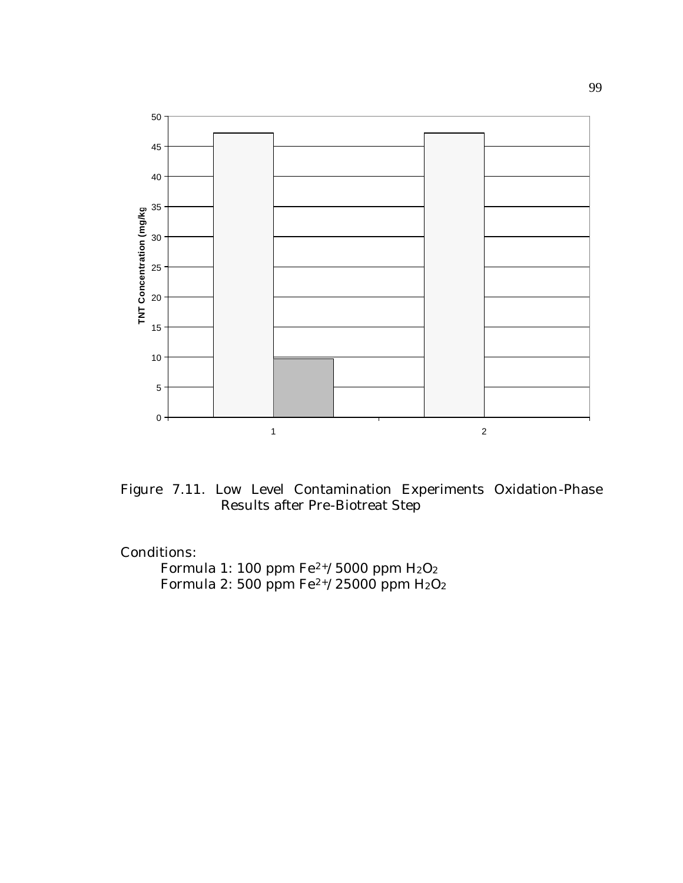

Figure 7.11. Low Level Contamination Experiments Oxidation-Phase Results after Pre-Biotreat Step

Formula 1: 100 ppm Fe $^{2+}/5000$  ppm H $_{2}O_{2}$ Formula 2: 500 ppm Fe $^{2+}/25000$  ppm H $_{2} \mathrm{O_{2}}$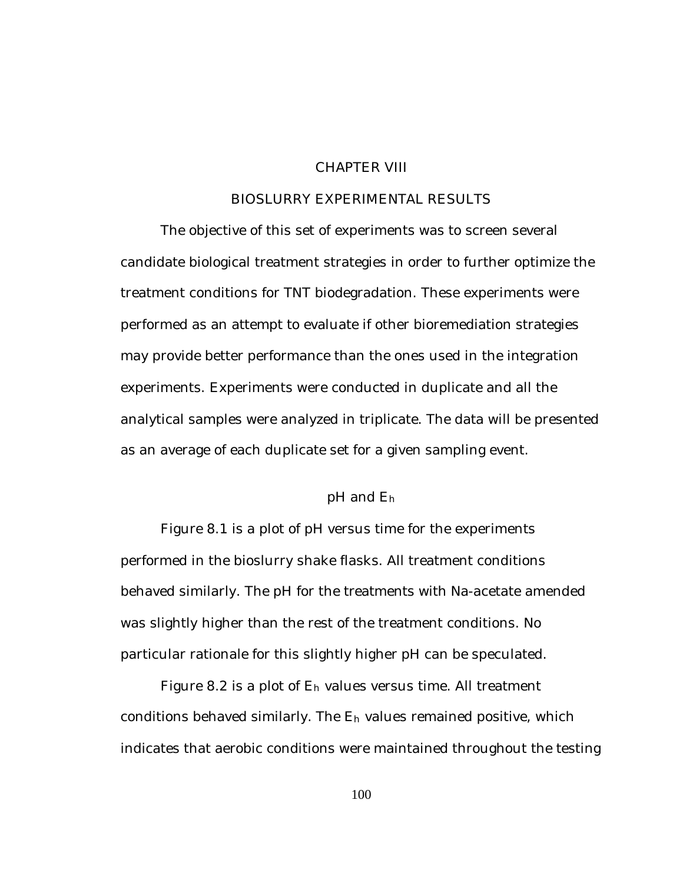## CHAPTER VIII

### BIOSLURRY EXPERIMENTAL RESULTS

The objective of this set of experiments was to screen several candidate biological treatment strategies in order to further optimize the treatment conditions for TNT biodegradation. These experiments were performed as an attempt to evaluate if other bioremediation strategies may provide better performance than the ones used in the integration experiments. Experiments were conducted in duplicate and all the analytical samples were analyzed in triplicate. The data will be presented as an average of each duplicate set for a given sampling event.

## pH and E<sup>h</sup>

Figure 8.1 is a plot of pH versus time for the experiments performed in the bioslurry shake flasks. All treatment conditions behaved similarly. The pH for the treatments with Na-acetate amended was slightly higher than the rest of the treatment conditions. No particular rationale for this slightly higher pH can be speculated.

Figure 8.2 is a plot of  $E_h$  values versus time. All treatment conditions behaved similarly. The Eh values remained positive, which indicates that aerobic conditions were maintained throughout the testing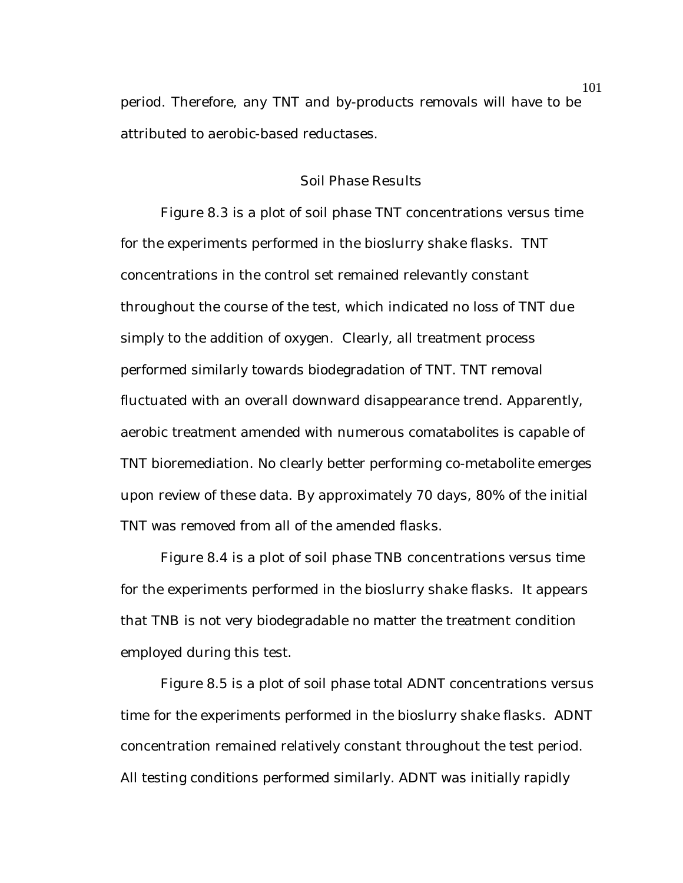period. Therefore, any TNT and by-products removals will have to be attributed to aerobic-based reductases.

### Soil Phase Results

Figure 8.3 is a plot of soil phase TNT concentrations versus time for the experiments performed in the bioslurry shake flasks. TNT concentrations in the control set remained relevantly constant throughout the course of the test, which indicated no loss of TNT due simply to the addition of oxygen. Clearly, all treatment process performed similarly towards biodegradation of TNT. TNT removal fluctuated with an overall downward disappearance trend. Apparently, aerobic treatment amended with numerous comatabolites is capable of TNT bioremediation. No clearly better performing co-metabolite emerges upon review of these data. By approximately 70 days, 80% of the initial TNT was removed from all of the amended flasks.

Figure 8.4 is a plot of soil phase TNB concentrations versus time for the experiments performed in the bioslurry shake flasks. It appears that TNB is not very biodegradable no matter the treatment condition employed during this test.

Figure 8.5 is a plot of soil phase total ADNT concentrations versus time for the experiments performed in the bioslurry shake flasks. ADNT concentration remained relatively constant throughout the test period. All testing conditions performed similarly. ADNT was initially rapidly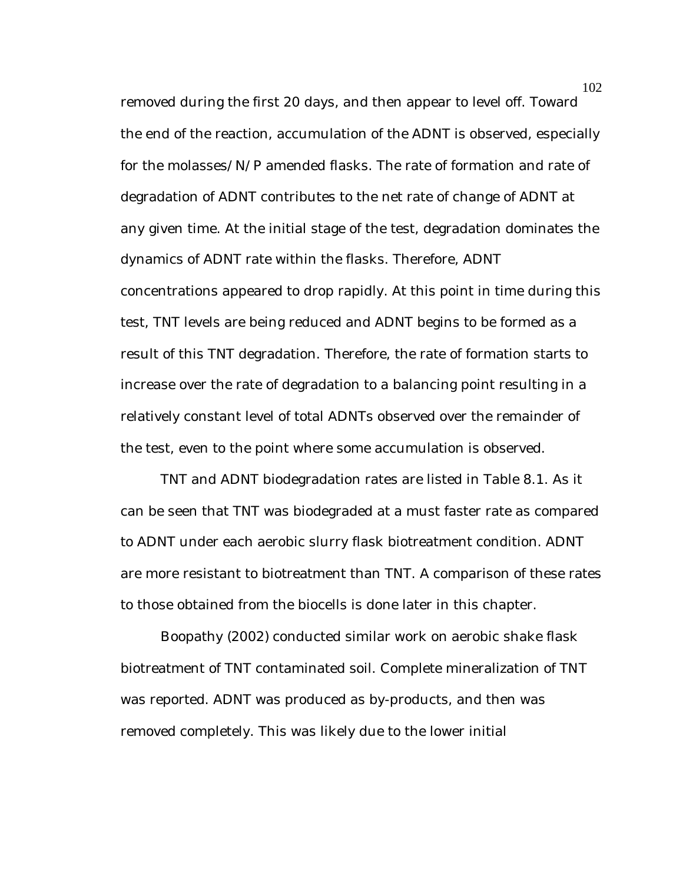removed during the first 20 days, and then appear to level off. Toward the end of the reaction, accumulation of the ADNT is observed, especially for the molasses/N/P amended flasks. The rate of formation and rate of degradation of ADNT contributes to the net rate of change of ADNT at any given time. At the initial stage of the test, degradation dominates the dynamics of ADNT rate within the flasks. Therefore, ADNT concentrations appeared to drop rapidly. At this point in time during this test, TNT levels are being reduced and ADNT begins to be formed as a result of this TNT degradation. Therefore, the rate of formation starts to increase over the rate of degradation to a balancing point resulting in a relatively constant level of total ADNTs observed over the remainder of the test, even to the point where some accumulation is observed.

TNT and ADNT biodegradation rates are listed in Table 8.1. As it can be seen that TNT was biodegraded at a must faster rate as compared to ADNT under each aerobic slurry flask biotreatment condition. ADNT are more resistant to biotreatment than TNT. A comparison of these rates to those obtained from the biocells is done later in this chapter.

Boopathy (2002) conducted similar work on aerobic shake flask biotreatment of TNT contaminated soil. Complete mineralization of TNT was reported. ADNT was produced as by-products, and then was removed completely. This was likely due to the lower initial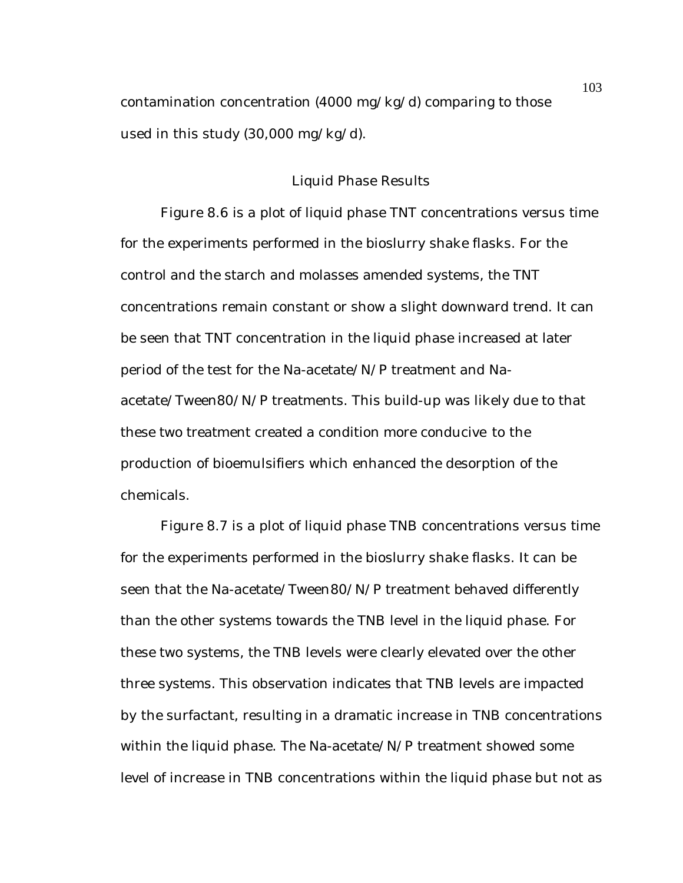contamination concentration (4000 mg/kg/d) comparing to those used in this study (30,000 mg/kg/d).

### Liquid Phase Results

Figure 8.6 is a plot of liquid phase TNT concentrations versus time for the experiments performed in the bioslurry shake flasks. For the control and the starch and molasses amended systems, the TNT concentrations remain constant or show a slight downward trend. It can be seen that TNT concentration in the liquid phase increased at later period of the test for the Na-acetate/N/P treatment and Naacetate/Tween80/N/P treatments. This build-up was likely due to that these two treatment created a condition more conducive to the production of bioemulsifiers which enhanced the desorption of the chemicals.

Figure 8.7 is a plot of liquid phase TNB concentrations versus time for the experiments performed in the bioslurry shake flasks. It can be seen that the Na-acetate/Tween80/N/P treatment behaved differently than the other systems towards the TNB level in the liquid phase. For these two systems, the TNB levels were clearly elevated over the other three systems. This observation indicates that TNB levels are impacted by the surfactant, resulting in a dramatic increase in TNB concentrations within the liquid phase. The Na-acetate/N/P treatment showed some level of increase in TNB concentrations within the liquid phase but not as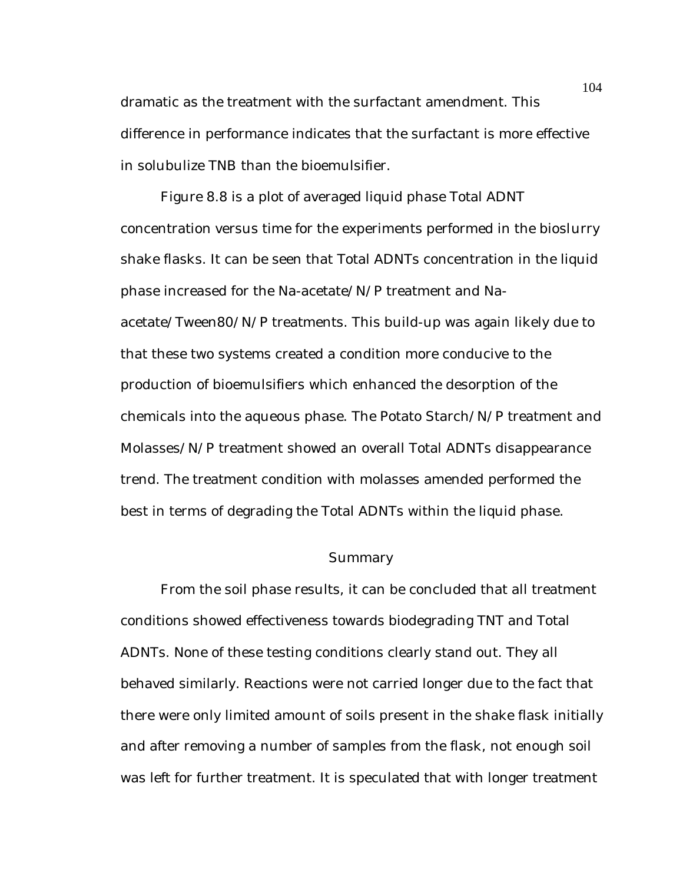dramatic as the treatment with the surfactant amendment. This difference in performance indicates that the surfactant is more effective in solubulize TNB than the bioemulsifier.

Figure 8.8 is a plot of averaged liquid phase Total ADNT concentration versus time for the experiments performed in the bioslurry shake flasks. It can be seen that Total ADNTs concentration in the liquid phase increased for the Na-acetate/N/P treatment and Naacetate/Tween80/N/P treatments. This build-up was again likely due to that these two systems created a condition more conducive to the production of bioemulsifiers which enhanced the desorption of the chemicals into the aqueous phase. The Potato Starch/N/P treatment and Molasses/N/P treatment showed an overall Total ADNTs disappearance trend. The treatment condition with molasses amended performed the best in terms of degrading the Total ADNTs within the liquid phase.

### Summary

From the soil phase results, it can be concluded that all treatment conditions showed effectiveness towards biodegrading TNT and Total ADNTs. None of these testing conditions clearly stand out. They all behaved similarly. Reactions were not carried longer due to the fact that there were only limited amount of soils present in the shake flask initially and after removing a number of samples from the flask, not enough soil was left for further treatment. It is speculated that with longer treatment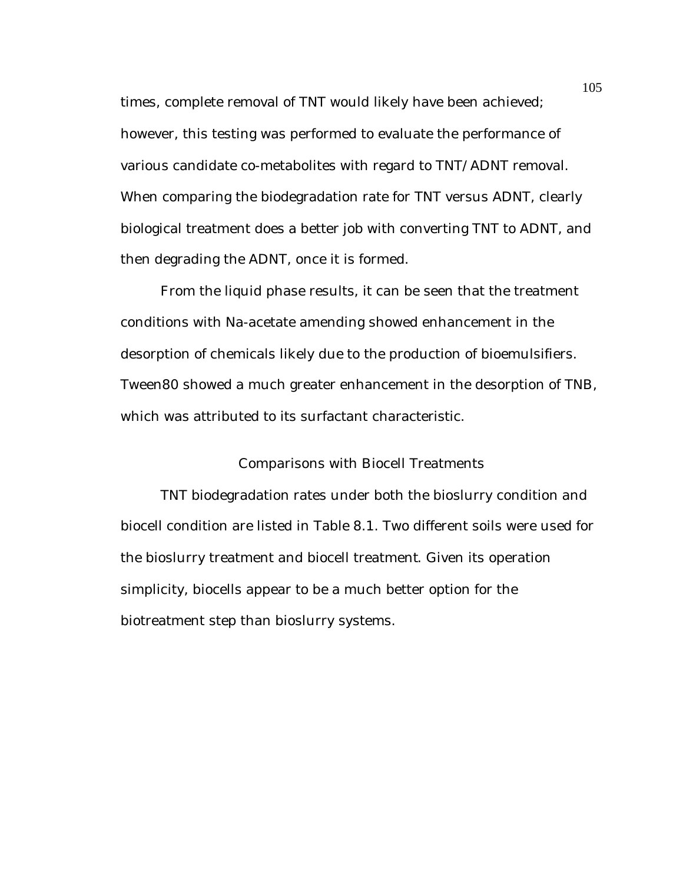times, complete removal of TNT would likely have been achieved; however, this testing was performed to evaluate the performance of various candidate co-metabolites with regard to TNT/ADNT removal. When comparing the biodegradation rate for TNT versus ADNT, clearly biological treatment does a better job with converting TNT to ADNT, and then degrading the ADNT, once it is formed.

From the liquid phase results, it can be seen that the treatment conditions with Na-acetate amending showed enhancement in the desorption of chemicals likely due to the production of bioemulsifiers. Tween80 showed a much greater enhancement in the desorption of TNB, which was attributed to its surfactant characteristic.

## Comparisons with Biocell Treatments

TNT biodegradation rates under both the bioslurry condition and biocell condition are listed in Table 8.1. Two different soils were used for the bioslurry treatment and biocell treatment. Given its operation simplicity, biocells appear to be a much better option for the biotreatment step than bioslurry systems.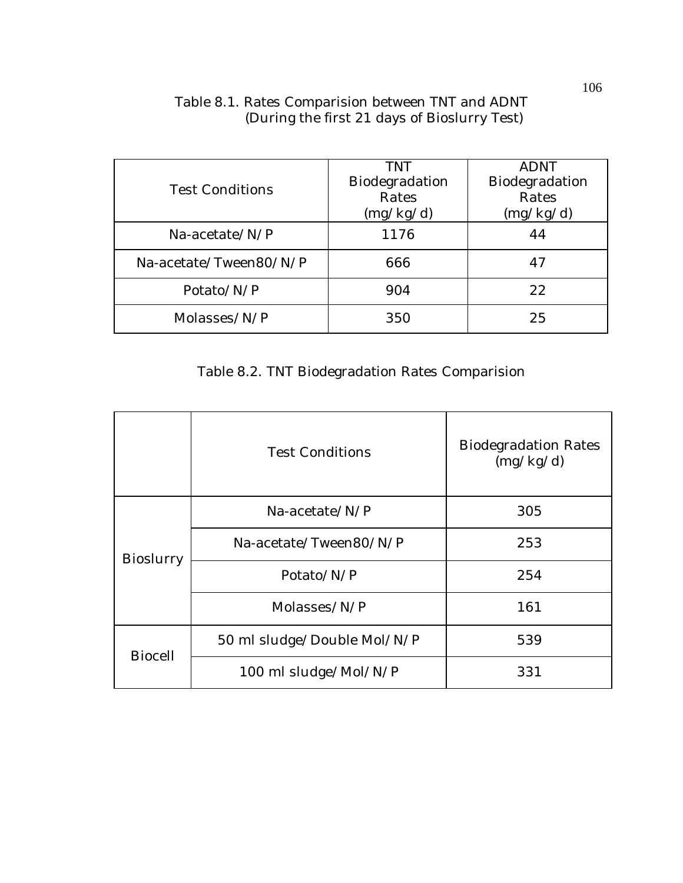| <b>Test Conditions</b> | <b>TNT</b><br>Biodegradation<br>Rates<br>(mg/kg/d) | <b>ADNT</b><br>Biodegradation<br>Rates<br>(mg/kg/d) |  |
|------------------------|----------------------------------------------------|-----------------------------------------------------|--|
| $Na$ -acetate/ $N/P$   | 1176                                               | 44                                                  |  |
| Na-acetate/Tween80/N/P | 666                                                | 47                                                  |  |
| Potato/N/P             | 904                                                | 22                                                  |  |
| Molasses/ $N/P$        | 350                                                | 25                                                  |  |

# Table 8.1. Rates Comparision between TNT and ADNT (During the first 21 days of Bioslurry Test)

# Table 8.2. TNT Biodegradation Rates Comparision

|                  | <b>Test Conditions</b>      | <b>Biodegradation Rates</b><br>(mg/kg/d) |
|------------------|-----------------------------|------------------------------------------|
| <b>Bioslurry</b> | $Na$ -acetate/ $N/P$        | 305                                      |
|                  | Na-acetate/Tween80/N/P      | 253                                      |
|                  | Potato/N/P                  | 254                                      |
|                  | Molasses/N/P                | 161                                      |
| <b>Biocell</b>   | 50 ml sludge/Double Mol/N/P | 539                                      |
|                  | 100 ml sludge/Mol/N/P       | 331                                      |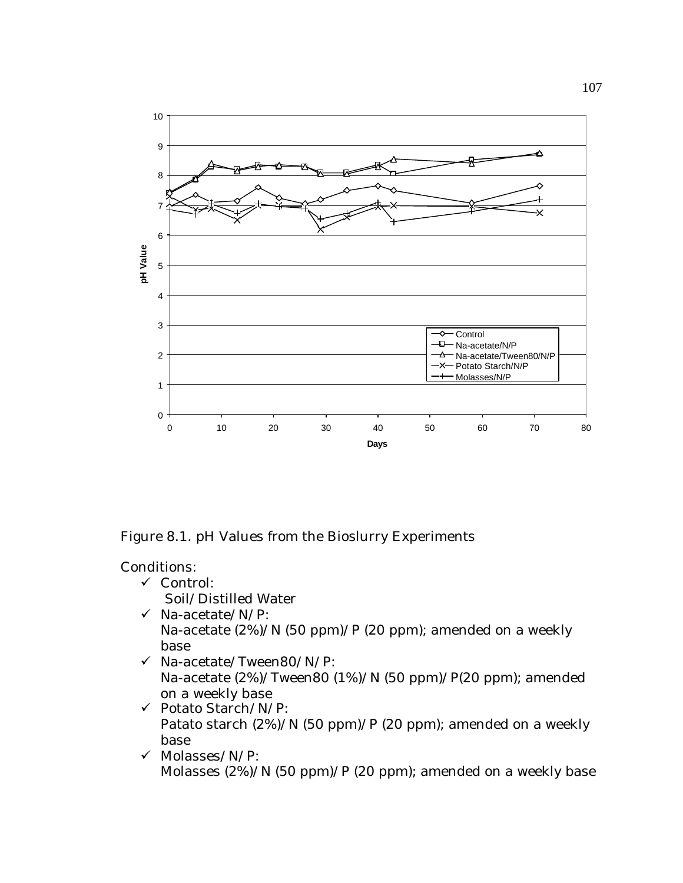

Figure 8.1. pH Values from the Bioslurry Experiments

- $\checkmark$  Control: Soil/Distilled Water
- $\checkmark$  Na-acetate/N/P: Na-acetate (2%)/N (50 ppm)/P (20 ppm); amended on a weekly base
- $\checkmark$  Na-acetate/Tween80/N/P: Na-acetate (2%)/Tween80 (1%)/N (50 ppm)/P(20 ppm); amended on a weekly base
- $\checkmark$  Potato Starch/N/P: Patato starch (2%)/N (50 ppm)/P (20 ppm); amended on a weekly base
- $\checkmark$  Molasses/N/P: Molasses (2%)/N (50 ppm)/P (20 ppm); amended on a weekly base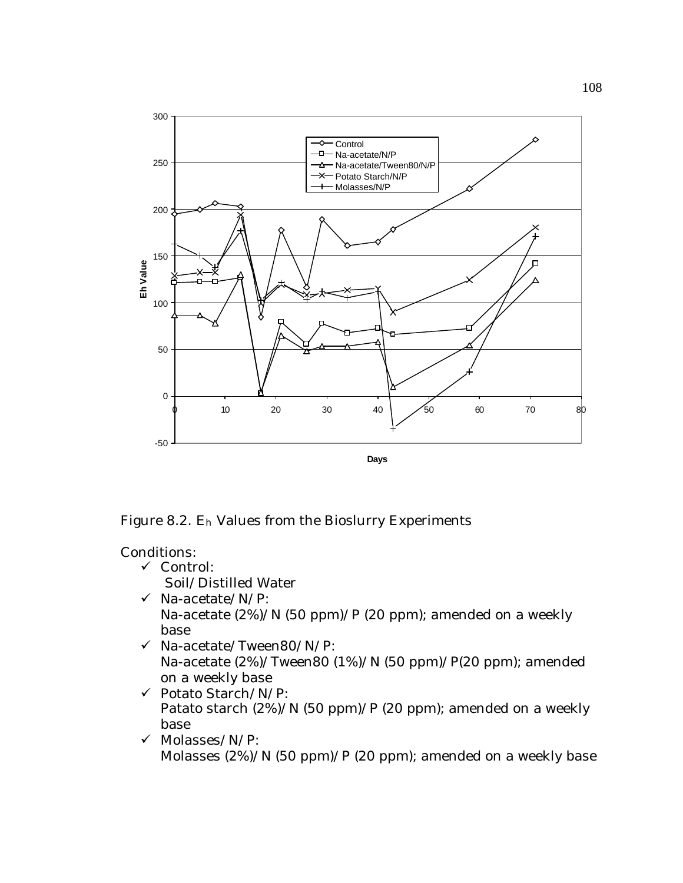

Figure 8.2. Eh Values from the Bioslurry Experiments

Conditions:

 $\checkmark$  Control:

Soil/Distilled Water

- $\checkmark$  Na-acetate/N/P: Na-acetate (2%)/N (50 ppm)/P (20 ppm); amended on a weekly base
- $\checkmark$  Na-acetate/Tween80/N/P: Na-acetate (2%)/Tween80 (1%)/N (50 ppm)/P(20 ppm); amended on a weekly base
- ¸ Potato Starch/N/P: Patato starch (2%)/N (50 ppm)/P (20 ppm); amended on a weekly base
- $\checkmark$  Molasses/N/P: Molasses (2%)/N (50 ppm)/P (20 ppm); amended on a weekly base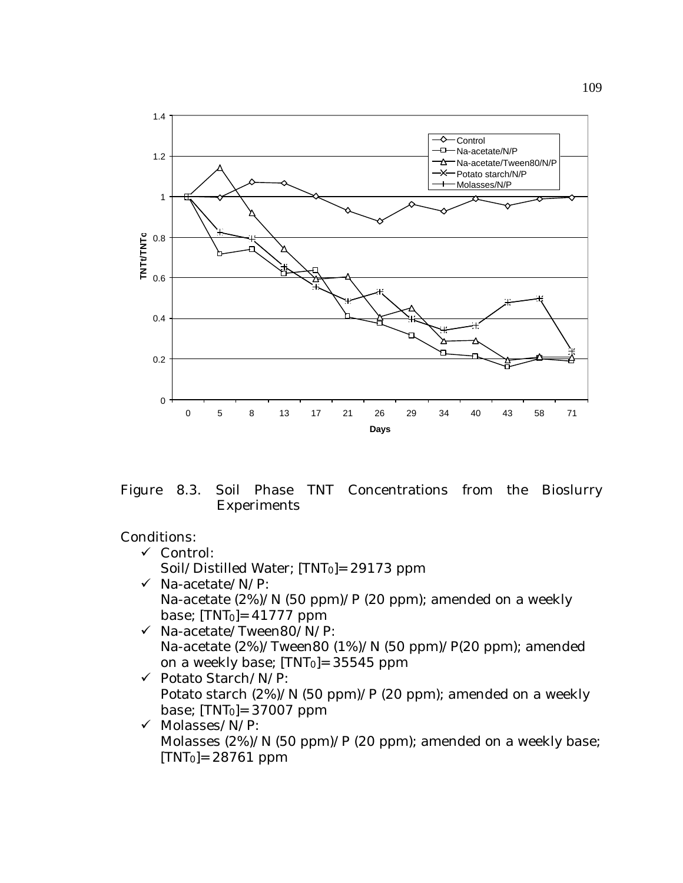

Figure 8.3. Soil Phase TNT Concentrations from the Bioslurry Experiments

- $\checkmark$  Control: Soil/Distilled Water; [TNT0]= 29173 ppm  $\checkmark$  Na-acetate/N/P: Na-acetate (2%)/N (50 ppm)/P (20 ppm); amended on a weekly base;  $[TNT<sub>0</sub>] = 41777$  ppm
- $\checkmark$  Na-acetate/Tween80/N/P: Na-acetate (2%)/Tween80 (1%)/N (50 ppm)/P(20 ppm); amended on a weekly base;  $[TNT<sub>0</sub>] = 35545$  ppm
- ¸ Potato Starch/N/P: Potato starch (2%)/N (50 ppm)/P (20 ppm); amended on a weekly base;  $[TNT<sub>0</sub>] = 37007$  ppm
- $\checkmark$  Molasses/N/P: Molasses (2%)/N (50 ppm)/P (20 ppm); amended on a weekly base;  $[TNT<sub>0</sub>] = 28761$  ppm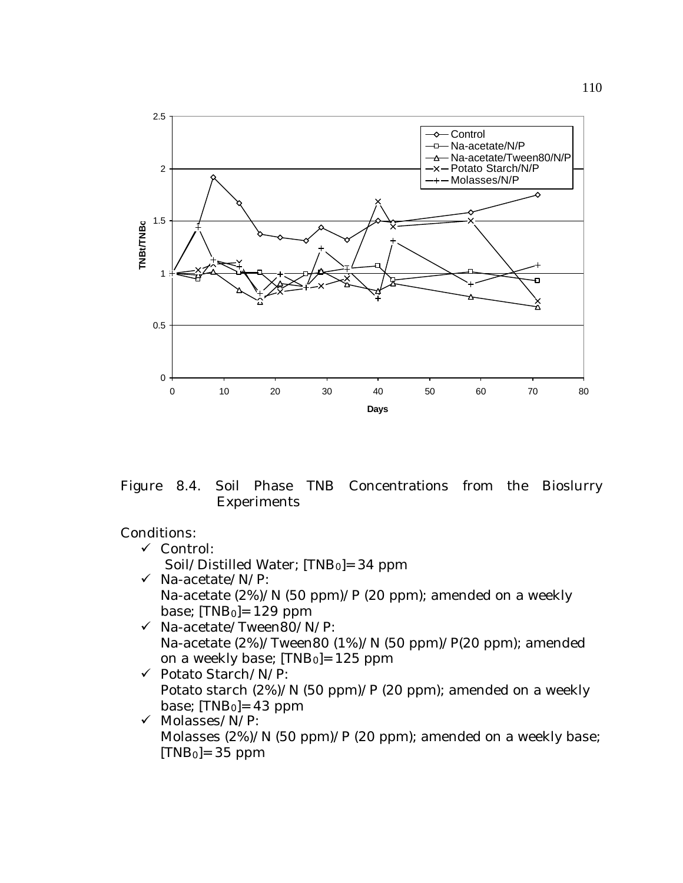

Figure 8.4. Soil Phase TNB Concentrations from the Bioslurry Experiments

- $\checkmark$  Control: Soil/Distilled Water; [TNB<sub>0</sub>]= 34 ppm  $\checkmark$  Na-acetate/N/P: Na-acetate (2%)/N (50 ppm)/P (20 ppm); amended on a weekly base;  $[TNB<sub>0</sub>]=129$  ppm
- $\checkmark$  Na-acetate/Tween80/N/P: Na-acetate (2%)/Tween80 (1%)/N (50 ppm)/P(20 ppm); amended on a weekly base; [TNB0]= 125 ppm
- ¸ Potato Starch/N/P: Potato starch (2%)/N (50 ppm)/P (20 ppm); amended on a weekly base;  $[TNB<sub>0</sub>]=43$  ppm
- $\checkmark$  Molasses/N/P: Molasses (2%)/N (50 ppm)/P (20 ppm); amended on a weekly base;  $[TNB<sub>0</sub>] = 35 ppm$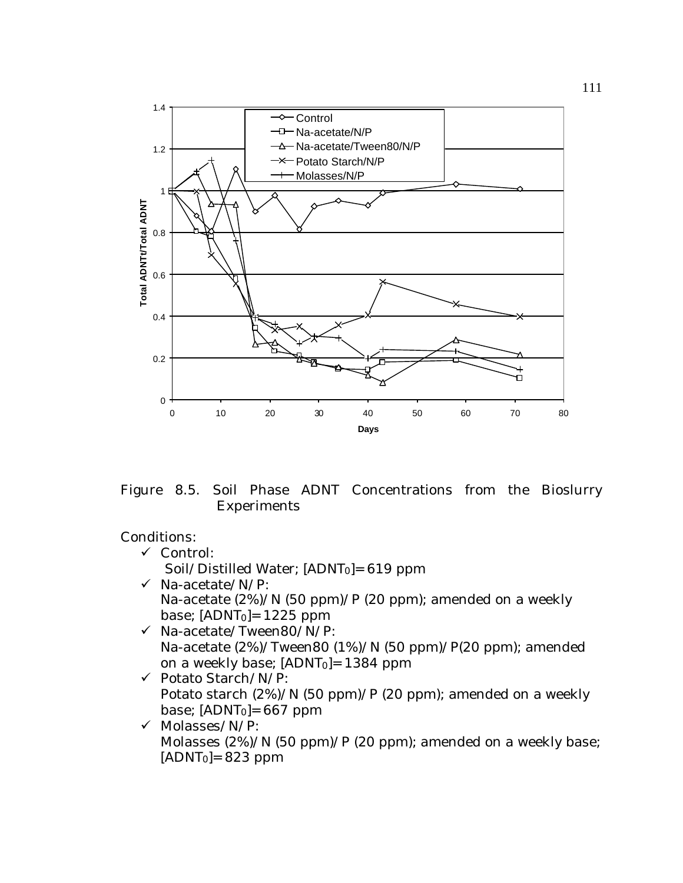

Figure 8.5. Soil Phase ADNT Concentrations from the Bioslurry Experiments

- $\checkmark$  Control: Soil/Distilled Water; [ADNT0]= 619 ppm  $\checkmark$  Na-acetate/N/P:
	- Na-acetate (2%)/N (50 ppm)/P (20 ppm); amended on a weekly base;  $[ADNT<sub>0</sub>] = 1225$  ppm
- $\checkmark$  Na-acetate/Tween80/N/P: Na-acetate (2%)/Tween80 (1%)/N (50 ppm)/P(20 ppm); amended on a weekly base; [ADNT0]= 1384 ppm
- ¸ Potato Starch/N/P: Potato starch (2%)/N (50 ppm)/P (20 ppm); amended on a weekly base;  $[ADNT<sub>0</sub>] = 667$  ppm
- $\checkmark$  Molasses/N/P: Molasses (2%)/N (50 ppm)/P (20 ppm); amended on a weekly base;  $[ADNT<sub>0</sub>] = 823 ppm$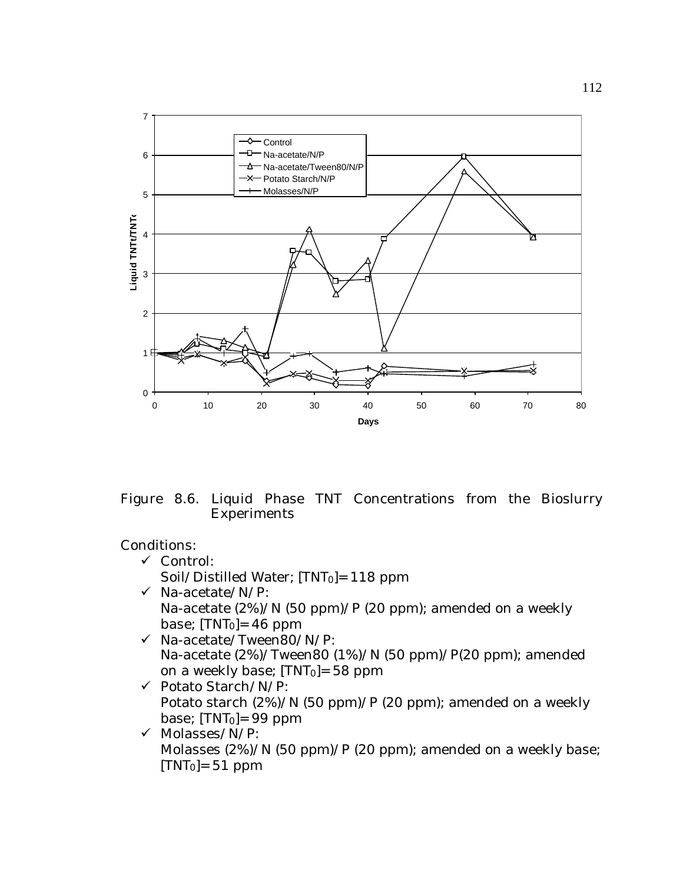

Figure 8.6. Liquid Phase TNT Concentrations from the Bioslurry Experiments

- ¸ Control: Soil/Distilled Water; [TNT0]= 118 ppm
- $\checkmark$  Na-acetate/N/P: Na-acetate (2%)/N (50 ppm)/P (20 ppm); amended on a weekly base;  $[TNT<sub>0</sub>] = 46$  ppm
- $\checkmark$  Na-acetate/Tween80/N/P: Na-acetate (2%)/Tween80 (1%)/N (50 ppm)/P(20 ppm); amended on a weekly base;  $[TNT<sub>0</sub>] = 58$  ppm
- ¸ Potato Starch/N/P: Potato starch (2%)/N (50 ppm)/P (20 ppm); amended on a weekly base;  $[TNT<sub>0</sub>] = 99$  ppm
- $\checkmark$  Molasses/N/P: Molasses (2%)/N (50 ppm)/P (20 ppm); amended on a weekly base;  $[TNT<sub>0</sub>] = 51 ppm$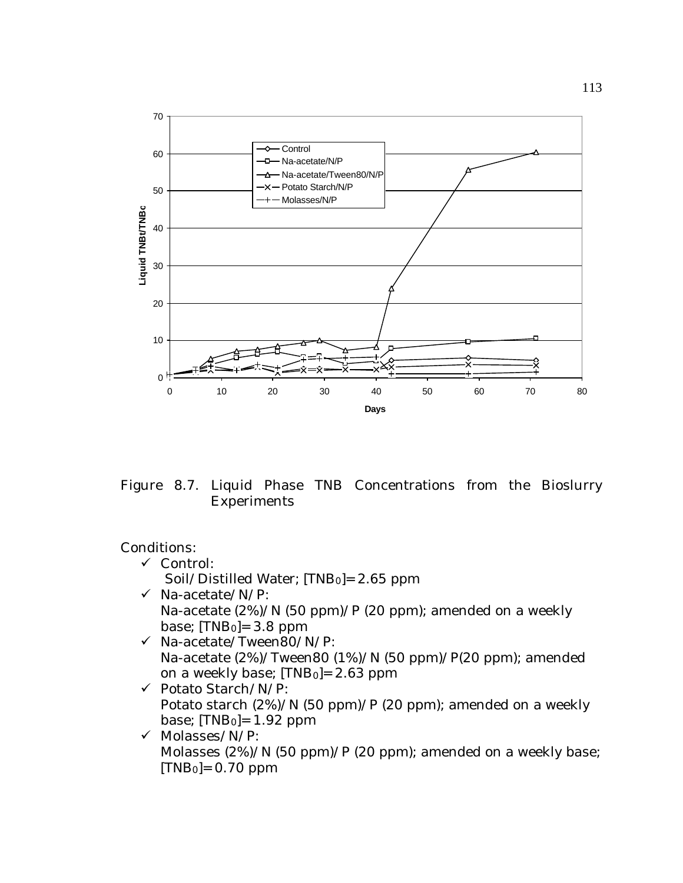

Figure 8.7. Liquid Phase TNB Concentrations from the Bioslurry Experiments

- ¸ Control: Soil/Distilled Water;  $[TNB<sub>0</sub>]= 2.65$  ppm
- $\checkmark$  Na-acetate/N/P: Na-acetate (2%)/N (50 ppm)/P (20 ppm); amended on a weekly base;  $[TNB<sub>0</sub>]=3.8$  ppm
- $\checkmark$  Na-acetate/Tween80/N/P: Na-acetate (2%)/Tween80 (1%)/N (50 ppm)/P(20 ppm); amended on a weekly base; [TNB0]= 2.63 ppm
- $\checkmark$  Potato Starch/N/P: Potato starch (2%)/N (50 ppm)/P (20 ppm); amended on a weekly base;  $[TNB<sub>0</sub>]=1.92$  ppm
- $\checkmark$  Molasses/N/P: Molasses (2%)/N (50 ppm)/P (20 ppm); amended on a weekly base;  $[TNB<sub>0</sub>]= 0.70$  ppm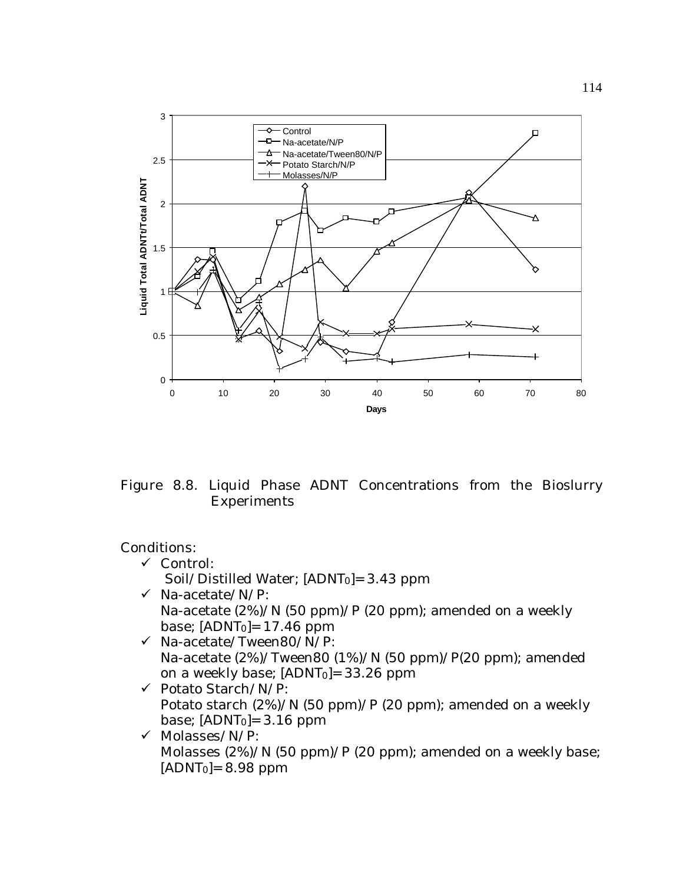

Figure 8.8. Liquid Phase ADNT Concentrations from the Bioslurry Experiments

- ¸ Control: Soil/Distilled Water; [ADNT0]= 3.43 ppm
- $\checkmark$  Na-acetate/N/P: Na-acetate (2%)/N (50 ppm)/P (20 ppm); amended on a weekly base;  $[ADNT<sub>0</sub>] = 17.46$  ppm
- $\checkmark$  Na-acetate/Tween80/N/P: Na-acetate (2%)/Tween80 (1%)/N (50 ppm)/P(20 ppm); amended on a weekly base; [ADNT0]= 33.26 ppm
- ¸ Potato Starch/N/P: Potato starch (2%)/N (50 ppm)/P (20 ppm); amended on a weekly base;  $[ADNT<sub>0</sub>] = 3.16$  ppm
- $\checkmark$  Molasses/N/P: Molasses (2%)/N (50 ppm)/P (20 ppm); amended on a weekly base;  $[ADNT<sub>0</sub>] = 8.98$  ppm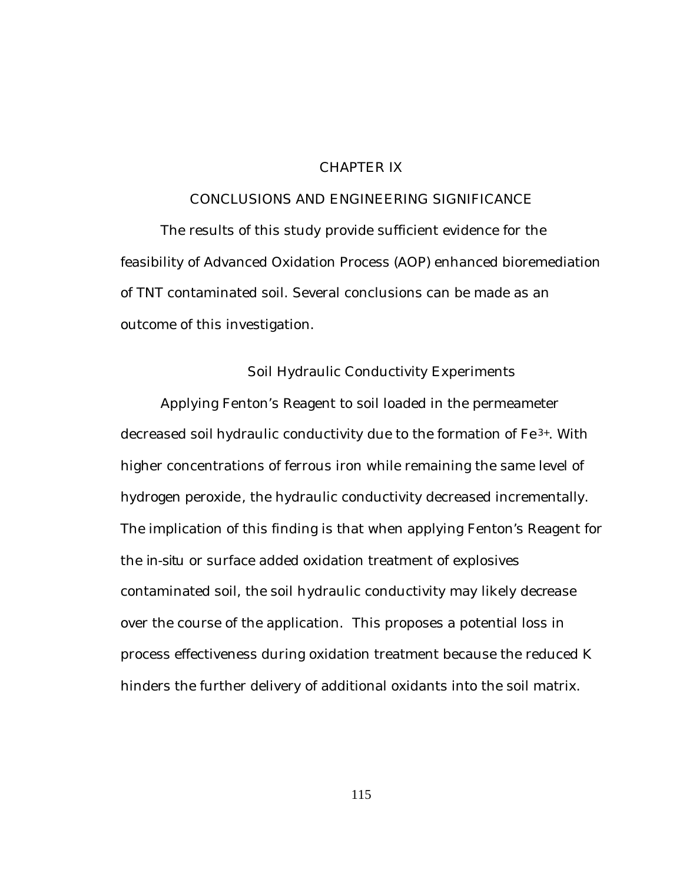## CHAPTER IX

## CONCLUSIONS AND ENGINEERING SIGNIFICANCE

The results of this study provide sufficient evidence for the feasibility of Advanced Oxidation Process (AOP) enhanced bioremediation of TNT contaminated soil. Several conclusions can be made as an outcome of this investigation.

### Soil Hydraulic Conductivity Experiments

Applying Fenton's Reagent to soil loaded in the permeameter decreased soil hydraulic conductivity due to the formation of Fe 3+. With higher concentrations of ferrous iron while remaining the same level of hydrogen peroxide, the hydraulic conductivity decreased incrementally. The implication of this finding is that when applying Fenton's Reagent for the *in-situ* or surface added oxidation treatment of explosives contaminated soil, the soil hydraulic conductivity may likely decrease over the course of the application. This proposes a potential loss in process effectiveness during oxidation treatment because the reduced K hinders the further delivery of additional oxidants into the soil matrix.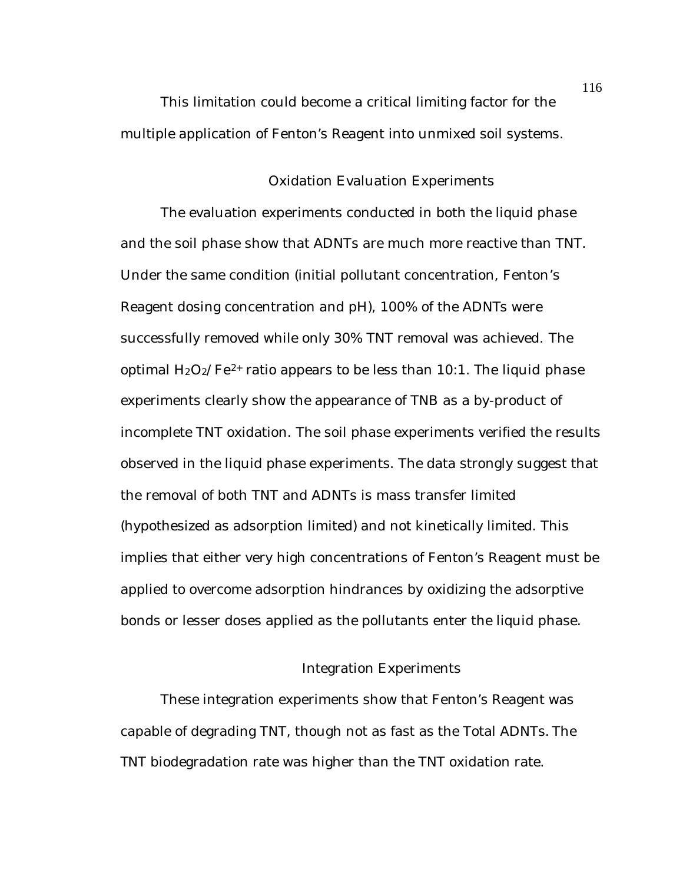This limitation could become a critical limiting factor for the multiple application of Fenton's Reagent into unmixed soil systems.

### Oxidation Evaluation Experiments

The evaluation experiments conducted in both the liquid phase and the soil phase show that ADNTs are much more reactive than TNT. Under the same condition (initial pollutant concentration, Fenton's Reagent dosing concentration and pH), 100% of the ADNTs were successfully removed while only 30% TNT removal was achieved. The optimal  $H_2O_2/Fe^{2+}$  ratio appears to be less than 10:1. The liquid phase experiments clearly show the appearance of TNB as a by-product of incomplete TNT oxidation. The soil phase experiments verified the results observed in the liquid phase experiments. The data strongly suggest that the removal of both TNT and ADNTs is mass transfer limited (hypothesized as adsorption limited) and not kinetically limited. This implies that either very high concentrations of Fenton's Reagent must be applied to overcome adsorption hindrances by oxidizing the adsorptive bonds or lesser doses applied as the pollutants enter the liquid phase.

### Integration Experiments

These integration experiments show that Fenton's Reagent was capable of degrading TNT, though not as fast as the Total ADNTs. The TNT biodegradation rate was higher than the TNT oxidation rate.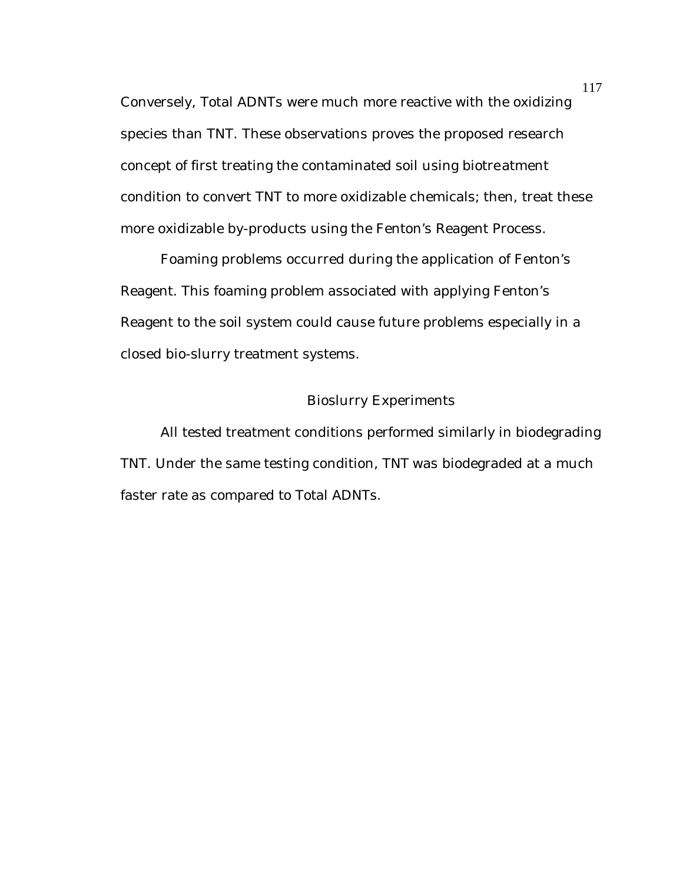Conversely, Total ADNTs were much more reactive with the oxidizing species than TNT. These observations proves the proposed research concept of first treating the contaminated soil using biotreatment condition to convert TNT to more oxidizable chemicals; then, treat these more oxidizable by-products using the Fenton's Reagent Process.

Foaming problems occurred during the application of Fenton's Reagent. This foaming problem associated with applying Fenton's Reagent to the soil system could cause future problems especially in a closed bio-slurry treatment systems.

# Bioslurry Experiments

All tested treatment conditions performed similarly in biodegrading TNT. Under the same testing condition, TNT was biodegraded at a much faster rate as compared to Total ADNTs.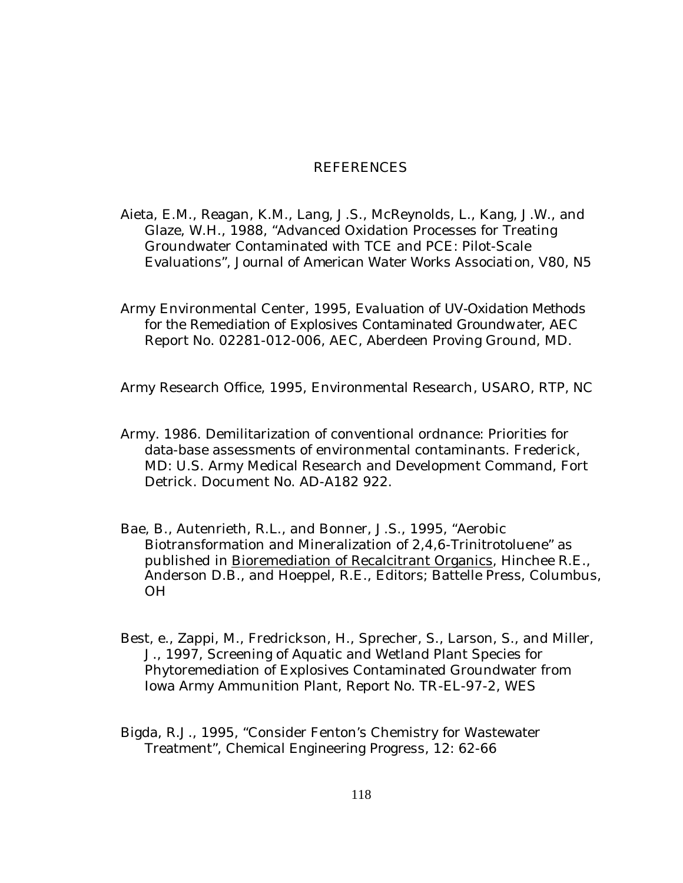### REFERENCES

- Aieta, E.M., Reagan, K.M., Lang, J.S., McReynolds, L., Kang, J.W., and Glaze, W.H., 1988, "Advanced Oxidation Processes for Treating Groundwater Contaminated with TCE and PCE: Pilot-Scale Evaluations", *Journal of American Water Works Association*, V80, N5
- Army Environmental Center, 1995, *Evaluation of UV-Oxidation Methods for the Remediation of Explosives Contaminated Groundwater*, AEC Report No. 02281-012-006, AEC, Aberdeen Proving Ground, MD.

Army Research Office, 1995, Environmental Research, USARO, RTP, NC

- Army. 1986. Demilitarization of conventional ordnance: Priorities for data-base assessments of environmental contaminants. Frederick, MD: U.S. Army Medical Research and Development Command, Fort Detrick. Document No. AD-A182 922.
- Bae, B., Autenrieth, R.L., and Bonner, J.S., 1995, "Aerobic Biotransformation and Mineralization of 2,4,6-Trinitrotoluene" as published in Bioremediation of Recalcitrant Organics, Hinchee R.E., Anderson D.B., and Hoeppel, R.E., Editors; Battelle Press, Columbus, OH
- Best, e., Zappi, M., Fredrickson, H., Sprecher, S., Larson, S., and Miller, J., 1997, Screening of Aquatic and Wetland Plant Species for Phytoremediation of Explosives Contaminated Groundwater from Iowa Army Ammunition Plant, Report No. TR-EL-97-2, WES
- Bigda, R.J., 1995, "Consider Fenton's Chemistry for Wastewater Treatment", *Chemical Engineering Progress*, 12: 62-66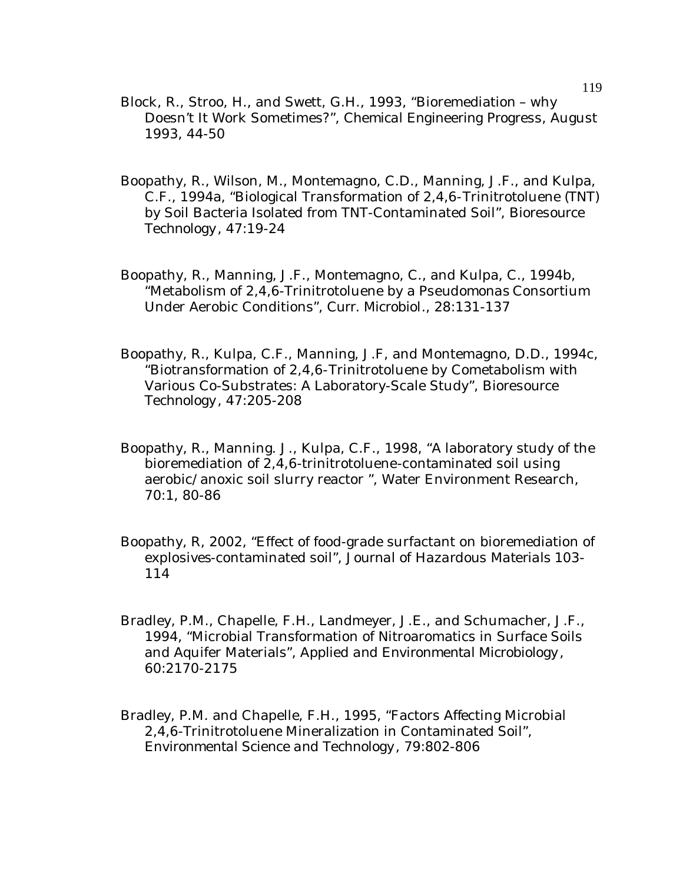- Block, R., Stroo, H., and Swett, G.H., 1993, "Bioremediation why Doesn't It Work Sometimes?", *Chemical Engineering Progress*, August 1993, 44-50
- Boopathy, R., Wilson, M., Montemagno, C.D., Manning, J.F., and Kulpa, C.F., 1994a, "Biological Transformation of 2,4,6-Trinitrotoluene (TNT) by Soil Bacteria Isolated from TNT-Contaminated Soil", *Bioresource Technology*, 47:19-24
- Boopathy, R., Manning, J.F., Montemagno, C., and Kulpa, C., 1994b, "Metabolism of 2,4,6-Trinitrotoluene by a *Pseudomonas* Consortium Under Aerobic Conditions", *Curr. Microbiol*., 28:131-137
- Boopathy, R., Kulpa, C.F., Manning, J.F, and Montemagno, D.D., 1994c, "Biotransformation of 2,4,6-Trinitrotoluene by Cometabolism with Various Co-Substrates: A Laboratory-Scale Study", *Bioresource Technology*, 47:205-208
- Boopathy, R., Manning. J., Kulpa, C.F., 1998, "A laboratory study of the bioremediation of  $2,4,6$ -trinitrotoluene-contaminated soil using aerobic/anoxic soil slurry reactor ", Water Environment Research, 70:1, 80-86
- Boopathy, R, 2002, "Effect of food-grade surfactant on bioremediation of explosives-contaminated soil", *Journal of Hazardous Materials* 103- 114
- Bradley, P.M., Chapelle, F.H., Landmeyer, J.E., and Schumacher, J.F., 1994, "Microbial Transformation of Nitroaromatics in Surface Soils and Aquifer Materials", *Applied and Environmental Microbiology*, 60:2170-2175
- Bradley, P.M. and Chapelle, F.H., 1995, "Factors Affecting Microbial 2,4,6-Trinitrotoluene Mineralization in Contaminated Soil", *Environmental Science and Technology*, 79:802-806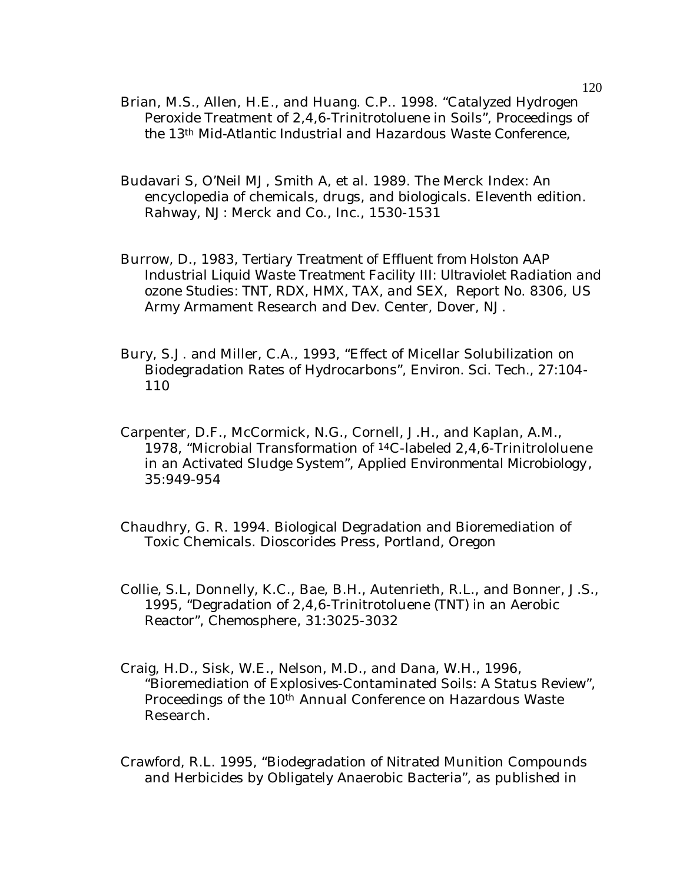- Brian, M.S., Allen, H.E., and Huang. C.P.. 1998. "Catalyzed Hydrogen Peroxide Treatment of 2,4,6-Trinitrotoluene in Soils", *Proceedings of the 13th Mid-Atlantic Industrial and Hazardous Waste Conference*,
- Budavari S, O'Neil MJ, Smith A, et al. 1989. The Merck Index: An encyclopedia of chemicals, drugs, and biologicals. Eleventh edition. Rahway, NJ: Merck and Co., Inc., 1530-1531
- Burrow, D., 1983, *Tertiary Treatment of Effluent from Holston AAP Industrial Liquid Waste Treatment Facility III: Ultraviolet Radiation and ozone Studies: TNT, RDX, HMX, TAX, and SEX,* Report No. 8306, US Army Armament Research and Dev. Center, Dover, NJ.
- Bury, S.J. and Miller, C.A., 1993, "Effect of Micellar Solubilization on Biodegradation Rates of Hydrocarbons", *Environ. Sci. Tech.,* 27:104- 110
- Carpenter, D.F., McCormick, N.G., Cornell, J.H., and Kaplan, A.M., 1978, "Microbial Transformation of <sup>14</sup>C-labeled 2,4,6-Trinitrololuene in an Activated Sludge System", *Applied Environmental Microbiology*, 35:949-954
- Chaudhry, G. R. 1994. Biological Degradation and Bioremediation of Toxic Chemicals. Dioscorides Press, Portland, Oregon
- Collie, S.L, Donnelly, K.C., Bae, B.H., Autenrieth, R.L., and Bonner, J.S., 1995, "Degradation of 2,4,6-Trinitrotoluene (TNT) in an Aerobic Reactor", *Chemosphere*, 31:3025-3032
- Craig, H.D., Sisk, W.E., Nelson, M.D., and Dana, W.H., 1996, "Bioremediation of Explosives-Contaminated Soils: A Status Review", Proceedings of the 10th Annual Conference on Hazardous Waste Research.
- Crawford, R.L. 1995, "Biodegradation of Nitrated Munition Compounds and Herbicides by Obligately Anaerobic Bacteria", as published in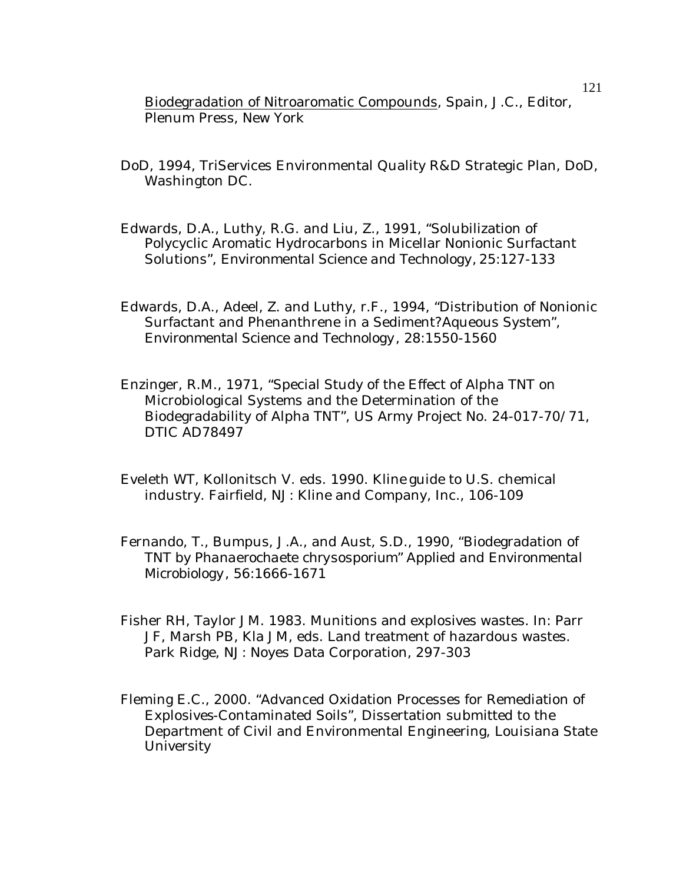Biodegradation of Nitroaromatic Compounds, Spain, J.C., Editor, Plenum Press, New York

- DoD, 1994, TriServices Environmental Quality R&D Strategic Plan, DoD, Washington DC.
- Edwards, D.A., Luthy, R.G. and Liu, Z., 1991, "Solubilization of Polycyclic Aromatic Hydrocarbons in Micellar Nonionic Surfactant Solutions", *Environmental Science and Technology,* 25:127-133
- Edwards, D.A., Adeel, Z. and Luthy, r.F., 1994, "Distribution of Nonionic Surfactant and Phenanthrene in a Sediment?Aqueous System", *Environmental Science and Technology*, 28:1550-1560
- Enzinger, R.M., 1971, "Special Study of the Effect of Alpha TNT on Microbiological Systems and the Determination of the Biodegradability of Alpha TNT", US Army Project No. 24-017-70/71, DTIC AD78497
- Eveleth WT, Kollonitsch V. eds. 1990. Kline guide to U.S. chemical industry. Fairfield, NJ: Kline and Company, Inc., 106-109
- Fernando, T., Bumpus, J.A., and Aust, S.D., 1990, "Biodegradation of TNT by *Phanaerochaete chrysosporium*" *Applied and Environmental Microbiology*, 56:1666-1671
- Fisher RH, Taylor JM. 1983. Munitions and explosives wastes. In: Parr JF, Marsh PB, Kla JM, eds. Land treatment of hazardous wastes. Park Ridge, NJ: Noyes Data Corporation, 297-303
- Fleming E.C., 2000. "Advanced Oxidation Processes for Remediation of Explosives-Contaminated Soils", Dissertation submitted to the Department of Civil and Environmental Engineering, Louisiana State University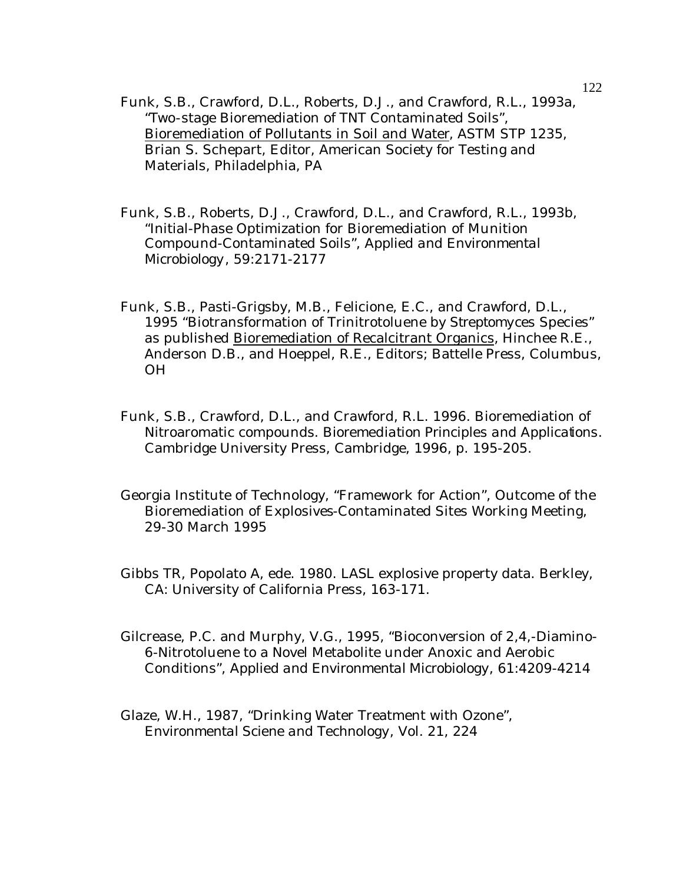- Funk, S.B., Crawford, D.L., Roberts, D.J., and Crawford, R.L., 1993a, "Two-stage Bioremediation of TNT Contaminated Soils", Bioremediation of Pollutants in Soil and Water, ASTM STP 1235, Brian S. Schepart, Editor, American Society for Testing and Materials, Philadelphia, PA
- Funk, S.B., Roberts, D.J., Crawford, D.L., and Crawford, R.L., 1993b, "Initial-Phase Optimization for Bioremediation of Munition Compound-Contaminated Soils", *Applied and Environmental Microbiology*, 59:2171-2177
- Funk, S.B., Pasti-Grigsby, M.B., Felicione, E.C., and Crawford, D.L., 1995 "Biotransformation of Trinitrotoluene by *Streptomyces* Species" as published Bioremediation of Recalcitrant Organics, Hinchee R.E., Anderson D.B., and Hoeppel, R.E., Editors; Battelle Press, Columbus, OH
- Funk, S.B., Crawford, D.L., and Crawford, R.L. 1996. Bioremediation of Nitroaromatic compounds. *Bioremediation Principles and Applications.*  Cambridge University Press, Cambridge, 1996, p. 195-205.
- Georgia Institute of Technology, "Framework for Action", Outcome of the Bioremediation of Explosives-Contaminated Sites Working Meeting, 29-30 March 1995
- Gibbs TR, Popolato A, ede. 1980. LASL explosive property data. Berkley, CA: University of California Press, 163-171.
- Gilcrease, P.C. and Murphy, V.G., 1995, "Bioconversion of 2,4,-Diamino-6-Nitrotoluene to a Novel Metabolite under Anoxic and Aerobic Conditions", *Applied and Environmental Microbiology*, 61:4209-4214
- Glaze, W.H., 1987, "Drinking Water Treatment with Ozone", *Environmental Sciene and Technology*, Vol. 21, 224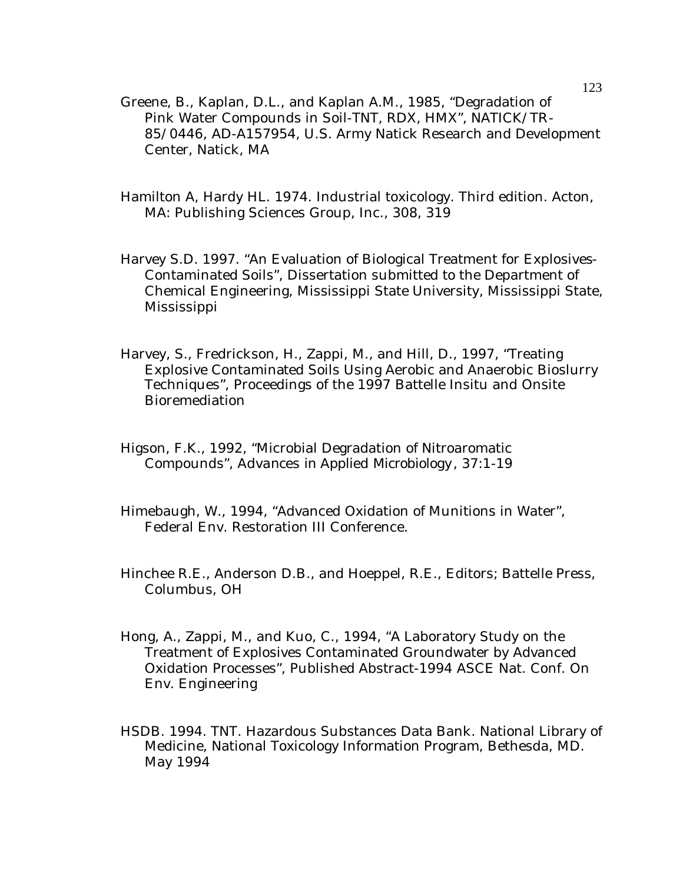- Greene, B., Kaplan, D.L., and Kaplan A.M., 1985, "Degradation of Pink Water Compounds in Soil-TNT, RDX, HMX", NATICK/TR-85/0446, AD-A157954, U.S. Army Natick Research and Development Center, Natick, MA
- Hamilton A, Hardy HL. 1974. Industrial toxicology. Third edition. Acton, MA: Publishing Sciences Group, Inc., 308, 319
- Harvey S.D. 1997. "An Evaluation of Biological Treatment for Explosives-Contaminated Soils", Dissertation submitted to the Department of Chemical Engineering, Mississippi State University, Mississippi State, Mississippi
- Harvey, S., Fredrickson, H., Zappi, M., and Hill, D., 1997, "Treating Explosive Contaminated Soils Using Aerobic and Anaerobic Bioslurry Techniques", Proceedings of the 1997 Battelle Insitu and Onsite Bioremediation
- Higson, F.K., 1992, "Microbial Degradation of Nitroaromatic Compounds", *Advances in Applied Microbiology*, 37:1-19
- Himebaugh, W., 1994, "Advanced Oxidation of Munitions in Water", Federal Env. Restoration III Conference.
- Hinchee R.E., Anderson D.B., and Hoeppel, R.E., Editors; Battelle Press, Columbus, OH
- Hong, A., Zappi, M., and Kuo, C., 1994, "A Laboratory Study on the Treatment of Explosives Contaminated Groundwater by Advanced Oxidation Processes", Published Abstract-1994 ASCE Nat. Conf. On Env. Engineering
- HSDB. 1994. TNT. Hazardous Substances Data Bank. National Library of Medicine, National Toxicology Information Program, Bethesda, MD. May 1994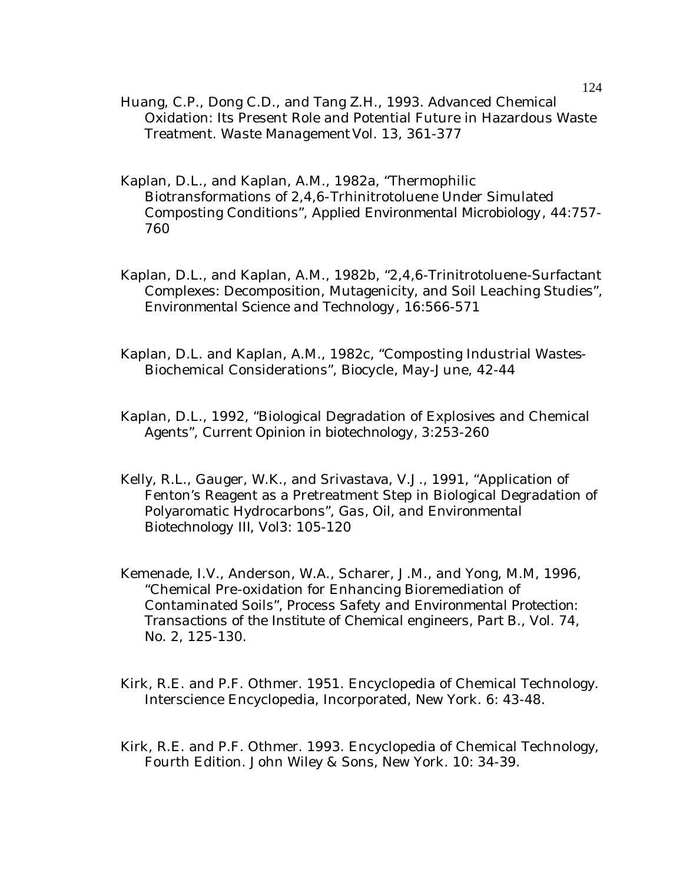- Huang, C.P., Dong C.D., and Tang Z.H., 1993. Advanced Chemical Oxidation: Its Present Role and Potential Future in Hazardous Waste Treatment. *Waste Management* Vol. 13, 361-377
- Kaplan, D.L., and Kaplan, A.M., 1982a, "Thermophilic Biotransformations of 2,4,6-Trhinitrotoluene Under Simulated Composting Conditions", *Applied Environmental Microbiology*, 44:757- 760
- Kaplan, D.L., and Kaplan, A.M., 1982b, "2,4,6-Trinitrotoluene-Surfactant Complexes: Decomposition, Mutagenicity, and Soil Leaching Studies", *Environmental Science and Technology*, 16:566-571
- Kaplan, D.L. and Kaplan, A.M., 1982c, "Composting Industrial Wastes-Biochemical Considerations", *Biocycle*, May-June, 42-44
- Kaplan, D.L., 1992, "Biological Degradation of Explosives and Chemical Agents", *Current Opinion in biotechnology,* 3:253-260
- Kelly, R.L., Gauger, W.K., and Srivastava, V.J., 1991, "Application of Fenton's Reagent as a Pretreatment Step in Biological Degradation of Polyaromatic Hydrocarbons", *Gas, Oil, and Environmental Biotechnology III*, Vol3: 105-120
- Kemenade, I.V., Anderson, W.A., Scharer, J.M., and Yong, M.M, 1996, "Chemical Pre-oxidation for Enhancing Bioremediation of Contaminated Soils", *Process Safety and Environmental Protection: Transactions of the Institute of Chemical engineers, Part B*., Vol. 74, No. 2, 125-130.
- Kirk, R.E. and P.F. Othmer. 1951. Encyclopedia of Chemical Technology. Interscience Encyclopedia, Incorporated, New York. 6: 43-48.
- Kirk, R.E. and P.F. Othmer. 1993. Encyclopedia of Chemical Technology, Fourth Edition. John Wiley & Sons, New York. 10: 34-39.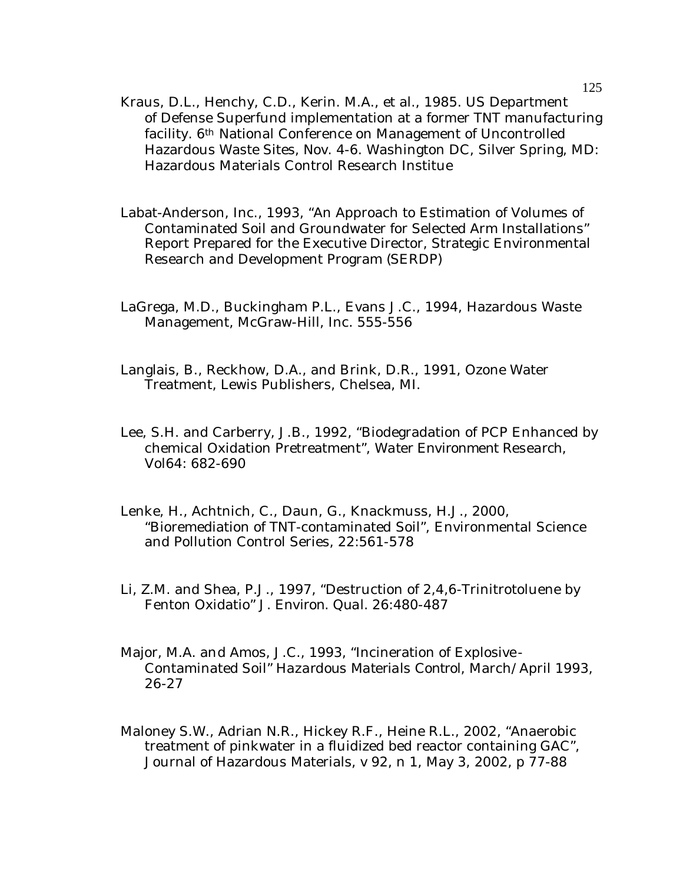- Kraus, D.L., Henchy, C.D., Kerin. M.A., et al., 1985. US Department of Defense Superfund implementation at a former TNT manufacturing facility. 6th National Conference on Management of Uncontrolled Hazardous Waste Sites, Nov. 4-6. Washington DC, Silver Spring, MD: Hazardous Materials Control Research Institue
- Labat-Anderson, Inc., 1993, "An Approach to Estimation of Volumes of Contaminated Soil and Groundwater for Selected Arm Installations" Report Prepared for the Executive Director, Strategic Environmental Research and Development Program (SERDP)
- LaGrega, M.D., Buckingham P.L., Evans J.C., 1994, Hazardous Waste Management, McGraw-Hill, Inc. 555-556
- Langlais, B., Reckhow, D.A., and Brink, D.R., 1991, Ozone Water Treatment, Lewis Publishers, Chelsea, MI.
- Lee, S.H. and Carberry, J.B., 1992, "Biodegradation of PCP Enhanced by chemical Oxidation Pretreatment", *Water Environment Research*, Vol64: 682-690
- Lenke, H., Achtnich, C., Daun, G., Knackmuss, H.J., 2000, "Bioremediation of TNT-contaminated Soil", Environmental Science and Pollution Control Series, 22:561-578
- Li, Z.M. and Shea, P.J., 1997, "Destruction of 2,4,6-Trinitrotoluene by Fenton Oxidatio" *J. Environ. Qual.* 26:480-487
- Major, M.A. and Amos, J.C., 1993, "Incineration of Explosive-Contaminated Soil" *Hazardous Materials Control*, March/April 1993, 26-27
- Maloney S.W., Adrian N.R., Hickey R.F., Heine R.L., 2002, "Anaerobic treatment of pinkwater in a fluidized bed reactor containing GAC", Journal of Hazardous Materials, v 92, n 1, May 3, 2002, p 77-88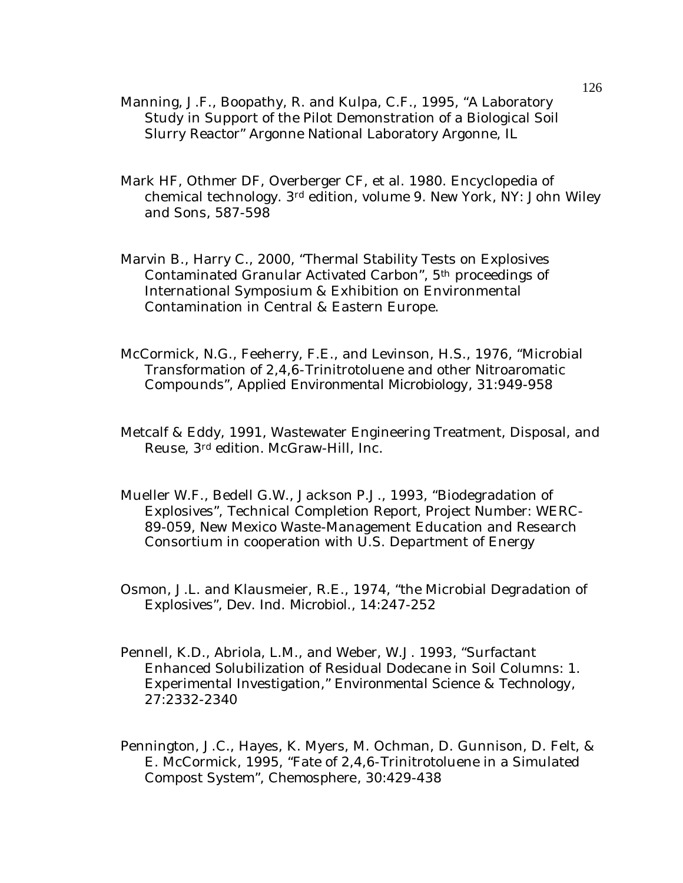- Manning, J.F., Boopathy, R. and Kulpa, C.F., 1995, "A Laboratory Study in Support of the Pilot Demonstration of a Biological Soil Slurry Reactor" Argonne National Laboratory Argonne, IL
- Mark HF, Othmer DF, Overberger CF, et al. 1980. Encyclopedia of chemical technology. 3rd edition, volume 9. New York, NY: John Wiley and Sons, 587-598
- Marvin B., Harry C., 2000, "Thermal Stability Tests on Explosives Contaminated Granular Activated Carbon", 5th proceedings of International Symposium & Exhibition on Environmental Contamination in Central & Eastern Europe.
- McCormick, N.G., Feeherry, F.E., and Levinson, H.S., 1976, "Microbial Transformation of 2,4,6-Trinitrotoluene and other Nitroaromatic Compounds", *Applied Environmental Microbiology*, 31:949-958
- Metcalf & Eddy, 1991, Wastewater Engineering Treatment, Disposal, and Reuse, 3rd edition. McGraw-Hill, Inc.
- Mueller W.F., Bedell G.W., Jackson P.J., 1993, "Biodegradation of Explosives", Technical Completion Report, Project Number: WERC-89-059, New Mexico Waste-Management Education and Research Consortium in cooperation with U.S. Department of Energy
- Osmon, J.L. and Klausmeier, R.E., 1974, "the Microbial Degradation of Explosives", *Dev. Ind. Microbiol*., 14:247-252
- Pennell, K.D., Abriola, L.M., and Weber, W.J. 1993, "Surfactant Enhanced Solubilization of Residual Dodecane in Soil Columns: 1. Experimental Investigation," *Environmental Science & Technology*, 27:2332-2340
- Pennington, J.C., Hayes, K. Myers, M. Ochman, D. Gunnison, D. Felt, & E. McCormick, 1995, "Fate of 2,4,6-Trinitrotoluene in a Simulated Compost System", *Chemosphere*, 30:429-438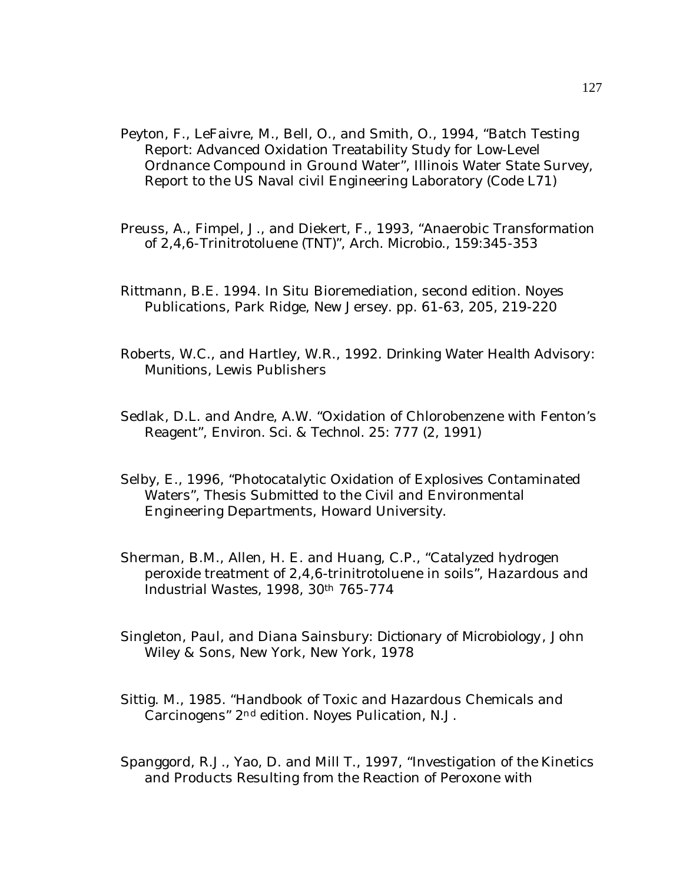- Peyton, F., LeFaivre, M., Bell, O., and Smith, O., 1994, "Batch Testing Report: Advanced Oxidation Treatability Study for Low-Level Ordnance Compound in Ground Water", Illinois Water State Survey, Report to the US Naval civil Engineering Laboratory (Code L71)
- Preuss, A., Fimpel, J., and Diekert, F., 1993, "Anaerobic Transformation of 2,4,6-Trinitrotoluene (TNT)", *Arch. Microbio.,* 159:345-353
- Rittmann, B.E. 1994. In Situ Bioremediation, second edition. Noyes Publications, Park Ridge, New Jersey. pp. 61-63, 205, 219-220
- Roberts, W.C., and Hartley, W.R., 1992. *Drinking Water Health Advisory: Munitions,* Lewis Publishers
- Sedlak, D.L. and Andre, A.W. "Oxidation of Chlorobenzene with Fenton's Reagent", *Environ. Sci. & Technol.* 25: 777 (2, 1991)
- Selby, E., 1996, "Photocatalytic Oxidation of Explosives Contaminated Waters", Thesis Submitted to the Civil and Environmental Engineering Departments, Howard University.
- Sherman, B.M., Allen, H. E. and Huang, C.P., "Catalyzed hydrogen peroxide treatment of 2,4,6-trinitrotoluene in soils", *Hazardous and Industrial Wastes*, 1998, 30th 765-774
- Singleton, Paul, and Diana Sainsbury: *Dictionary of Microbiology*, John Wiley & Sons, New York, New York, 1978
- Sittig. M., 1985. "Handbook of Toxic and Hazardous Chemicals and Carcinogens" 2nd edition. Noyes Pulication, N.J.
- Spanggord, R.J., Yao, D. and Mill T., 1997, "Investigation of the Kinetics and Products Resulting from the Reaction of Peroxone with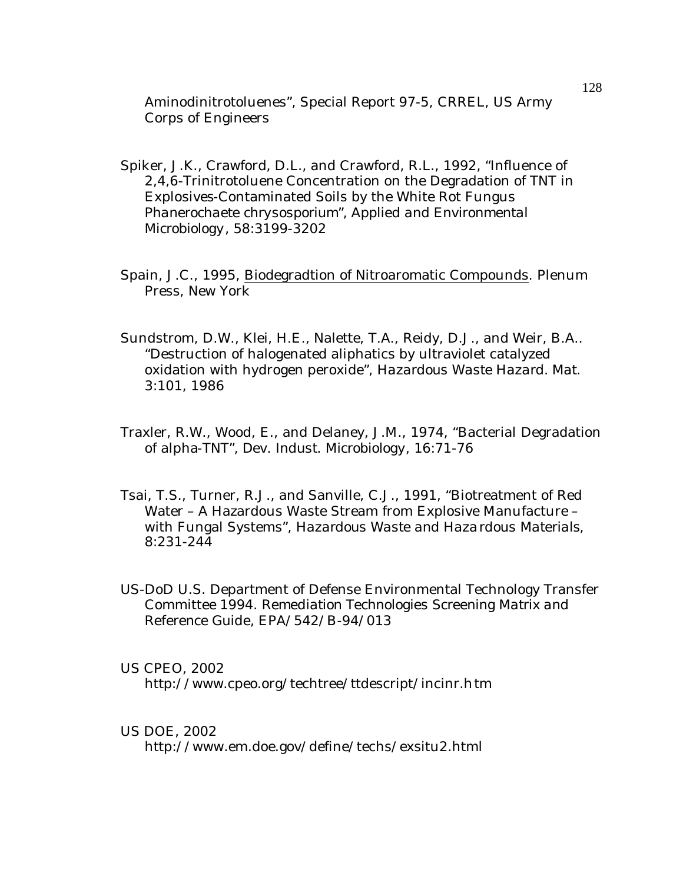Aminodinitrotoluenes", Special Report 97-5, CRREL, US Army Corps of Engineers

- Spiker, J.K., Crawford, D.L., and Crawford, R.L., 1992, "Influence of 2,4,6-Trinitrotoluene Concentration on the Degradation of TNT in Explosives-Contaminated Soils by the White Rot Fungus *Phanerochaete chrysosporium*", *Applied and Environmental Microbiology*, 58:3199-3202
- Spain, J.C., 1995, Biodegradtion of Nitroaromatic Compounds. Plenum Press, New York
- Sundstrom, D.W., Klei, H.E., Nalette, T.A., Reidy, D.J., and Weir, B.A.. "Destruction of halogenated aliphatics by ultraviolet catalyzed oxidation with hydrogen peroxide", *Hazardous Waste Hazard. Mat.*  3:101, 1986
- Traxler, R.W., Wood, E., and Delaney, J.M., 1974, "Bacterial Degradation of alpha-TNT", *Dev. Indust. Microbiology*, 16:71-76
- Tsai, T.S., Turner, R.J., and Sanville, C.J., 1991, "Biotreatment of Red Water – A Hazardous Waste Stream from Explosive Manufacture – with Fungal Systems", *Hazardous Waste and Hazardous Materials*, 8:231-244
- US-DoD U.S. Department of Defense Environmental Technology Transfer Committee 1994. *Remediation Technologies Screening Matrix and Reference Guide,* EPA/542/B-94/013

### US CPEO, 2002

http://www.cpeo.org/techtree/ttdescript/incinr.htm

### US DOE, 2002

http://www.em.doe.gov/define/techs/exsitu2.html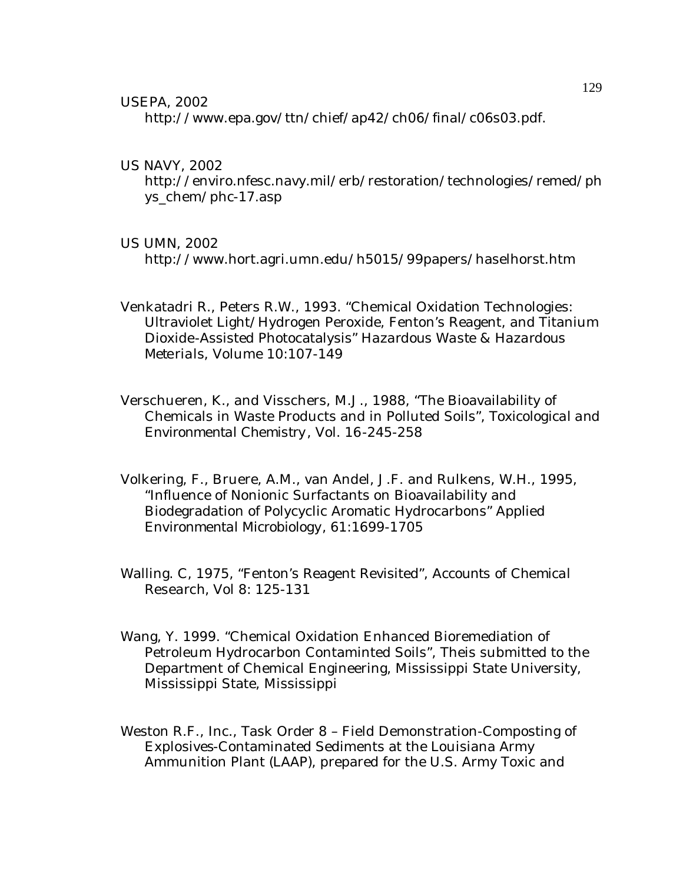USEPA, 2002

http://www.epa.gov/ttn/chief/ap42/ch06/final/c06s03.pdf.

US NAVY, 2002

http://enviro.nfesc.navy.mil/erb/restoration/technologies/remed/ph ys\_chem/phc-17.asp

### US UMN, 2002

http://www.hort.agri.umn.edu/h5015/99papers/haselhorst.htm

- Venkatadri R., Peters R.W., 1993. "Chemical Oxidation Technologies: Ultraviolet Light/Hydrogen Peroxide, Fenton's Reagent, and Titanium Dioxide-Assisted Photocatalysis" *Hazardous Waste & Hazardous Meterials*, Volume 10:107-149
- Verschueren, K., and Visschers, M.J., 1988, "The Bioavailability of Chemicals in Waste Products and in Polluted Soils", *Toxicological and Environmental Chemistry*, Vol. 16-245-258
- Volkering, F., Bruere, A.M., van Andel, J.F. and Rulkens, W.H., 1995, "Influence of Nonionic Surfactants on Bioavailability and Biodegradation of Polycyclic Aromatic Hydrocarbons" *Applied Environmental Microbiology,* 61:1699-1705
- Walling. C, 1975, "Fenton's Reagent Revisited", *Accounts of Chemical Research,* Vol 8: 125-131
- Wang, Y. 1999. "Chemical Oxidation Enhanced Bioremediation of Petroleum Hydrocarbon Contaminted Soils", Theis submitted to the Department of Chemical Engineering, Mississippi State University, Mississippi State, Mississippi
- Weston R.F., Inc., Task Order 8 Field Demonstration-Composting of Explosives-Contaminated Sediments at the Louisiana Army Ammunition Plant (LAAP), prepared for the U.S. Army Toxic and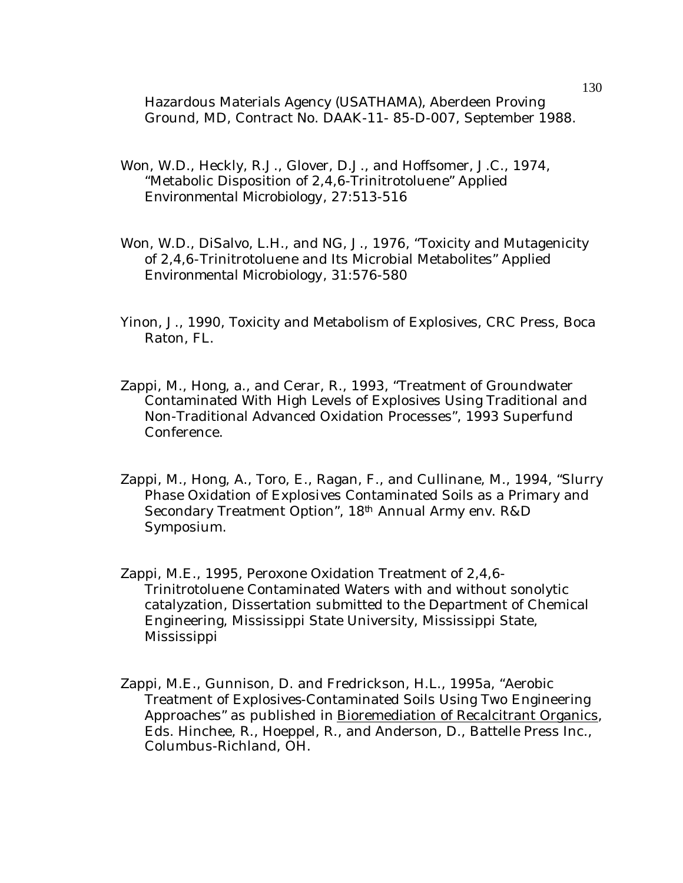Hazardous Materials Agency (USATHAMA), Aberdeen Proving Ground, MD, Contract No. DAAK-11- 85-D-007, September 1988.

- Won, W.D., Heckly, R.J., Glover, D.J., and Hoffsomer, J.C., 1974, "Metabolic Disposition of 2,4,6-Trinitrotoluene" *Applied Environmental Microbiology*, 27:513-516
- Won, W.D., DiSalvo, L.H., and NG, J., 1976, "Toxicity and Mutagenicity of 2,4,6-Trinitrotoluene and Its Microbial Metabolites" *Applied Environmental Microbiology*, 31:576-580
- Yinon, J., 1990, Toxicity and Metabolism of Explosives, CRC Press, Boca Raton, FL.
- Zappi, M., Hong, a., and Cerar, R., 1993, "Treatment of Groundwater Contaminated With High Levels of Explosives Using Traditional and Non-Traditional Advanced Oxidation Processes", 1993 Superfund Conference.
- Zappi, M., Hong, A., Toro, E., Ragan, F., and Cullinane, M., 1994, "Slurry Phase Oxidation of Explosives Contaminated Soils as a Primary and Secondary Treatment Option", 18<sup>th</sup> Annual Army env. R&D Symposium.
- Zappi, M.E., 1995, Peroxone Oxidation Treatment of 2,4,6- Trinitrotoluene Contaminated Waters with and without sonolytic catalyzation, Dissertation submitted to the Department of Chemical Engineering, Mississippi State University, Mississippi State, Mississippi
- Zappi, M.E., Gunnison, D. and Fredrickson, H.L., 1995a, "Aerobic Treatment of Explosives-Contaminated Soils Using Two Engineering Approaches" as published in Bioremediation of Recalcitrant Organics, Eds. Hinchee, R., Hoeppel, R., and Anderson, D., Battelle Press Inc., Columbus-Richland, OH.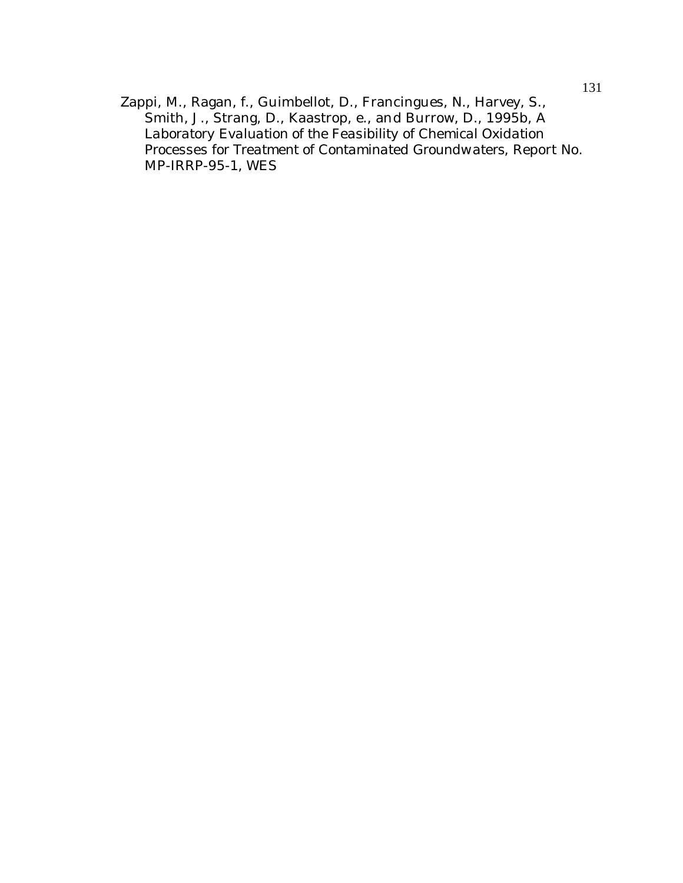Zappi, M., Ragan, f., Guimbellot, D., Francingues, N., Harvey, S., Smith, J., Strang, D., Kaastrop, e., and Burrow, D., 1995b, *A Laboratory Evaluation of the Feasibility of Chemical Oxidation Processes for Treatment of Contaminated Groundwaters*, Report No. MP-IRRP-95-1, WES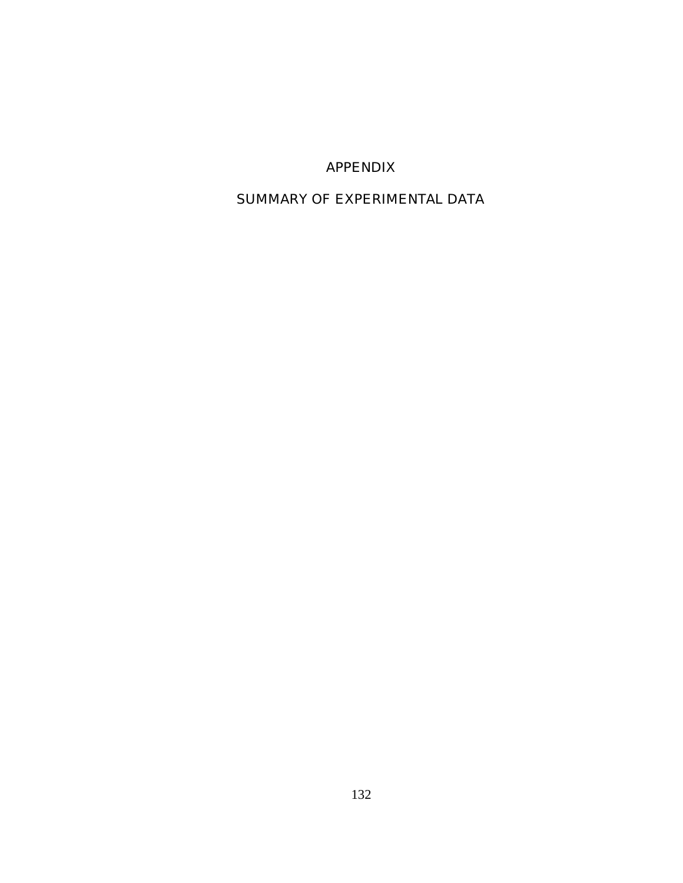# APPENDIX

# SUMMARY OF EXPERIMENTAL DATA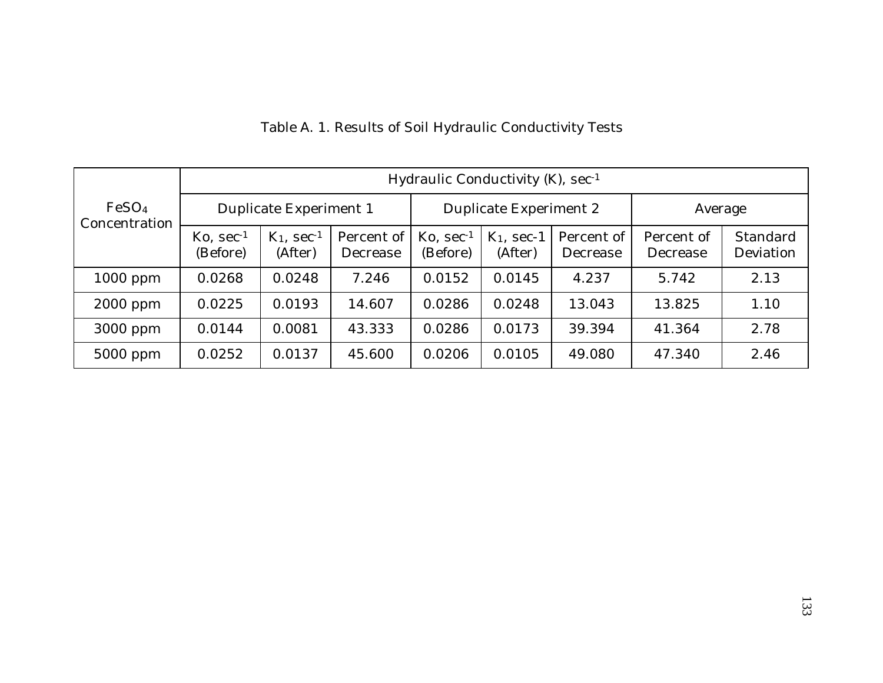|                                    |                                                        | Hydraulic Conductivity (K), sec-1    |                        |                                                        |                          |                        |                        |                       |  |  |  |  |  |  |
|------------------------------------|--------------------------------------------------------|--------------------------------------|------------------------|--------------------------------------------------------|--------------------------|------------------------|------------------------|-----------------------|--|--|--|--|--|--|
| FeSO <sub>4</sub><br>Concentration |                                                        | Duplicate Experiment 1               |                        |                                                        | Duplicate Experiment 2   |                        | Average                |                       |  |  |  |  |  |  |
|                                    | $\mathrm{K}\mathrm{o}$ , sec <sup>-1</sup><br>(Before) | $K_1$ , sec <sup>-1</sup><br>(After) | Percent of<br>Decrease | $\mathrm{K}\mathrm{o}$ , sec <sup>-1</sup><br>(Before) | $K_1$ , sec-1<br>(After) | Percent of<br>Decrease | Percent of<br>Decrease | Standard<br>Deviation |  |  |  |  |  |  |
| $1000$ ppm                         | 0.0268                                                 | 0.0248                               | 7.246                  | 0.0152                                                 | 0.0145                   | 4.237                  | 5.742                  | 2.13                  |  |  |  |  |  |  |
| $2000$ ppm                         | 0.0225                                                 | 0.0193                               | 14.607                 | 0.0286                                                 | 0.0248                   | 13.043                 | 13.825                 | 1.10                  |  |  |  |  |  |  |
| 3000 ppm                           | 0.0144                                                 | 0.0081                               | 43.333                 | 0.0286                                                 | 0.0173                   | 39.394                 | 41.364                 | 2.78                  |  |  |  |  |  |  |
| 5000 ppm                           | 0.0252                                                 | 0.0137                               | 45.600                 | 0.0206                                                 | 0.0105                   | 49.080                 | 47.340                 | 2.46                  |  |  |  |  |  |  |

# Table A. 1. Results of Soil Hydraulic Conductivity Tests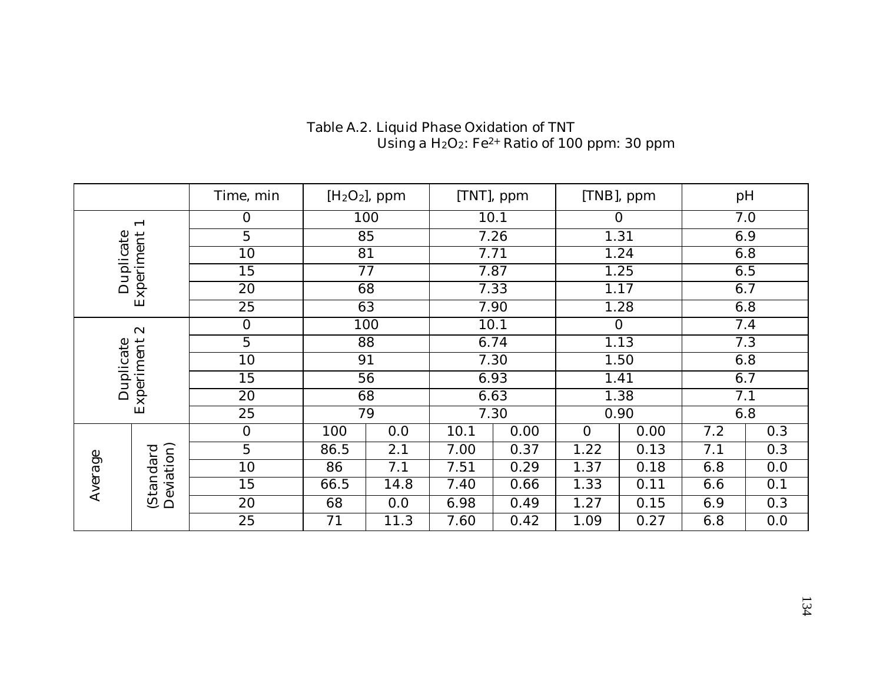|                         |                          | Time, min      |      | $[H2O2]$ , ppm |      | [TNT], ppm |                | [TNB], ppm |     | pH  |
|-------------------------|--------------------------|----------------|------|----------------|------|------------|----------------|------------|-----|-----|
|                         | $\overline{\phantom{0}}$ | $\overline{0}$ |      | 100            |      | 10.1       | $\Omega$       |            |     | 7.0 |
|                         |                          | 5              | 85   |                | 7.26 |            |                | 1.31       |     | 6.9 |
| Duplicate               | 10                       |                |      | 81             |      | 7.71       |                | 1.24       |     | 6.8 |
|                         | 15                       |                | 77   |                |      | 7.87       |                | 1.25       |     | 6.5 |
|                         | Experiment<br>20         |                | 68   |                |      | 7.33       |                | 1.17       | 6.7 |     |
|                         | 25                       |                | 63   |                |      | 7.90       |                | 1.28       |     | 6.8 |
|                         | $\infty$                 | $\overline{0}$ |      | 100            |      | 10.1       |                | $\Omega$   |     | 7.4 |
|                         |                          | 5              |      | 88             |      | 6.74       | 1.13           |            |     | 7.3 |
| Experiment<br>Duplicate |                          | 10             |      | 91             |      | 7.30       |                | 1.50       |     | 6.8 |
|                         |                          | 15             |      | 56             |      | 6.93       |                | 1.41       |     | 6.7 |
|                         |                          | 20             | 68   |                |      | 6.63       |                | 1.38       |     | 7.1 |
|                         |                          | 25             |      | 79             |      | 7.30       |                | 0.90       |     | 6.8 |
|                         |                          | $\mathbf{0}$   | 100  | 0.0            | 10.1 | 0.00       | $\overline{0}$ | 0.00       | 7.2 | 0.3 |
|                         |                          | 5              | 86.5 | 2.1            | 7.00 | 0.37       | 1.22           | 0.13       | 7.1 | 0.3 |
|                         |                          | 10             | 86   | 7.1            | 7.51 | 0.29       | 1.37           | 0.18       | 6.8 | 0.0 |
| Average                 | Deviation)<br>(Standard  | 15             | 66.5 | 14.8           | 7.40 | 0.66       | 1.33           | 0.11       | 6.6 | 0.1 |
|                         |                          | 20             | 68   | 0.0            | 6.98 | 0.49       | 1.27           | 0.15       | 6.9 | 0.3 |
|                         |                          | 25             | 71   | 11.3           | 7.60 | 0.42       | 1.09           | 0.27       | 6.8 | 0.0 |

### Table A.2. Liquid Phase Oxidation of TNT Using a  $H_2O_2$ : Fe<sup>2+</sup> Ratio of 100 ppm: 30 ppm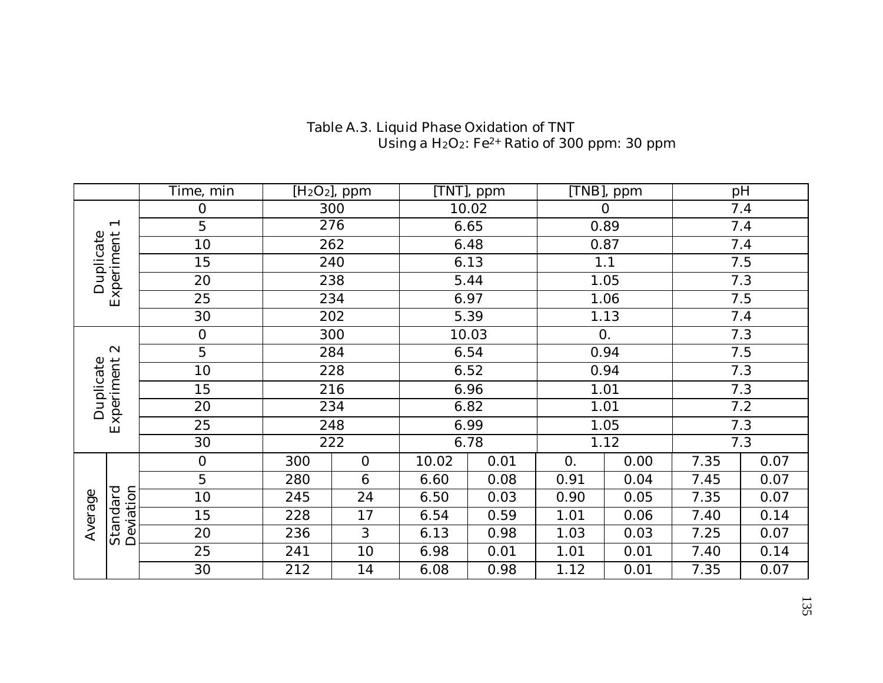|                          | Time, min      | [H <sub>2</sub> O <sub>2</sub> ], ppm<br>300 |                 |       | TNT], ppm | TNB], ppm        |                  |      | pH   |
|--------------------------|----------------|----------------------------------------------|-----------------|-------|-----------|------------------|------------------|------|------|
|                          | 0              |                                              |                 | 10.02 |           |                  | $\overline{0}$   |      | 7.4  |
| $\overline{\phantom{0}}$ | 5              |                                              | 276             |       | 6.65      |                  | 0.89             |      | 7.4  |
|                          | 10             |                                              | 262             |       | 6.48      |                  | 0.87             |      | 7.4  |
|                          | 15             |                                              | 240             |       | 6.13      |                  | 1.1              |      | 7.5  |
| Experiment<br>Duplicate  | 20             |                                              | 238             |       | 5.44      |                  | 1.05             |      | 7.3  |
|                          | 25             | 234                                          |                 |       | 6.97      |                  | 1.06             |      | 7.5  |
|                          | 30             | 202<br>300                                   |                 |       | 5.39      |                  | 1.13             |      | 7.4  |
|                          | $\overline{0}$ |                                              |                 |       | 10.03     |                  | $\overline{0}$ . |      | 7.3  |
| $\mathbf{\alpha}$        | 5              | 284                                          |                 |       | 6.54      |                  | 0.94             |      | 7.5  |
|                          | 10             |                                              | 228             |       | 6.52      |                  | 0.94             |      | 7.3  |
| Experiment<br>Duplicate  | 15             |                                              | 216             |       | 6.96      |                  | 1.01             |      | 7.3  |
|                          | 20             |                                              | 234             |       | 6.82      |                  | 1.01             |      | 7.2  |
|                          | 25             |                                              | 248             | 6.99  |           | 1.05             |                  | 7.3  |      |
|                          | 30             |                                              | 222             |       | 6.78      |                  | 1.12             |      | 7.3  |
|                          | $\mathbf 0$    | 300                                          | $\mathbf{0}$    | 10.02 | 0.01      | $\overline{0}$ . | 0.00             | 7.35 | 0.07 |
|                          | 5              | 280                                          | $6\phantom{1}6$ | 6.60  | 0.08      | 0.91             | 0.04             | 7.45 | 0.07 |
|                          | 10             | 245                                          | 24              | 6.50  | 0.03      | 0.90             | 0.05             | 7.35 | 0.07 |
| Average                  | 15             | 228                                          | 17              | 6.54  | 0.59      | 1.01             | 0.06             | 7.40 | 0.14 |
| Deviation<br>Standard    | 20             | 236                                          | 3               | 6.13  | 0.98      | 1.03             | 0.03             | 7.25 | 0.07 |
|                          | 25             | 241                                          | 10              | 6.98  | 0.01      | 1.01             | 0.01             | 7.40 | 0.14 |
|                          | 30             | 212                                          | 14              | 6.08  | 0.98      | 1.12             | 0.01             | 7.35 | 0.07 |

#### Table A.3. Liquid Phase Oxidation of TNT Using a  $H_2O_2$ : Fe<sup>2+</sup> Ratio of 300 ppm: 30 ppm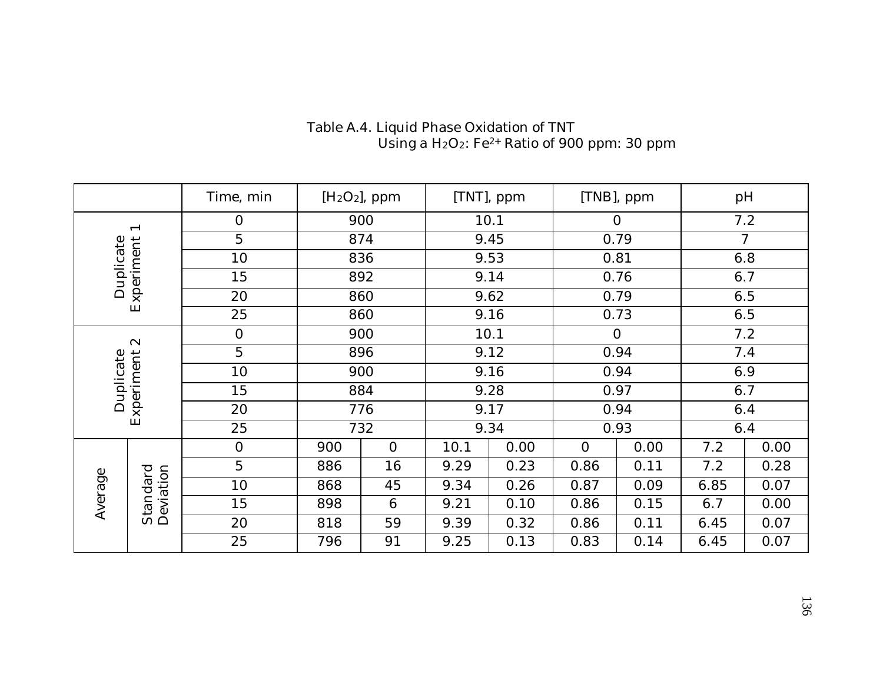|           |                          | $[H2O2]$ , ppm<br>Time, min |     |          | [TNT], ppm |      | [TNB], ppm     |      |      | pH             |
|-----------|--------------------------|-----------------------------|-----|----------|------------|------|----------------|------|------|----------------|
|           | $\overline{\phantom{0}}$ | $\overline{0}$              |     | 900      |            | 10.1 |                | 0    |      | 7.2            |
|           |                          | 5                           | 874 |          | 9.45       |      |                | 0.79 |      | $\overline{7}$ |
|           |                          | 10                          | 836 |          | 9.53       |      | 0.81           |      |      | 6.8            |
| Duplicate | Experiment               | 15                          | 892 |          | 9.14       |      | 0.76           |      | 6.7  |                |
|           |                          | 20                          | 860 |          |            | 9.62 |                | 0.79 |      | 6.5            |
|           | 25                       |                             | 860 |          |            | 9.16 |                | 0.73 |      | 6.5            |
|           | $\infty$                 | $\mathbf{0}$                | 900 |          | 10.1       |      | $\Omega$       |      |      | 7.2            |
|           |                          | $\overline{5}$              | 896 |          | 9.12       |      | 0.94           |      |      | 7.4            |
|           |                          | 10                          | 900 |          |            | 9.16 |                | 0.94 | 6.9  |                |
| Duplicate |                          | 15                          | 884 |          |            | 9.28 |                | 0.97 | 6.7  |                |
|           | Experiment               | 20                          |     | 776      | 9.17       |      |                | 0.94 |      | 6.4            |
|           |                          | 25                          |     | 732      |            | 9.34 |                | 0.93 |      | 6.4            |
|           |                          | $\mathbf{0}$                | 900 | $\Omega$ | 10.1       | 0.00 | $\overline{0}$ | 0.00 | 7.2  | 0.00           |
|           |                          | $\overline{5}$              | 886 | 16       | 9.29       | 0.23 | 0.86           | 0.11 | 7.2  | 0.28           |
| Average   | Deviation<br>Standard    | 10                          | 868 | 45       | 9.34       | 0.26 | 0.87           | 0.09 | 6.85 | 0.07           |
|           |                          | 15                          | 898 | 6        | 9.21       | 0.10 | 0.86           | 0.15 | 6.7  | 0.00           |
|           |                          | 20                          | 818 | 59       | 9.39       | 0.32 | 0.86           | 0.11 | 6.45 | 0.07           |
|           |                          | 25                          | 796 | 91       | 9.25       | 0.13 | 0.83           | 0.14 | 6.45 | 0.07           |

### Table A.4. Liquid Phase Oxidation of TNT Using a  $H_2O_2$ : Fe<sup>2+</sup> Ratio of 900 ppm: 30 ppm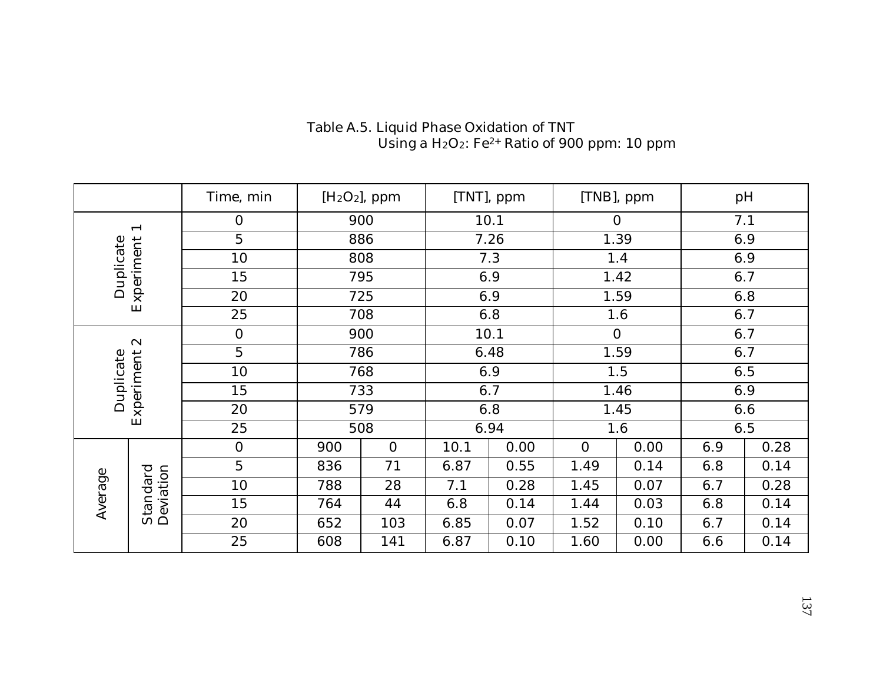|                                  |                          | Time, min      | [H <sub>2</sub> O <sub>2</sub> ], ppm |                | [TNT], ppm |      | [TNB], ppm     |      |     | pH   |
|----------------------------------|--------------------------|----------------|---------------------------------------|----------------|------------|------|----------------|------|-----|------|
|                                  | $\overline{\phantom{0}}$ | $\overline{0}$ |                                       | 900            |            | 10.1 |                | 0    |     | 7.1  |
|                                  |                          | $\overline{5}$ |                                       | 886            |            | 7.26 |                | 1.39 |     | 6.9  |
|                                  | Duplicate<br>10          |                | 808                                   |                |            | 7.3  |                | 1.4  |     | 6.9  |
|                                  | 15                       |                | 795                                   |                | 6.9        |      | 1.42           |      |     | 6.7  |
|                                  | Experiment<br>20         |                |                                       | 725            |            | 6.9  |                | 1.59 |     | 6.8  |
|                                  | 25                       |                | 708                                   |                |            | 6.8  |                | 1.6  | 6.7 |      |
|                                  | $\boldsymbol{\alpha}$    | $\overline{0}$ | 900                                   |                |            | 10.1 | $\overline{O}$ |      | 6.7 |      |
|                                  |                          | $\overline{5}$ | 786                                   |                | 6.48       |      | 1.59           |      | 6.7 |      |
| Experiment<br>Duplicate          |                          | 10             | 768                                   |                |            | 6.9  |                | 1.5  |     | 6.5  |
|                                  |                          | 15             | 733                                   |                |            | 6.7  |                | 1.46 |     | 6.9  |
|                                  |                          | 20             | 579                                   |                |            | 6.8  |                | 1.45 |     | 6.6  |
|                                  |                          | 25             |                                       | 508            |            | 6.94 |                | 1.6  | 6.5 |      |
|                                  |                          | $\overline{0}$ | 900                                   | $\overline{0}$ | 10.1       | 0.00 | $\overline{0}$ | 0.00 | 6.9 | 0.28 |
|                                  |                          | $\overline{5}$ | 836                                   | 71             | 6.87       | 0.55 | 1.49           | 0.14 | 6.8 | 0.14 |
|                                  |                          | 10             | 788                                   | 28             | 7.1        | 0.28 | 1.45           | 0.07 | 6.7 | 0.28 |
| Deviation<br>Standard<br>Average |                          | 15             | 764                                   | 44             | 6.8        | 0.14 | 1.44           | 0.03 | 6.8 | 0.14 |
|                                  |                          | 20             | 652                                   | 103            | 6.85       | 0.07 | 1.52           | 0.10 | 6.7 | 0.14 |
|                                  |                          | 25             | 608                                   | 141            | 6.87       | 0.10 | 1.60           | 0.00 | 6.6 | 0.14 |

### Table A.5. Liquid Phase Oxidation of TNT Using a  $H_2O_2$ : Fe<sup>2+</sup> Ratio of 900 ppm: 10 ppm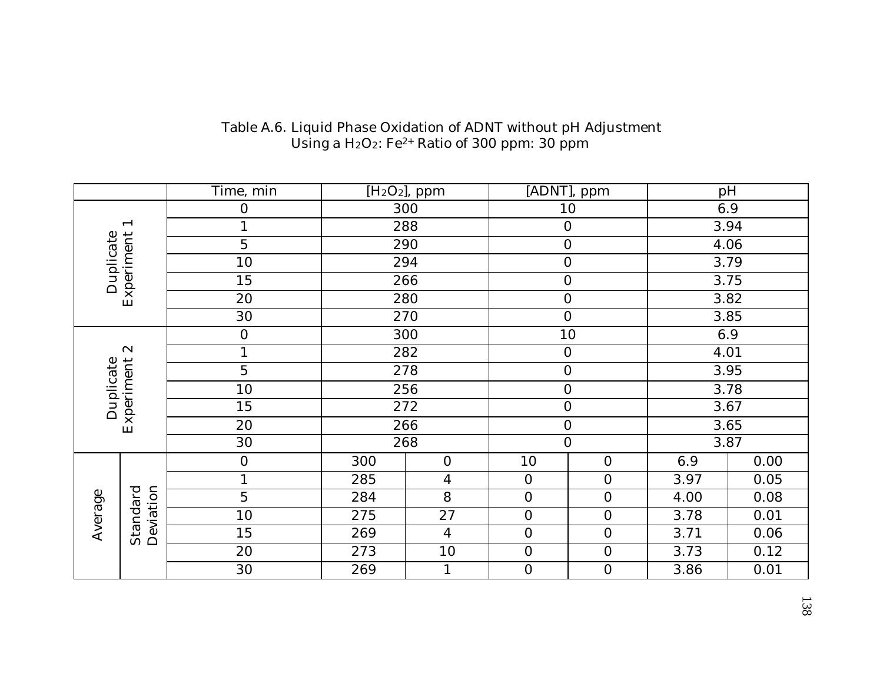|           |                               | Time, min        |     | $\overline{[H_2O_2]}$ , ppm |                  | [ADNT], ppm      |      | pH   |  |
|-----------|-------------------------------|------------------|-----|-----------------------------|------------------|------------------|------|------|--|
|           |                               | $\boldsymbol{0}$ |     | 300                         |                  | 10               |      | 6.9  |  |
|           | $\overline{\phantom{0}}$      |                  |     | 288                         | $\boldsymbol{0}$ |                  |      | 3.94 |  |
|           |                               | $\overline{5}$   |     | 290                         | $\boldsymbol{0}$ |                  |      | 4.06 |  |
|           |                               | 10               |     | 294                         | $\boldsymbol{0}$ |                  | 3.79 |      |  |
| Duplicate |                               | 15               |     | 266                         | $\boldsymbol{0}$ |                  | 3.75 |      |  |
|           | Experiment                    | 20               |     | 280                         | $\boldsymbol{0}$ |                  | 3.82 |      |  |
|           |                               | 30               |     | 270                         | $\boldsymbol{0}$ |                  |      | 3.85 |  |
|           |                               | $\mathbf 0$      |     | 300                         |                  | 10               | 6.9  |      |  |
|           | $\infty$                      | $\mathbf{1}$     |     | 282                         | $\boldsymbol{0}$ |                  |      | 4.01 |  |
|           | $\mathbf 5$                   |                  |     | 278                         | $\boldsymbol{0}$ |                  | 3.95 |      |  |
|           | Experiment<br>Duplicate<br>10 |                  |     | 256                         | $\boldsymbol{0}$ |                  |      | 3.78 |  |
|           |                               | 15               |     | 272                         | $\boldsymbol{0}$ |                  |      | 3.67 |  |
|           |                               | 20               |     | 266                         | $\boldsymbol{0}$ |                  |      | 3.65 |  |
|           |                               | 30               |     | 268                         |                  | $\overline{0}$   |      | 3.87 |  |
|           |                               | $\boldsymbol{0}$ | 300 | $\mathbf{O}$                | 10               | $\boldsymbol{0}$ | 6.9  | 0.00 |  |
|           |                               |                  | 285 | $\overline{4}$              | $\boldsymbol{0}$ | $\mathbf{0}$     | 3.97 | 0.05 |  |
|           |                               | $\mathbf 5$      | 284 | $8\,$                       | $\boldsymbol{0}$ | $\boldsymbol{0}$ | 4.00 | 0.08 |  |
| Average   |                               | 10               | 275 | $27\,$                      | $\boldsymbol{0}$ | $\boldsymbol{0}$ | 3.78 | 0.01 |  |
|           | Deviation<br>Standard         | 15               | 269 | $\overline{4}$              | $\boldsymbol{0}$ | $\boldsymbol{0}$ | 3.71 | 0.06 |  |
|           |                               | 20               | 273 | $10\,$                      | $\boldsymbol{0}$ | $\boldsymbol{0}$ | 3.73 | 0.12 |  |
|           |                               | 30               | 269 |                             | $\boldsymbol{0}$ | $\mathbf{0}$     | 3.86 | 0.01 |  |

### Table A.6. Liquid Phase Oxidation of ADNT without pH Adjustment Using a  $H_2O_2$ : Fe<sup>2+</sup> Ratio of 300 ppm: 30 ppm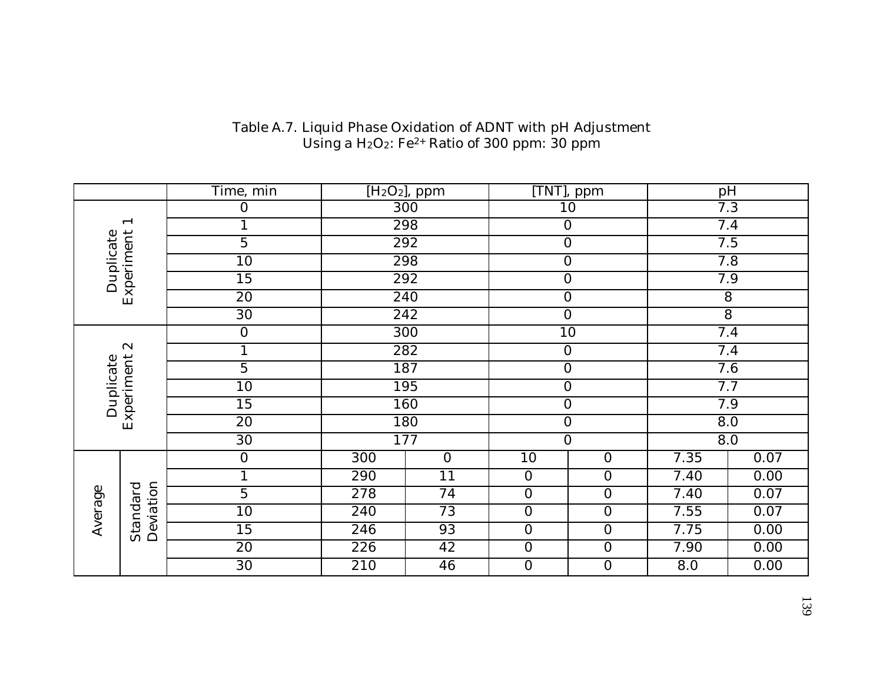|                          |                       | Time, min        |     | $[H2O2]$ , ppm |                  | [TNT], ppm       |                  | pH               |  |
|--------------------------|-----------------------|------------------|-----|----------------|------------------|------------------|------------------|------------------|--|
|                          |                       | $\boldsymbol{0}$ |     | 300            |                  | 10               |                  | 7.3              |  |
| $\overline{\phantom{0}}$ |                       | $\mathbf{1}$     |     | 298            |                  | $\boldsymbol{0}$ |                  | 7.4              |  |
|                          |                       | $\overline{5}$   |     | 292            |                  | $\overline{0}$   |                  | 7.5              |  |
|                          |                       | 10               |     | 298            |                  | $\overline{0}$   | 7.8              |                  |  |
| Duplicate                |                       | $\overline{15}$  | 292 |                |                  | $\overline{0}$   | 7.9              |                  |  |
| Experiment               |                       | 20               |     | 240            |                  | $\overline{0}$   | $8\,$            |                  |  |
|                          |                       | 30               |     | 242            |                  | $\boldsymbol{0}$ | $\overline{8}$   |                  |  |
|                          |                       | $\boldsymbol{0}$ |     | 300            |                  | 10               |                  | 7.4              |  |
| $\infty$                 |                       | $\mathbf{1}$     |     | 282            |                  | $\boldsymbol{0}$ |                  | 7.4              |  |
| Experiment<br>Duplicate  |                       | $\overline{5}$   |     | 187            |                  | $\overline{0}$   |                  | 7.6              |  |
|                          |                       | 10               |     | 195            |                  | $\overline{0}$   |                  | 7.7              |  |
|                          |                       | 15               |     | 160            |                  | $\overline{0}$   |                  | 7.9              |  |
|                          |                       | 20               |     | 180            |                  | $\overline{0}$   | $\overline{8.0}$ |                  |  |
|                          |                       | 30               |     | 177            |                  | $\overline{0}$   |                  | $\overline{8.0}$ |  |
|                          |                       | $\mathbf{0}$     | 300 | $\overline{0}$ | 10               | $\mathbf 0$      | 7.35             | 0.07             |  |
|                          |                       | 1                | 290 | $11$           | $\boldsymbol{0}$ | $\overline{0}$   | 7.40             | 0.00             |  |
|                          |                       | $\overline{5}$   | 278 | 74             | $\overline{0}$   | $\overline{0}$   | 7.40             | 0.07             |  |
| Average                  |                       | 10               | 240 | 73             | $\overline{0}$   | $\overline{0}$   | 7.55             | 0.07             |  |
|                          | Deviation<br>Standard | 15               | 246 | 93             | $\overline{0}$   | $\overline{0}$   | 7.75             | 0.00             |  |
|                          |                       | 20               | 226 | 42             | $\overline{0}$   | $\overline{0}$   | 7.90             | 0.00             |  |
|                          |                       | 30               | 210 | 46             | $\overline{0}$   | $\overline{0}$   | 8.0              | 0.00             |  |

### Table A.7. Liquid Phase Oxidation of ADNT with pH Adjustment Using a  $H_2O_2$ : Fe<sup>2+</sup> Ratio of 300 ppm: 30 ppm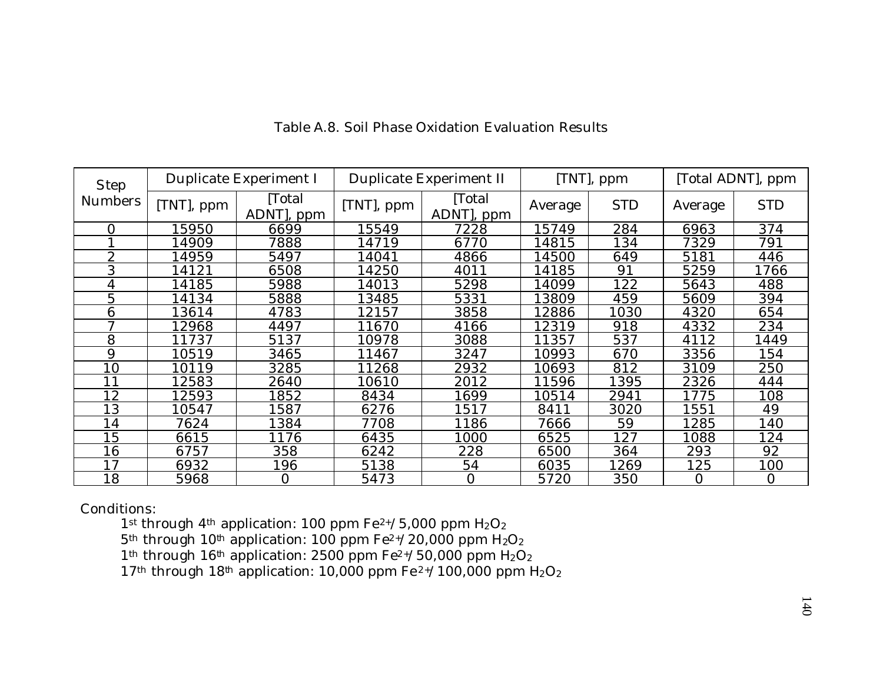| <b>Step</b>    |            | Duplicate Experiment I |            | Duplicate Experiment II |         | [TNT], ppm |                | [Total ADNT], ppm |
|----------------|------------|------------------------|------------|-------------------------|---------|------------|----------------|-------------------|
| <b>Numbers</b> | [TNT], ppm | [Total<br>ADNT, ppm    | [TNT], ppm | Total<br>ADNT, ppm      | Average | <b>STD</b> | Average        | <b>STD</b>        |
| $\Omega$       | 15950      | 6699                   | 5549       | 7228                    | 15749   | 284        | 6963           | 374               |
|                | 14909      | 7888                   | 14719      | 6770                    | 14815   | 134        | 7329           | 791               |
| $\overline{2}$ | 14959      | 5497                   | 4041       | 4866                    | 14500   | 649        | 5181           | 446               |
| 3              | 14121      | 6508                   | 14250      | 4011                    | 14185   | 91         | 5259           | 1766              |
| 4              | 14185      | 5988                   | 14013      | 5298                    | 14099   | 122        | 5643           | 488               |
| 5              | 14134      | 5888                   | 3485       | 5331                    | 13809   | 459        | 5609           | 394               |
| 6              | 13614      | 4783                   | 12157      | 3858                    | 12886   | 1030       | 4320           | 654               |
| $\mathcal{L}$  | 12968      | 4497                   | 11670      | 4166                    | 12319   | 918        | 4332           | 234               |
| 8              | 11737      | 5137                   | 10978      | 3088                    | 11357   | 537        | 4112           | 1449              |
| 9              | 10519      | 3465                   | 11467      | 3247                    | 10993   | 670        | 3356           | 154               |
| 10             | 10119      | 3285                   | 1268       | 2932                    | 10693   | 812        | 3109           | 250               |
| 11             | 12583      | 2640                   | 10610      | 2012                    | 11596   | 1395       | 2326           | 444               |
| 12             | 12593      | 1852                   | 8434       | 1699                    | 10514   | 2941       | 1775           | 108               |
| 13             | 10547      | 1587                   | 6276       | 1517                    | 8411    | 3020       | 1551           | 49                |
| 14             | 7624       | 1384                   | 7708       | 1186                    | 7666    | 59         | 1285           | 140               |
| 15             | 6615       | 1176                   | 6435       | 1000                    | 6525    | 127        | 1088           | 124               |
| 16             | 6757       | 358                    | 6242       | 228                     | 6500    | 364        | 293            | 92                |
| 17             | 6932       | 196                    | 5138       | 54                      | 6035    | 1269       | 125            | 100               |
| 18             | 5968       | 0                      | 5473       | $\overline{0}$          | 5720    | 350        | $\overline{0}$ | 0                 |

# Table A.8. Soil Phase Oxidation Evaluation Results

Conditions:

1st through 4<sup>th</sup> application: 100 ppm  $Fe^{2+/5}$ ,000 ppm  $H_2O_2$ 

 $5<sup>th</sup>$  through 10<sup>th</sup> application: 100 ppm Fe<sup>2+</sup>/20,000 ppm H<sub>2</sub>O<sub>2</sub>

1<sup>th</sup> through 16<sup>th</sup> application: 2500 ppm Fe<sup>2+</sup>/50,000 ppm H<sub>2</sub>O<sub>2</sub>

17<sup>th</sup> through 18<sup>th</sup> application: 10,000 ppm Fe<sup>2+</sup>/100,000 ppm H<sub>2</sub>O<sub>2</sub>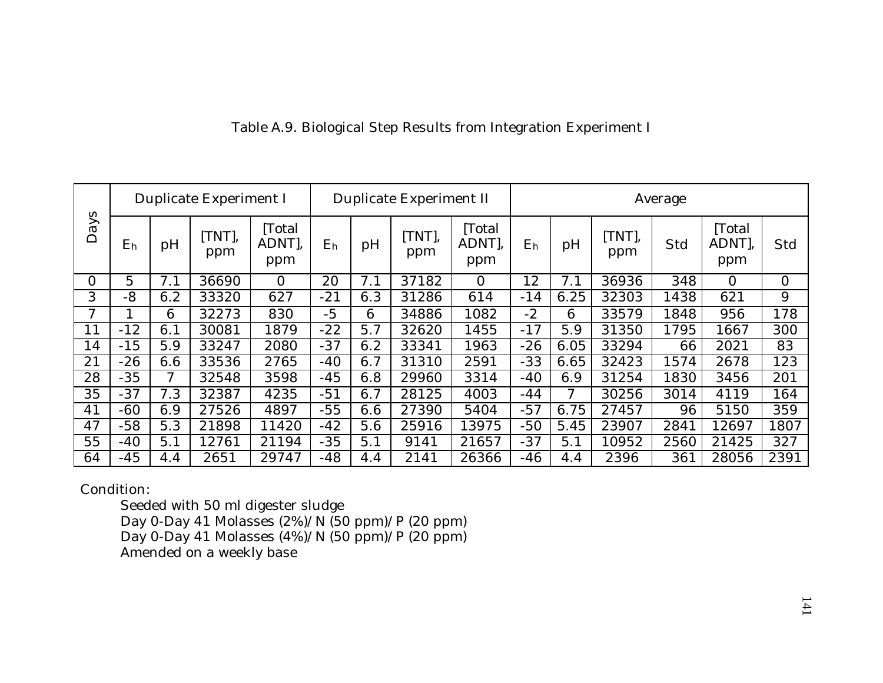|          |                |     | Duplicate Experiment I |                       |                |     | Duplicate Experiment II |                       | Average        |      |               |      |                       |                |
|----------|----------------|-----|------------------------|-----------------------|----------------|-----|-------------------------|-----------------------|----------------|------|---------------|------|-----------------------|----------------|
| Days     | E <sub>h</sub> | pH  | $[TNT]$ ,<br>ppm       | Total<br>ADNT,<br>ppm | E <sub>h</sub> | pH  | [TNT],<br>ppm           | Total<br>ADNT,<br>ppm | E <sub>h</sub> | pH   | [TNT],<br>ppm | Std  | Total<br>ADNT,<br>ppm | Std            |
| $\Omega$ | 5              | 7.1 | 36690                  | $\Omega$              | 20             | 7.1 | 37182                   | $\overline{0}$        | 12             | 7.1  | 36936         | 348  | $\Omega$              | $\overline{0}$ |
| 3        | $-8$           | 6.2 | 33320                  | 627                   | $-21$          | 6.3 | 31286                   | 614                   | $-14$          | 6.25 | 32303         | 1438 | 621                   | 9              |
| 7        |                | 6   | 32273                  | 830                   | $-5$           | 6   | 34886                   | 1082                  | $-2$           | 6    | 33579         | 1848 | 956                   | 178            |
| 11       | $-12$          | 6.1 | 30081                  | 1879                  | $-22$          | 5.7 | 32620                   | 1455                  | $-17$          | 5.9  | 31350         | 1795 | 1667                  | 300            |
| 14       | $-15$          | 5.9 | 33247                  | 2080                  | $-37$          | 6.2 | 33341                   | 1963                  | $-26$          | 6.05 | 33294         | 66   | 2021                  | 83             |
| 21       | $-26$          | 6.6 | 33536                  | 2765                  | $-40$          | 6.7 | 31310                   | 2591                  | $-33$          | 6.65 | 32423         | 1574 | 2678                  | 123            |
| 28       | $-35$          |     | 32548                  | 3598                  | $-45$          | 6.8 | 29960                   | 3314                  | -40            | 6.9  | 31254         | 1830 | 3456                  | 201            |
| 35       | $-37$          | 7.3 | 32387                  | 4235                  | $-51$          | 6.7 | 28125                   | 4003                  | $-44$          | 7    | 30256         | 3014 | 4119                  | 164            |
| 41       | $-60$          | 6.9 | 27526                  | 4897                  | $-55$          | 6.6 | 27390                   | 5404                  | $-57$          | 6.75 | 27457         | 96   | 5150                  | 359            |
| 47       | $-58$          | 5.3 | 21898                  | 11420                 | $-42$          | 5.6 | 25916                   | 13975                 | $-50$          | 5.45 | 23907         | 2841 | 12697                 | 1807           |
| 55       | $-40$          | 5.1 | 12761                  | 21194                 | $-35$          | 5.1 | 9141                    | 21657                 | $-37$          | 5.1  | 10952         | 2560 | 21425                 | 327            |
| 64       | $-45$          | 4.4 | 2651                   | 29747                 | $-48$          | 4.4 | 2141                    | 26366                 | $-46$          | 4.4  | 2396          | 361  | 28056                 | 2391           |

# Table A.9. Biological Step Results from Integration Experiment I

Condition:

Seeded with 50 ml digester sludge Day 0-Day 41 Molasses (2%)/N (50 ppm)/P (20 ppm) Day 0-Day 41 Molasses (4%)/N (50 ppm)/P (20 ppm) Amended on a weekly base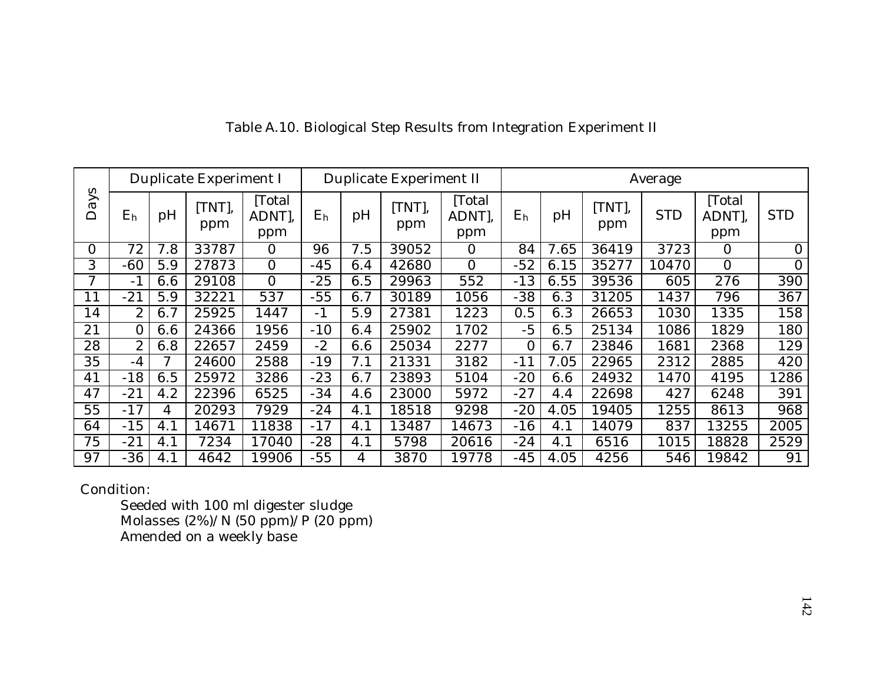|                               |                |     | Duplicate Experiment I |                       |                | Duplicate Experiment II |              |                         |                |      |               | Average    |                       |                |
|-------------------------------|----------------|-----|------------------------|-----------------------|----------------|-------------------------|--------------|-------------------------|----------------|------|---------------|------------|-----------------------|----------------|
| N<br>$\overline{a}$<br>$\Box$ | E <sub>h</sub> | pH  | [TNT],<br>ppm          | Total<br>ADNT,<br>ppm | E <sub>h</sub> | pH                      | TNT),<br>ppm | [Total<br>ADNT],<br>ppm | E <sub>h</sub> | pH   | [TNT],<br>ppm | <b>STD</b> | Total<br>ADNT,<br>ppm | <b>STD</b>     |
| $\Omega$                      | 72             | 7.8 | 33787                  | 0                     | 96             | 7.5                     | 39052        | 0                       | 84             | 7.65 | 36419         | 3723       | 0                     | $\overline{0}$ |
| 3                             | -60            | 5.9 | 27873                  | 0                     | $-45$          | 6.4                     | 42680        | $\overline{0}$          | $-52$          | 6.15 | 35277         | 10470      | $\overline{0}$        | $\overline{0}$ |
| 7                             | $-1$           | 6.6 | 29108                  | 0                     | $-25$          | 6.5                     | 29963        | 552                     | $-13$          | 6.55 | 39536         | 605        | 276                   | 390            |
| 11                            | $-21$          | 5.9 | 32221                  | 537                   | $-55$          | 6.7                     | 30189        | 1056                    | $-38$          | 6.3  | 31205         | 1437       | 796                   | 367            |
| 14                            | $\mathbf{2}$   | 6.7 | 25925                  | 1447                  | $-1$           | 5.9                     | 27381        | 1223                    | 0.5            | 6.3  | 26653         | 1030       | 1335                  | 158            |
| 21                            | 0              | 6.6 | 24366                  | 1956                  | $-10$          | 6.4                     | 25902        | 1702                    | $-5$           | 6.5  | 25134         | 1086       | 1829                  | 180            |
| 28                            | 2              | 6.8 | 22657                  | 2459                  | $-2$           | 6.6                     | 25034        | 2277                    | $\overline{0}$ | 6.7  | 23846         | 1681       | 2368                  | 129            |
| 35                            | $-4$           | 7   | 24600                  | 2588                  | $-19$          | 7.1                     | 21331        | 3182                    | $-11$          | 7.05 | 22965         | 2312       | 2885                  | 420            |
| 41                            | $-18$          | 6.5 | 25972                  | 3286                  | $-23$          | 6.7                     | 23893        | 5104                    | $-20$          | 6.6  | 24932         | 1470       | 4195                  | 1286           |
| 47                            | $-21$          | 4.2 | 22396                  | 6525                  | $-34$          | 4.6                     | 23000        | 5972                    | $-27$          | 4.4  | 22698         | 427        | 6248                  | 391            |
| 55                            | $-17$          | 4   | 20293                  | 7929                  | $-24$          | 4.1                     | 18518        | 9298                    | $-20$          | 4.05 | 19405         | 1255       | 8613                  | 968            |
| 64                            | $-15$          | 4.1 | 14671                  | 1838                  | $-17$          | 4.1                     | 13487        | 14673                   | $-16$          | 4.1  | 14079         | 837        | 13255                 | 2005           |
| 75                            | $-21$          | 4.1 | 7234                   | 17040                 | $-28$          | 4.1                     | 5798         | 20616                   | $-24$          | 4.1  | 6516          | 1015       | 18828                 | 2529           |
| 97                            | -36            | 4.1 | 4642                   | .9906                 | $-55$          | 4                       | 3870         | 19778                   | $-45$          | 4.05 | 4256          | 546        | 19842                 | 91             |

# Table A.10. Biological Step Results from Integration Experiment II

Condition:

Seeded with 100 ml digester sludge Molasses (2%)/N (50 ppm)/P (20 ppm) Amended on a weekly base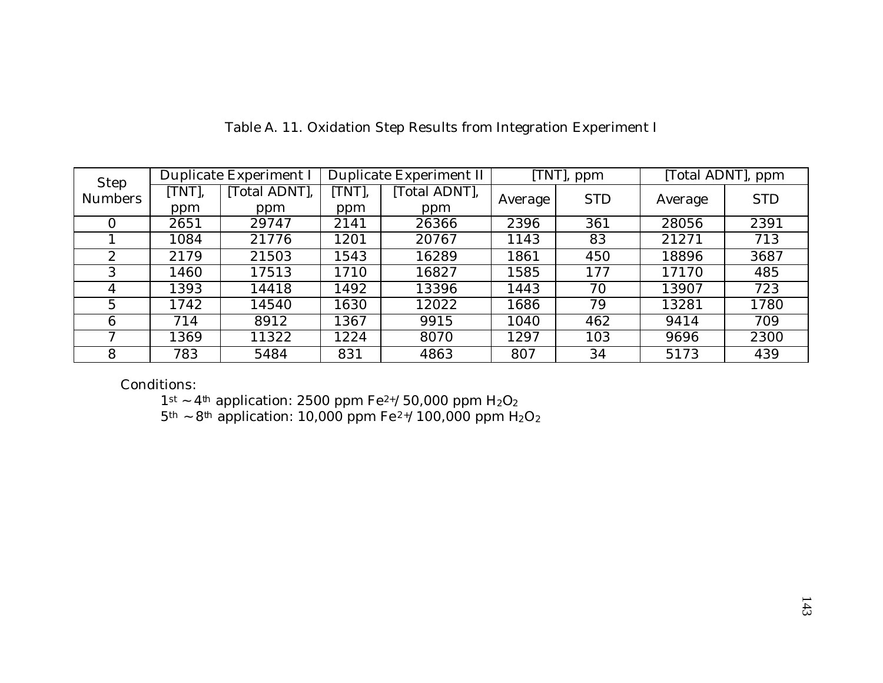| Step           |        | Duplicate Experiment I |       | Duplicate Experiment II |         | [TNT], ppm |         | [Total ADNT], ppm |
|----------------|--------|------------------------|-------|-------------------------|---------|------------|---------|-------------------|
| <b>Numbers</b> | [TNT], | [Total ADNT],          | TNT], | [Total ADNT],           | Average | <b>STD</b> | Average | <b>STD</b>        |
|                | ppm    | ppm                    | ppm   | ppm                     |         |            |         |                   |
|                | 2651   | 29747                  | 2141  | 26366                   | 2396    | 361        | 28056   | 2391              |
|                | 1084   | 21776                  | 1201  | 20767                   | 1143    | 83         | 21271   | 713               |
| $\mathbf{2}$   | 2179   | 21503                  | 1543  | 16289                   | 1861    | 450        | 18896   | 3687              |
| 3              | 1460   | 17513                  | 1710  | 16827                   | 1585    | 177        | 17170   | 485               |
| 4              | 1393   | 14418                  | 1492  | 13396                   | 1443    | 70         | 13907   | 723               |
| 5              | 1742   | 14540                  | 1630  | 12022                   | 1686    | 79         | 13281   | 1780              |
| 6              | 714    | 8912                   | 1367  | 9915                    | 1040    | 462        | 9414    | 709               |
| Η              | 1369   | 11322                  | 1224  | 8070                    | 1297    | 103        | 9696    | 2300              |
| 8              | 783    | 5484                   | 831   | 4863                    | 807     | 34         | 5173    | 439               |

Table A. 11. Oxidation Step Results from Integration Experiment I

Conditions:

 $1$ <sup>st</sup> ~ 4<sup>th</sup> application: 2500 ppm Fe<sup>2+</sup>/50,000 ppm H<sub>2</sub>O<sub>2</sub>

 $5<sup>th</sup>$  ~ 8<sup>th</sup> application: 10,000 ppm Fe<sup>2+</sup>/100,000 ppm H<sub>2</sub>O<sub>2</sub>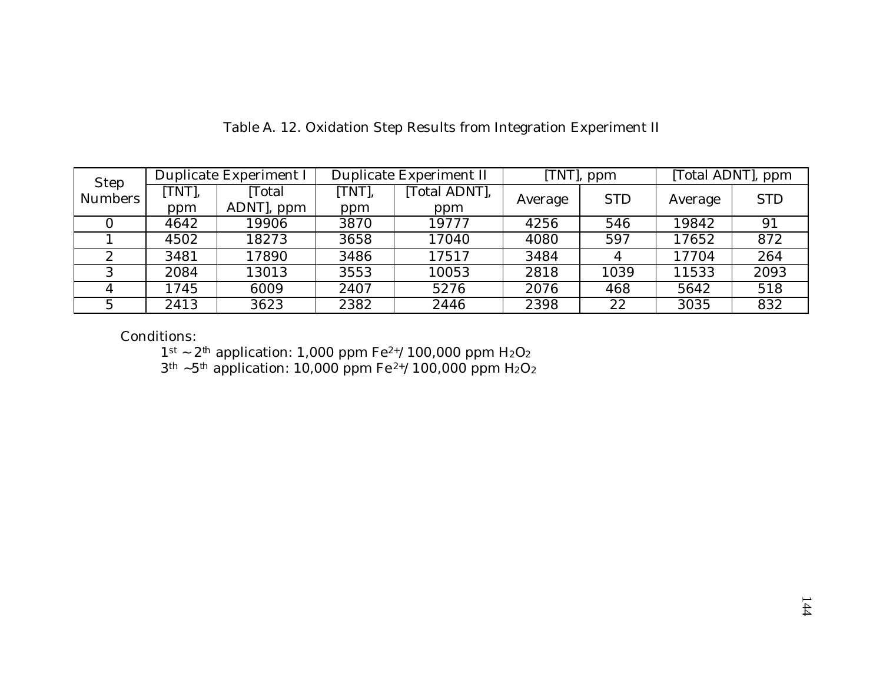| Step           |        | Duplicate Experiment I |        | Duplicate Experiment II |         | [TNT], ppm | [Total ADNT], ppm |            |
|----------------|--------|------------------------|--------|-------------------------|---------|------------|-------------------|------------|
| <b>Numbers</b> | [TNT], | Total                  | [TNT], | [Total ADNT],           |         | <b>STD</b> | Average           | <b>STD</b> |
|                | ppm    | ADNT, ppm              | ppm    | ppm                     | Average |            |                   |            |
|                | 4642   | 19906                  | 3870   | 19777                   | 4256    | 546        | 19842             | 91         |
|                | 4502   | 18273                  | 3658   | 17040                   | 4080    | 597        | 17652             | 872        |
|                | 3481   | 17890                  | 3486   | 17517                   | 3484    |            | 17704             | 264        |
|                | 2084   | 13013                  | 3553   | 10053                   | 2818    | 1039       | 11533             | 2093       |
|                | 1745   | 6009                   | 2407   | 5276                    | 2076    | 468        | 5642              | 518        |
| G              | 2413   | 3623                   | 2382   | 2446                    | 2398    | 22         | 3035              | 832        |

Table A. 12. Oxidation Step Results from Integration Experiment II

Conditions:

 $1^{st} \sim 2^{th}$  application: 1,000 ppm Fe<sup>2+</sup>/100,000 ppm H<sub>2</sub>O<sub>2</sub>

 $3<sup>th</sup>$  ~5<sup>th</sup> application: 10,000 ppm Fe<sup>2+</sup>/100,000 ppm H<sub>2</sub>O<sub>2</sub>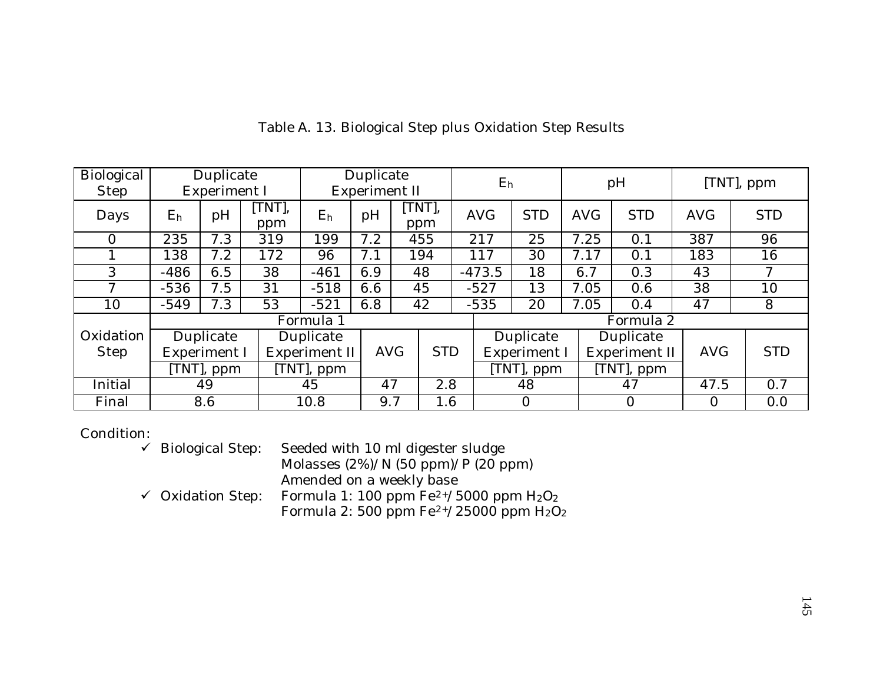| Biological  |           | Duplicate    |             |                        | Duplicate     |             |            |  | $E_h$      |                |            | pH             |            |            |
|-------------|-----------|--------------|-------------|------------------------|---------------|-------------|------------|--|------------|----------------|------------|----------------|------------|------------|
| <b>Step</b> |           | Experiment I |             |                        | Experiment II |             |            |  |            |                |            |                | [TNT], ppm |            |
| Days        | $\rm E_h$ | pH           | TNT,<br>ppm | E <sub>h</sub>         | pH            | TNT,<br>ppm |            |  | <b>AVG</b> | <b>STD</b>     | <b>AVG</b> | <b>STD</b>     | <b>AVG</b> | <b>STD</b> |
| $\Omega$    | 235       | 7.3          | 319         | 199                    | 7.2           | 455         |            |  | 217        | 25             | 7.25       | 0.1            | 387        | 96         |
|             | 138       | 7.2          | 172         | 96                     | 7.1           | 194         |            |  | 117        | 30             | 7.17       | 0.1            | 183        | 16         |
| 3           | $-486$    | 6.5          | 38          | $-461$                 | 6.9           | 48          |            |  | $-473.5$   | 18             | 6.7        | 0.3            | 43         | 7          |
| 7           | $-536$    | 7.5          | 31          | $-518$                 | 6.6           | 45          |            |  | $-527$     | 13             | 7.05       | 0.6            | 38         | 10         |
| 10          | $-549$    | 7.3          | 53          | $-521$                 | 6.8           | 42          |            |  | $-535$     | 20             | 7.05       | 0.4            | 47         | 8          |
|             |           |              |             | Formula 1              |               |             |            |  |            |                |            | Formula 2      |            |            |
| Oxidation   |           | Duplicate    |             | Duplicate              |               |             |            |  |            | Duplicate      |            | Duplicate      |            |            |
| <b>Step</b> |           | Experiment I |             | Experiment II          | <b>AVG</b>    |             | <b>STD</b> |  |            | Experiment I   |            | Experiment II  | <b>AVG</b> | <b>STD</b> |
|             |           | [TNT], ppm   |             | $\overline{T}NT$ , ppm |               |             |            |  |            | [TNT], ppm     |            | [TNT], ppm     |            |            |
| Initial     |           | 49           |             | 45                     | 2.8<br>47     |             |            |  | 48         |                | 47         | 47.5           | 0.7        |            |
| Final       |           | 8.6          |             | 10.8                   | 9.7           |             | 1.6        |  |            | $\overline{0}$ |            | $\overline{0}$ | $\Omega$   | 0.0        |

Table A. 13. Biological Step plus Oxidation Step Results

Condition: ↓<br>↓ Biological Step: Seeded with 10 ml digester sludge Molasses (2%)/N (50 ppm)/P (20 ppm) Amended on a weekly base  $\checkmark$  Oxidation Step: Formula 1: 100 ppm  $Fe^{2+}/5000$  ppm  $H_2O_2$ Formula 2: 500 ppm  $Fe^{2+}/25000$  ppm  $H_2O_2$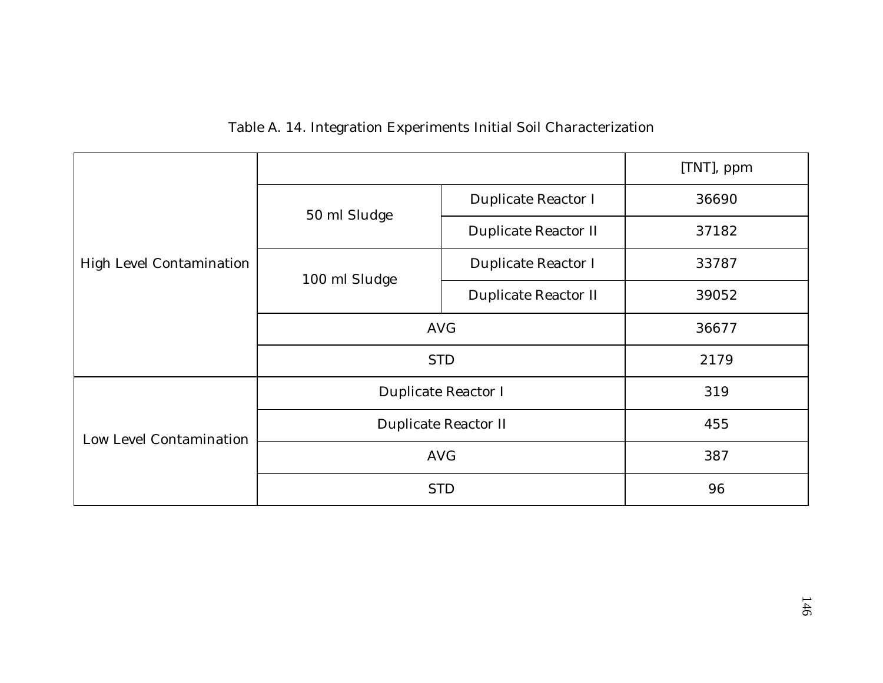|  |  | Table A. 14. Integration Experiments Initial Soil Characterization |
|--|--|--------------------------------------------------------------------|
|  |  |                                                                    |

|                          |               |                            | [TNT], ppm |  |  |
|--------------------------|---------------|----------------------------|------------|--|--|
|                          | 50 ml Sludge  | Duplicate Reactor I        | 36690      |  |  |
|                          |               | Duplicate Reactor II       | 37182      |  |  |
| High Level Contamination | 100 ml Sludge | Duplicate Reactor I        | 33787      |  |  |
|                          |               | Duplicate Reactor II       | 39052      |  |  |
|                          | <b>AVG</b>    | 36677                      |            |  |  |
|                          | <b>STD</b>    | 2179                       |            |  |  |
|                          |               | Duplicate Reactor I<br>319 |            |  |  |
| Low Level Contamination  |               | Duplicate Reactor II       |            |  |  |
|                          | <b>AVG</b>    | 387                        |            |  |  |
|                          | <b>STD</b>    | 96                         |            |  |  |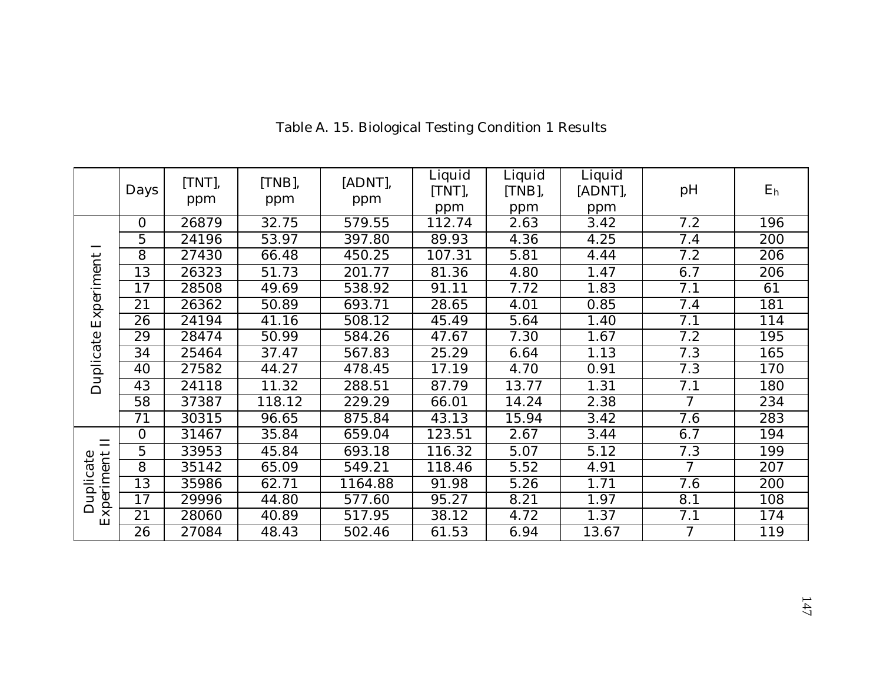|                         | Days     | [TNT],<br>ppm | [TNB],<br>ppm | [ADNT],<br>ppm | Liquid<br>[TNT],<br>ppm | Liquid<br>$[TNB]$ ,<br>ppm | Liquid<br>[ADNT],<br>ppm | pH             | E <sub>h</sub> |
|-------------------------|----------|---------------|---------------|----------------|-------------------------|----------------------------|--------------------------|----------------|----------------|
|                         | $\Omega$ | 26879         | 32.75         | 579.55         | 112.74                  | 2.63                       | 3.42                     | 7.2            | 196            |
|                         | 5        | 24196         | 53.97         | 397.80         | 89.93                   | 4.36                       | 4.25                     | 7.4            | 200            |
|                         | 8        | 27430         | 66.48         | 450.25         | 107.31                  | 5.81                       | 4.44                     | 7.2            | 206            |
|                         | 13       | 26323         | 51.73         | 201.77         | 81.36                   | 4.80                       | 1.47                     | 6.7            | 206            |
| Experiment              | 17       | 28508         | 49.69         | 538.92         | 91.11                   | 7.72                       | 1.83                     | 7.1            | 61             |
|                         | 21       | 26362         | 50.89         | 693.71         | 28.65                   | 4.01                       | 0.85                     | 7.4            | 181            |
| Duplicate               | 26       | 24194         | 41.16         | 508.12         | 45.49                   | 5.64                       | 1.40                     | 7.1            | 114            |
|                         | 29       | 28474         | 50.99         | 584.26         | 47.67                   | 7.30                       | 1.67                     | 7.2            | 195            |
|                         | 34       | 25464         | 37.47         | 567.83         | 25.29                   | 6.64                       | 1.13                     | 7.3            | 165            |
|                         | 40       | 27582         | 44.27         | 478.45         | 17.19                   | 4.70                       | 0.91                     | 7.3            | 170            |
|                         | 43       | 24118         | 11.32         | 288.51         | 87.79                   | 13.77                      | 1.31                     | 7.1            | 180            |
|                         | 58       | 37387         | 118.12        | 229.29         | 66.01                   | 14.24                      | 2.38                     | $\overline{7}$ | 234            |
|                         | 71       | 30315         | 96.65         | 875.84         | 43.13                   | 15.94                      | 3.42                     | 7.6            | 283            |
| $\Box$                  | $\Omega$ | 31467         | 35.84         | 659.04         | 123.51                  | 2.67                       | 3.44                     | 6.7            | 194            |
|                         | 5        | 33953         | 45.84         | 693.18         | 116.32                  | 5.07                       | 5.12                     | 7.3            | 199            |
|                         | 8        | 35142         | 65.09         | 549.21         | 118.46                  | 5.52                       | 4.91                     | $\overline{7}$ | 207            |
| Experiment<br>Duplicate | 13       | 35986         | 62.71         | 1164.88        | 91.98                   | 5.26                       | 1.71                     | 7.6            | 200            |
|                         | 17       | 29996         | 44.80         | 577.60         | 95.27                   | 8.21                       | 1.97                     | 8.1            | 108            |
|                         | 21       | 28060         | 40.89         | 517.95         | 38.12                   | 4.72                       | 1.37                     | 7.1            | 174            |
|                         | 26       | 27084         | 48.43         | 502.46         | 61.53                   | 6.94                       | 13.67                    | $\overline{7}$ | 119            |

Table A. 15. Biological Testing Condition 1 Results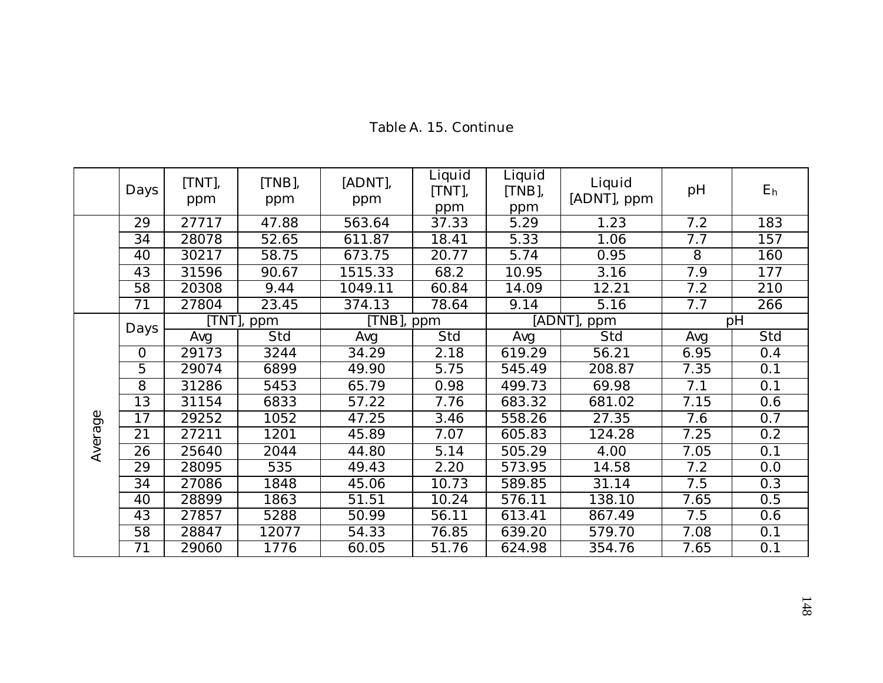|         | Days            | [TNT],<br>ppm | [TNB],<br>ppm | [ADNT],<br>ppm | Liquid<br>[TNT],<br>ppm | Liquid<br>[TNB],<br>ppm | Liquid<br>[ADNT], ppm | pH   | E <sub>h</sub> |
|---------|-----------------|---------------|---------------|----------------|-------------------------|-------------------------|-----------------------|------|----------------|
|         | 29              | 27717         | 47.88         | 563.64         | 37.33                   | 5.29                    | 1.23                  | 7.2  | 183            |
|         | $\overline{34}$ | 28078         | 52.65         | 611.87         | 18.41                   | 5.33                    | 1.06                  | 7.7  | 157            |
|         | 40              | 30217         | 58.75         | 673.75         | 20.77                   | 5.74                    | 0.95                  | 8    | 160            |
|         | 43              | 31596         | 90.67         | 1515.33        | 68.2                    | 10.95                   | 3.16                  | 7.9  | 177            |
|         | $\overline{58}$ | 20308         | 9.44          | 1049.11        | 60.84                   | 14.09                   | 12.21                 | 7.2  | 210            |
|         | 71              | 27804         | 23.45         | 374.13         | 78.64                   | 9.14                    | 5.16                  | 7.7  | 266            |
|         | Days            |               | [TNT], ppm    | [TNB], ppm     |                         | [ADNT],                 | ppm                   |      | pH             |
|         |                 | Avg           | Std           | Avg            | Std                     | Avg                     | Std                   | Avg  | Std            |
|         | $\overline{0}$  | 29173         | 3244          | 34.29          | 2.18                    | 619.29                  | 56.21                 | 6.95 | 0.4            |
|         | $\overline{5}$  | 29074         | 6899          | 49.90          | 5.75                    | 545.49                  | 208.87                | 7.35 | 0.1            |
|         | 8               | 31286         | 5453          | 65.79          | 0.98                    | 499.73                  | 69.98                 | 7.1  | 0.1            |
|         | 13              | 31154         | 6833          | 57.22          | 7.76                    | 683.32                  | 681.02                | 7.15 | 0.6            |
|         | 17              | 29252         | 1052          | 47.25          | 3.46                    | 558.26                  | 27.35                 | 7.6  | 0.7            |
|         | 21              | 27211         | 1201          | 45.89          | 7.07                    | 605.83                  | 124.28                | 7.25 | 0.2            |
| Average | 26              | 25640         | 2044          | 44.80          | 5.14                    | 505.29                  | 4.00                  | 7.05 | 0.1            |
|         | 29              | 28095         | 535           | 49.43          | 2.20                    | 573.95                  | 14.58                 | 7.2  | 0.0            |
|         | 34              | 27086         | 1848          | 45.06          | 10.73                   | 589.85                  | 31.14                 | 7.5  | 0.3            |
|         | 40              | 28899         | 1863          | 51.51          | 10.24                   | 576.11                  | 138.10                | 7.65 | 0.5            |
|         | 43              | 27857         | 5288          | 50.99          | 56.11                   | 613.41                  | 867.49                | 7.5  | 0.6            |
|         | 58              | 28847         | 12077         | 54.33          | 76.85                   | 639.20                  | 579.70                | 7.08 | 0.1            |
|         | 71              | 29060         | 1776          | 60.05          | 51.76                   | 624.98                  | 354.76                | 7.65 | 0.1            |

Table A. 15. Continue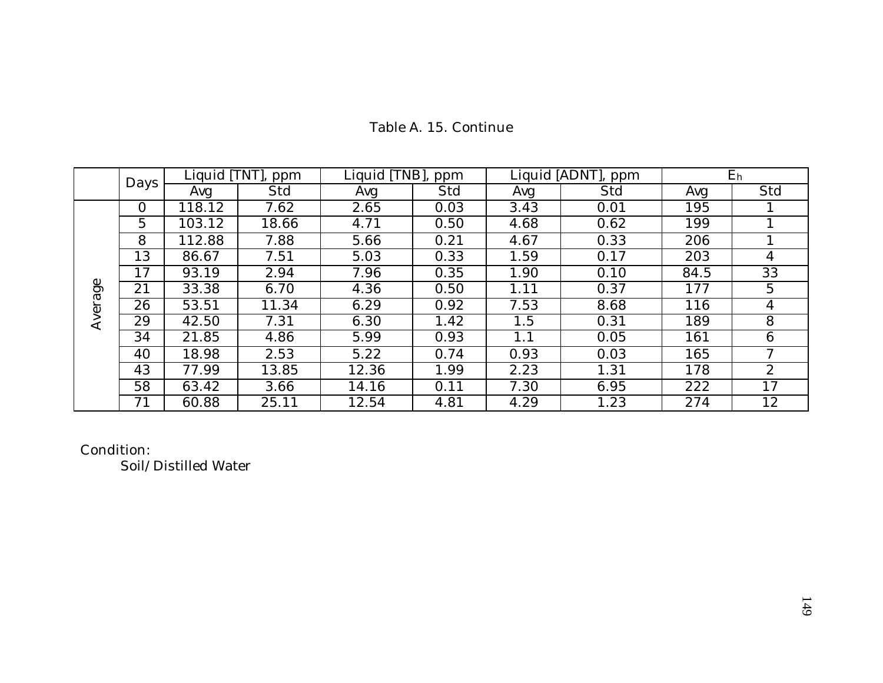|         | Days     |        | Liquid [TNT], ppm | Liquid [TNB], | ppm  |      | Liquid [ADNT], ppm | $E_h$ |              |  |
|---------|----------|--------|-------------------|---------------|------|------|--------------------|-------|--------------|--|
|         |          | Avg    | Std               | Avg           | Std  | Avg  | Std                | Avg   | Std          |  |
|         | $\Omega$ | 118.12 | 7.62              | 2.65          | 0.03 | 3.43 | 0.01               | 195   |              |  |
|         | 5        | 103.12 | 18.66             | 4.71          | 0.50 | 4.68 | 0.62               | 199   |              |  |
| Average | 8        | 112.88 | 7.88              | 5.66          | 0.21 | 4.67 | 0.33               | 206   |              |  |
|         | 13       | 86.67  | 7.51              | 5.03          | 0.33 | 1.59 | 0.17               | 203   | 4            |  |
|         | 17       | 93.19  | 2.94              | 7.96          | 0.35 | 1.90 | 0.10               | 84.5  | 33           |  |
|         | 21       | 33.38  | 6.70              | 4.36          | 0.50 | 1.11 | 0.37               | 177   | 5            |  |
|         | 26       | 53.51  | 11.34             | 6.29          | 0.92 | 7.53 | 8.68               | 116   | 4            |  |
|         | 29       | 42.50  | 7.31              | 6.30          | 1.42 | 1.5  | 0.31               | 189   | 8            |  |
|         | 34       | 21.85  | 4.86              | 5.99          | 0.93 | 1.1  | 0.05               | 161   | 6            |  |
|         | 40       | 18.98  | 2.53              | 5.22          | 0.74 | 0.93 | 0.03               | 165   | 7            |  |
|         | 43       | 77.99  | 13.85             | 12.36         | 1.99 | 2.23 | 1.31               | 178   | $\mathbf{2}$ |  |
|         | 58       | 63.42  | 3.66              | 14.16         | 0.11 | 7.30 | 6.95               | 222   | 17           |  |
|         | 71       | 60.88  | 25.11             | 12.54         | 4.81 | 4.29 | 1.23               | 274   | 12           |  |

# Table A. 15. Continue

Condition:

Soil/Distilled Water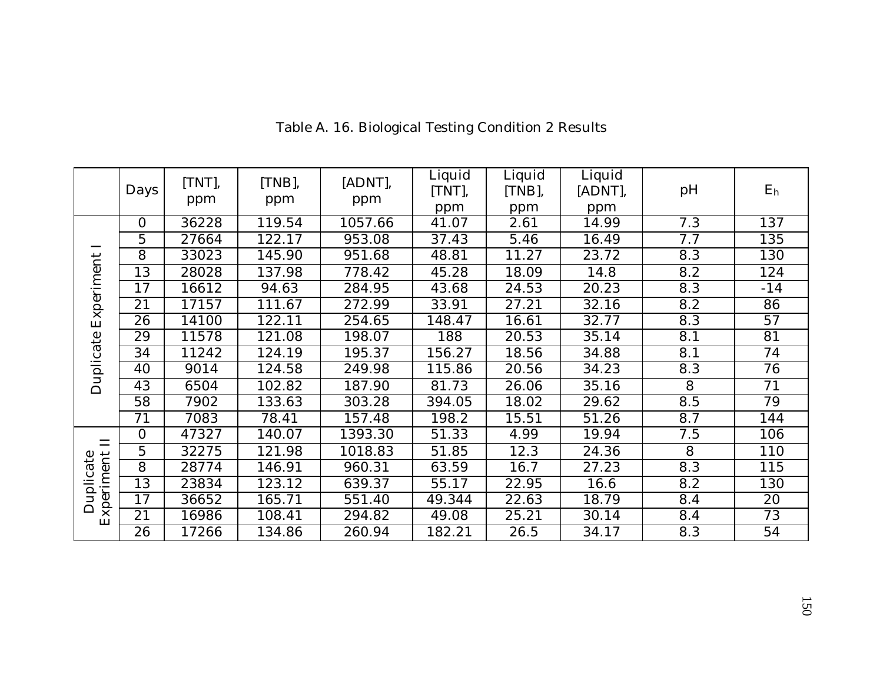|                         | Days           | [TNT],<br>ppm | [TNB],<br>ppm | [ADNT],<br>ppm | Liquid<br>[TNT],<br>ppm | Liquid<br>$[TNB]$ ,<br>ppm | Liquid<br>[ADNT],<br>ppm | pH  | E <sub>h</sub> |
|-------------------------|----------------|---------------|---------------|----------------|-------------------------|----------------------------|--------------------------|-----|----------------|
|                         | $\overline{0}$ | 36228         | 119.54        | 1057.66        | 41.07                   | 2.61                       | 14.99                    | 7.3 | 137            |
|                         | $\overline{5}$ | 27664         | 122.17        | 953.08         | 37.43                   | 5.46                       | 16.49                    | 7.7 | 135            |
|                         | 8              | 33023         | 145.90        | 951.68         | 48.81                   | 11.27                      | 23.72                    | 8.3 | 130            |
|                         | 13             | 28028         | 137.98        | 778.42         | 45.28                   | 18.09                      | 14.8                     | 8.2 | 124            |
| Experiment              | 17             | 16612         | 94.63         | 284.95         | 43.68                   | 24.53                      | 20.23                    | 8.3 | $-14$          |
|                         | 21             | 17157         | 111.67        | 272.99         | 33.91                   | 27.21                      | 32.16                    | 8.2 | 86             |
|                         | 26             | 14100         | 122.11        | 254.65         | 148.47                  | 16.61                      | 32.77                    | 8.3 | 57             |
|                         | 29             | 11578         | 121.08        | 198.07         | 188                     | 20.53                      | 35.14                    | 8.1 | 81             |
|                         | 34             | 11242         | 124.19        | 195.37         | 156.27                  | 18.56                      | 34.88                    | 8.1 | 74             |
|                         | 40             | 9014          | 124.58        | 249.98         | 115.86                  | 20.56                      | 34.23                    | 8.3 | 76             |
| Duplicate               | 43             | 6504          | 102.82        | 187.90         | 81.73                   | 26.06                      | 35.16                    | 8   | 71             |
|                         | 58             | 7902          | 133.63        | 303.28         | 394.05                  | 18.02                      | 29.62                    | 8.5 | 79             |
|                         | 71             | 7083          | 78.41         | 157.48         | 198.2                   | 15.51                      | 51.26                    | 8.7 | 144            |
| $\Box$                  | $\Omega$       | 47327         | 140.07        | 1393.30        | 51.33                   | 4.99                       | 19.94                    | 7.5 | 106            |
|                         | 5              | 32275         | 121.98        | 1018.83        | 51.85                   | 12.3                       | 24.36                    | 8   | 110            |
|                         | 8              | 28774         | 146.91        | 960.31         | 63.59                   | 16.7                       | 27.23                    | 8.3 | 115            |
| Experiment<br>Duplicate | 13             | 23834         | 123.12        | 639.37         | 55.17                   | 22.95                      | 16.6                     | 8.2 | 130            |
|                         | 17             | 36652         | 165.71        | 551.40         | 49.344                  | 22.63                      | 18.79                    | 8.4 | 20             |
|                         | 21             | 16986         | 108.41        | 294.82         | 49.08                   | 25.21                      | 30.14                    | 8.4 | 73             |
|                         | 26             | 17266         | 134.86        | 260.94         | 182.21                  | 26.5                       | 34.17                    | 8.3 | 54             |

Table A. 16. Biological Testing Condition 2 Results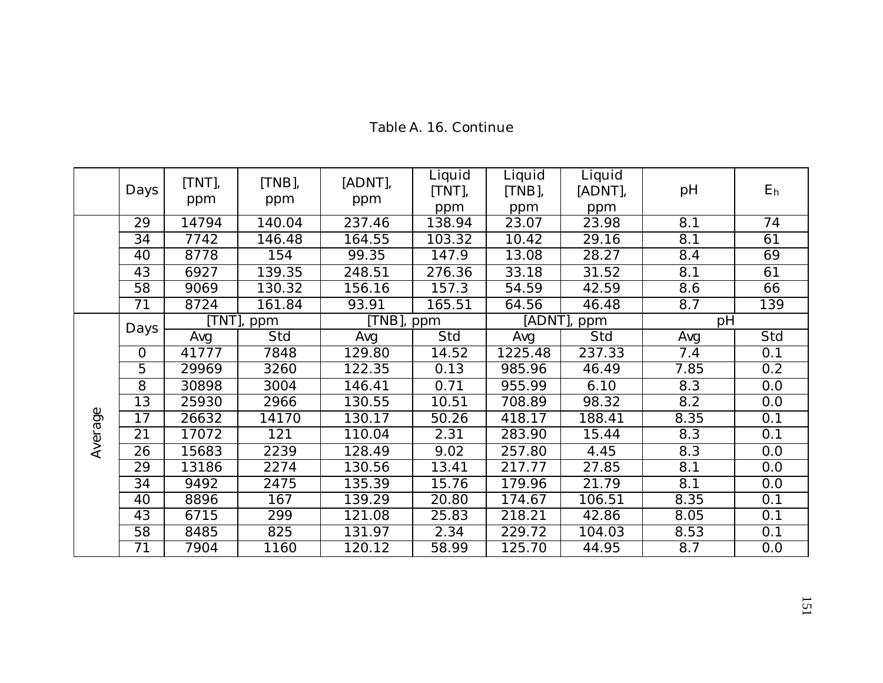|         | Days           | [TNT],<br>ppm | [TNB],<br>ppm | [ADNT],<br>ppm | Liquid<br>[TNT],<br>ppm | Liquid<br>[TNB],<br>ppm | Liquid<br>[ADNT],<br>ppm | pH   | E <sub>h</sub> |
|---------|----------------|---------------|---------------|----------------|-------------------------|-------------------------|--------------------------|------|----------------|
|         | 29             | 14794         | 140.04        | 237.46         | 138.94                  | 23.07                   | 23.98                    | 8.1  | 74             |
|         | 34             | 7742          | 146.48        | 164.55         | 103.32                  | 10.42                   | 29.16                    | 8.1  | 61             |
|         | 40             | 8778          | 154           | 99.35          | 147.9                   | 13.08                   | 28.27                    | 8.4  | 69             |
|         | 43             | 6927          | 139.35        | 248.51         | 276.36                  | 33.18                   | 31.52                    | 8.1  | 61             |
|         | 58             | 9069          | 130.32        | 156.16         | 157.3                   | 54.59                   | 42.59                    | 8.6  | 66             |
|         | 71             | 8724          | 161.84        | 93.91          | 165.51                  | 64.56                   | 46.48                    | 8.7  | 139            |
|         | Days           |               | TNT], ppm     | [TNB], ppm     |                         |                         | [ADNT], ppm              | pH   |                |
|         |                | Avg           | Std           | Avg            | Std                     | Avg                     | Std                      | Avg  | Std            |
|         | $\overline{O}$ | 41777         | 7848          | 129.80         | 14.52                   | 1225.48                 | 237.33                   | 7.4  | 0.1            |
|         | $\overline{5}$ | 29969         | 3260          | 122.35         | 0.13                    | 985.96                  | 46.49                    | 7.85 | 0.2            |
|         | $\overline{8}$ | 30898         | 3004          | 146.41         | 0.71                    | 955.99                  | 6.10                     | 8.3  | 0.0            |
|         | 13             | 25930         | 2966          | 130.55         | 10.51                   | 708.89                  | 98.32                    | 8.2  | 0.0            |
|         | 17             | 26632         | 14170         | 130.17         | 50.26                   | 418.17                  | 188.41                   | 8.35 | 0.1            |
| Average | 21             | 17072         | 121           | 110.04         | 2.31                    | 283.90                  | 15.44                    | 8.3  | 0.1            |
|         | 26             | 15683         | 2239          | 128.49         | 9.02                    | 257.80                  | 4.45                     | 8.3  | 0.0            |
|         | 29             | 13186         | 2274          | 130.56         | 13.41                   | 217.77                  | 27.85                    | 8.1  | 0.0            |
|         | 34             | 9492          | 2475          | 135.39         | 15.76                   | 179.96                  | 21.79                    | 8.1  | 0.0            |
|         | 40             | 8896          | 167           | 139.29         | 20.80                   | 174.67                  | 106.51                   | 8.35 | 0.1            |
|         | 43             | 6715          | 299           | 121.08         | 25.83                   | 218.21                  | 42.86                    | 8.05 | 0.1            |
|         | 58             | 8485          | 825           | 131.97         | 2.34                    | 229.72                  | 104.03                   | 8.53 | 0.1            |
|         | 71             | 7904          | 1160          | 120.12         | 58.99                   | 125.70                  | 44.95                    | 8.7  | 0.0            |

# Table A. 16. Continue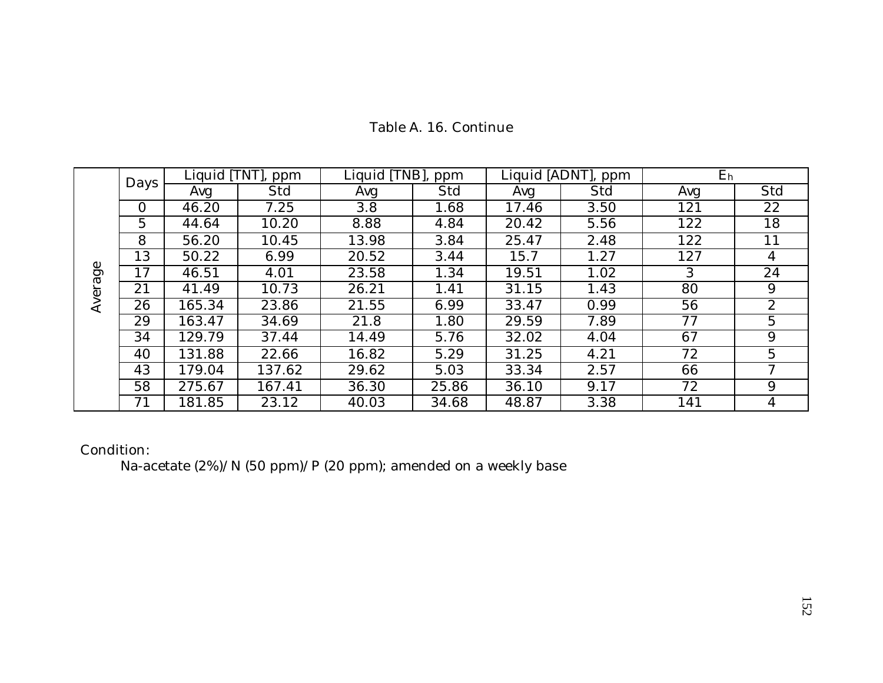|         |          | Liquid [TNT], | ppm    | Liquid [TNB], | ppm   |       | Liquid [ADNT], ppm | E <sub>h</sub> |                |
|---------|----------|---------------|--------|---------------|-------|-------|--------------------|----------------|----------------|
|         | Days     | Avg           | Std    | Avg           | Std   | Avg   | Std                | Avg            | Std            |
|         | $\Omega$ | 46.20         | 7.25   | 3.8           | 1.68  | 17.46 | 3.50               | 121            | 22             |
|         | 5        | 44.64         | 10.20  | 8.88          | 4.84  | 20.42 | 5.56               | 122            | 18             |
|         | 8        | 56.20         | 10.45  | 13.98         | 3.84  | 25.47 | 2.48               | 122            | 11             |
|         | 13       | 50.22         | 6.99   | 20.52         | 3.44  | 15.7  | 1.27               | 127            | 4              |
| Average | 17       | 46.51         | 4.01   | 23.58         | 1.34  | 19.51 | 1.02               | 3              | 24             |
|         | 21       | 41.49         | 10.73  | 26.21         | 1.41  | 31.15 | 1.43               | 80             | 9              |
|         | 26       | 165.34        | 23.86  | 21.55         | 6.99  | 33.47 | 0.99               | 56             | $\overline{2}$ |
|         | 29       | 163.47        | 34.69  | 21.8          | 1.80  | 29.59 | 7.89               | 77             | 5              |
|         | 34       | 129.79        | 37.44  | 14.49         | 5.76  | 32.02 | 4.04               | 67             | 9              |
|         | 40       | 131.88        | 22.66  | 16.82         | 5.29  | 31.25 | 4.21               | 72             | 5              |
|         | 43       | 179.04        | 137.62 | 29.62         | 5.03  | 33.34 | 2.57               | 66             | 7              |
|         | 58       | 275.67        | 167.41 | 36.30         | 25.86 | 36.10 | 9.17               | 72             | 9              |
|         | 71       | 181.85        | 23.12  | 40.03         | 34.68 | 48.87 | 3.38               | 141            | 4              |

# Table A. 16. Continue

Condition:

Na-acetate (2%)/N (50 ppm)/P (20 ppm); amended on a weekly base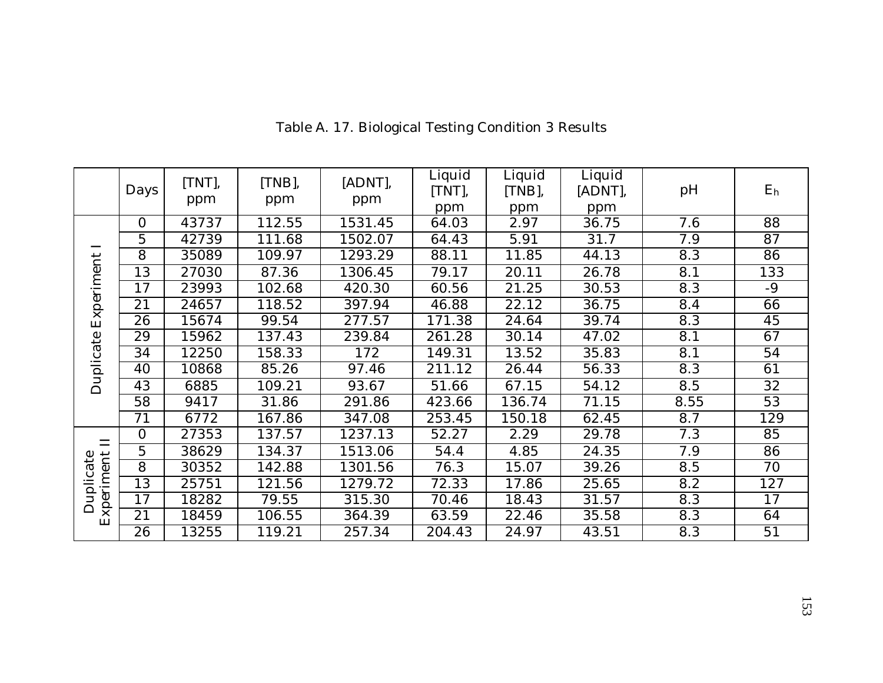|            | Days     | [TNT],<br>ppm | [TNB],<br>ppm | [ADNT],<br>ppm | Liquid<br>[TNT],<br>ppm | Liquid<br>$[TNB]$ ,<br>ppm | Liquid<br>[ADNT],<br>ppm | pH   | E <sub>h</sub> |
|------------|----------|---------------|---------------|----------------|-------------------------|----------------------------|--------------------------|------|----------------|
|            | $\Omega$ | 43737         | 112.55        | 1531.45        | 64.03                   | 2.97                       | 36.75                    | 7.6  | 88             |
|            | 5        | 42739         | 111.68        | 1502.07        | 64.43                   | 5.91                       | 31.7                     | 7.9  | 87             |
|            | 8        | 35089         | 109.97        | 1293.29        | 88.11                   | 11.85                      | 44.13                    | 8.3  | 86             |
|            | 13       | 27030         | 87.36         | 1306.45        | 79.17                   | 20.11                      | 26.78                    | 8.1  | 133            |
| Experiment | 17       | 23993         | 102.68        | 420.30         | 60.56                   | 21.25                      | 30.53                    | 8.3  | $-9$           |
|            | 21       | 24657         | 118.52        | 397.94         | 46.88                   | 22.12                      | 36.75                    | 8.4  | 66             |
|            | 26       | 15674         | 99.54         | 277.57         | 171.38                  | 24.64                      | 39.74                    | 8.3  | 45             |
| Duplicate  | 29       | 15962         | 137.43        | 239.84         | 261.28                  | 30.14                      | 47.02                    | 8.1  | 67             |
|            | 34       | 12250         | 158.33        | 172            | 149.31                  | 13.52                      | 35.83                    | 8.1  | 54             |
|            | 40       | 10868         | 85.26         | 97.46          | 211.12                  | 26.44                      | 56.33                    | 8.3  | 61             |
|            | 43       | 6885          | 109.21        | 93.67          | 51.66                   | 67.15                      | 54.12                    | 8.5  | 32             |
|            | 58       | 9417          | 31.86         | 291.86         | 423.66                  | 136.74                     | 71.15                    | 8.55 | 53             |
|            | 71       | 6772          | 167.86        | 347.08         | 253.45                  | 150.18                     | 62.45                    | 8.7  | 129            |
| $\Box$     | $\Omega$ | 27353         | 137.57        | 1237.13        | 52.27                   | 2.29                       | 29.78                    | 7.3  | 85             |
|            | 5        | 38629         | 134.37        | 1513.06        | 54.4                    | 4.85                       | 24.35                    | 7.9  | 86             |
|            | 8        | 30352         | 142.88        | 1301.56        | 76.3                    | 15.07                      | 39.26                    | 8.5  | 70             |
|            | 13       | 25751         | 121.56        | 1279.72        | 72.33                   | 17.86                      | 25.65                    | 8.2  | 127            |
| Duplicate  | 17       | 18282         | 79.55         | 315.30         | 70.46                   | 18.43                      | 31.57                    | 8.3  | 17             |
| Experiment | 21       | 18459         | 106.55        | 364.39         | 63.59                   | 22.46                      | 35.58                    | 8.3  | 64             |
|            | 26       | 13255         | 119.21        | 257.34         | 204.43                  | 24.97                      | 43.51                    | 8.3  | 51             |

Table A. 17. Biological Testing Condition 3 Results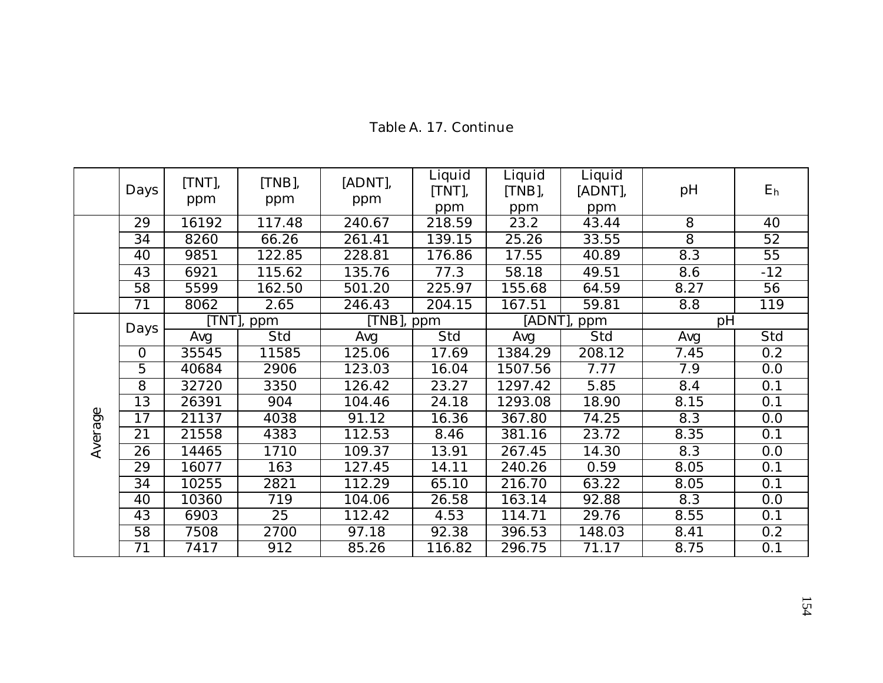|         | Days           | [TNT],<br>ppm | [TNB],<br>ppm | [ADNT],<br>ppm | Liquid<br>[TNT],<br>ppm | Liquid<br>[TNB],<br>ppm | Liquid<br>[ADNT],<br>ppm | pH             | E <sub>h</sub> |
|---------|----------------|---------------|---------------|----------------|-------------------------|-------------------------|--------------------------|----------------|----------------|
|         | 29             | 16192         | 117.48        | 240.67         | 218.59                  | 23.2                    | 43.44                    | $\overline{8}$ | 40             |
|         | 34             | 8260          | 66.26         | 261.41         | 139.15                  | 25.26                   | 33.55                    | $\overline{8}$ | 52             |
|         | 40             | 9851          | 122.85        | 228.81         | 176.86                  | 17.55                   | 40.89                    | 8.3            | 55             |
|         | 43             | 6921          | 115.62        | 135.76         | 77.3                    | 58.18                   | 49.51                    | 8.6            | $-12$          |
|         | 58             | 5599          | 162.50        | 501.20         | 225.97                  | 155.68                  | 64.59                    | 8.27           | 56             |
|         | 71             | 8062          | 2.65          | 246.43         | 204.15                  | 167.51                  | 59.81                    | 8.8            | 119            |
|         | Days           |               | TNT], ppm     | [TNB], ppm     |                         |                         | [ADNT], ppm              | pH             |                |
|         |                | Avg           | Std           | Avg            | Std                     | Avg                     | Std                      | Avg            | Std            |
|         | $\overline{O}$ | 35545         | 11585         | 125.06         | 17.69                   | 1384.29                 | 208.12                   | 7.45           | 0.2            |
|         | 5              | 40684         | 2906          | 123.03         | 16.04                   | 1507.56                 | 7.77                     | 7.9            | 0.0            |
|         | 8              | 32720         | 3350          | 126.42         | 23.27                   | 1297.42                 | 5.85                     | 8.4            | 0.1            |
|         | 13             | 26391         | 904           | 104.46         | 24.18                   | 1293.08                 | 18.90                    | 8.15           | 0.1            |
| Average | 17             | 21137         | 4038          | 91.12          | 16.36                   | 367.80                  | 74.25                    | 8.3            | 0.0            |
|         | 21             | 21558         | 4383          | 112.53         | 8.46                    | 381.16                  | 23.72                    | 8.35           | 0.1            |
|         | 26             | 14465         | 1710          | 109.37         | 13.91                   | 267.45                  | 14.30                    | 8.3            | 0.0            |
|         | 29             | 16077         | 163           | 127.45         | 14.11                   | 240.26                  | 0.59                     | 8.05           | 0.1            |
|         | 34             | 10255         | 2821          | 112.29         | 65.10                   | 216.70                  | 63.22                    | 8.05           | 0.1            |
|         | 40             | 10360         | 719           | 104.06         | 26.58                   | 163.14                  | 92.88                    | 8.3            | 0.0            |
|         | 43             | 6903          | 25            | 112.42         | 4.53                    | 114.71                  | 29.76                    | 8.55           | 0.1            |
|         | 58             | 7508          | 2700          | 97.18          | 92.38                   | 396.53                  | 148.03                   | 8.41           | 0.2            |
|         | 71             | 7417          | 912           | 85.26          | 116.82                  | 296.75                  | 71.17                    | 8.75           | 0.1            |

# Table A. 17. Continue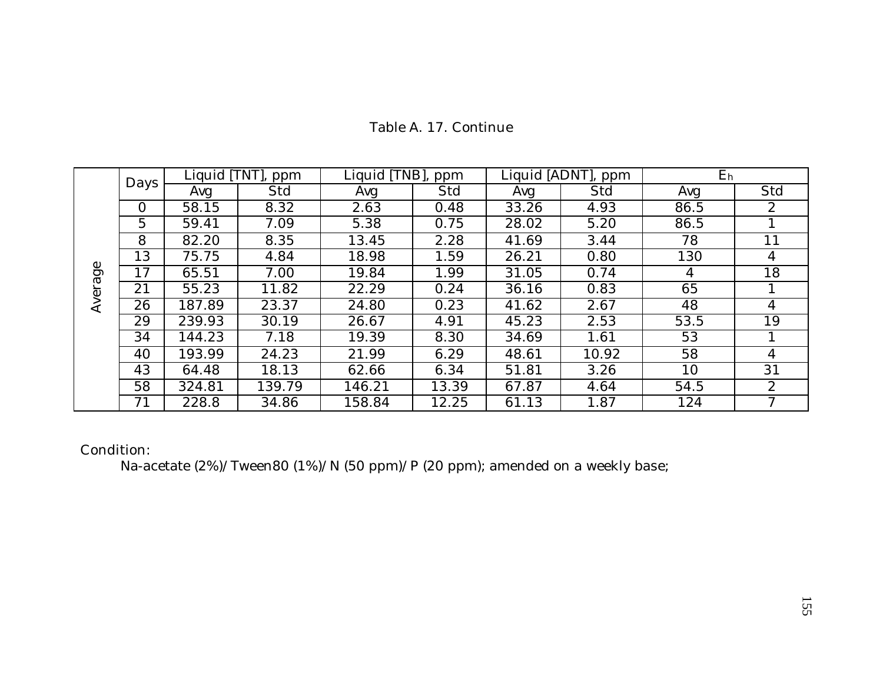|         |      |        | Liquid [TNT], ppm | Liquid [TNB], | ppm   |       | Liquid [ADNT], ppm | E <sub>h</sub> |              |
|---------|------|--------|-------------------|---------------|-------|-------|--------------------|----------------|--------------|
|         | Days | Avg    | Std               | Avg           | Std   | Avg   | Std                | Avg            | Std          |
|         | 0    | 58.15  | 8.32              | 2.63          | 0.48  | 33.26 | 4.93               | 86.5           | $\mathbf{2}$ |
|         | 5    | 59.41  | 7.09              | 5.38          | 0.75  | 28.02 | 5.20               | 86.5           |              |
|         | 8    | 82.20  | 8.35              | 13.45         | 2.28  | 41.69 | 3.44               | 78             | 11           |
|         | 13   | 75.75  | 4.84              | 18.98         | 1.59  | 26.21 | 0.80               | 130            | 4            |
| Average | 17   | 65.51  | 7.00              | 19.84         | 1.99  | 31.05 | 0.74               | 4              | 18           |
|         | 21   | 55.23  | 11.82             | 22.29         | 0.24  | 36.16 | 0.83               | 65             |              |
|         | 26   | 187.89 | 23.37             | 24.80         | 0.23  | 41.62 | 2.67               | 48             | 4            |
|         | 29   | 239.93 | 30.19             | 26.67         | 4.91  | 45.23 | 2.53               | 53.5           | 19           |
|         | 34   | 144.23 | 7.18              | 19.39         | 8.30  | 34.69 | 1.61               | 53             |              |
|         | 40   | 193.99 | 24.23             | 21.99         | 6.29  | 48.61 | 10.92              | 58             | 4            |
|         | 43   | 64.48  | 18.13             | 62.66         | 6.34  | 51.81 | 3.26               | 10             | 31           |
|         | 58   | 324.81 | 139.79            | 146.21        | 13.39 | 67.87 | 4.64               | 54.5           | $\mathbf{2}$ |
|         | 71   | 228.8  | 34.86             | 158.84        | 12.25 | 61.13 | 1.87               | 124            | 7            |

# Table A. 17. Continue

Condition:

Na-acetate (2%)/Tween80 (1%)/N (50 ppm)/P (20 ppm); amended on a weekly base;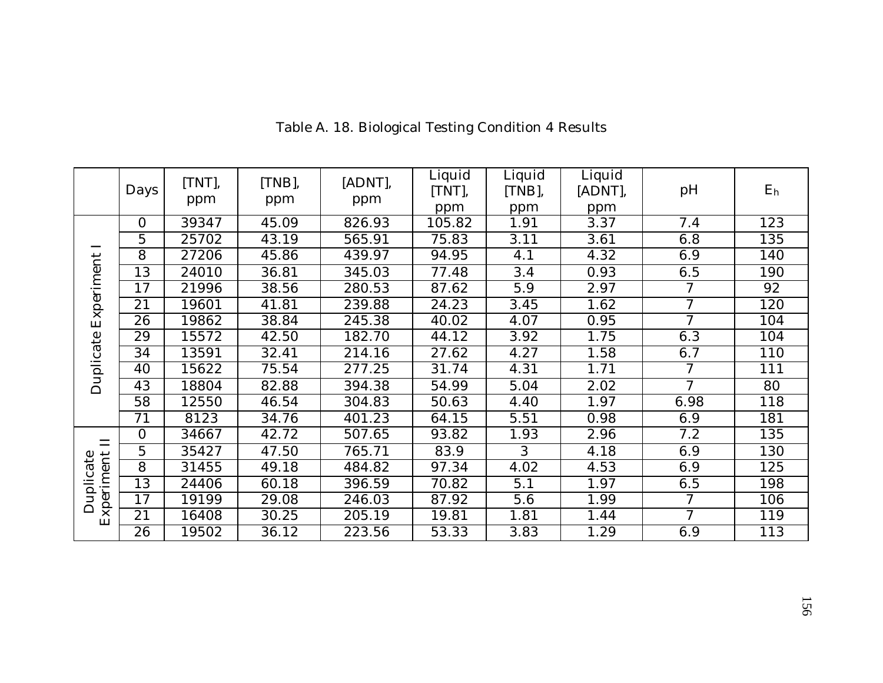|                         | Days           | [TNT],<br>ppm | [TNB],<br>ppm | [ADNT],<br>ppm | Liquid<br>[TNT],<br>ppm | Liquid<br>$[TNB]$ ,<br>ppm | Liquid<br>[ADNT],<br>ppm | pH             | E <sub>h</sub> |
|-------------------------|----------------|---------------|---------------|----------------|-------------------------|----------------------------|--------------------------|----------------|----------------|
|                         | $\overline{0}$ | 39347         | 45.09         | 826.93         | 105.82                  | 1.91                       | 3.37                     | 7.4            | 123            |
|                         | 5              | 25702         | 43.19         | 565.91         | 75.83                   | 3.11                       | 3.61                     | 6.8            | 135            |
|                         | 8              | 27206         | 45.86         | 439.97         | 94.95                   | 4.1                        | 4.32                     | 6.9            | 140            |
|                         | 13             | 24010         | 36.81         | 345.03         | 77.48                   | 3.4                        | 0.93                     | 6.5            | 190            |
| Experiment              | 17             | 21996         | 38.56         | 280.53         | 87.62                   | 5.9                        | 2.97                     | 7              | 92             |
|                         | 21             | 19601         | 41.81         | 239.88         | 24.23                   | 3.45                       | 1.62                     | $\overline{7}$ | 120            |
|                         | 26             | 19862         | 38.84         | 245.38         | 40.02                   | 4.07                       | 0.95                     | $\tau$         | 104            |
|                         | 29             | 15572         | 42.50         | 182.70         | 44.12                   | 3.92                       | 1.75                     | 6.3            | 104            |
| Duplicate               | 34             | 13591         | 32.41         | 214.16         | 27.62                   | 4.27                       | 1.58                     | 6.7            | 110            |
|                         | 40             | 15622         | 75.54         | 277.25         | 31.74                   | 4.31                       | 1.71                     | 7              | 111            |
|                         | 43             | 18804         | 82.88         | 394.38         | 54.99                   | 5.04                       | 2.02                     | 7              | 80             |
|                         | 58             | 12550         | 46.54         | 304.83         | 50.63                   | 4.40                       | 1.97                     | 6.98           | 118            |
|                         | 71             | 8123          | 34.76         | 401.23         | 64.15                   | 5.51                       | 0.98                     | 6.9            | 181            |
| $\Box$                  | $\Omega$       | 34667         | 42.72         | 507.65         | 93.82                   | 1.93                       | 2.96                     | 7.2            | 135            |
|                         | 5              | 35427         | 47.50         | 765.71         | 83.9                    | 3                          | 4.18                     | 6.9            | 130            |
|                         | 8              | 31455         | 49.18         | 484.82         | 97.34                   | 4.02                       | 4.53                     | 6.9            | 125            |
| Experiment<br>Duplicate | 13             | 24406         | 60.18         | 396.59         | 70.82                   | 5.1                        | 1.97                     | 6.5            | 198            |
|                         | 17             | 19199         | 29.08         | 246.03         | 87.92                   | 5.6                        | 1.99                     | $\tau$         | 106            |
|                         | 21             | 16408         | 30.25         | 205.19         | 19.81                   | 1.81                       | 1.44                     | 7              | 119            |
|                         | 26             | 19502         | 36.12         | 223.56         | 53.33                   | 3.83                       | 1.29                     | 6.9            | 113            |

Table A. 18. Biological Testing Condition 4 Results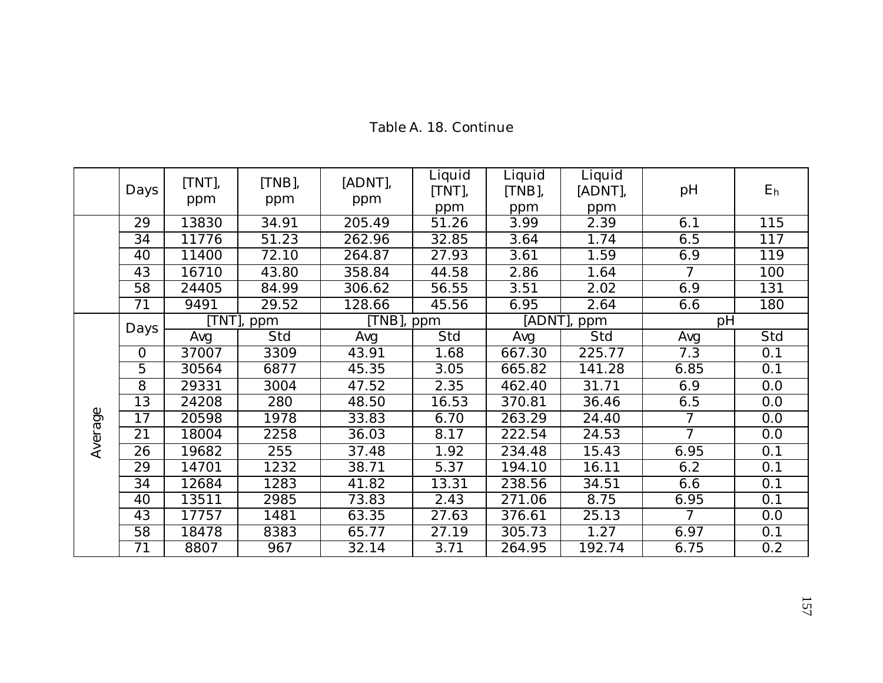|         | Days           | [TNT],<br>ppm | [TNB],<br>ppm | [ADNT],<br>ppm | Liquid<br>[TNT],<br>ppm | Liquid<br>[TNB],<br>ppm | Liquid<br>[ADNT],<br>ppm | pH             | E <sub>h</sub> |
|---------|----------------|---------------|---------------|----------------|-------------------------|-------------------------|--------------------------|----------------|----------------|
|         | 29             | 13830         | 34.91         | 205.49         | 51.26                   | 3.99                    | 2.39                     | 6.1            | 115            |
|         | 34             | 11776         | 51.23         | 262.96         | 32.85                   | 3.64                    | 1.74                     | 6.5            | 117            |
|         | 40             | 11400         | 72.10         | 264.87         | 27.93                   | 3.61                    | 1.59                     | 6.9            | 119            |
|         | 43             | 16710         | 43.80         | 358.84         | 44.58                   | 2.86                    | 1.64                     | 7              | 100            |
|         | 58             | 24405         | 84.99         | 306.62         | 56.55                   | 3.51                    | 2.02                     | 6.9            | 131            |
|         | 71             | 9491          | 29.52         | 128.66         | 45.56                   | 6.95                    | 2.64                     | 6.6            | 180            |
|         |                |               | TNT], ppm     | [TNB], ppm     |                         |                         | [ADNT], ppm              | pH             |                |
|         | Days           | Avg           | Std           | Avg            | Std                     | Avg                     | Std                      | Avg            | Std            |
|         | $\overline{O}$ | 37007         | 3309          | 43.91          | 1.68                    | 667.30                  | 225.77                   | 7.3            | 0.1            |
|         | 5              | 30564         | 6877          | 45.35          | 3.05                    | 665.82                  | 141.28                   | 6.85           | 0.1            |
|         | 8              | 29331         | 3004          | 47.52          | 2.35                    | 462.40                  | 31.71                    | 6.9            | 0.0            |
|         | 13             | 24208         | 280           | 48.50          | 16.53                   | 370.81                  | 36.46                    | 6.5            | 0.0            |
|         | 17             | 20598         | 1978          | 33.83          | 6.70                    | 263.29                  | 24.40                    | $\overline{7}$ | 0.0            |
| Average | 21             | 18004         | 2258          | 36.03          | 8.17                    | 222.54                  | 24.53                    | $\overline{7}$ | 0.0            |
|         | 26             | 19682         | 255           | 37.48          | 1.92                    | 234.48                  | 15.43                    | 6.95           | 0.1            |
|         | 29             | 14701         | 1232          | 38.71          | 5.37                    | 194.10                  | 16.11                    | 6.2            | 0.1            |
|         | 34             | 12684         | 1283          | 41.82          | 13.31                   | 238.56                  | 34.51                    | 6.6            | 0.1            |
|         | 40             | 13511         | 2985          | 73.83          | 2.43                    | 271.06                  | 8.75                     | 6.95           | 0.1            |
|         | 43             | 17757         | 1481          | 63.35          | 27.63                   | 376.61                  | 25.13                    | $\mathcal I$   | 0.0            |
|         | 58             | 18478         | 8383          | 65.77          | 27.19                   | 305.73                  | 1.27                     | 6.97           | 0.1            |
|         | 71             | 8807          | 967           | 32.14          | 3.71                    | 264.95                  | 192.74                   | 6.75           | 0.2            |

# Table A. 18. Continue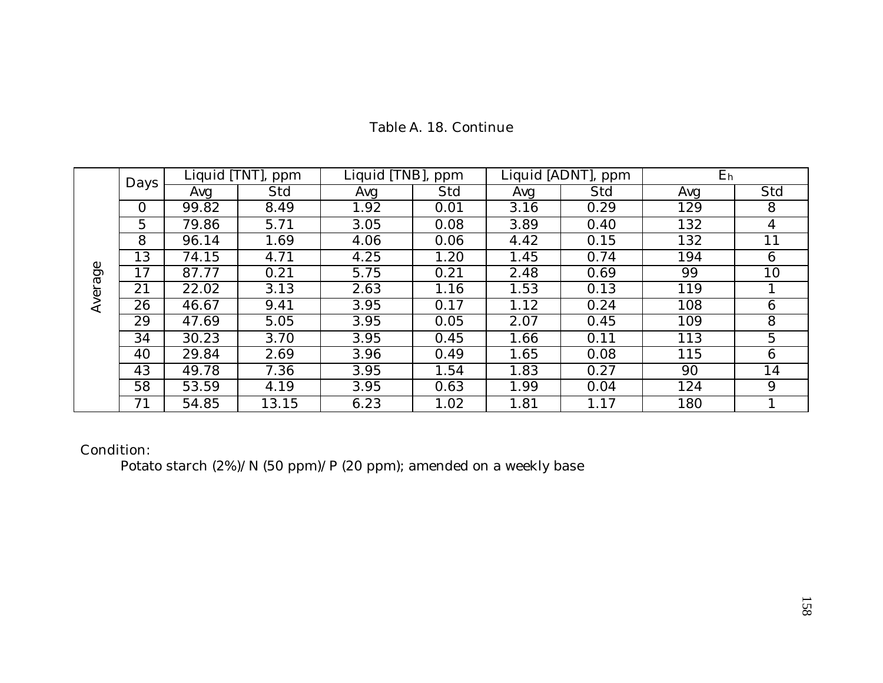|       | Days     | Liquid [TNT], ppm |       | Liquid [TNB], ppm |      | Liquid [ADNT], ppm |      | E <sub>h</sub> |     |
|-------|----------|-------------------|-------|-------------------|------|--------------------|------|----------------|-----|
|       |          | Avg               | Std   | Avg               | Std  | Avg                | Std  | Avg            | Std |
|       | $\Omega$ | 99.82             | 8.49  | 1.92              | 0.01 | 3.16               | 0.29 | 129            | 8   |
|       | 5        | 79.86             | 5.71  | 3.05              | 0.08 | 3.89               | 0.40 | 132            | 4   |
|       | 8        | 96.14             | 1.69  | 4.06              | 0.06 | 4.42               | 0.15 | 132            | 11  |
|       | 13       | 74.15             | 4.71  | 4.25              | 1.20 | 1.45               | 0.74 | 194            | 6   |
| age   | 17       | 87.77             | 0.21  | 5.75              | 0.21 | 2.48               | 0.69 | 99             | 10  |
|       | 21       | 22.02             | 3.13  | 2.63              | 1.16 | 1.53               | 0.13 | 119            |     |
| Avera | 26       | 46.67             | 9.41  | 3.95              | 0.17 | 1.12               | 0.24 | 108            | 6   |
|       | 29       | 47.69             | 5.05  | 3.95              | 0.05 | 2.07               | 0.45 | 109            | 8   |
|       | 34       | 30.23             | 3.70  | 3.95              | 0.45 | 1.66               | 0.11 | 113            | 5   |
|       | 40       | 29.84             | 2.69  | 3.96              | 0.49 | 1.65               | 0.08 | 115            | 6   |
|       | 43       | 49.78             | 7.36  | 3.95              | 1.54 | 1.83               | 0.27 | 90             | 14  |
|       | 58       | 53.59             | 4.19  | 3.95              | 0.63 | 1.99               | 0.04 | 124            | 9   |
|       | 71       | 54.85             | 13.15 | 6.23              | 1.02 | 1.81               | 1.17 | 180            |     |

# Table A. 18. Continue

Condition:

Potato starch (2%)/N (50 ppm)/P (20 ppm); amended on a weekly base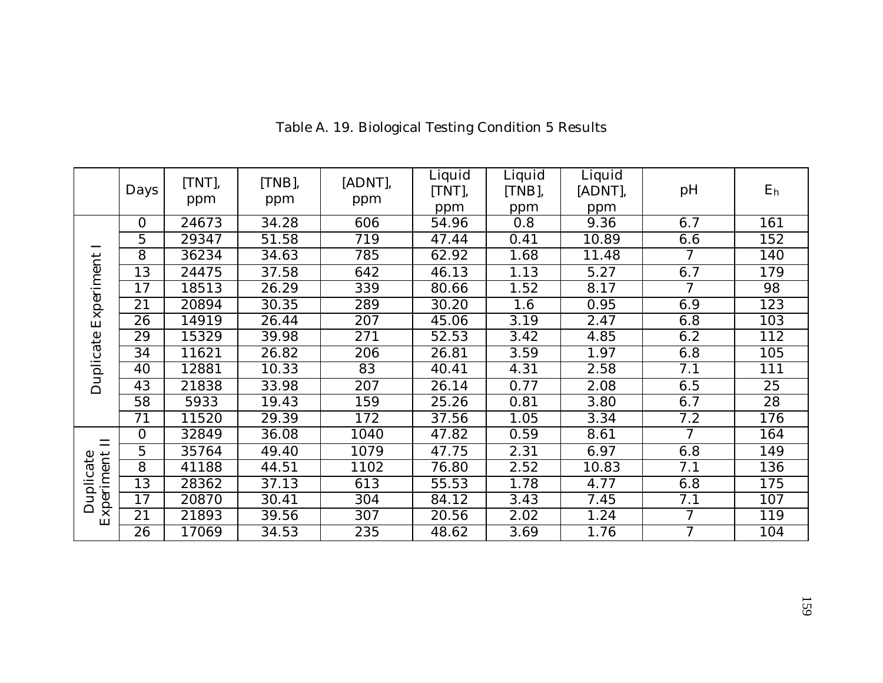|            | Days     | [TNT],<br>ppm | $[TNB]$ ,<br>ppm | [ADNT],<br>ppm | Liquid<br>[TNT],<br>ppm | Liquid<br>[TNB],<br>ppm | Liquid<br>[ADNT],<br>ppm | pH             | E <sub>h</sub> |
|------------|----------|---------------|------------------|----------------|-------------------------|-------------------------|--------------------------|----------------|----------------|
|            | $\Omega$ | 24673         | 34.28            | 606            | 54.96                   | 0.8                     | 9.36                     | 6.7            | 161            |
|            | 5        | 29347         | 51.58            | 719            | 47.44                   | 0.41                    | 10.89                    | 6.6            | 152            |
|            | 8        | 36234         | 34.63            | 785            | 62.92                   | 1.68                    | 11.48                    | 7              | 140            |
|            | 13       | 24475         | 37.58            | 642            | 46.13                   | 1.13                    | 5.27                     | 6.7            | 179            |
| Experiment | 17       | 18513         | 26.29            | 339            | 80.66                   | 1.52                    | 8.17                     | $\overline{7}$ | 98             |
|            | 21       | 20894         | 30.35            | 289            | 30.20                   | 1.6                     | 0.95                     | 6.9            | 123            |
|            | 26       | 14919         | 26.44            | 207            | 45.06                   | 3.19                    | 2.47                     | 6.8            | 103            |
|            | 29       | 15329         | 39.98            | 271            | 52.53                   | 3.42                    | 4.85                     | 6.2            | 112            |
|            | 34       | 11621         | 26.82            | 206            | 26.81                   | 3.59                    | 1.97                     | 6.8            | 105            |
|            | 40       | 12881         | 10.33            | 83             | 40.41                   | 4.31                    | 2.58                     | 7.1            | 111            |
| Duplicate  | 43       | 21838         | 33.98            | 207            | 26.14                   | 0.77                    | 2.08                     | 6.5            | 25             |
|            | 58       | 5933          | 19.43            | 159            | 25.26                   | 0.81                    | 3.80                     | 6.7            | 28             |
|            | 71       | 11520         | 29.39            | 172            | 37.56                   | 1.05                    | 3.34                     | 7.2            | 176            |
| $\Box$     | $\Omega$ | 32849         | 36.08            | 1040           | 47.82                   | 0.59                    | 8.61                     | 7              | 164            |
|            | 5        | 35764         | 49.40            | 1079           | 47.75                   | 2.31                    | 6.97                     | 6.8            | 149            |
|            | 8        | 41188         | 44.51            | 1102           | 76.80                   | 2.52                    | 10.83                    | 7.1            | 136            |
|            | 13       | 28362         | 37.13            | 613            | 55.53                   | 1.78                    | 4.77                     | 6.8            | 175            |
| Duplicate  | 17       | 20870         | 30.41            | 304            | 84.12                   | 3.43                    | 7.45                     | 7.1            | 107            |
| Experiment | 21       | 21893         | 39.56            | 307            | 20.56                   | 2.02                    | 1.24                     | $\overline{7}$ | 119            |
|            | 26       | 17069         | 34.53            | 235            | 48.62                   | 3.69                    | 1.76                     | $\overline{7}$ | 104            |

Table A. 19. Biological Testing Condition 5 Results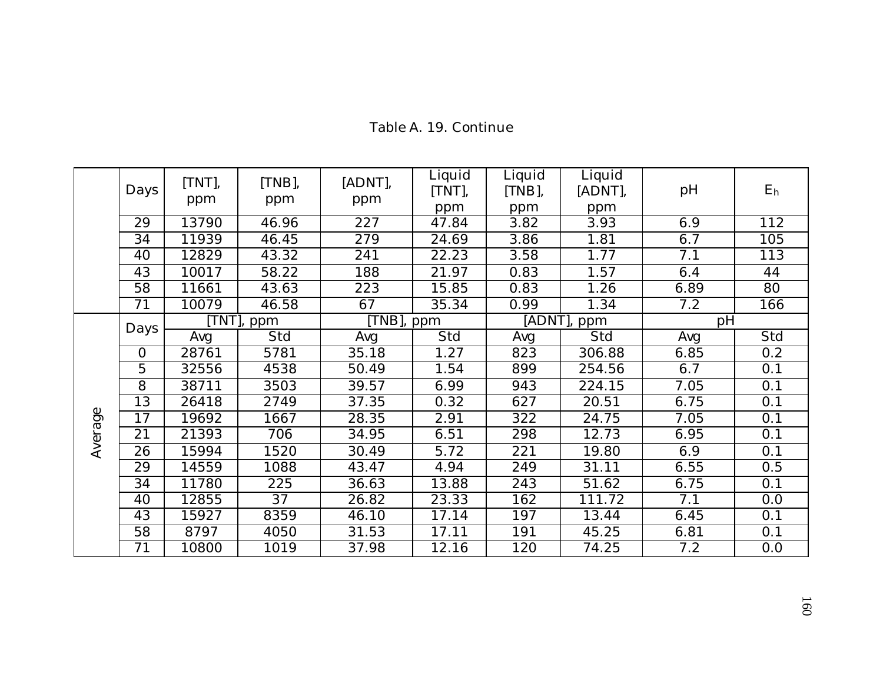|         | Days           | [TNT],<br>ppm | $[TNB]$ ,<br>ppm | [ADNT],<br>ppm | Liquid<br>[TNT], | Liquid<br>[TNB], | Liquid<br>[ADNT], | pH   | E <sub>h</sub> |
|---------|----------------|---------------|------------------|----------------|------------------|------------------|-------------------|------|----------------|
|         | 29             | 13790         | 46.96            | 227            | ppm<br>47.84     | ppm<br>3.82      | ppm<br>3.93       | 6.9  | 112            |
|         | 34             | 11939         | 46.45            | 279            | 24.69            | 3.86             | 1.81              | 6.7  | 105            |
|         | 40             | 12829         | 43.32            | 241            | 22.23            | 3.58             | 1.77              | 7.1  | 113            |
|         | 43             | 10017         | 58.22            | 188            | 21.97            | 0.83             | 1.57              | 6.4  | 44             |
|         |                |               |                  |                |                  |                  |                   |      |                |
|         | 58             | 11661         | 43.63            | 223            | 15.85            | 0.83             | 1.26              | 6.89 | 80             |
|         | 71             | 10079         | 46.58            | 67             | 35.34            | 0.99             | 1.34              | 7.2  | 166            |
|         | Days           |               | [TNT], ppm       | [TNB], ppm     |                  |                  | [ADNT], ppm       | pH   |                |
|         |                | Avg           | Std              | Avg            | Std              | Avg              | Std               | Avg  | Std            |
|         | $\overline{0}$ | 28761         | 5781             | 35.18          | 1.27             | 823              | 306.88            | 6.85 | 0.2            |
|         | 5              | 32556         | 4538             | 50.49          | 1.54             | 899              | 254.56            | 6.7  | 0.1            |
|         | 8              | 38711         | 3503             | 39.57          | 6.99             | 943              | 224.15            | 7.05 | 0.1            |
|         | 13             | 26418         | 2749             | 37.35          | 0.32             | 627              | 20.51             | 6.75 | 0.1            |
|         | 17             | 19692         | 1667             | 28.35          | 2.91             | 322              | 24.75             | 7.05 | 0.1            |
| Average | 21             | 21393         | 706              | 34.95          | 6.51             | 298              | 12.73             | 6.95 | 0.1            |
|         | 26             | 15994         | 1520             | 30.49          | 5.72             | 221              | 19.80             | 6.9  | 0.1            |
|         | 29             | 14559         | 1088             | 43.47          | 4.94             | 249              | 31.11             | 6.55 | 0.5            |
|         | 34             | 11780         | 225              | 36.63          | 13.88            | 243              | 51.62             | 6.75 | 0.1            |
|         | 40             | 12855         | 37               | 26.82          | 23.33            | 162              | 111.72            | 7.1  | 0.0            |
|         | 43             | 15927         | 8359             | 46.10          | 17.14            | 197              | 13.44             | 6.45 | 0.1            |
|         | 58             | 8797          | 4050             | 31.53          | 17.11            | 191              | 45.25             | 6.81 | 0.1            |
|         | 71             | 10800         | 1019             | 37.98          | 12.16            | 120              | 74.25             | 7.2  | 0.0            |

# Table A. 19. Continue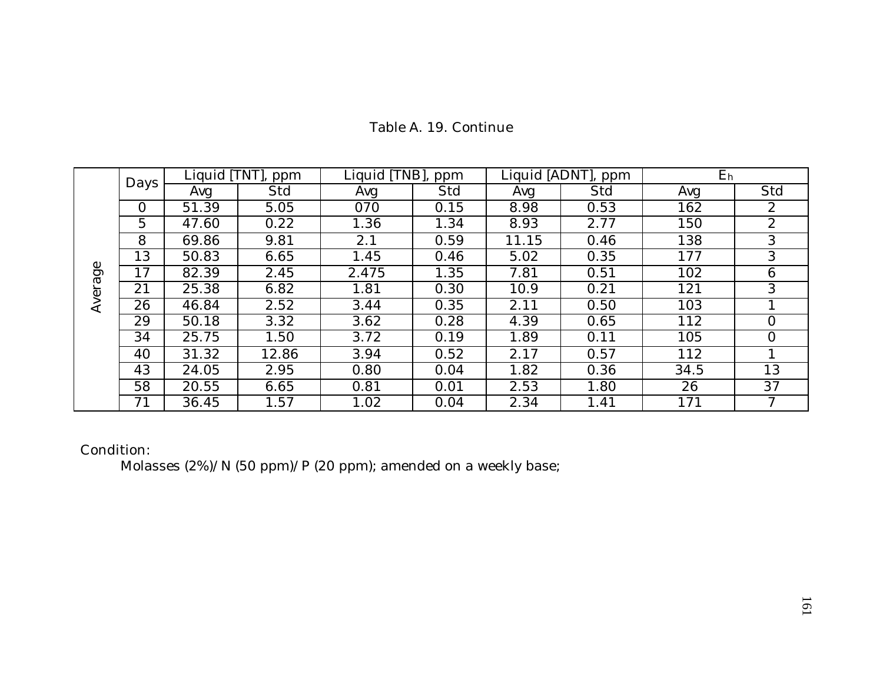|         | Days           | Liquid [TNT],<br>ppm |       | Liquid [TNB],<br>ppm |      | Liquid [ADNT], ppm |      | E <sub>h</sub> |                |
|---------|----------------|----------------------|-------|----------------------|------|--------------------|------|----------------|----------------|
|         |                | Avg                  | Std   | Avg                  | Std  | Avg                | Std  | Avg            | Std            |
|         | $\overline{0}$ | 51.39                | 5.05  | 070                  | 0.15 | 8.98               | 0.53 | 162            | $\mathbf{2}$   |
|         | 5              | 47.60                | 0.22  | 1.36                 | 1.34 | 8.93               | 2.77 | 150            | 2              |
|         | 8              | 69.86                | 9.81  | 2.1                  | 0.59 | 11.15              | 0.46 | 138            | 3              |
|         | 13             | 50.83                | 6.65  | 1.45                 | 0.46 | 5.02               | 0.35 | 177            | 3              |
|         | 17             | 82.39                | 2.45  | 2.475                | 1.35 | 7.81               | 0.51 | 102            | 6              |
| Average | 21             | 25.38                | 6.82  | 1.81                 | 0.30 | 10.9               | 0.21 | 121            | 3              |
|         | 26             | 46.84                | 2.52  | 3.44                 | 0.35 | 2.11               | 0.50 | 103            |                |
|         | 29             | 50.18                | 3.32  | 3.62                 | 0.28 | 4.39               | 0.65 | 112            | $\overline{0}$ |
|         | 34             | 25.75                | 1.50  | 3.72                 | 0.19 | 1.89               | 0.11 | 105            | $\Omega$       |
|         | 40             | 31.32                | 12.86 | 3.94                 | 0.52 | 2.17               | 0.57 | 112            |                |
|         | 43             | 24.05                | 2.95  | 0.80                 | 0.04 | 1.82               | 0.36 | 34.5           | 13             |
|         | 58             | 20.55                | 6.65  | 0.81                 | 0.01 | 2.53               | 1.80 | 26             | 37             |
|         | 71             | 36.45                | 1.57  | 1.02                 | 0.04 | 2.34               | 1.41 | 171            | 7              |

# Table A. 19. Continue

Condition:

Molasses (2%)/N (50 ppm)/P (20 ppm); amended on a weekly base;